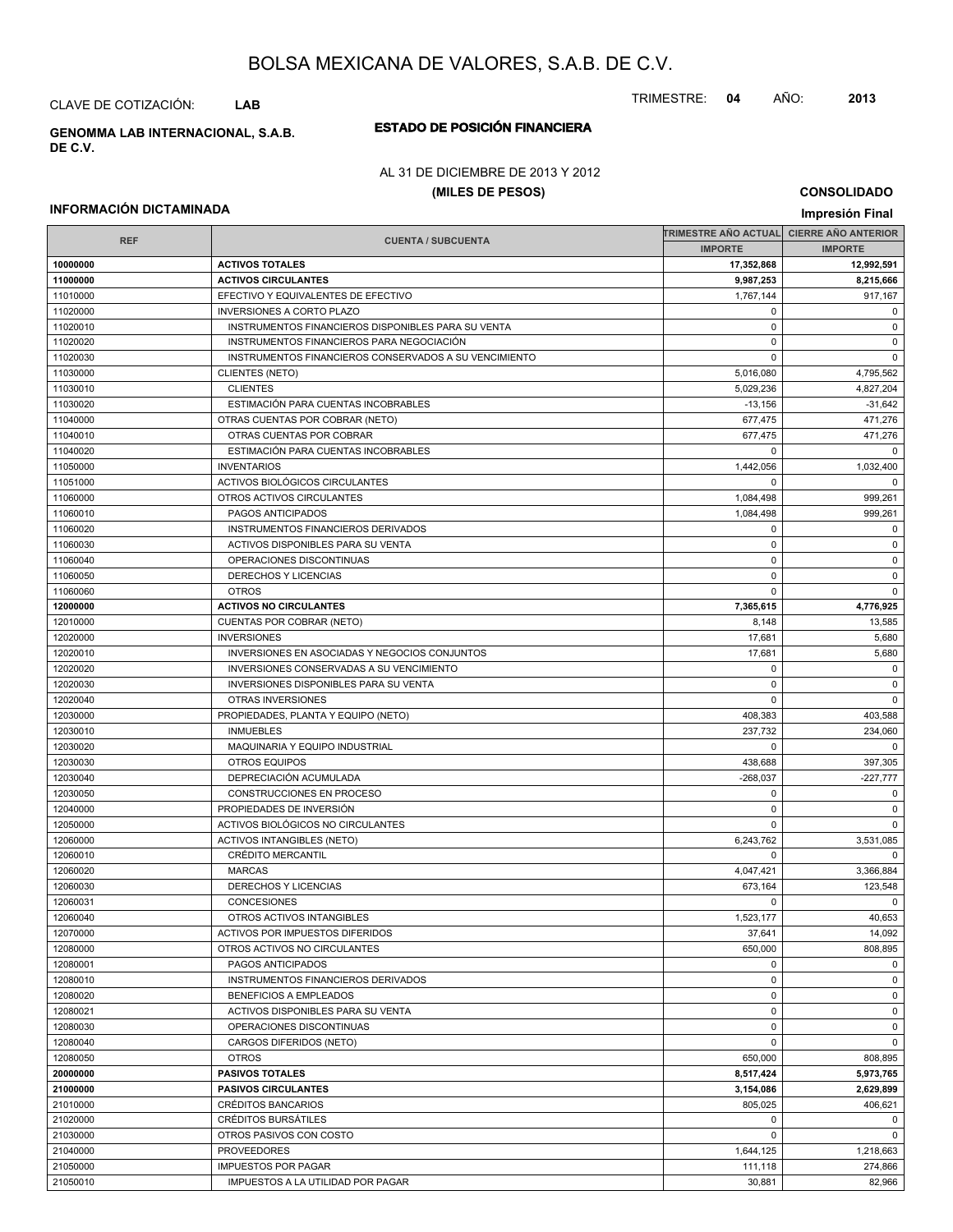CLAVE DE COTIZACIÓN: **LAB**

**ESTADO DE POSICIÓN FINANCIERA GENOMMA LAB INTERNACIONAL, S.A.B. DE C.V.**

## AL 31 DE DICIEMBRE DE 2013 Y 2012

#### **(MILES DE PESOS)**

**CONSOLIDADO Impresión Final**

#### **INFORMACIÓN DICTAMINADA**

|            |                                                       | TRIMESTRE AÑO ACTUAL│ CIERRE AÑO ANTERIOR |                |
|------------|-------------------------------------------------------|-------------------------------------------|----------------|
| <b>REF</b> | <b>CUENTA / SUBCUENTA</b>                             |                                           | <b>IMPORTE</b> |
| 10000000   | <b>ACTIVOS TOTALES</b>                                | 17,352,868                                | 12,992,591     |
| 11000000   | <b>ACTIVOS CIRCULANTES</b>                            | 9,987,253                                 | 8,215,666      |
| 11010000   | EFECTIVO Y EQUIVALENTES DE EFECTIVO                   | 1,767,144                                 | 917,167        |
| 11020000   | <b>INVERSIONES A CORTO PLAZO</b>                      | 0                                         | $\mathbf 0$    |
| 11020010   | INSTRUMENTOS FINANCIEROS DISPONIBLES PARA SU VENTA    | $\pmb{0}$                                 | 0              |
| 11020020   | INSTRUMENTOS FINANCIEROS PARA NEGOCIACIÓN             | $\Omega$                                  | 0              |
| 11020030   | INSTRUMENTOS FINANCIEROS CONSERVADOS A SU VENCIMIENTO | $\mathbf 0$                               | $\mathbf 0$    |
| 11030000   | <b>CLIENTES (NETO)</b>                                | 5,016,080                                 | 4,795,562      |
| 11030010   | <b>CLIENTES</b>                                       | 5,029,236                                 | 4,827,204      |
| 11030020   | ESTIMACIÓN PARA CUENTAS INCOBRABLES                   | $-13,156$                                 | $-31,642$      |
| 11040000   | OTRAS CUENTAS POR COBRAR (NETO)                       | 677,475                                   | 471,276        |
| 11040010   | OTRAS CUENTAS POR COBRAR                              | 677,475                                   | 471,276        |
| 11040020   | ESTIMACIÓN PARA CUENTAS INCOBRABLES                   | $\mathbf 0$                               | $\Omega$       |
| 11050000   | <b>INVENTARIOS</b>                                    | 1,442,056                                 | 1,032,400      |
| 11051000   | ACTIVOS BIOLÓGICOS CIRCULANTES                        | $\Omega$                                  | $\mathbf 0$    |
| 11060000   | OTROS ACTIVOS CIRCULANTES                             | 1,084,498                                 | 999,261        |
| 11060010   | PAGOS ANTICIPADOS                                     | 1,084,498                                 | 999,261        |
| 11060020   | INSTRUMENTOS FINANCIEROS DERIVADOS                    | 0                                         | $\mathbf 0$    |
| 11060030   | ACTIVOS DISPONIBLES PARA SU VENTA                     | $\mathbf 0$                               | $\mathbf 0$    |
| 11060040   | OPERACIONES DISCONTINUAS                              | 0                                         | $\mathbf 0$    |
| 11060050   | DERECHOS Y LICENCIAS                                  | $\Omega$                                  | $\mathbf 0$    |
| 11060060   | <b>OTROS</b>                                          | $\mathbf 0$                               | $\mathbf 0$    |
| 12000000   | <b>ACTIVOS NO CIRCULANTES</b>                         | 7,365,615                                 | 4,776,925      |
| 12010000   | CUENTAS POR COBRAR (NETO)                             | 8,148                                     | 13,585         |
| 12020000   | <b>INVERSIONES</b>                                    | 17,681                                    | 5,680          |
| 12020010   | INVERSIONES EN ASOCIADAS Y NEGOCIOS CONJUNTOS         | 17,681                                    | 5,680          |
| 12020020   | INVERSIONES CONSERVADAS A SU VENCIMIENTO              | $\Omega$                                  | $\mathbf 0$    |
| 12020030   | INVERSIONES DISPONIBLES PARA SU VENTA                 | $\mathbf 0$                               | $\mathbf 0$    |
| 12020040   | OTRAS INVERSIONES                                     | 0                                         | $\mathbf 0$    |
| 12030000   | PROPIEDADES, PLANTA Y EQUIPO (NETO)                   | 408,383                                   | 403,588        |
| 12030010   | <b>INMUEBLES</b>                                      | 237,732                                   | 234,060        |
| 12030020   | MAQUINARIA Y EQUIPO INDUSTRIAL                        | 0                                         | $\mathbf 0$    |
| 12030030   | <b>OTROS EQUIPOS</b>                                  | 438,688                                   | 397,305        |
| 12030040   | DEPRECIACIÓN ACUMULADA                                | $-268,037$                                | $-227,777$     |
| 12030050   | CONSTRUCCIONES EN PROCESO                             | 0                                         | 0              |
| 12040000   | PROPIEDADES DE INVERSIÓN                              | $\mathbf 0$                               | 0              |
| 12050000   | ACTIVOS BIOLÓGICOS NO CIRCULANTES                     | $\mathbf 0$                               | $\mathbf 0$    |
| 12060000   | <b>ACTIVOS INTANGIBLES (NETO)</b>                     | 6,243,762                                 | 3,531,085      |
| 12060010   | <b>CRÉDITO MERCANTIL</b>                              | $\Omega$                                  | $\mathbf 0$    |
| 12060020   | <b>MARCAS</b>                                         | 4,047,421                                 | 3,366,884      |
| 12060030   | DERECHOS Y LICENCIAS                                  | 673,164                                   | 123,548        |
| 12060031   | <b>CONCESIONES</b>                                    | $\Omega$                                  | $\mathbf 0$    |
| 12060040   | OTROS ACTIVOS INTANGIBLES                             | 1.523.177                                 | 40,653         |
| 12070000   | ACTIVOS POR IMPUESTOS DIFERIDOS                       | 37,641                                    | 14,092         |
| 12080000   | OTROS ACTIVOS NO CIRCULANTES                          | 650,000                                   | 808,895        |
| 12080001   | PAGOS ANTICIPADOS                                     | $\mathbf 0$                               | $\mathbf 0$    |
| 12080010   | INSTRUMENTOS FINANCIEROS DERIVADOS                    | 0                                         | $\mathbf 0$    |
| 12080020   | BENEFICIOS A EMPLEADOS                                | $\mathbf 0$                               | $\mathbf 0$    |
| 12080021   | ACTIVOS DISPONIBLES PARA SU VENTA                     | $\mathbf 0$                               | $\mathbf 0$    |
| 12080030   | OPERACIONES DISCONTINUAS                              | $\pmb{0}$                                 | $\mathbf 0$    |
| 12080040   | CARGOS DIFERIDOS (NETO)                               | $\mathbf 0$                               | $\mathbf 0$    |
| 12080050   | <b>OTROS</b>                                          | 650,000                                   | 808,895        |
| 20000000   | <b>PASIVOS TOTALES</b>                                | 8,517,424                                 | 5,973,765      |
| 21000000   | <b>PASIVOS CIRCULANTES</b>                            | 3,154,086                                 | 2,629,899      |
| 21010000   | CRÉDITOS BANCARIOS                                    | 805,025                                   | 406,621        |
| 21020000   | CRÉDITOS BURSÁTILES                                   | 0                                         | $\mathbf 0$    |
| 21030000   | OTROS PASIVOS CON COSTO                               | $\mathbf 0$                               | $\mathbf 0$    |
| 21040000   | <b>PROVEEDORES</b>                                    | 1,644,125                                 | 1,218,663      |
| 21050000   | <b>IMPUESTOS POR PAGAR</b>                            | 111,118                                   | 274,866        |
| 21050010   | IMPUESTOS A LA UTILIDAD POR PAGAR                     | 30,881                                    | 82,966         |

TRIMESTRE: **04** AÑO: **2013**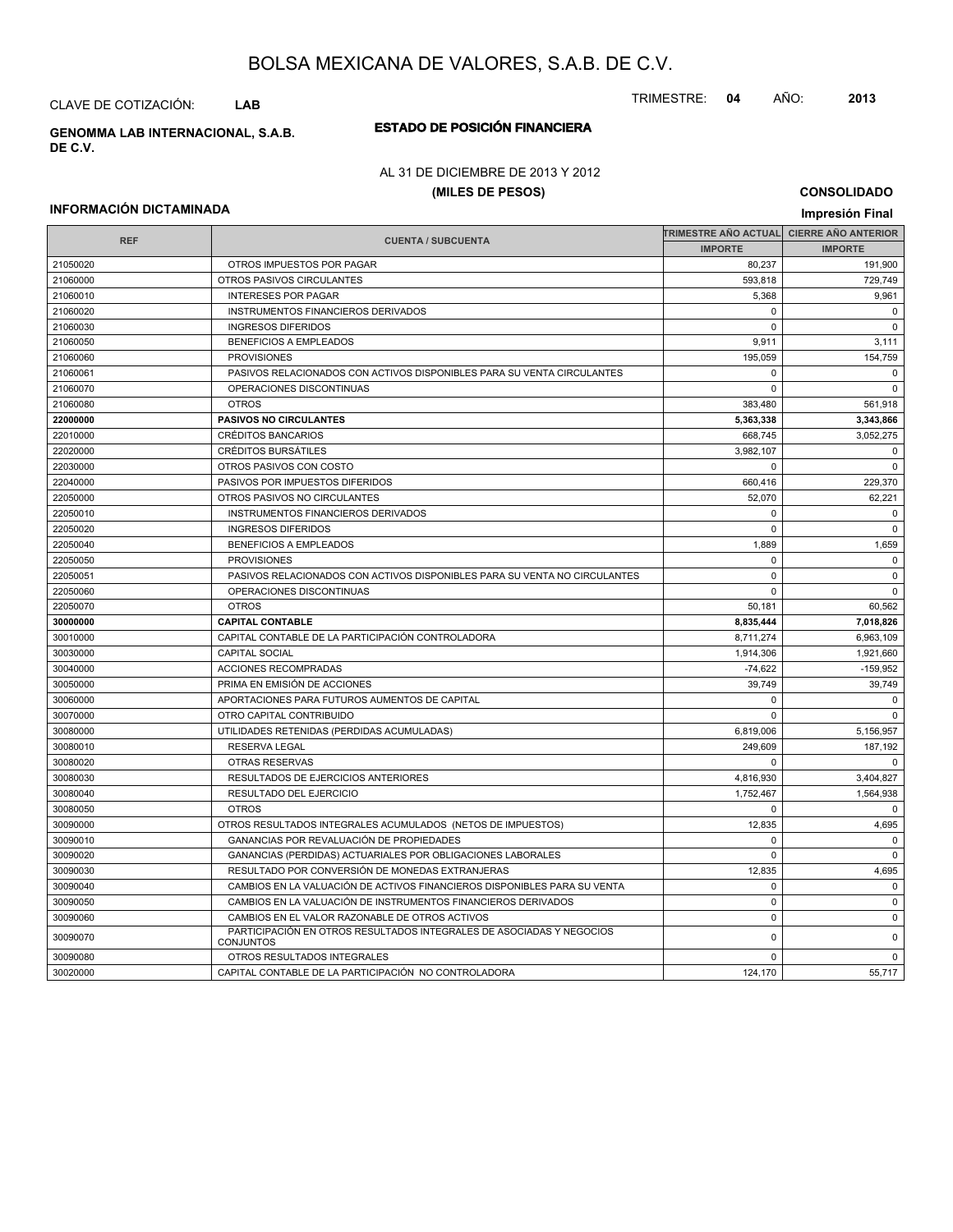CLAVE DE COTIZACIÓN: **LAB**

**ESTADO DE POSICIÓN FINANCIERA GENOMMA LAB INTERNACIONAL, S.A.B. DE C.V.**

AL 31 DE DICIEMBRE DE 2013 Y 2012

#### **(MILES DE PESOS)**

**CONSOLIDADO**

#### **INFORMACIÓN DICTAMINADA**

| <b>INFORMACION DICTAMINADA</b> |                                                                                          | Impresión Final                          |                |  |
|--------------------------------|------------------------------------------------------------------------------------------|------------------------------------------|----------------|--|
|                                |                                                                                          | TRIMESTRE AÑO ACTUAL CIERRE AÑO ANTERIOR |                |  |
| <b>REF</b>                     | <b>CUENTA / SUBCUENTA</b>                                                                | <b>IMPORTE</b>                           | <b>IMPORTE</b> |  |
| 21050020                       | OTROS IMPUESTOS POR PAGAR                                                                | 80,237                                   | 191,900        |  |
| 21060000                       | OTROS PASIVOS CIRCULANTES                                                                | 593,818                                  | 729,749        |  |
| 21060010                       | <b>INTERESES POR PAGAR</b>                                                               | 5,368                                    | 9,961          |  |
| 21060020                       | INSTRUMENTOS FINANCIEROS DERIVADOS                                                       | 0                                        | $\Omega$       |  |
| 21060030                       | <b>INGRESOS DIFERIDOS</b>                                                                | $\mathbf 0$                              | $\mathbf 0$    |  |
| 21060050                       | <b>BENEFICIOS A EMPLEADOS</b>                                                            | 9,911                                    | 3,111          |  |
| 21060060                       | <b>PROVISIONES</b>                                                                       | 195,059                                  | 154,759        |  |
| 21060061                       | PASIVOS RELACIONADOS CON ACTIVOS DISPONIBLES PARA SU VENTA CIRCULANTES                   | 0                                        | $\mathbf 0$    |  |
| 21060070                       | OPERACIONES DISCONTINUAS                                                                 | $\mathbf 0$                              | $\mathbf 0$    |  |
| 21060080                       | <b>OTROS</b>                                                                             | 383,480                                  | 561,918        |  |
| 22000000                       | <b>PASIVOS NO CIRCULANTES</b>                                                            | 5,363,338                                | 3,343,866      |  |
| 22010000                       | <b>CRÉDITOS BANCARIOS</b>                                                                | 668,745                                  | 3,052,275      |  |
| 22020000                       | <b>CRÉDITOS BURSÁTILES</b>                                                               | 3,982,107                                | $\mathbf 0$    |  |
| 22030000                       | OTROS PASIVOS CON COSTO                                                                  | 0                                        | $\mathbf 0$    |  |
| 22040000                       | PASIVOS POR IMPUESTOS DIFERIDOS                                                          | 660.416                                  | 229,370        |  |
| 22050000                       | OTROS PASIVOS NO CIRCULANTES                                                             | 52,070                                   | 62,221         |  |
| 22050010                       | INSTRUMENTOS FINANCIEROS DERIVADOS                                                       | $\Omega$                                 | $\Omega$       |  |
| 22050020                       | <b>INGRESOS DIFERIDOS</b>                                                                | $\mathbf 0$                              | $\mathbf 0$    |  |
| 22050040                       | <b>BENEFICIOS A EMPLEADOS</b>                                                            | 1,889                                    | 1,659          |  |
| 22050050                       | <b>PROVISIONES</b>                                                                       | 0                                        | $\mathbf 0$    |  |
| 22050051                       | PASIVOS RELACIONADOS CON ACTIVOS DISPONIBLES PARA SU VENTA NO CIRCULANTES                | $\mathbf 0$                              | $\mathbf 0$    |  |
| 22050060                       | OPERACIONES DISCONTINUAS                                                                 | $\mathbf 0$                              | $\mathbf 0$    |  |
| 22050070                       | <b>OTROS</b>                                                                             | 50,181                                   | 60,562         |  |
| 30000000                       | <b>CAPITAL CONTABLE</b>                                                                  | 8,835,444                                | 7,018,826      |  |
| 30010000                       | CAPITAL CONTABLE DE LA PARTICIPACIÓN CONTROLADORA                                        | 8,711,274                                | 6,963,109      |  |
| 30030000                       | <b>CAPITAL SOCIAL</b>                                                                    | 1,914,306                                | 1,921,660      |  |
| 30040000                       | ACCIONES RECOMPRADAS                                                                     | $-74,622$                                | $-159,952$     |  |
| 30050000                       | PRIMA EN EMISIÓN DE ACCIONES                                                             | 39.749                                   | 39,749         |  |
| 30060000                       | APORTACIONES PARA FUTUROS AUMENTOS DE CAPITAL                                            | $\mathbf 0$                              | $\mathbf 0$    |  |
| 30070000                       | OTRO CAPITAL CONTRIBUIDO                                                                 | $\Omega$                                 | $\Omega$       |  |
| 30080000                       | UTILIDADES RETENIDAS (PERDIDAS ACUMULADAS)                                               | 6,819,006                                | 5,156,957      |  |
| 30080010                       | <b>RESERVA LEGAL</b>                                                                     | 249,609                                  | 187,192        |  |
| 30080020                       | <b>OTRAS RESERVAS</b>                                                                    | $\mathbf 0$                              | $\mathbf 0$    |  |
| 30080030                       | RESULTADOS DE EJERCICIOS ANTERIORES                                                      | 4,816,930                                | 3,404,827      |  |
| 30080040                       | RESULTADO DEL EJERCICIO                                                                  | 1,752,467                                | 1,564,938      |  |
| 30080050                       | <b>OTROS</b>                                                                             | 0                                        | $\mathbf 0$    |  |
| 30090000                       | OTROS RESULTADOS INTEGRALES ACUMULADOS (NETOS DE IMPUESTOS)                              | 12,835                                   | 4,695          |  |
| 30090010                       | GANANCIAS POR REVALUACIÓN DE PROPIEDADES                                                 | 0                                        | $\mathbf 0$    |  |
| 30090020                       | GANANCIAS (PERDIDAS) ACTUARIALES POR OBLIGACIONES LABORALES                              | $\mathbf 0$                              | $\mathbf 0$    |  |
| 30090030                       | RESULTADO POR CONVERSIÓN DE MONEDAS EXTRANJERAS                                          | 12,835                                   | 4,695          |  |
| 30090040                       | CAMBIOS EN LA VALUACIÓN DE ACTIVOS FINANCIEROS DISPONIBLES PARA SU VENTA                 | $\mathbf 0$                              | $\mathbf 0$    |  |
| 30090050                       | CAMBIOS EN LA VALUACIÓN DE INSTRUMENTOS FINANCIEROS DERIVADOS                            | $\pmb{0}$                                | 0              |  |
| 30090060                       | CAMBIOS EN EL VALOR RAZONABLE DE OTROS ACTIVOS                                           | $\mathbf 0$                              | $\mathbf 0$    |  |
| 30090070                       | PARTICIPACIÓN EN OTROS RESULTADOS INTEGRALES DE ASOCIADAS Y NEGOCIOS<br><b>CONJUNTOS</b> | 0                                        | $\pmb{0}$      |  |
| 30090080                       | OTROS RESULTADOS INTEGRALES                                                              | $\mathbf 0$                              | $\mathsf 0$    |  |
| 30020000                       | CAPITAL CONTABLE DE LA PARTICIPACIÓN NO CONTROLADORA                                     | 124.170                                  | 55.717         |  |

#### TRIMESTRE: **04** AÑO: **2013**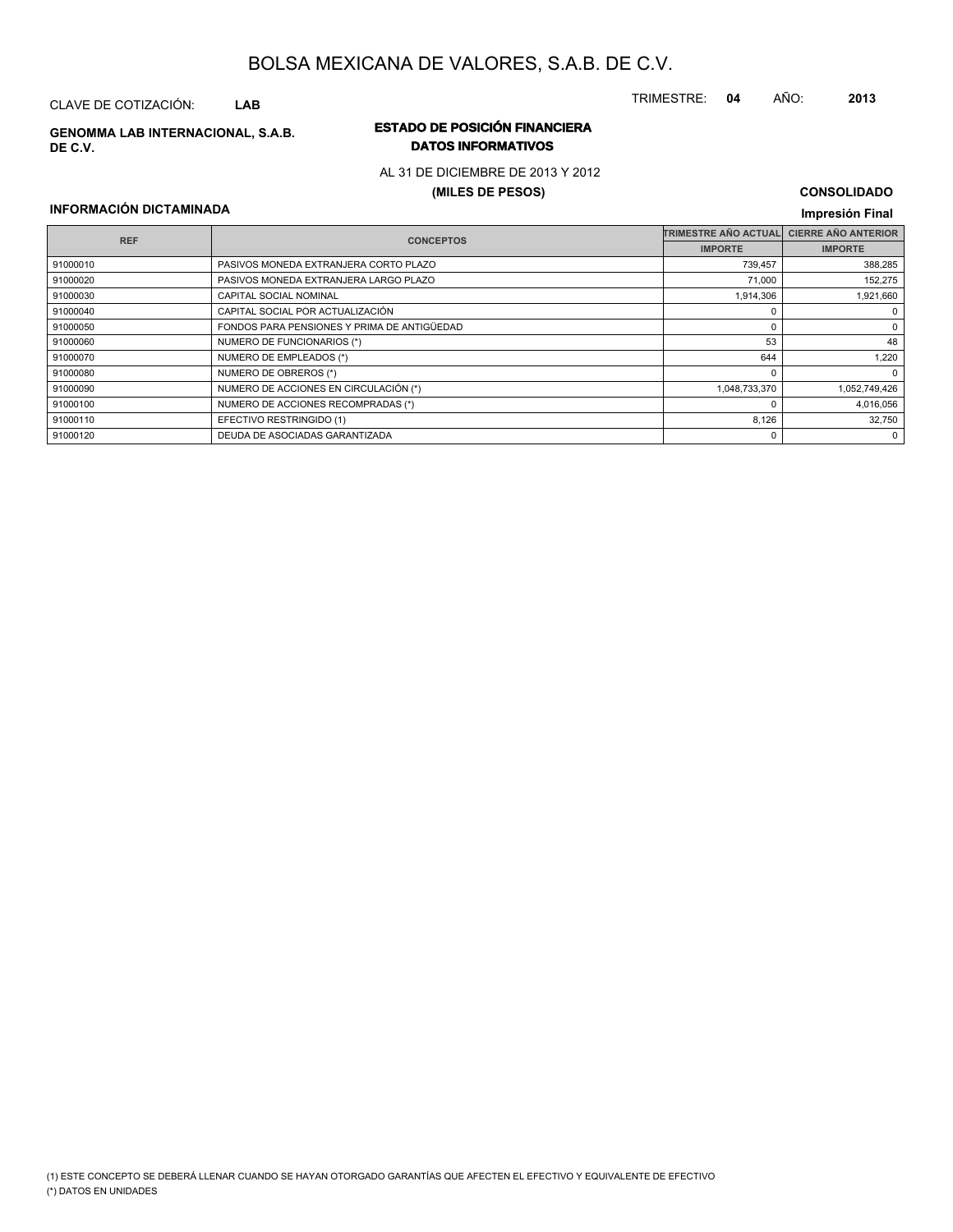## CLAVE DE COTIZACIÓN: **LAB**

**DE C.V.**

#### **ESTADO DE POSICIÓN FINANCIERA GENOMMA LAB INTERNACIONAL, S.A.B. DATOS INFORMATIVOS**

## AL 31 DE DICIEMBRE DE 2013 Y 2012

#### **(MILES DE PESOS)**

#### **CONSOLIDADO Impresión Final**

TRIMESTRE: **04** AÑO: **2013**

#### **INFORMACIÓN DICTAMINADA**

|          | <b>REF</b><br><b>CONCEPTOS</b>              | <b>TRIMESTRE AÑO ACTUAL</b> | <b>CIERRE AÑO ANTERIOR</b> |
|----------|---------------------------------------------|-----------------------------|----------------------------|
|          |                                             | <b>IMPORTE</b>              | <b>IMPORTE</b>             |
| 91000010 | PASIVOS MONEDA EXTRANJERA CORTO PLAZO       | 739,457                     | 388,285                    |
| 91000020 | PASIVOS MONEDA EXTRANJERA LARGO PLAZO       | 71,000                      | 152,275                    |
| 91000030 | <b>CAPITAL SOCIAL NOMINAL</b>               | 1,914,306                   | 1,921,660                  |
| 91000040 | CAPITAL SOCIAL POR ACTUALIZACIÓN            |                             |                            |
| 91000050 | FONDOS PARA PENSIONES Y PRIMA DE ANTIGÜEDAD |                             | 0                          |
| 91000060 | NUMERO DE FUNCIONARIOS (*)                  | 53                          | 48                         |
| 91000070 | NUMERO DE EMPLEADOS (*)                     | 644                         | 1.220                      |
| 91000080 | NUMERO DE OBREROS (*)                       |                             | 0                          |
| 91000090 | NUMERO DE ACCIONES EN CIRCULACIÓN (*)       | 1,048,733,370               | 1,052,749,426              |
| 91000100 | NUMERO DE ACCIONES RECOMPRADAS (*)          |                             | 4,016,056                  |
| 91000110 | EFECTIVO RESTRINGIDO (1)                    | 8,126                       | 32,750                     |
| 91000120 | DEUDA DE ASOCIADAS GARANTIZADA              |                             | 0                          |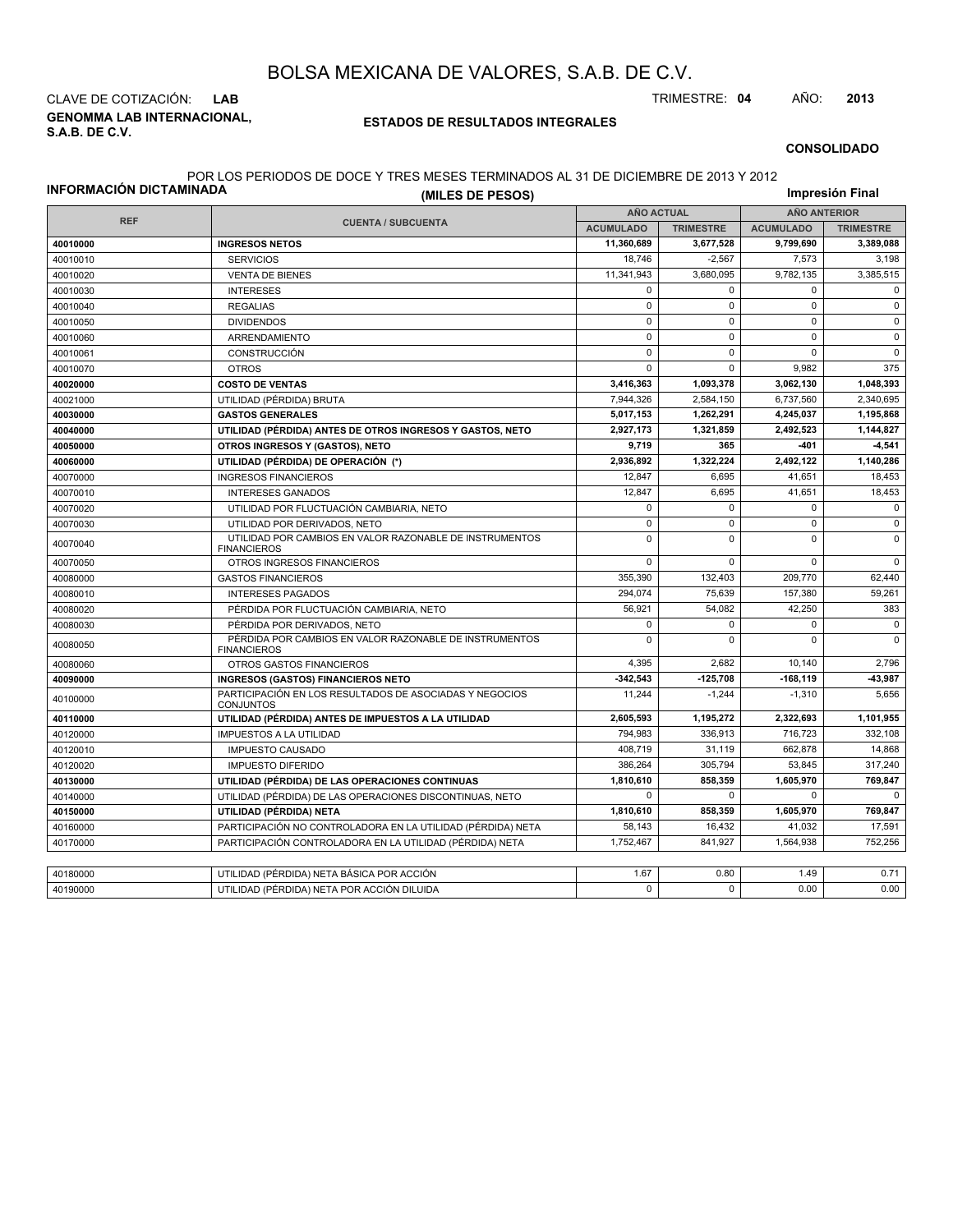**GENOMMA LAB INTERNACIONAL, S.A.B. DE C.V.** CLAVE DE COTIZACIÓN: **LAB** TRIMESTRE: **04** AÑO: **2013**

#### **ESTADOS DE RESULTADOS INTEGRALES**

#### **CONSOLIDADO**

#### POR LOS PERIODOS DE DOCE Y TRES MESES TERMINADOS AL 31 DE DICIEMBRE DE 2013 Y 2012

| INFORMACION DICTAMINADA | (MILES DE PESOS)                                                              |                   |                  |                     |                  |  |
|-------------------------|-------------------------------------------------------------------------------|-------------------|------------------|---------------------|------------------|--|
|                         |                                                                               | <b>AÑO ACTUAL</b> |                  | <b>AÑO ANTERIOR</b> |                  |  |
| <b>REF</b>              | <b>CUENTA / SUBCUENTA</b>                                                     | <b>ACUMULADO</b>  | <b>TRIMESTRE</b> | <b>ACUMULADO</b>    | <b>TRIMESTRE</b> |  |
| 40010000                | <b>INGRESOS NETOS</b>                                                         | 11,360,689        | 3,677,528        | 9.799.690           | 3,389,088        |  |
| 40010010                | <b>SERVICIOS</b>                                                              | 18,746            | $-2,567$         | 7,573               | 3,198            |  |
| 40010020                | <b>VENTA DE BIENES</b>                                                        | 11,341,943        | 3,680,095        | 9,782,135           | 3,385,515        |  |
| 40010030                | <b>INTERESES</b>                                                              | $\mathbf 0$       | $\Omega$         | $\Omega$            | $\mathbf 0$      |  |
| 40010040                | <b>REGALIAS</b>                                                               | $\mathbf 0$       | $\mathbf 0$      | $\pmb{0}$           | $\mathsf 0$      |  |
| 40010050                | <b>DIVIDENDOS</b>                                                             | $\mathbf 0$       | $\mathbf 0$      | $\mathbf 0$         | $\mathbf{0}$     |  |
| 40010060                | ARRENDAMIENTO                                                                 | $\mathsf 0$       | $\mathbf 0$      | $\mathbf 0$         | $\mathbf 0$      |  |
| 40010061                | <b>CONSTRUCCIÓN</b>                                                           | $\mathbf 0$       | $\Omega$         | $\Omega$            | $\mathbf 0$      |  |
| 40010070                | <b>OTROS</b>                                                                  | $\mathsf 0$       | $\mathbf 0$      | 9,982               | 375              |  |
| 40020000                | <b>COSTO DE VENTAS</b>                                                        | 3,416,363         | 1,093,378        | 3,062,130           | 1,048,393        |  |
| 40021000                | UTILIDAD (PÉRDIDA) BRUTA                                                      | 7.944.326         | 2,584,150        | 6,737,560           | 2.340.695        |  |
| 40030000                | <b>GASTOS GENERALES</b>                                                       | 5,017,153         | 1,262,291        | 4,245,037           | 1,195,868        |  |
| 40040000                | UTILIDAD (PÉRDIDA) ANTES DE OTROS INGRESOS Y GASTOS, NETO                     | 2,927,173         | 1,321,859        | 2,492,523           | 1,144,827        |  |
| 40050000                | OTROS INGRESOS Y (GASTOS), NETO                                               | 9,719             | 365              | -401                | $-4,541$         |  |
| 40060000                | UTILIDAD (PÉRDIDA) DE OPERACIÓN (*)                                           | 2,936,892         | 1,322,224        | 2,492,122           | 1,140,286        |  |
| 40070000                | <b>INGRESOS FINANCIEROS</b>                                                   | 12,847            | 6.695            | 41.651              | 18,453           |  |
| 40070010                | <b>INTERESES GANADOS</b>                                                      | 12,847            | 6,695            | 41,651              | 18,453           |  |
| 40070020                | UTILIDAD POR FLUCTUACIÓN CAMBIARIA, NETO                                      | $\mathbf 0$       | $\mathbf 0$      | $\mathbf 0$         | $\mathbf 0$      |  |
| 40070030                | UTILIDAD POR DERIVADOS, NETO                                                  | $\mathsf 0$       | $\mathbf 0$      | $\mathsf 0$         | $\mathsf 0$      |  |
| 40070040                | UTILIDAD POR CAMBIOS EN VALOR RAZONABLE DE INSTRUMENTOS<br><b>FINANCIEROS</b> | $\mathbf 0$       | $\mathbf 0$      | $\mathbf 0$         | $\mathbf 0$      |  |
| 40070050                | OTROS INGRESOS FINANCIEROS                                                    | $\mathbf 0$       | $\mathbf 0$      | $\mathbf 0$         | $\mathbf 0$      |  |
| 40080000                | <b>GASTOS FINANCIEROS</b>                                                     | 355,390           | 132,403          | 209,770             | 62,440           |  |
| 40080010                | <b>INTERESES PAGADOS</b>                                                      | 294,074           | 75,639           | 157,380             | 59,261           |  |
| 40080020                | PÉRDIDA POR FLUCTUACIÓN CAMBIARIA, NETO                                       | 56,921            | 54,082           | 42,250              | 383              |  |
| 40080030                | PÉRDIDA POR DERIVADOS. NETO                                                   | $\mathbf 0$       | $\Omega$         | $\mathbf 0$         | $\mathbf 0$      |  |
| 40080050                | PÉRDIDA POR CAMBIOS EN VALOR RAZONABLE DE INSTRUMENTOS<br><b>FINANCIEROS</b>  | $\mathbf 0$       | $\Omega$         | $\mathbf 0$         | $\mathbf{0}$     |  |
| 40080060                | OTROS GASTOS FINANCIEROS                                                      | 4.395             | 2.682            | 10.140              | 2.796            |  |
| 40090000                | <b>INGRESOS (GASTOS) FINANCIEROS NETO</b>                                     | $-342,543$        | $-125,708$       | $-168, 119$         | 43,987           |  |
| 40100000                | PARTICIPACIÓN EN LOS RESULTADOS DE ASOCIADAS Y NEGOCIOS<br>CONJUNTOS          | 11,244            | $-1,244$         | $-1,310$            | 5,656            |  |
| 40110000                | UTILIDAD (PÉRDIDA) ANTES DE IMPUESTOS A LA UTILIDAD                           | 2,605,593         | 1,195,272        | 2,322,693           | 1,101,955        |  |
| 40120000                | <b>IMPUESTOS A LA UTILIDAD</b>                                                | 794,983           | 336.913          | 716,723             | 332,108          |  |
| 40120010                | <b>IMPUESTO CAUSADO</b>                                                       | 408,719           | 31,119           | 662,878             | 14,868           |  |
| 40120020                | <b>IMPUESTO DIFERIDO</b>                                                      | 386,264           | 305,794          | 53.845              | 317,240          |  |
| 40130000                | UTILIDAD (PÉRDIDA) DE LAS OPERACIONES CONTINUAS                               | 1,810,610         | 858,359          | 1,605,970           | 769,847          |  |
| 40140000                | UTILIDAD (PÉRDIDA) DE LAS OPERACIONES DISCONTINUAS, NETO                      | $\mathbf 0$       | $\mathbf 0$      | $\mathbf 0$         | 0                |  |
| 40150000                | UTILIDAD (PÉRDIDA) NETA                                                       | 1,810,610         | 858.359          | 1,605,970           | 769,847          |  |
| 40160000                | PARTICIPACIÓN NO CONTROLADORA EN LA UTILIDAD (PÉRDIDA) NETA                   | 58,143            | 16,432           | 41,032              | 17,591           |  |
| 40170000                | PARTICIPACIÓN CONTROLADORA EN LA UTILIDAD (PÉRDIDA) NETA                      | 1,752,467         | 841,927          | 1,564,938           | 752.256          |  |
|                         |                                                                               |                   |                  |                     |                  |  |
| 40180000                | UTILIDAD (PÉRDIDA) NETA BÁSICA POR ACCIÓN                                     | 1.67              | 0.80             | 1.49                | 0.71             |  |
| 40190000                | UTILIDAD (PÉRDIDA) NETA POR ACCIÓN DILUIDA                                    | $\Omega$          | $\Omega$         | 0.00                | 0.00             |  |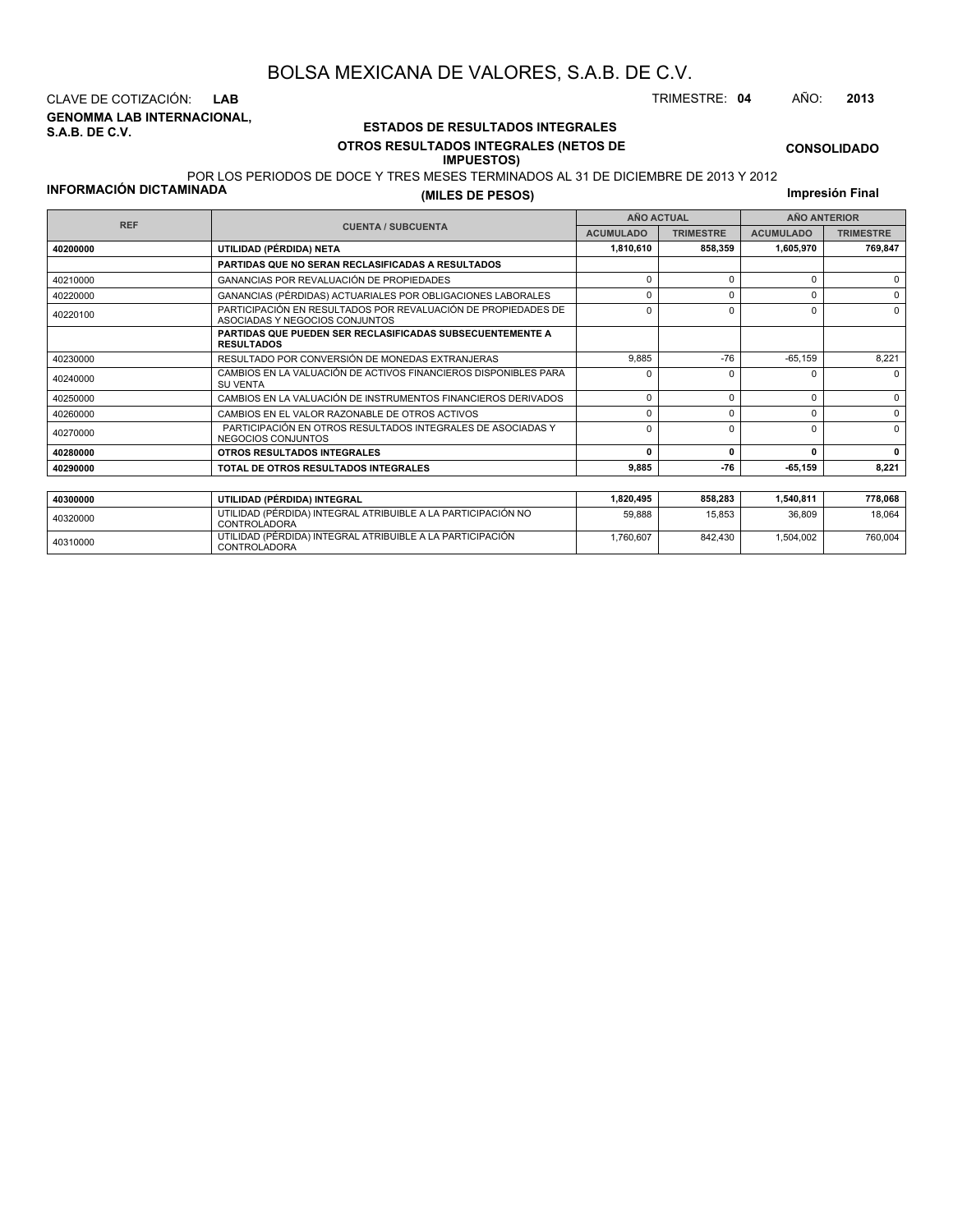**GENOMMA LAB INTERNACIONAL, S.A.B. DE C.V.** CLAVE DE COTIZACIÓN: **LAB** TRIMESTRE: **04** AÑO: **2013**

#### **ESTADOS DE RESULTADOS INTEGRALES OTROS RESULTADOS INTEGRALES (NETOS DE IMPUESTOS)**

**CONSOLIDADO**

#### **INFORMACIÓN DICTAMINADA**

POR LOS PERIODOS DE DOCE Y TRES MESES TERMINADOS AL 31 DE DICIEMBRE DE 2013 Y 2012 **(MILES DE PESOS)**

**Impresión Final**

| <b>REF</b> |                                                                                                 |                                      | <b>AÑO ACTUAL</b> | <b>AÑO ANTERIOR</b> |                  |  |
|------------|-------------------------------------------------------------------------------------------------|--------------------------------------|-------------------|---------------------|------------------|--|
|            | <b>CUENTA / SUBCUENTA</b>                                                                       | <b>ACUMULADO</b><br><b>TRIMESTRE</b> |                   | <b>ACUMULADO</b>    | <b>TRIMESTRE</b> |  |
| 40200000   | UTILIDAD (PÉRDIDA) NETA                                                                         | 1,810,610                            | 858,359           | 1,605,970           | 769,847          |  |
|            | PARTIDAS QUE NO SERAN RECLASIFICADAS A RESULTADOS                                               |                                      |                   |                     |                  |  |
| 40210000   | GANANCIAS POR REVALUACIÓN DE PROPIEDADES                                                        | $\Omega$                             | $\Omega$          | 0                   | $\Omega$         |  |
| 40220000   | GANANCIAS (PÉRDIDAS) ACTUARIALES POR OBLIGACIONES LABORALES                                     | $\Omega$                             |                   | $\Omega$            | $\Omega$         |  |
| 40220100   | PARTICIPACIÓN EN RESULTADOS POR REVALUACIÓN DE PROPIEDADES DE<br>ASOCIADAS Y NEGOCIOS CONJUNTOS | $\Omega$                             |                   | $\Omega$            | 0                |  |
|            | <b>PARTIDAS QUE PUEDEN SER RECLASIFICADAS SUBSECUENTEMENTE A</b><br><b>RESULTADOS</b>           |                                      |                   |                     |                  |  |
| 40230000   | RESULTADO POR CONVERSIÓN DE MONEDAS EXTRANJERAS                                                 | 9.885                                | $-76$             | $-65,159$           | 8,221            |  |
| 40240000   | CAMBIOS EN LA VALUACIÓN DE ACTIVOS FINANCIEROS DISPONIBLES PARA<br><b>SU VENTA</b>              | $\Omega$                             |                   |                     | $\Omega$         |  |
| 40250000   | CAMBIOS EN LA VALUACIÓN DE INSTRUMENTOS FINANCIEROS DERIVADOS                                   | $\Omega$                             | $\Omega$          | 0                   | $\Omega$         |  |
| 40260000   | CAMBIOS EN EL VALOR RAZONABLE DE OTROS ACTIVOS                                                  | 0                                    | O                 | 0                   | $\Omega$         |  |
| 40270000   | PARTICIPACIÓN EN OTROS RESULTADOS INTEGRALES DE ASOCIADAS Y<br>NEGOCIOS CONJUNTOS               | $\Omega$                             | $\Omega$          | $\Omega$            | $\Omega$         |  |
| 40280000   | OTROS RESULTADOS INTEGRALES                                                                     | n                                    | $\mathbf{0}$      | 0                   | 0                |  |
| 40290000   | TOTAL DE OTROS RESULTADOS INTEGRALES                                                            | 9,885                                | $-76$             | $-65, 159$          | 8,221            |  |
|            |                                                                                                 |                                      |                   |                     |                  |  |
| 40300000   | UTILIDAD (PÉRDIDA) INTEGRAL                                                                     | 1,820,495                            | 858,283           | 1,540,811           | 778,068          |  |
|            |                                                                                                 |                                      |                   |                     |                  |  |

| 40300000 | UTILIDAD (PÉRDIDA) INTEGRAL                                                  | 1.820.495 | 858.283 | 1.540.811 | 778.068 |
|----------|------------------------------------------------------------------------------|-----------|---------|-----------|---------|
| 40320000 | UTILIDAD (PÉRDIDA) INTEGRAL ATRIBUIBLE A LA PARTICIPACIÓN NO<br>CONTROLADORA | 59.888    | 15.853  | 36.809    | 18.064  |
| 40310000 | UTILIDAD (PÉRDIDA) INTEGRAL ATRIBUIBLE A LA PARTICIPACIÓN<br>CONTROLADORA    | .760.607  | 842.430 | 1,504,002 | 760.004 |
|          |                                                                              |           |         |           |         |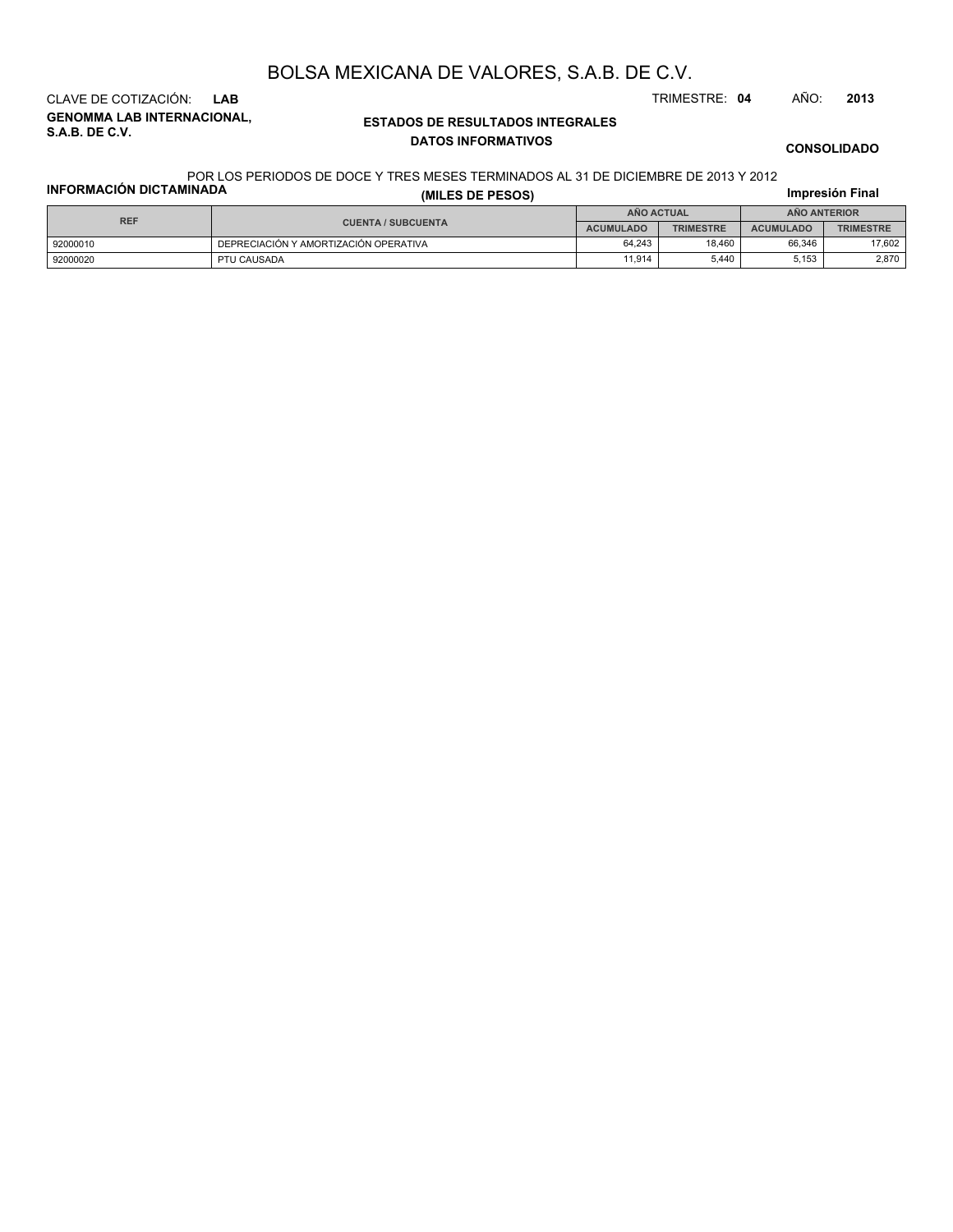**GENOMMA LAB INTERNACIONAL, S.A.B. DE C.V.** CLAVE DE COTIZACIÓN: **LAB** TRIMESTRE: **04** AÑO: **2013**

#### **ESTADOS DE RESULTADOS INTEGRALES DATOS INFORMATIVOS**

**CONSOLIDADO**

#### **INFORMACIÓN DICTAMINADA** POR LOS PERIODOS DE DOCE Y TRES MESES TERMINADOS AL 31 DE DICIEMBRE DE 2013 Y 2012

| INFORMACIÓN DICTAMINADA | (MILES DE PESOS)                      |                  |                  |                  | Impresión Final  |  |  |
|-------------------------|---------------------------------------|------------------|------------------|------------------|------------------|--|--|
| <b>REF</b>              |                                       | AÑO ACTUAL       |                  | AÑO ANTERIOR     |                  |  |  |
|                         | <b>CUENTA / SUBCUENTA</b>             | <b>ACUMULADO</b> | <b>TRIMESTRE</b> | <b>ACUMULADO</b> | <b>TRIMESTRE</b> |  |  |
| 92000010                | DEPRECIACIÓN Y AMORTIZACIÓN OPERATIVA | 64.243           | 18.460           | 66.346           | 17,602           |  |  |
| 92000020                | PTU CAUSADA                           | 11.914           | 5.440            | 5,153            | 2,870            |  |  |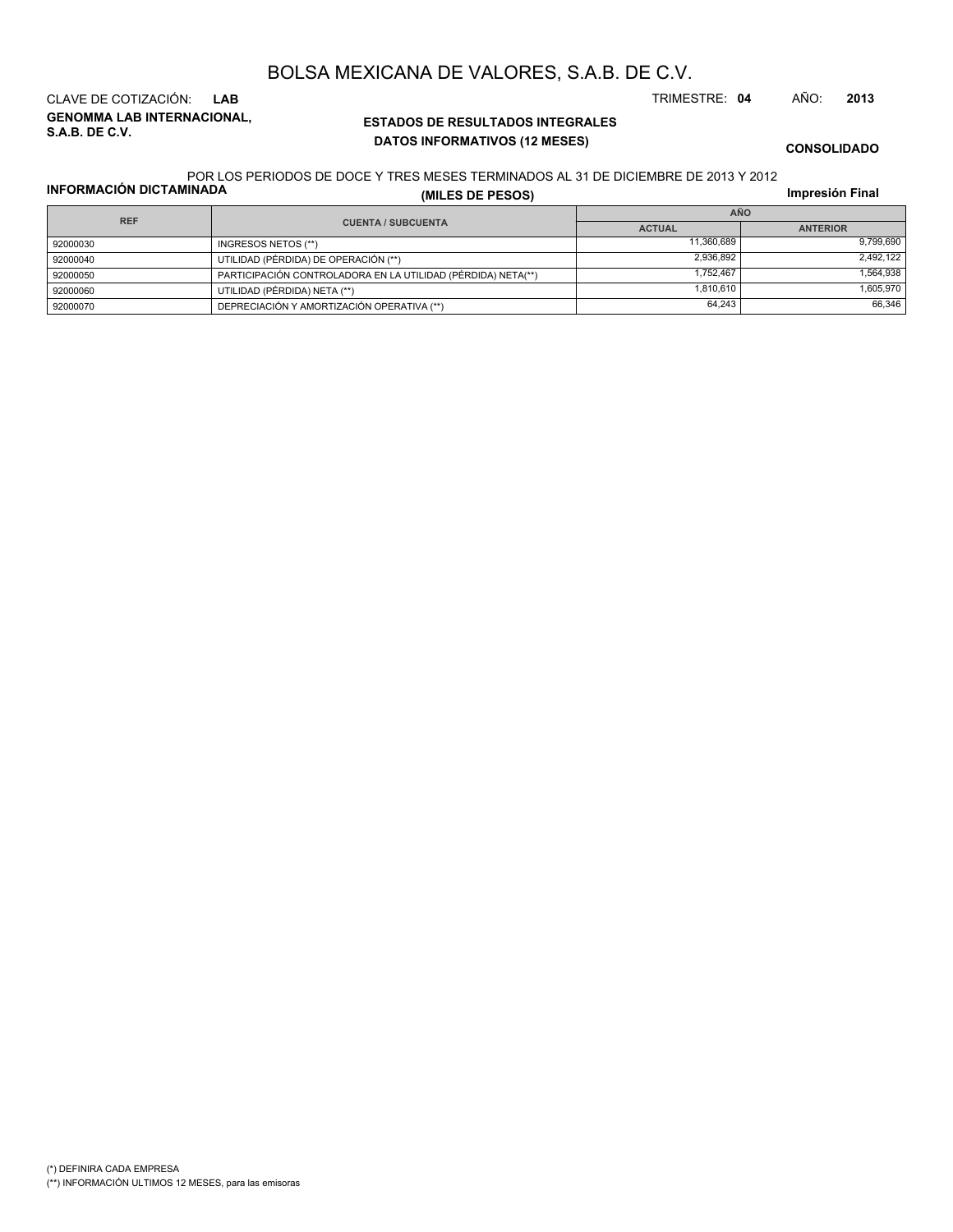**GENOMMA LAB INTERNACIONAL,**

# BOLSA MEXICANA DE VALORES, S.A.B. DE C.V.

**ESTADOS DE RESULTADOS INTEGRALES DATOS INFORMATIVOS (12 MESES)**

CLAVE DE COTIZACIÓN: **LAB** TRIMESTRE: **04** AÑO: **2013**

**CONSOLIDADO**

#### POR LOS PERIODOS DE DOCE Y TRES MESES TERMINADOS AL 31 DE DICIEMBRE DE 2013 Y 2012

**INFORMACIÓN DICTAMINADA**

**S.A.B. DE C.V.**

|  |  | (MILES DE PESOS) |  |  |
|--|--|------------------|--|--|

**Impresión Final**

|            |                                                              |               | <b></b>         |  |  |
|------------|--------------------------------------------------------------|---------------|-----------------|--|--|
| <b>REF</b> |                                                              | <b>AÑO</b>    |                 |  |  |
|            | <b>CUENTA / SUBCUENTA</b>                                    | <b>ACTUAL</b> | <b>ANTERIOR</b> |  |  |
| 92000030   | INGRESOS NETOS (**)                                          | 11,360,689    | 9,799,690       |  |  |
| 92000040   | UTILIDAD (PÉRDIDA) DE OPERACIÓN (**)                         | 2,936,892     | 2.492.122       |  |  |
| 92000050   | PARTICIPACIÓN CONTROLADORA EN LA UTILIDAD (PÉRDIDA) NETA(**) | 1.752.467     | 1.564.938       |  |  |
| 92000060   | UTILIDAD (PÉRDIDA) NETA (**)                                 | 1,810,610     | 1,605,970       |  |  |
| 92000070   | DEPRECIACIÓN Y AMORTIZACIÓN OPERATIVA (**)                   | 64,243        | 66.346          |  |  |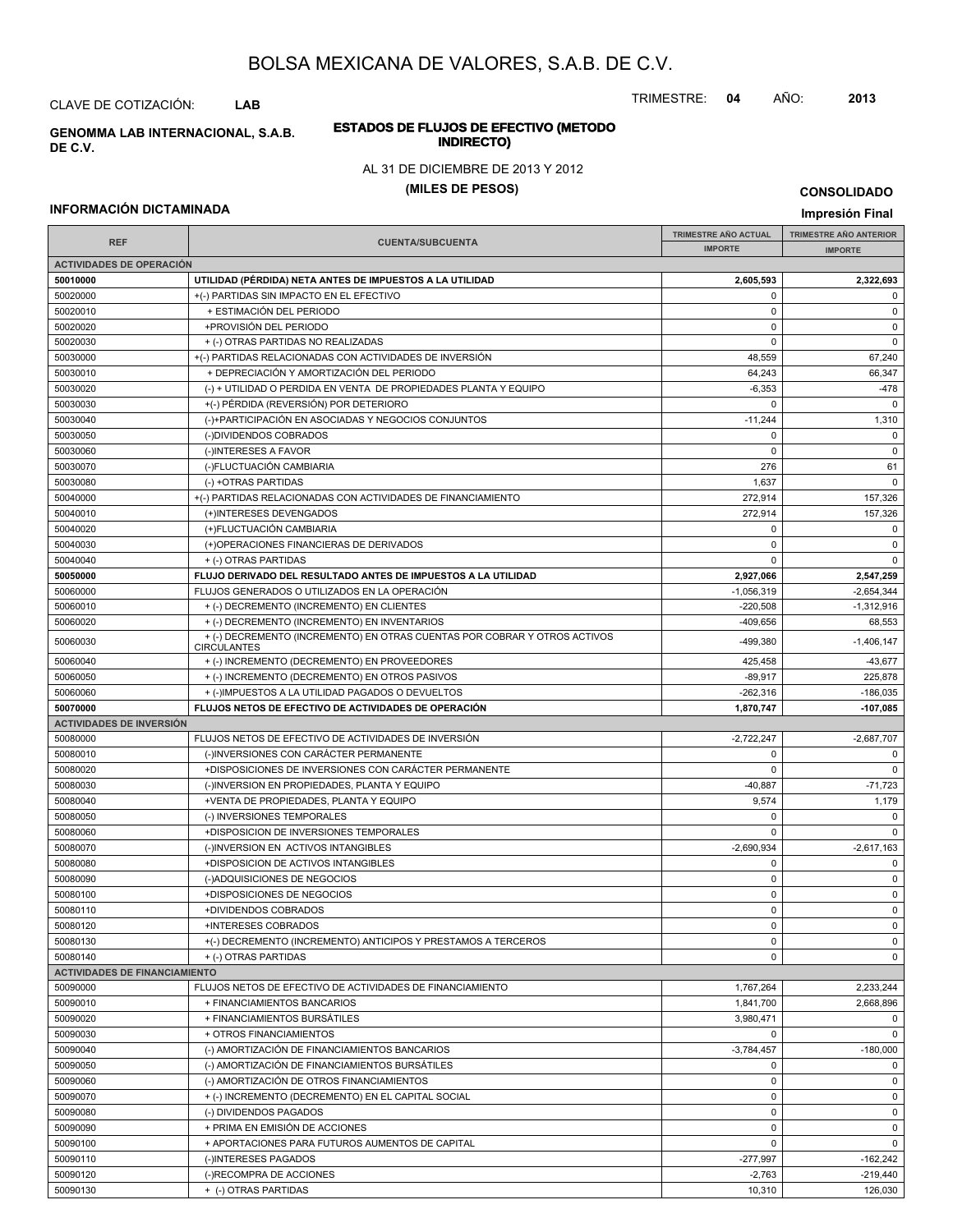TRIMESTRE: **04** AÑO: **2013**

#### **ESTADOS DE FLUJOS DE EFECTIVO (METODO INDIRECTO) GENOMMA LAB INTERNACIONAL, S.A.B.**

#### AL 31 DE DICIEMBRE DE 2013 Y 2012

#### **(MILES DE PESOS)**

#### **INFORMACIÓN DICTAMINADA**

**IMPRESIÓN FINAL AND SUBCUENTA**<br> **IMPORTE TRIMESTRE AÑO ACTUAL IMPORTE IMPORTE REF TRIMESTRE AÑO ANTERIOR IMPORTE ACTIVIDADES DE OPERACIÓN 50010000 UTILIDAD (PÉRDIDA) NETA ANTES DE IMPUESTOS A LA UTILIDAD 2,605,593 2,322,693** 50020000 +(-) PARTIDAS SIN IMPACTO EN EL EFECTIVO 0 0 50020010 + ESTIMACIÓN DEL PERIODO 0 0 50020020 +PROVISIÓN DEL PERIODO 0 0 50020030 + (-) OTRAS PARTIDAS NO REALIZADAS 0 0 50030000 + (-) PARTIDAS RELACIONADAS CON ACTIVIDADES DE INVERSIÓN 48,559 48,559 67,240 50030010 + DEPRECIACIÓN Y AMORTIZACIÓN DEL PERIODO 64,243 66,347 50030020 (-) + UTILIDAD O PERDIDA EN VENTA DE PROPIEDADES PLANTA Y EQUIPO -6,353 -6,353 -6,353 -6,353 -6,353 -6,353 -6,353 -6,353 -6,353 -6,353 -6,353 -6,353 -6,353 -6,353 -6,353 -6,478 50030030 +(-) PÉRDIDA (REVERSIÓN) POR DETERIORO 0 0 50030040 (-)+PARTICIPACIÓN EN ASOCIADAS Y NEGOCIOS CONJUNTOS -11,244 - 1,310 50030050 (-)DIVIDENDOS COBRADOS 0 0 50030060 (-)INTERESES A FAVOR 0 0 50030070 (-)FLUCTUACIÓN CAMBIARIA 276 61 50030080 (-) +OTRAS PARTIDAS 1,637 0 50040000 + (-) PARTIDAS RELACIONADAS CON ACTIVIDADES DE FINANCIAMIENTO 272,914 277,914 157,326 50040010 (+)INTERESES DEVENGADOS 157,326 50040020 (+)FLUCTUACIÓN CAMBIARIA 0 0 50040030 (+)OPERACIONES FINANCIERAS DE DERIVADOS 0 0 50040040 + (-) OTRAS PARTIDAS 0 0 **50050000 FLUJO DERIVADO DEL RESULTADO ANTES DE IMPUESTOS A LA UTILIDAD 2,927,066 2,547,259** 50060000 FLUJOS GENERADOS O UTILIZADOS EN LA OPERACIÓN -1,056,319 -2,654,344 50060010 + (-) DECREMENTO (INCREMENTO) EN CLIENTES -220,508 -1,312,916 50060020 + (-) DECREMENTO (INCREMENTO) EN INVENTARIOS 409.656 409.656 68,553  $+(-)$ DECREMENTO (INCREMENTO) EN OTRAS CUENTAS POR COBRAR Y OTROS ACTIVOS 499,380 499,380 -1,406,147 **CIRCULANTES** 50060040 + (-) INCREMENTO (DECREMENTO) EN PROVEEDORES + + (-) INCREMENTO (DECREMENTO) EN PROVEEDORES 50060050 + (-) INCREMENTO (DECREMENTO) EN OTROS PASIVOS -89,917 225,878  $50060060$  + (-)IMPUESTOS A LA UTILIDAD PAGADOS O DEVUELTOS -262,316 -262,316 -262,316 -186,035 **50070000 FLUJOS NETOS DE EFECTIVO DE ACTIVIDADES DE OPERACIÓN 1,870,747 -107,085 ACTIVIDADES DE INVERSIÓN** 50080000 FLUJOS NETOS DE EFECTIVO DE ACTIVIDADES DE INVERSIÓN CONTENTENTE EN EL EL EL EL EL EL EL EL EL EL EL E 50080010 (-)INVERSIONES CON CARÁCTER PERMANENTE 0 0 50080020 +DISPOSICIONES DE INVERSIONES CON CARÁCTER PERMANENTE 0 0 50080030 (-)INVERSION EN PROPIEDADES, PLANTA Y EQUIPO -40,887 -40,887 -71,723 50080040 +VENTA DE PROPIEDADES, PLANTA Y EQUIPO 9,574 1,179 50080050 (-) INVERSIONES TEMPORALES 0 0 50080060 +DISPOSICION DE INVERSIONES TEMPORALES 0 0 50080070 (-)INVERSION EN ACTIVOS INTANGIBLES -2,690,934 -2,690,934 -2,617,163 50080080 +DISPOSICION DE ACTIVOS INTANGIBLES 0 0 50080090 (-)ADQUISICIONES DE NEGOCIOS 0 0 50080100 +DISPOSICIONES DE NEGOCIOS 0 0 50080110 +DIVIDENDOS COBRADOS 0 0 50080120 +INTERESES COBRADOS 0 0 50080130 +(-) DECREMENTO (INCREMENTO) ANTICIPOS Y PRESTAMOS A TERCEROS 0 0 50080140 + (-) OTRAS PARTIDAS 0 0 **ACTIVIDADES DE FINANCIAMIENTO** 50090000 FLUJOS NETOS DE EFECTIVO DE ACTIVIDADES DE FINANCIAMIENTO 1,767,264 2,233,244 50090010 + FINANCIAMIENTOS BANCARIOS 1,841,700 2,668,896 50090020 + FINANCIAMIENTOS BURSÁTILES 3,980,471 0 50090030 + OTROS FINANCIAMIENTOS 0 0 50090040 (-) AMORTIZACIÓN DE FINANCIAMIENTOS BANCARIOS -3,784,457 -180,000 50090050 (-) AMORTIZACIÓN DE FINANCIAMIENTOS BURSÁTILES 0 0 50090060 (-) AMORTIZACIÓN DE OTROS FINANCIAMIENTOS 0 0 50090070 + (-) INCREMENTO (DECREMENTO) EN EL CAPITAL SOCIAL 0 0 50090080 (-) DIVIDENDOS PAGADOS 0 0 50090090 + PRIMA EN EMISIÓN DE ACCIONES de la componentación de la componentación de la componentación de la c 50090100 + APORTACIONES PARA FUTUROS AUMENTOS DE CAPITAL 0 0 50090110 | (-)INTERESES PAGADOS -277,997 | -162,242 50090120 (-)RECOMPRA DE ACCIONES -2,763 -219,440

50090130 + (-) OTRAS PARTIDAS 10,310 126,030

**CONSOLIDADO**

**Impresión Final**

#### CLAVE DE COTIZACIÓN: **LAB**

**DE C.V.**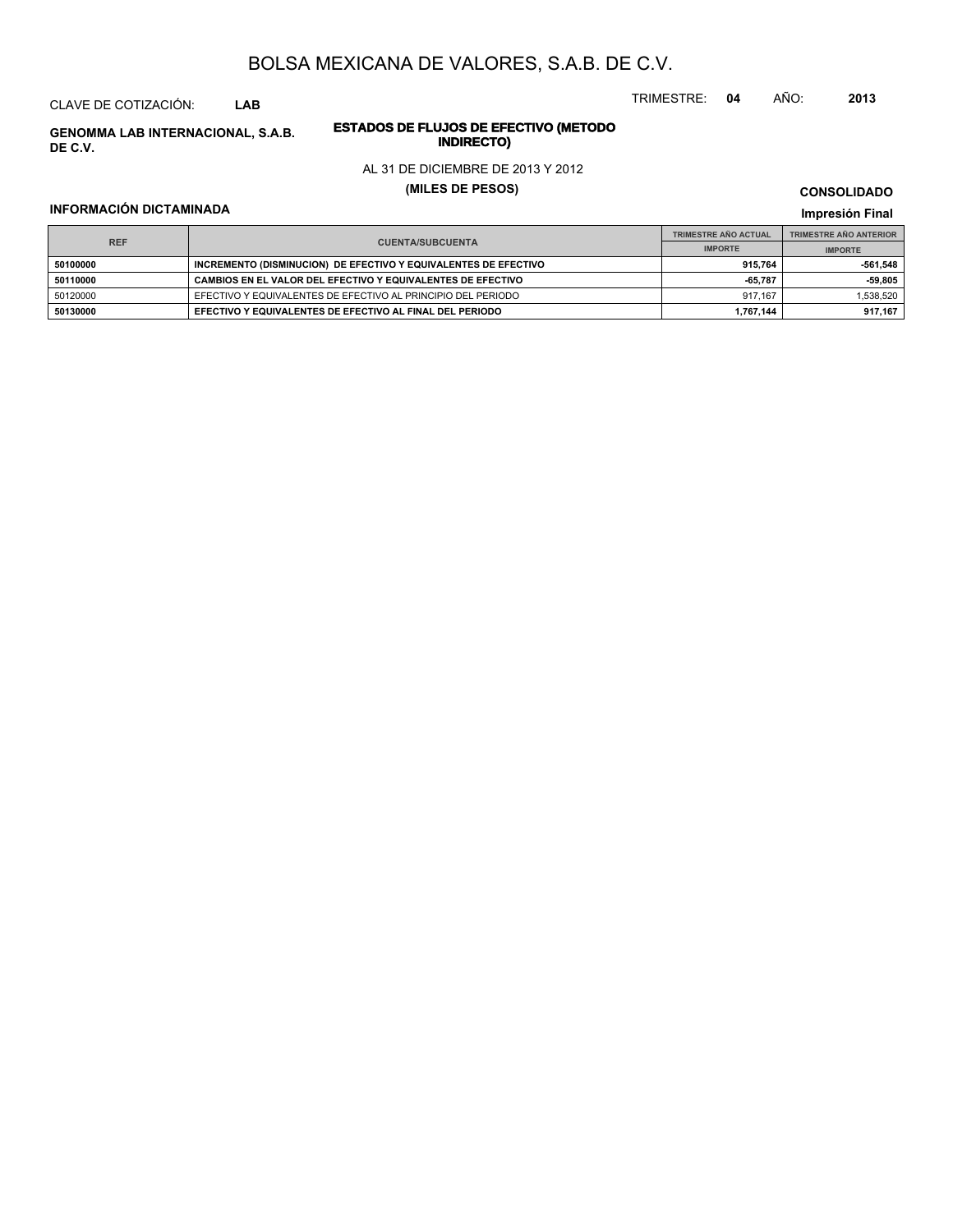CLAVE DE COTIZACIÓN: **LAB**

**INDIRECTO) GENOMMA LAB INTERNACIONAL, S.A.B. DE C.V.**

# **ESTADOS DE FLUJOS DE EFECTIVO (METODO**

#### AL 31 DE DICIEMBRE DE 2013 Y 2012

#### **(MILES DE PESOS)**

#### **INFORMACIÓN DICTAMINADA**

**CONSOLIDADO**

#### **Impresión Final**

|                                       |                                                                 | <b>TRIMESTRE AÑO ACTUAL</b> | <b>TRIMESTRE AÑO ANTERIOR</b> |
|---------------------------------------|-----------------------------------------------------------------|-----------------------------|-------------------------------|
| <b>REF</b><br><b>CUENTA/SUBCUENTA</b> | <b>IMPORTE</b>                                                  | <b>IMPORTE</b>              |                               |
| 50100000                              | INCREMENTO (DISMINUCION) DE EFECTIVO Y EQUIVALENTES DE EFECTIVO | 915.764                     | 561.548                       |
| 50110000                              | CAMBIOS EN EL VALOR DEL EFECTIVO Y EQUIVALENTES DE EFECTIVO     | -65.787                     | $-59.805$                     |
| 50120000                              | EFECTIVO Y EQUIVALENTES DE EFECTIVO AL PRINCIPIO DEL PERIODO    | 917.167                     | 1,538,520                     |
| 50130000                              | EFECTIVO Y EQUIVALENTES DE EFECTIVO AL FINAL DEL PERIODO        | 1,767,144                   | 917.167                       |

TRIMESTRE: **04** AÑO: **2013**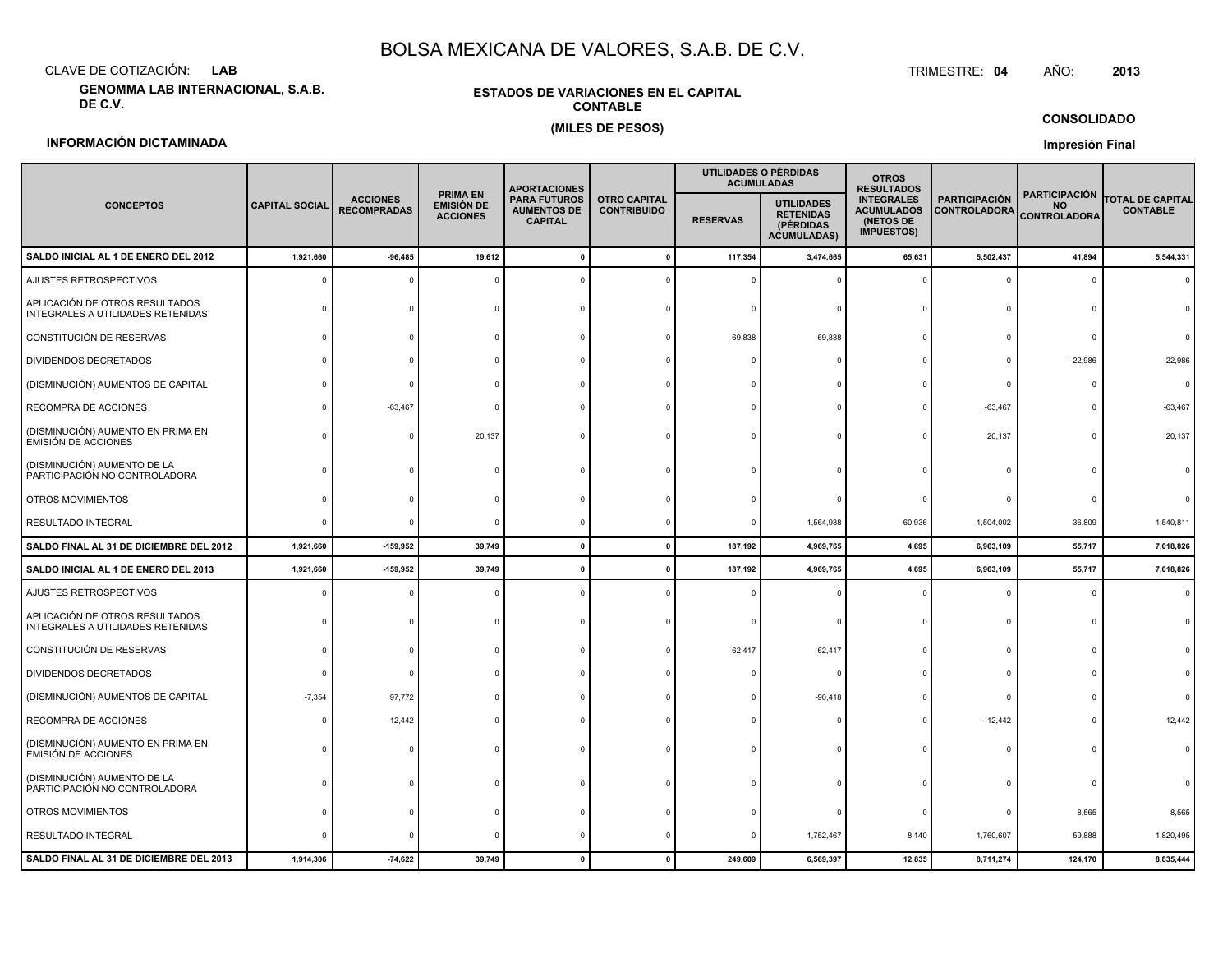CLAVE DE COTIZACIÓN:**LAB**

**GENOMMA LAB INTERNACIONAL, S.A.B. DE C.V.**

#### **ESTADOS DE VARIACIONES EN EL CAPITALCONTABLE(MILES DE PESOS)**

 TRIMESTRE:TRIMESTRE: 04 AÑO: **<sup>2013</sup>**

**CONSOLIDADO**

#### **INFORMACIÓN DICTAMINADA**

**Impresión Final**

|                                                                     |                       |                                       |                                                         | <b>APORTACIONES</b>                                         |                                           | UTILIDADES O PÉRDIDAS | <b>ACUMULADAS</b>                                                        | <b>OTROS</b><br><b>RESULTADOS</b>                                        |                                             |                                                          |                                            |
|---------------------------------------------------------------------|-----------------------|---------------------------------------|---------------------------------------------------------|-------------------------------------------------------------|-------------------------------------------|-----------------------|--------------------------------------------------------------------------|--------------------------------------------------------------------------|---------------------------------------------|----------------------------------------------------------|--------------------------------------------|
| <b>CONCEPTOS</b>                                                    | <b>CAPITAL SOCIAL</b> | <b>ACCIONES</b><br><b>RECOMPRADAS</b> | <b>PRIMA EN</b><br><b>EMISIÓN DE</b><br><b>ACCIONES</b> | <b>PARA FUTUROS</b><br><b>AUMENTOS DE</b><br><b>CAPITAL</b> | <b>OTRO CAPITAL</b><br><b>CONTRIBUIDO</b> | <b>RESERVAS</b>       | <b>UTILIDADES</b><br><b>RETENIDAS</b><br>(PÉRDIDAS<br><b>ACUMULADAS)</b> | <b>INTEGRALES</b><br><b>ACUMULADOS</b><br>(NETOS DE<br><b>IMPUESTOS)</b> | <b>PARTICIPACIÓN</b><br><b>CONTROLADORA</b> | <b>PARTICIPACIÓN</b><br><b>NO</b><br><b>CONTROLADORA</b> | <b>TOTAL DE CAPITAL</b><br><b>CONTABLE</b> |
| SALDO INICIAL AL 1 DE ENERO DEL 2012                                | 1,921,660             | $-96,485$                             | 19,612                                                  | $\mathbf{0}$                                                | $\mathbf{0}$                              | 117,354               | 3,474,665                                                                | 65,631                                                                   | 5,502,437                                   | 41,894                                                   | 5,544,331                                  |
| AJUSTES RETROSPECTIVOS                                              |                       |                                       |                                                         |                                                             |                                           |                       |                                                                          |                                                                          |                                             |                                                          |                                            |
| APLICACIÓN DE OTROS RESULTADOS<br>INTEGRALES A UTILIDADES RETENIDAS |                       |                                       |                                                         |                                                             |                                           |                       |                                                                          |                                                                          |                                             |                                                          |                                            |
| CONSTITUCIÓN DE RESERVAS                                            |                       |                                       |                                                         |                                                             |                                           | 69,838                | $-69,838$                                                                |                                                                          |                                             |                                                          |                                            |
| DIVIDENDOS DECRETADOS                                               |                       |                                       |                                                         |                                                             |                                           |                       |                                                                          |                                                                          |                                             | $-22,986$                                                | $-22,986$                                  |
| (DISMINUCIÓN) AUMENTOS DE CAPITAL                                   |                       | $\Omega$                              |                                                         |                                                             |                                           |                       |                                                                          |                                                                          |                                             |                                                          | $\Omega$                                   |
| RECOMPRA DE ACCIONES                                                |                       | $-63,467$                             |                                                         |                                                             |                                           |                       |                                                                          |                                                                          | $-63,467$                                   |                                                          | $-63,467$                                  |
| (DISMINUCIÓN) AUMENTO EN PRIMA EN<br>EMISIÓN DE ACCIONES            |                       | - 0                                   | 20,137                                                  |                                                             |                                           |                       |                                                                          |                                                                          | 20,137                                      |                                                          | 20,137                                     |
| (DISMINUCIÓN) AUMENTO DE LA<br>PARTICIPACIÓN NO CONTROLADORA        |                       |                                       |                                                         |                                                             |                                           |                       |                                                                          |                                                                          |                                             |                                                          |                                            |
| OTROS MOVIMIENTOS                                                   |                       |                                       |                                                         |                                                             |                                           |                       |                                                                          |                                                                          |                                             |                                                          |                                            |
| RESULTADO INTEGRAL                                                  |                       | $\Omega$                              |                                                         |                                                             |                                           | 0                     | 1,564,938                                                                | $-60,936$                                                                | 1,504,002                                   | 36,809                                                   | 1,540,811                                  |
| SALDO FINAL AL 31 DE DICIEMBRE DEL 2012                             | 1,921,660             | $-159,952$                            | 39,749                                                  |                                                             |                                           | 187,192               | 4,969,765                                                                | 4,695                                                                    | 6,963,109                                   | 55,717                                                   | 7,018,826                                  |
| SALDO INICIAL AL 1 DE ENERO DEL 2013                                | 1,921,660             | $-159,952$                            | 39,749                                                  |                                                             |                                           | 187,192               | 4,969,765                                                                | 4,695                                                                    | 6,963,109                                   | 55,717                                                   | 7,018,826                                  |
| AJUSTES RETROSPECTIVOS                                              |                       |                                       |                                                         |                                                             |                                           |                       |                                                                          |                                                                          |                                             |                                                          |                                            |
| APLICACIÓN DE OTROS RESULTADOS<br>INTEGRALES A UTILIDADES RETENIDAS |                       |                                       |                                                         |                                                             |                                           |                       |                                                                          |                                                                          |                                             |                                                          |                                            |
| CONSTITUCIÓN DE RESERVAS                                            |                       |                                       |                                                         |                                                             |                                           | 62,417                | $-62,417$                                                                |                                                                          |                                             |                                                          |                                            |
| DIVIDENDOS DECRETADOS                                               |                       | $\Omega$                              |                                                         |                                                             |                                           |                       |                                                                          |                                                                          |                                             |                                                          |                                            |
| (DISMINUCIÓN) AUMENTOS DE CAPITAL                                   | $-7,354$              | 97,772                                |                                                         |                                                             |                                           |                       | $-90,418$                                                                |                                                                          |                                             |                                                          |                                            |
| RECOMPRA DE ACCIONES                                                |                       | $-12,442$                             |                                                         |                                                             |                                           |                       |                                                                          |                                                                          | $-12,442$                                   |                                                          | $-12,442$                                  |
| (DISMINUCIÓN) AUMENTO EN PRIMA EN<br>EMISIÓN DE ACCIONES            |                       |                                       |                                                         |                                                             |                                           |                       |                                                                          |                                                                          |                                             |                                                          |                                            |
| (DISMINUCIÓN) AUMENTO DE LA<br>PARTICIPACIÓN NO CONTROLADORA        |                       |                                       |                                                         |                                                             |                                           |                       |                                                                          |                                                                          |                                             |                                                          |                                            |
| OTROS MOVIMIENTOS                                                   |                       |                                       |                                                         |                                                             |                                           |                       |                                                                          |                                                                          |                                             | 8,565                                                    | 8,565                                      |
| RESULTADO INTEGRAL                                                  |                       |                                       |                                                         |                                                             |                                           |                       | 1,752,467                                                                | 8,140                                                                    | 1,760,607                                   | 59,888                                                   | 1,820,495                                  |
| SALDO FINAL AL 31 DE DICIEMBRE DEL 2013                             | 1,914,306             | $-74,622$                             | 39,749                                                  |                                                             |                                           | 249,609               | 6,569,397                                                                | 12,835                                                                   | 8,711,274                                   | 124,170                                                  | 8,835,444                                  |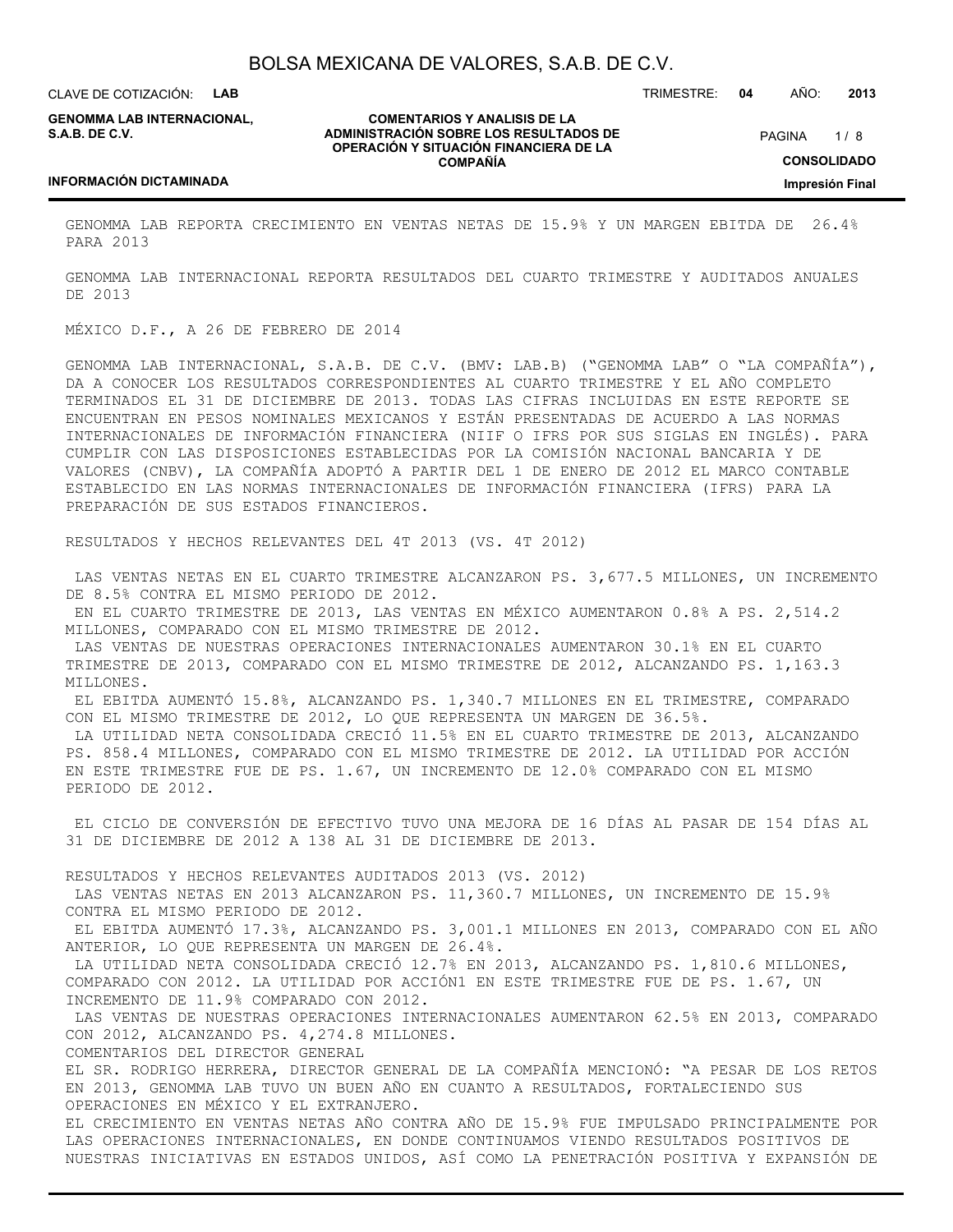CLAVE DE COTIZACIÓN: **LAB**

**GENOMMA LAB INTERNACIONAL, S.A.B. DE C.V.**

**COMENTARIOS Y ANALISIS DE LA ADMINISTRACIÓN SOBRE LOS RESULTADOS DE OPERACIÓN Y SITUACIÓN FINANCIERA DE LA COMPAÑÍA**

 $1/8$ **CONSOLIDADO Impresión Final** PAGINA

TRIMESTRE: **04** AÑO: **2013**

#### **INFORMACIÓN DICTAMINADA**

GENOMMA LAB REPORTA CRECIMIENTO EN VENTAS NETAS DE 15.9% Y UN MARGEN EBITDA DE 26.4% PARA 2013

GENOMMA LAB INTERNACIONAL REPORTA RESULTADOS DEL CUARTO TRIMESTRE Y AUDITADOS ANUALES DE 2013

#### MÉXICO D.F., A 26 DE FEBRERO DE 2014

GENOMMA LAB INTERNACIONAL, S.A.B. DE C.V. (BMV: LAB.B) ("GENOMMA LAB" O "LA COMPAÑÍA"), DA A CONOCER LOS RESULTADOS CORRESPONDIENTES AL CUARTO TRIMESTRE Y EL AÑO COMPLETO TERMINADOS EL 31 DE DICIEMBRE DE 2013. TODAS LAS CIFRAS INCLUIDAS EN ESTE REPORTE SE ENCUENTRAN EN PESOS NOMINALES MEXICANOS Y ESTÁN PRESENTADAS DE ACUERDO A LAS NORMAS INTERNACIONALES DE INFORMACIÓN FINANCIERA (NIIF O IFRS POR SUS SIGLAS EN INGLÉS). PARA CUMPLIR CON LAS DISPOSICIONES ESTABLECIDAS POR LA COMISIÓN NACIONAL BANCARIA Y DE VALORES (CNBV), LA COMPAÑÍA ADOPTÓ A PARTIR DEL 1 DE ENERO DE 2012 EL MARCO CONTABLE ESTABLECIDO EN LAS NORMAS INTERNACIONALES DE INFORMACIÓN FINANCIERA (IFRS) PARA LA PREPARACIÓN DE SUS ESTADOS FINANCIEROS.

RESULTADOS Y HECHOS RELEVANTES DEL 4T 2013 (VS. 4T 2012)

 LAS VENTAS NETAS EN EL CUARTO TRIMESTRE ALCANZARON PS. 3,677.5 MILLONES, UN INCREMENTO DE 8.5% CONTRA EL MISMO PERIODO DE 2012.

 EN EL CUARTO TRIMESTRE DE 2013, LAS VENTAS EN MÉXICO AUMENTARON 0.8% A PS. 2,514.2 MILLONES, COMPARADO CON EL MISMO TRIMESTRE DE 2012.

 LAS VENTAS DE NUESTRAS OPERACIONES INTERNACIONALES AUMENTARON 30.1% EN EL CUARTO TRIMESTRE DE 2013, COMPARADO CON EL MISMO TRIMESTRE DE 2012, ALCANZANDO PS. 1,163.3 MILLONES.

 EL EBITDA AUMENTÓ 15.8%, ALCANZANDO PS. 1,340.7 MILLONES EN EL TRIMESTRE, COMPARADO CON EL MISMO TRIMESTRE DE 2012, LO QUE REPRESENTA UN MARGEN DE 36.5%.

 LA UTILIDAD NETA CONSOLIDADA CRECIÓ 11.5% EN EL CUARTO TRIMESTRE DE 2013, ALCANZANDO PS. 858.4 MILLONES, COMPARADO CON EL MISMO TRIMESTRE DE 2012. LA UTILIDAD POR ACCIÓN EN ESTE TRIMESTRE FUE DE PS. 1.67, UN INCREMENTO DE 12.0% COMPARADO CON EL MISMO PERIODO DE 2012.

 EL CICLO DE CONVERSIÓN DE EFECTIVO TUVO UNA MEJORA DE 16 DÍAS AL PASAR DE 154 DÍAS AL 31 DE DICIEMBRE DE 2012 A 138 AL 31 DE DICIEMBRE DE 2013.

RESULTADOS Y HECHOS RELEVANTES AUDITADOS 2013 (VS. 2012)

 LAS VENTAS NETAS EN 2013 ALCANZARON PS. 11,360.7 MILLONES, UN INCREMENTO DE 15.9% CONTRA EL MISMO PERIODO DE 2012.

 EL EBITDA AUMENTÓ 17.3%, ALCANZANDO PS. 3,001.1 MILLONES EN 2013, COMPARADO CON EL AÑO ANTERIOR, LO QUE REPRESENTA UN MARGEN DE 26.4%.

 LA UTILIDAD NETA CONSOLIDADA CRECIÓ 12.7% EN 2013, ALCANZANDO PS. 1,810.6 MILLONES, COMPARADO CON 2012. LA UTILIDAD POR ACCIÓN1 EN ESTE TRIMESTRE FUE DE PS. 1.67, UN INCREMENTO DE 11.9% COMPARADO CON 2012.

 LAS VENTAS DE NUESTRAS OPERACIONES INTERNACIONALES AUMENTARON 62.5% EN 2013, COMPARADO CON 2012, ALCANZANDO PS. 4,274.8 MILLONES.

COMENTARIOS DEL DIRECTOR GENERAL

EL SR. RODRIGO HERRERA, DIRECTOR GENERAL DE LA COMPAÑÍA MENCIONÓ: "A PESAR DE LOS RETOS EN 2013, GENOMMA LAB TUVO UN BUEN AÑO EN CUANTO A RESULTADOS, FORTALECIENDO SUS OPERACIONES EN MÉXICO Y EL EXTRANJERO.

EL CRECIMIENTO EN VENTAS NETAS AÑO CONTRA AÑO DE 15.9% FUE IMPULSADO PRINCIPALMENTE POR LAS OPERACIONES INTERNACIONALES, EN DONDE CONTINUAMOS VIENDO RESULTADOS POSITIVOS DE NUESTRAS INICIATIVAS EN ESTADOS UNIDOS, ASÍ COMO LA PENETRACIÓN POSITIVA Y EXPANSIÓN DE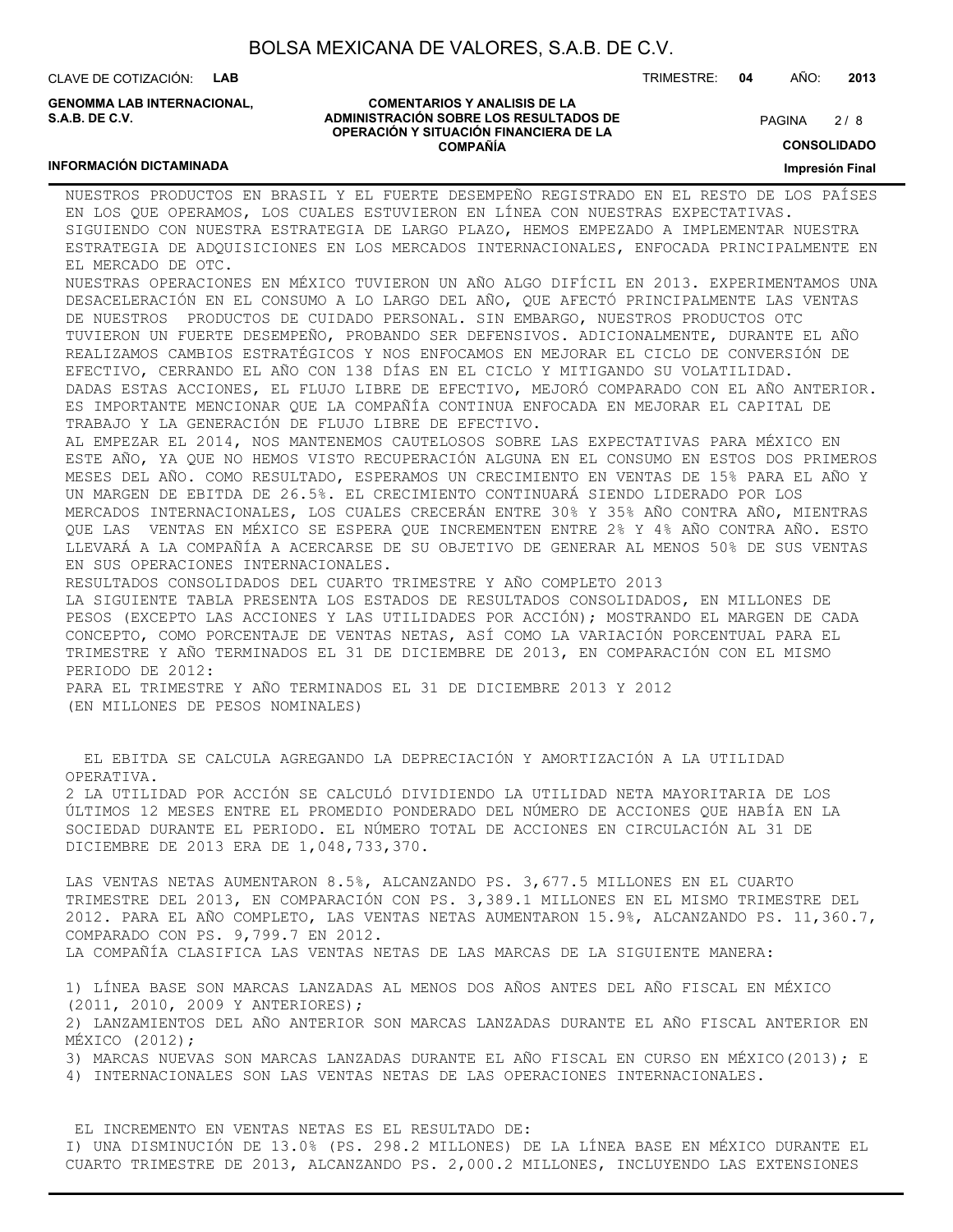CLAVE DE COTIZACIÓN: **LAB**

**INFORMACIÓN DICTAMINADA**

**GENOMMA LAB INTERNACIONAL, S.A.B. DE C.V.**

#### **COMENTARIOS Y ANALISIS DE LA ADMINISTRACIÓN SOBRE LOS RESULTADOS DE OPERACIÓN Y SITUACIÓN FINANCIERA DE LA COMPAÑÍA**

 $2/8$ PAGINA

TRIMESTRE: **04** AÑO: **2013**

**CONSOLIDADO**

**Impresión Final**

NUESTROS PRODUCTOS EN BRASIL Y EL FUERTE DESEMPEÑO REGISTRADO EN EL RESTO DE LOS PAÍSES EN LOS QUE OPERAMOS, LOS CUALES ESTUVIERON EN LÍNEA CON NUESTRAS EXPECTATIVAS. SIGUIENDO CON NUESTRA ESTRATEGIA DE LARGO PLAZO, HEMOS EMPEZADO A IMPLEMENTAR NUESTRA ESTRATEGIA DE ADQUISICIONES EN LOS MERCADOS INTERNACIONALES, ENFOCADA PRINCIPALMENTE EN EL MERCADO DE OTC. NUESTRAS OPERACIONES EN MÉXICO TUVIERON UN AÑO ALGO DIFÍCIL EN 2013. EXPERIMENTAMOS UNA

DESACELERACIÓN EN EL CONSUMO A LO LARGO DEL AÑO, QUE AFECTÓ PRINCIPALMENTE LAS VENTAS DE NUESTROS PRODUCTOS DE CUIDADO PERSONAL. SIN EMBARGO, NUESTROS PRODUCTOS OTC TUVIERON UN FUERTE DESEMPEÑO, PROBANDO SER DEFENSIVOS. ADICIONALMENTE, DURANTE EL AÑO REALIZAMOS CAMBIOS ESTRATÉGICOS Y NOS ENFOCAMOS EN MEJORAR EL CICLO DE CONVERSIÓN DE EFECTIVO, CERRANDO EL AÑO CON 138 DÍAS EN EL CICLO Y MITIGANDO SU VOLATILIDAD. DADAS ESTAS ACCIONES, EL FLUJO LIBRE DE EFECTIVO, MEJORÓ COMPARADO CON EL AÑO ANTERIOR. ES IMPORTANTE MENCIONAR QUE LA COMPAÑÍA CONTINUA ENFOCADA EN MEJORAR EL CAPITAL DE TRABAJO Y LA GENERACIÓN DE FLUJO LIBRE DE EFECTIVO.

AL EMPEZAR EL 2014, NOS MANTENEMOS CAUTELOSOS SOBRE LAS EXPECTATIVAS PARA MÉXICO EN ESTE AÑO, YA QUE NO HEMOS VISTO RECUPERACIÓN ALGUNA EN EL CONSUMO EN ESTOS DOS PRIMEROS MESES DEL AÑO. COMO RESULTADO, ESPERAMOS UN CRECIMIENTO EN VENTAS DE 15% PARA EL AÑO Y UN MARGEN DE EBITDA DE 26.5%. EL CRECIMIENTO CONTINUARÁ SIENDO LIDERADO POR LOS MERCADOS INTERNACIONALES, LOS CUALES CRECERÁN ENTRE 30% Y 35% AÑO CONTRA AÑO, MIENTRAS QUE LAS VENTAS EN MÉXICO SE ESPERA QUE INCREMENTEN ENTRE 2% Y 4% AÑO CONTRA AÑO. ESTO LLEVARÁ A LA COMPAÑÍA A ACERCARSE DE SU OBJETIVO DE GENERAR AL MENOS 50% DE SUS VENTAS EN SUS OPERACIONES INTERNACIONALES.

RESULTADOS CONSOLIDADOS DEL CUARTO TRIMESTRE Y AÑO COMPLETO 2013 LA SIGUIENTE TABLA PRESENTA LOS ESTADOS DE RESULTADOS CONSOLIDADOS, EN MILLONES DE PESOS (EXCEPTO LAS ACCIONES Y LAS UTILIDADES POR ACCIÓN); MOSTRANDO EL MARGEN DE CADA CONCEPTO, COMO PORCENTAJE DE VENTAS NETAS, ASÍ COMO LA VARIACIÓN PORCENTUAL PARA EL TRIMESTRE Y AÑO TERMINADOS EL 31 DE DICIEMBRE DE 2013, EN COMPARACIÓN CON EL MISMO PERIODO DE 2012:

PARA EL TRIMESTRE Y AÑO TERMINADOS EL 31 DE DICIEMBRE 2013 Y 2012 (EN MILLONES DE PESOS NOMINALES)

 EL EBITDA SE CALCULA AGREGANDO LA DEPRECIACIÓN Y AMORTIZACIÓN A LA UTILIDAD OPERATIVA. 2 LA UTILIDAD POR ACCIÓN SE CALCULÓ DIVIDIENDO LA UTILIDAD NETA MAYORITARIA DE LOS ÚLTIMOS 12 MESES ENTRE EL PROMEDIO PONDERADO DEL NÚMERO DE ACCIONES QUE HABÍA EN LA SOCIEDAD DURANTE EL PERIODO. EL NÚMERO TOTAL DE ACCIONES EN CIRCULACIÓN AL 31 DE DICIEMBRE DE 2013 ERA DE 1,048,733,370.

LAS VENTAS NETAS AUMENTARON 8.5%, ALCANZANDO PS. 3,677.5 MILLONES EN EL CUARTO TRIMESTRE DEL 2013, EN COMPARACIÓN CON PS. 3,389.1 MILLONES EN EL MISMO TRIMESTRE DEL 2012. PARA EL AÑO COMPLETO, LAS VENTAS NETAS AUMENTARON 15.9%, ALCANZANDO PS. 11,360.7, COMPARADO CON PS. 9,799.7 EN 2012. LA COMPAÑÍA CLASIFICA LAS VENTAS NETAS DE LAS MARCAS DE LA SIGUIENTE MANERA:

1) LÍNEA BASE SON MARCAS LANZADAS AL MENOS DOS AÑOS ANTES DEL AÑO FISCAL EN MÉXICO (2011, 2010, 2009 Y ANTERIORES); 2) LANZAMIENTOS DEL AÑO ANTERIOR SON MARCAS LANZADAS DURANTE EL AÑO FISCAL ANTERIOR EN MÉXICO (2012); 3) MARCAS NUEVAS SON MARCAS LANZADAS DURANTE EL AÑO FISCAL EN CURSO EN MÉXICO(2013); E 4) INTERNACIONALES SON LAS VENTAS NETAS DE LAS OPERACIONES INTERNACIONALES.

 EL INCREMENTO EN VENTAS NETAS ES EL RESULTADO DE: I) UNA DISMINUCIÓN DE 13.0% (PS. 298.2 MILLONES) DE LA LÍNEA BASE EN MÉXICO DURANTE EL CUARTO TRIMESTRE DE 2013, ALCANZANDO PS. 2,000.2 MILLONES, INCLUYENDO LAS EXTENSIONES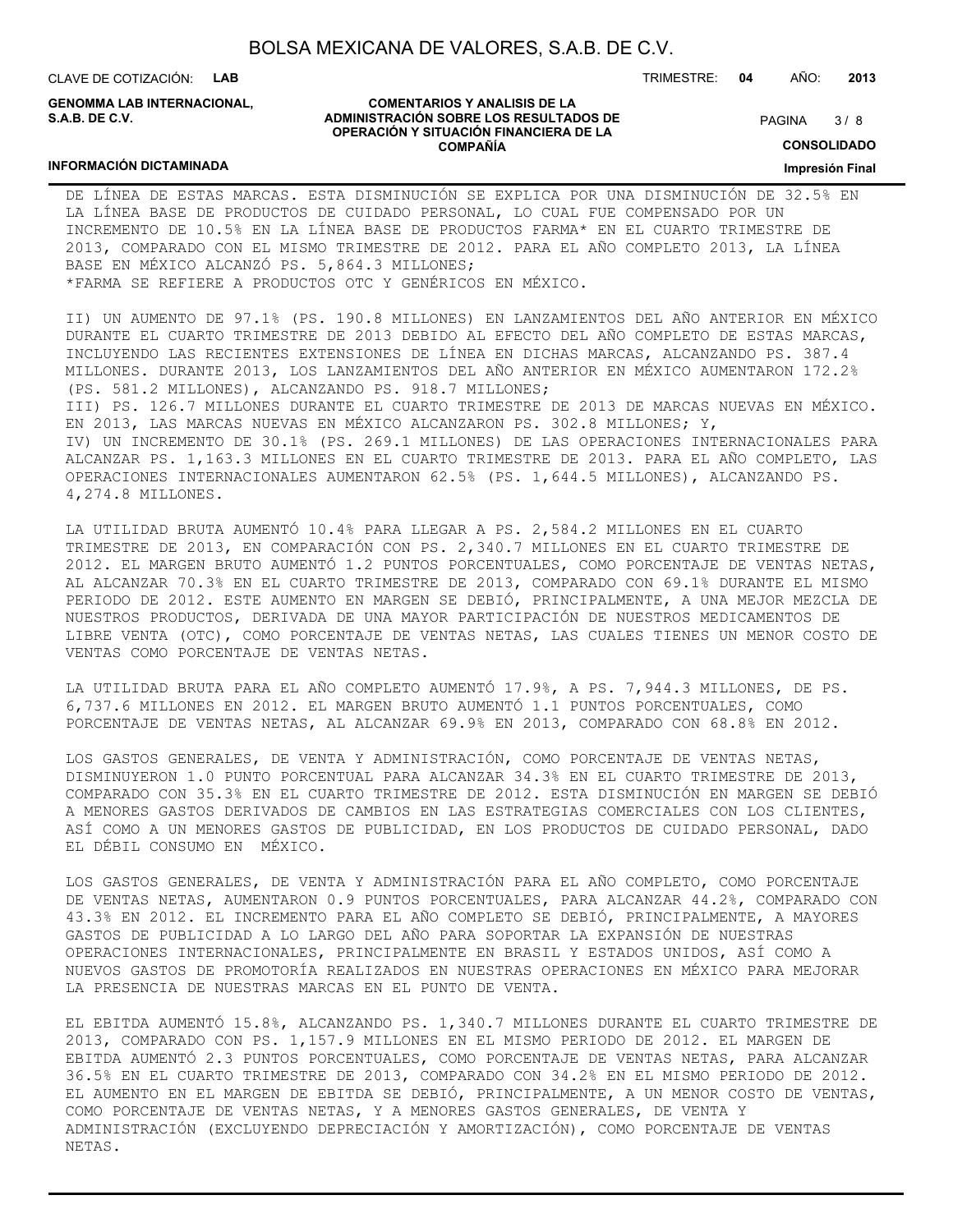CLAVE DE COTIZACIÓN: **LAB**

**INFORMACIÓN DICTAMINADA**

**GENOMMA LAB INTERNACIONAL, S.A.B. DE C.V.**

#### **COMENTARIOS Y ANALISIS DE LA ADMINISTRACIÓN SOBRE LOS RESULTADOS DE OPERACIÓN Y SITUACIÓN FINANCIERA DE LA COMPAÑÍA**

 $3/8$ PAGINA

**CONSOLIDADO**

**Impresión Final**

DE LÍNEA DE ESTAS MARCAS. ESTA DISMINUCIÓN SE EXPLICA POR UNA DISMINUCIÓN DE 32.5% EN LA LÍNEA BASE DE PRODUCTOS DE CUIDADO PERSONAL, LO CUAL FUE COMPENSADO POR UN INCREMENTO DE 10.5% EN LA LÍNEA BASE DE PRODUCTOS FARMA\* EN EL CUARTO TRIMESTRE DE 2013, COMPARADO CON EL MISMO TRIMESTRE DE 2012. PARA EL AÑO COMPLETO 2013, LA LÍNEA BASE EN MÉXICO ALCANZÓ PS. 5,864.3 MILLONES; \*FARMA SE REFIERE A PRODUCTOS OTC Y GENÉRICOS EN MÉXICO.

II) UN AUMENTO DE 97.1% (PS. 190.8 MILLONES) EN LANZAMIENTOS DEL AÑO ANTERIOR EN MÉXICO DURANTE EL CUARTO TRIMESTRE DE 2013 DEBIDO AL EFECTO DEL AÑO COMPLETO DE ESTAS MARCAS, INCLUYENDO LAS RECIENTES EXTENSIONES DE LÍNEA EN DICHAS MARCAS, ALCANZANDO PS. 387.4 MILLONES. DURANTE 2013, LOS LANZAMIENTOS DEL AÑO ANTERIOR EN MÉXICO AUMENTARON 172.2% (PS. 581.2 MILLONES), ALCANZANDO PS. 918.7 MILLONES; III) PS. 126.7 MILLONES DURANTE EL CUARTO TRIMESTRE DE 2013 DE MARCAS NUEVAS EN MÉXICO. EN 2013, LAS MARCAS NUEVAS EN MÉXICO ALCANZARON PS. 302.8 MILLONES; Y, IV) UN INCREMENTO DE 30.1% (PS. 269.1 MILLONES) DE LAS OPERACIONES INTERNACIONALES PARA ALCANZAR PS. 1,163.3 MILLONES EN EL CUARTO TRIMESTRE DE 2013. PARA EL AÑO COMPLETO, LAS OPERACIONES INTERNACIONALES AUMENTARON 62.5% (PS. 1,644.5 MILLONES), ALCANZANDO PS. 4,274.8 MILLONES.

LA UTILIDAD BRUTA AUMENTÓ 10.4% PARA LLEGAR A PS. 2,584.2 MILLONES EN EL CUARTO TRIMESTRE DE 2013, EN COMPARACIÓN CON PS. 2,340.7 MILLONES EN EL CUARTO TRIMESTRE DE 2012. EL MARGEN BRUTO AUMENTÓ 1.2 PUNTOS PORCENTUALES, COMO PORCENTAJE DE VENTAS NETAS, AL ALCANZAR 70.3% EN EL CUARTO TRIMESTRE DE 2013, COMPARADO CON 69.1% DURANTE EL MISMO PERIODO DE 2012. ESTE AUMENTO EN MARGEN SE DEBIÓ, PRINCIPALMENTE, A UNA MEJOR MEZCLA DE NUESTROS PRODUCTOS, DERIVADA DE UNA MAYOR PARTICIPACIÓN DE NUESTROS MEDICAMENTOS DE LIBRE VENTA (OTC), COMO PORCENTAJE DE VENTAS NETAS, LAS CUALES TIENES UN MENOR COSTO DE VENTAS COMO PORCENTAJE DE VENTAS NETAS.

LA UTILIDAD BRUTA PARA EL AÑO COMPLETO AUMENTÓ 17.9%, A PS. 7,944.3 MILLONES, DE PS. 6,737.6 MILLONES EN 2012. EL MARGEN BRUTO AUMENTÓ 1.1 PUNTOS PORCENTUALES, COMO PORCENTAJE DE VENTAS NETAS, AL ALCANZAR 69.9% EN 2013, COMPARADO CON 68.8% EN 2012.

LOS GASTOS GENERALES, DE VENTA Y ADMINISTRACIÓN, COMO PORCENTAJE DE VENTAS NETAS, DISMINUYERON 1.0 PUNTO PORCENTUAL PARA ALCANZAR 34.3% EN EL CUARTO TRIMESTRE DE 2013, COMPARADO CON 35.3% EN EL CUARTO TRIMESTRE DE 2012. ESTA DISMINUCIÓN EN MARGEN SE DEBIÓ A MENORES GASTOS DERIVADOS DE CAMBIOS EN LAS ESTRATEGIAS COMERCIALES CON LOS CLIENTES, ASÍ COMO A UN MENORES GASTOS DE PUBLICIDAD, EN LOS PRODUCTOS DE CUIDADO PERSONAL, DADO EL DÉBIL CONSUMO EN MÉXICO.

LOS GASTOS GENERALES, DE VENTA Y ADMINISTRACIÓN PARA EL AÑO COMPLETO, COMO PORCENTAJE DE VENTAS NETAS, AUMENTARON 0.9 PUNTOS PORCENTUALES, PARA ALCANZAR 44.2%, COMPARADO CON 43.3% EN 2012. EL INCREMENTO PARA EL AÑO COMPLETO SE DEBIÓ, PRINCIPALMENTE, A MAYORES GASTOS DE PUBLICIDAD A LO LARGO DEL AÑO PARA SOPORTAR LA EXPANSIÓN DE NUESTRAS OPERACIONES INTERNACIONALES, PRINCIPALMENTE EN BRASIL Y ESTADOS UNIDOS, ASÍ COMO A NUEVOS GASTOS DE PROMOTORÍA REALIZADOS EN NUESTRAS OPERACIONES EN MÉXICO PARA MEJORAR LA PRESENCIA DE NUESTRAS MARCAS EN EL PUNTO DE VENTA.

EL EBITDA AUMENTÓ 15.8%, ALCANZANDO PS. 1,340.7 MILLONES DURANTE EL CUARTO TRIMESTRE DE 2013, COMPARADO CON PS. 1,157.9 MILLONES EN EL MISMO PERIODO DE 2012. EL MARGEN DE EBITDA AUMENTÓ 2.3 PUNTOS PORCENTUALES, COMO PORCENTAJE DE VENTAS NETAS, PARA ALCANZAR 36.5% EN EL CUARTO TRIMESTRE DE 2013, COMPARADO CON 34.2% EN EL MISMO PERIODO DE 2012. EL AUMENTO EN EL MARGEN DE EBITDA SE DEBIÓ, PRINCIPALMENTE, A UN MENOR COSTO DE VENTAS, COMO PORCENTAJE DE VENTAS NETAS, Y A MENORES GASTOS GENERALES, DE VENTA Y ADMINISTRACIÓN (EXCLUYENDO DEPRECIACIÓN Y AMORTIZACIÓN), COMO PORCENTAJE DE VENTAS NETAS.

TRIMESTRE: **04** AÑO: **2013**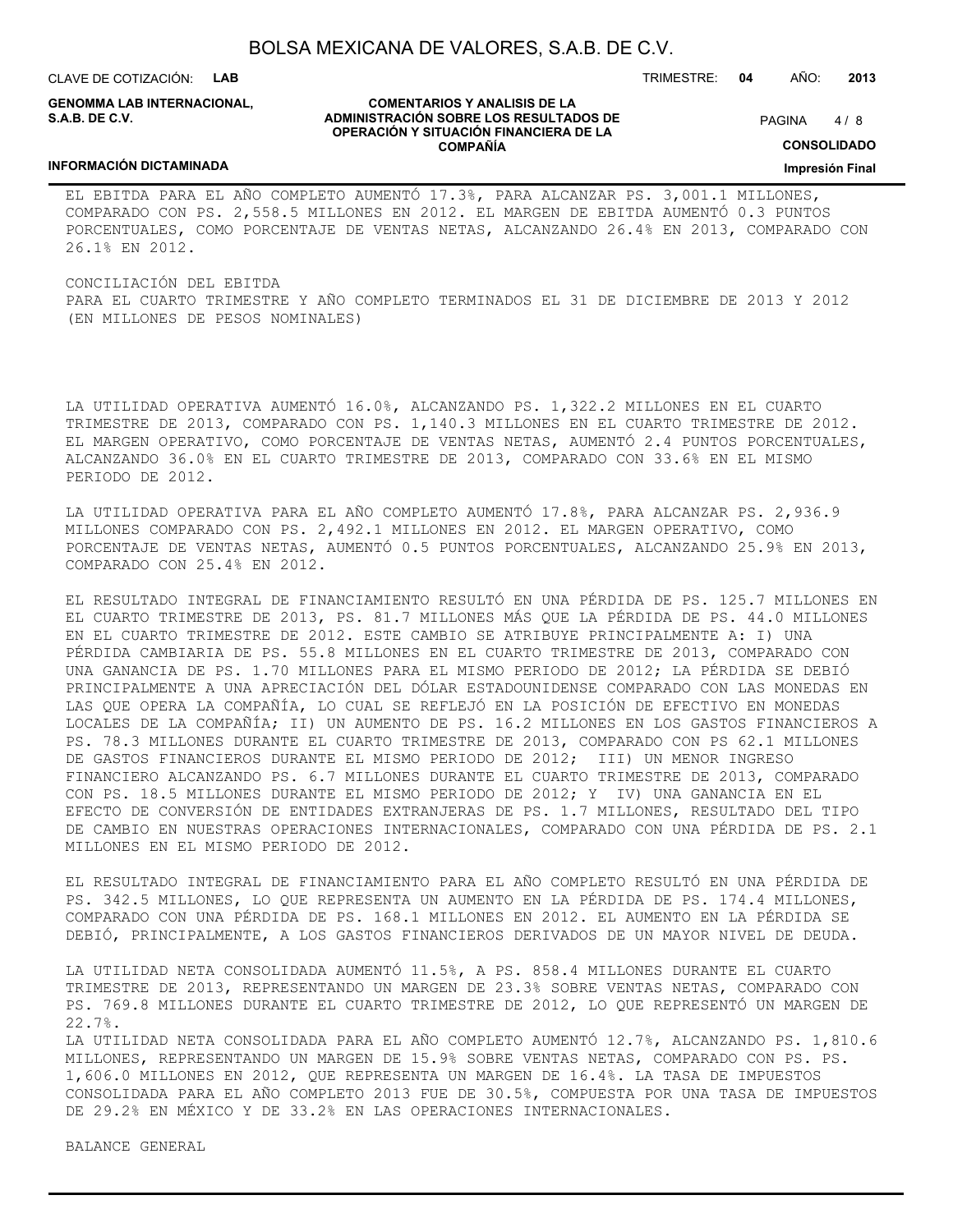CLAVE DE COTIZACIÓN: **LAB**

**GENOMMA LAB INTERNACIONAL, S.A.B. DE C.V.**

**COMENTARIOS Y ANALISIS DE LA ADMINISTRACIÓN SOBRE LOS RESULTADOS DE OPERACIÓN Y SITUACIÓN FINANCIERA DE LA COMPAÑÍA**

 $4/8$ PAGINA

TRIMESTRE: **04** AÑO: **2013**

**CONSOLIDADO**

**Impresión Final**

#### **INFORMACIÓN DICTAMINADA**

EL EBITDA PARA EL AÑO COMPLETO AUMENTÓ 17.3%, PARA ALCANZAR PS. 3,001.1 MILLONES, COMPARADO CON PS. 2,558.5 MILLONES EN 2012. EL MARGEN DE EBITDA AUMENTÓ 0.3 PUNTOS PORCENTUALES, COMO PORCENTAJE DE VENTAS NETAS, ALCANZANDO 26.4% EN 2013, COMPARADO CON 26.1% EN 2012.

CONCILIACIÓN DEL EBITDA PARA EL CUARTO TRIMESTRE Y AÑO COMPLETO TERMINADOS EL 31 DE DICIEMBRE DE 2013 Y 2012 (EN MILLONES DE PESOS NOMINALES)

LA UTILIDAD OPERATIVA AUMENTÓ 16.0%, ALCANZANDO PS. 1,322.2 MILLONES EN EL CUARTO TRIMESTRE DE 2013, COMPARADO CON PS. 1,140.3 MILLONES EN EL CUARTO TRIMESTRE DE 2012. EL MARGEN OPERATIVO, COMO PORCENTAJE DE VENTAS NETAS, AUMENTÓ 2.4 PUNTOS PORCENTUALES, ALCANZANDO 36.0% EN EL CUARTO TRIMESTRE DE 2013, COMPARADO CON 33.6% EN EL MISMO PERIODO DE 2012.

LA UTILIDAD OPERATIVA PARA EL AÑO COMPLETO AUMENTÓ 17.8%, PARA ALCANZAR PS. 2,936.9 MILLONES COMPARADO CON PS. 2,492.1 MILLONES EN 2012. EL MARGEN OPERATIVO, COMO PORCENTAJE DE VENTAS NETAS, AUMENTÓ 0.5 PUNTOS PORCENTUALES, ALCANZANDO 25.9% EN 2013, COMPARADO CON 25.4% EN 2012.

EL RESULTADO INTEGRAL DE FINANCIAMIENTO RESULTÓ EN UNA PÉRDIDA DE PS. 125.7 MILLONES EN EL CUARTO TRIMESTRE DE 2013, PS. 81.7 MILLONES MÁS QUE LA PÉRDIDA DE PS. 44.0 MILLONES EN EL CUARTO TRIMESTRE DE 2012. ESTE CAMBIO SE ATRIBUYE PRINCIPALMENTE A: I) UNA PÉRDIDA CAMBIARIA DE PS. 55.8 MILLONES EN EL CUARTO TRIMESTRE DE 2013, COMPARADO CON UNA GANANCIA DE PS. 1.70 MILLONES PARA EL MISMO PERIODO DE 2012; LA PÉRDIDA SE DEBIÓ PRINCIPALMENTE A UNA APRECIACIÓN DEL DÓLAR ESTADOUNIDENSE COMPARADO CON LAS MONEDAS EN LAS QUE OPERA LA COMPAÑÍA, LO CUAL SE REFLEJÓ EN LA POSICIÓN DE EFECTIVO EN MONEDAS LOCALES DE LA COMPAÑÍA; II) UN AUMENTO DE PS. 16.2 MILLONES EN LOS GASTOS FINANCIEROS A PS. 78.3 MILLONES DURANTE EL CUARTO TRIMESTRE DE 2013, COMPARADO CON PS 62.1 MILLONES DE GASTOS FINANCIEROS DURANTE EL MISMO PERIODO DE 2012; III) UN MENOR INGRESO FINANCIERO ALCANZANDO PS. 6.7 MILLONES DURANTE EL CUARTO TRIMESTRE DE 2013, COMPARADO CON PS. 18.5 MILLONES DURANTE EL MISMO PERIODO DE 2012; Y IV) UNA GANANCIA EN EL EFECTO DE CONVERSIÓN DE ENTIDADES EXTRANJERAS DE PS. 1.7 MILLONES, RESULTADO DEL TIPO DE CAMBIO EN NUESTRAS OPERACIONES INTERNACIONALES, COMPARADO CON UNA PÉRDIDA DE PS. 2.1 MILLONES EN EL MISMO PERIODO DE 2012.

EL RESULTADO INTEGRAL DE FINANCIAMIENTO PARA EL AÑO COMPLETO RESULTÓ EN UNA PÉRDIDA DE PS. 342.5 MILLONES, LO QUE REPRESENTA UN AUMENTO EN LA PÉRDIDA DE PS. 174.4 MILLONES, COMPARADO CON UNA PÉRDIDA DE PS. 168.1 MILLONES EN 2012. EL AUMENTO EN LA PÉRDIDA SE DEBIÓ, PRINCIPALMENTE, A LOS GASTOS FINANCIEROS DERIVADOS DE UN MAYOR NIVEL DE DEUDA.

LA UTILIDAD NETA CONSOLIDADA AUMENTÓ 11.5%, A PS. 858.4 MILLONES DURANTE EL CUARTO TRIMESTRE DE 2013, REPRESENTANDO UN MARGEN DE 23.3% SOBRE VENTAS NETAS, COMPARADO CON PS. 769.8 MILLONES DURANTE EL CUARTO TRIMESTRE DE 2012, LO QUE REPRESENTÓ UN MARGEN DE 22.7%.

LA UTILIDAD NETA CONSOLIDADA PARA EL AÑO COMPLETO AUMENTÓ 12.7%, ALCANZANDO PS. 1,810.6 MILLONES, REPRESENTANDO UN MARGEN DE 15.9% SOBRE VENTAS NETAS, COMPARADO CON PS. PS. 1,606.0 MILLONES EN 2012, QUE REPRESENTA UN MARGEN DE 16.4%. LA TASA DE IMPUESTOS CONSOLIDADA PARA EL AÑO COMPLETO 2013 FUE DE 30.5%, COMPUESTA POR UNA TASA DE IMPUESTOS DE 29.2% EN MÉXICO Y DE 33.2% EN LAS OPERACIONES INTERNACIONALES.

BALANCE GENERAL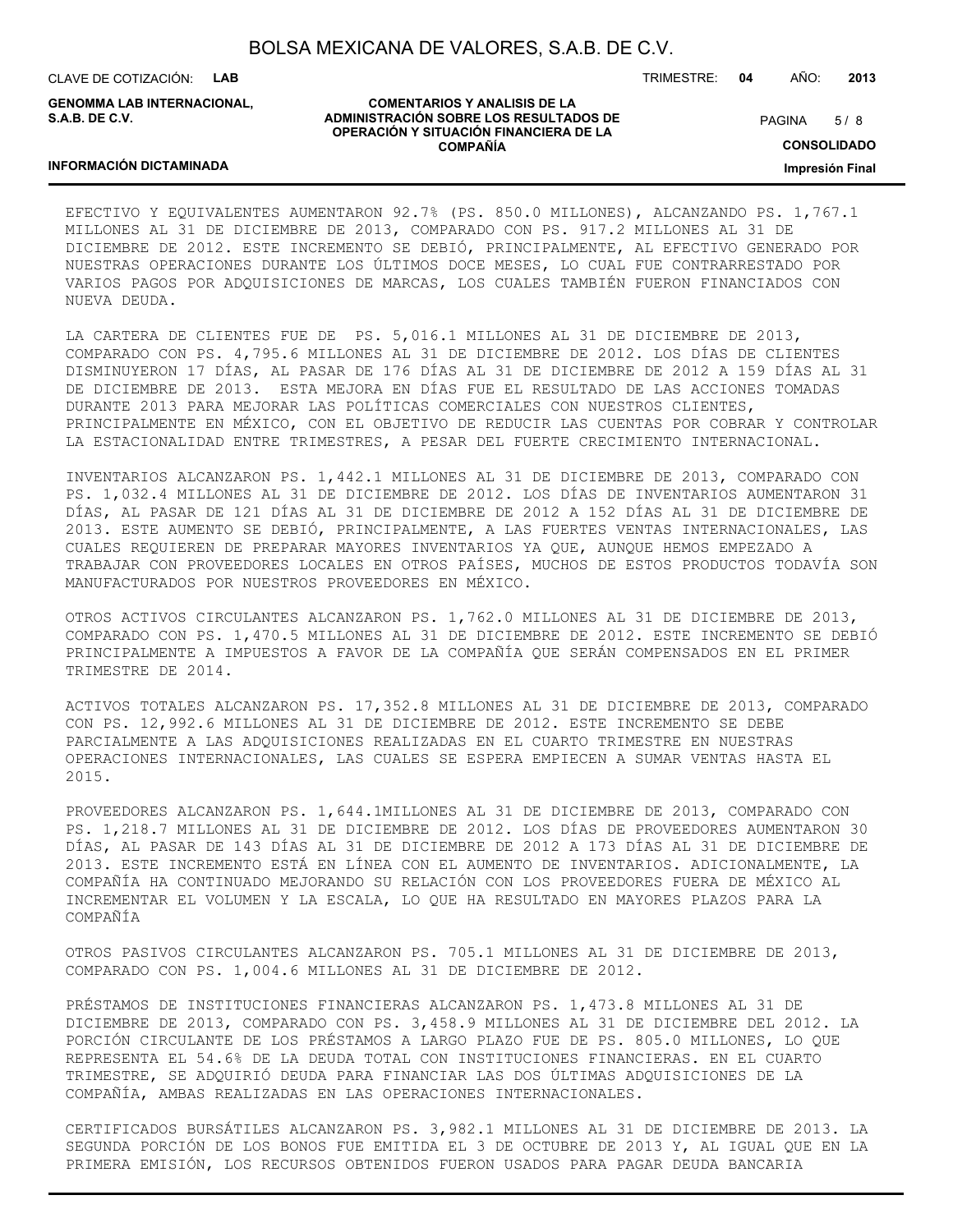CLAVE DE COTIZACIÓN: **LAB**

**GENOMMA LAB INTERNACIONAL, S.A.B. DE C.V.**

#### **COMENTARIOS Y ANALISIS DE LA ADMINISTRACIÓN SOBRE LOS RESULTADOS DE OPERACIÓN Y SITUACIÓN FINANCIERA DE LA COMPAÑÍA**

TRIMESTRE: **04** AÑO: **2013**

 $5/8$ PAGINA

**CONSOLIDADO**

**Impresión Final**

#### **INFORMACIÓN DICTAMINADA**

EFECTIVO Y EQUIVALENTES AUMENTARON 92.7% (PS. 850.0 MILLONES), ALCANZANDO PS. 1,767.1 MILLONES AL 31 DE DICIEMBRE DE 2013, COMPARADO CON PS. 917.2 MILLONES AL 31 DE DICIEMBRE DE 2012. ESTE INCREMENTO SE DEBIÓ, PRINCIPALMENTE, AL EFECTIVO GENERADO POR NUESTRAS OPERACIONES DURANTE LOS ÚLTIMOS DOCE MESES, LO CUAL FUE CONTRARRESTADO POR VARIOS PAGOS POR ADQUISICIONES DE MARCAS, LOS CUALES TAMBIÉN FUERON FINANCIADOS CON NUEVA DEUDA.

LA CARTERA DE CLIENTES FUE DE PS. 5,016.1 MILLONES AL 31 DE DICIEMBRE DE 2013, COMPARADO CON PS. 4,795.6 MILLONES AL 31 DE DICIEMBRE DE 2012. LOS DÍAS DE CLIENTES DISMINUYERON 17 DÍAS, AL PASAR DE 176 DÍAS AL 31 DE DICIEMBRE DE 2012 A 159 DÍAS AL 31 DE DICIEMBRE DE 2013. ESTA MEJORA EN DÍAS FUE EL RESULTADO DE LAS ACCIONES TOMADAS DURANTE 2013 PARA MEJORAR LAS POLÍTICAS COMERCIALES CON NUESTROS CLIENTES, PRINCIPALMENTE EN MÉXICO, CON EL OBJETIVO DE REDUCIR LAS CUENTAS POR COBRAR Y CONTROLAR LA ESTACIONALIDAD ENTRE TRIMESTRES, A PESAR DEL FUERTE CRECIMIENTO INTERNACIONAL.

INVENTARIOS ALCANZARON PS. 1,442.1 MILLONES AL 31 DE DICIEMBRE DE 2013, COMPARADO CON PS. 1,032.4 MILLONES AL 31 DE DICIEMBRE DE 2012. LOS DÍAS DE INVENTARIOS AUMENTARON 31 DÍAS, AL PASAR DE 121 DÍAS AL 31 DE DICIEMBRE DE 2012 A 152 DÍAS AL 31 DE DICIEMBRE DE 2013. ESTE AUMENTO SE DEBIÓ, PRINCIPALMENTE, A LAS FUERTES VENTAS INTERNACIONALES, LAS CUALES REQUIEREN DE PREPARAR MAYORES INVENTARIOS YA QUE, AUNQUE HEMOS EMPEZADO A TRABAJAR CON PROVEEDORES LOCALES EN OTROS PAÍSES, MUCHOS DE ESTOS PRODUCTOS TODAVÍA SON MANUFACTURADOS POR NUESTROS PROVEEDORES EN MÉXICO.

OTROS ACTIVOS CIRCULANTES ALCANZARON PS. 1,762.0 MILLONES AL 31 DE DICIEMBRE DE 2013, COMPARADO CON PS. 1,470.5 MILLONES AL 31 DE DICIEMBRE DE 2012. ESTE INCREMENTO SE DEBIÓ PRINCIPALMENTE A IMPUESTOS A FAVOR DE LA COMPAÑÍA QUE SERÁN COMPENSADOS EN EL PRIMER TRIMESTRE DE 2014.

ACTIVOS TOTALES ALCANZARON PS. 17,352.8 MILLONES AL 31 DE DICIEMBRE DE 2013, COMPARADO CON PS. 12,992.6 MILLONES AL 31 DE DICIEMBRE DE 2012. ESTE INCREMENTO SE DEBE PARCIALMENTE A LAS ADQUISICIONES REALIZADAS EN EL CUARTO TRIMESTRE EN NUESTRAS OPERACIONES INTERNACIONALES, LAS CUALES SE ESPERA EMPIECEN A SUMAR VENTAS HASTA EL 2015.

PROVEEDORES ALCANZARON PS. 1,644.1MILLONES AL 31 DE DICIEMBRE DE 2013, COMPARADO CON PS. 1,218.7 MILLONES AL 31 DE DICIEMBRE DE 2012. LOS DÍAS DE PROVEEDORES AUMENTARON 30 DÍAS, AL PASAR DE 143 DÍAS AL 31 DE DICIEMBRE DE 2012 A 173 DÍAS AL 31 DE DICIEMBRE DE 2013. ESTE INCREMENTO ESTÁ EN LÍNEA CON EL AUMENTO DE INVENTARIOS. ADICIONALMENTE, LA COMPAÑÍA HA CONTINUADO MEJORANDO SU RELACIÓN CON LOS PROVEEDORES FUERA DE MÉXICO AL INCREMENTAR EL VOLUMEN Y LA ESCALA, LO QUE HA RESULTADO EN MAYORES PLAZOS PARA LA COMPAÑÍA

OTROS PASIVOS CIRCULANTES ALCANZARON PS. 705.1 MILLONES AL 31 DE DICIEMBRE DE 2013, COMPARADO CON PS. 1,004.6 MILLONES AL 31 DE DICIEMBRE DE 2012.

PRÉSTAMOS DE INSTITUCIONES FINANCIERAS ALCANZARON PS. 1,473.8 MILLONES AL 31 DE DICIEMBRE DE 2013, COMPARADO CON PS. 3,458.9 MILLONES AL 31 DE DICIEMBRE DEL 2012. LA PORCIÓN CIRCULANTE DE LOS PRÉSTAMOS A LARGO PLAZO FUE DE PS. 805.0 MILLONES, LO QUE REPRESENTA EL 54.6% DE LA DEUDA TOTAL CON INSTITUCIONES FINANCIERAS. EN EL CUARTO TRIMESTRE, SE ADQUIRIÓ DEUDA PARA FINANCIAR LAS DOS ÚLTIMAS ADQUISICIONES DE LA COMPAÑÍA, AMBAS REALIZADAS EN LAS OPERACIONES INTERNACIONALES.

CERTIFICADOS BURSÁTILES ALCANZARON PS. 3,982.1 MILLONES AL 31 DE DICIEMBRE DE 2013. LA SEGUNDA PORCIÓN DE LOS BONOS FUE EMITIDA EL 3 DE OCTUBRE DE 2013 Y, AL IGUAL QUE EN LA PRIMERA EMISIÓN, LOS RECURSOS OBTENIDOS FUERON USADOS PARA PAGAR DEUDA BANCARIA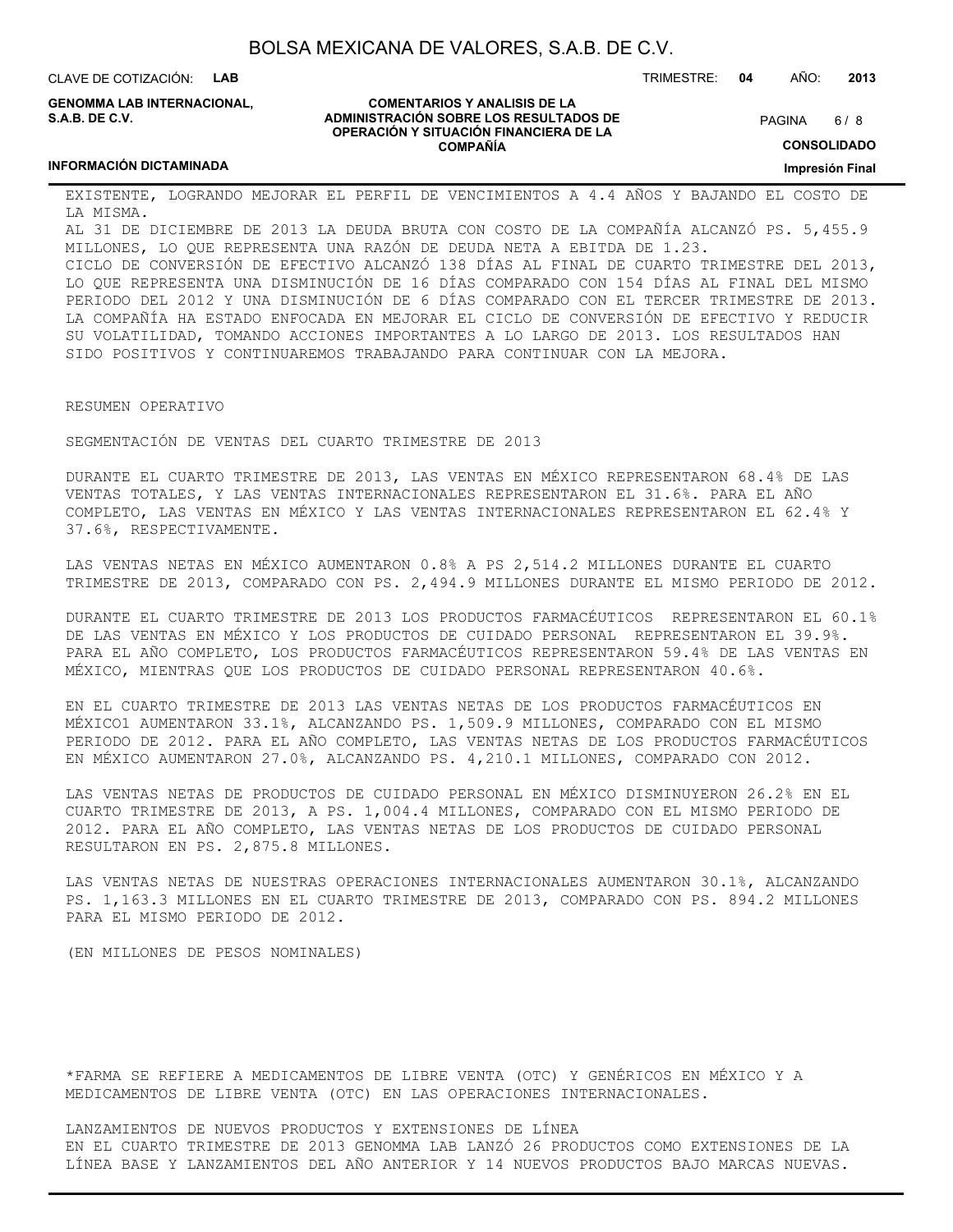CLAVE DE COTIZACIÓN: **LAB**

**INFORMACIÓN DICTAMINADA**

**GENOMMA LAB INTERNACIONAL, S.A.B. DE C.V.**

#### **COMENTARIOS Y ANALISIS DE LA ADMINISTRACIÓN SOBRE LOS RESULTADOS DE OPERACIÓN Y SITUACIÓN FINANCIERA DE LA COMPAÑÍA**

 $6/8$ PAGINA

**CONSOLIDADO**

**Impresión Final**

EXISTENTE, LOGRANDO MEJORAR EL PERFIL DE VENCIMIENTOS A 4.4 AÑOS Y BAJANDO EL COSTO DE LA MISMA.

AL 31 DE DICIEMBRE DE 2013 LA DEUDA BRUTA CON COSTO DE LA COMPAÑÍA ALCANZÓ PS. 5,455.9 MILLONES, LO QUE REPRESENTA UNA RAZÓN DE DEUDA NETA A EBITDA DE 1.23.

CICLO DE CONVERSIÓN DE EFECTIVO ALCANZÓ 138 DÍAS AL FINAL DE CUARTO TRIMESTRE DEL 2013, LO QUE REPRESENTA UNA DISMINUCIÓN DE 16 DÍAS COMPARADO CON 154 DÍAS AL FINAL DEL MISMO PERIODO DEL 2012 Y UNA DISMINUCIÓN DE 6 DÍAS COMPARADO CON EL TERCER TRIMESTRE DE 2013. LA COMPAÑÍA HA ESTADO ENFOCADA EN MEJORAR EL CICLO DE CONVERSIÓN DE EFECTIVO Y REDUCIR SU VOLATILIDAD, TOMANDO ACCIONES IMPORTANTES A LO LARGO DE 2013. LOS RESULTADOS HAN SIDO POSITIVOS Y CONTINUAREMOS TRABAJANDO PARA CONTINUAR CON LA MEJORA.

RESUMEN OPERATIVO

SEGMENTACIÓN DE VENTAS DEL CUARTO TRIMESTRE DE 2013

DURANTE EL CUARTO TRIMESTRE DE 2013, LAS VENTAS EN MÉXICO REPRESENTARON 68.4% DE LAS VENTAS TOTALES, Y LAS VENTAS INTERNACIONALES REPRESENTARON EL 31.6%. PARA EL AÑO COMPLETO, LAS VENTAS EN MÉXICO Y LAS VENTAS INTERNACIONALES REPRESENTARON EL 62.4% Y 37.6%, RESPECTIVAMENTE.

LAS VENTAS NETAS EN MÉXICO AUMENTARON 0.8% A PS 2,514.2 MILLONES DURANTE EL CUARTO TRIMESTRE DE 2013, COMPARADO CON PS. 2,494.9 MILLONES DURANTE EL MISMO PERIODO DE 2012.

DURANTE EL CUARTO TRIMESTRE DE 2013 LOS PRODUCTOS FARMACÉUTICOS REPRESENTARON EL 60.1% DE LAS VENTAS EN MÉXICO Y LOS PRODUCTOS DE CUIDADO PERSONAL REPRESENTARON EL 39.9%. PARA EL AÑO COMPLETO, LOS PRODUCTOS FARMACÉUTICOS REPRESENTARON 59.4% DE LAS VENTAS EN MÉXICO, MIENTRAS QUE LOS PRODUCTOS DE CUIDADO PERSONAL REPRESENTARON 40.6%.

EN EL CUARTO TRIMESTRE DE 2013 LAS VENTAS NETAS DE LOS PRODUCTOS FARMACÉUTICOS EN MÉXICO1 AUMENTARON 33.1%, ALCANZANDO PS. 1,509.9 MILLONES, COMPARADO CON EL MISMO PERIODO DE 2012. PARA EL AÑO COMPLETO, LAS VENTAS NETAS DE LOS PRODUCTOS FARMACÉUTICOS EN MÉXICO AUMENTARON 27.0%, ALCANZANDO PS. 4,210.1 MILLONES, COMPARADO CON 2012.

LAS VENTAS NETAS DE PRODUCTOS DE CUIDADO PERSONAL EN MÉXICO DISMINUYERON 26.2% EN EL CUARTO TRIMESTRE DE 2013, A PS. 1,004.4 MILLONES, COMPARADO CON EL MISMO PERIODO DE 2012. PARA EL AÑO COMPLETO, LAS VENTAS NETAS DE LOS PRODUCTOS DE CUIDADO PERSONAL RESULTARON EN PS. 2,875.8 MILLONES.

LAS VENTAS NETAS DE NUESTRAS OPERACIONES INTERNACIONALES AUMENTARON 30.1%, ALCANZANDO PS. 1,163.3 MILLONES EN EL CUARTO TRIMESTRE DE 2013, COMPARADO CON PS. 894.2 MILLONES PARA EL MISMO PERIODO DE 2012.

(EN MILLONES DE PESOS NOMINALES)

\*FARMA SE REFIERE A MEDICAMENTOS DE LIBRE VENTA (OTC) Y GENÉRICOS EN MÉXICO Y A MEDICAMENTOS DE LIBRE VENTA (OTC) EN LAS OPERACIONES INTERNACIONALES.

LANZAMIENTOS DE NUEVOS PRODUCTOS Y EXTENSIONES DE LÍNEA EN EL CUARTO TRIMESTRE DE 2013 GENOMMA LAB LANZÓ 26 PRODUCTOS COMO EXTENSIONES DE LA LÍNEA BASE Y LANZAMIENTOS DEL AÑO ANTERIOR Y 14 NUEVOS PRODUCTOS BAJO MARCAS NUEVAS.

TRIMESTRE: **04** AÑO: **2013**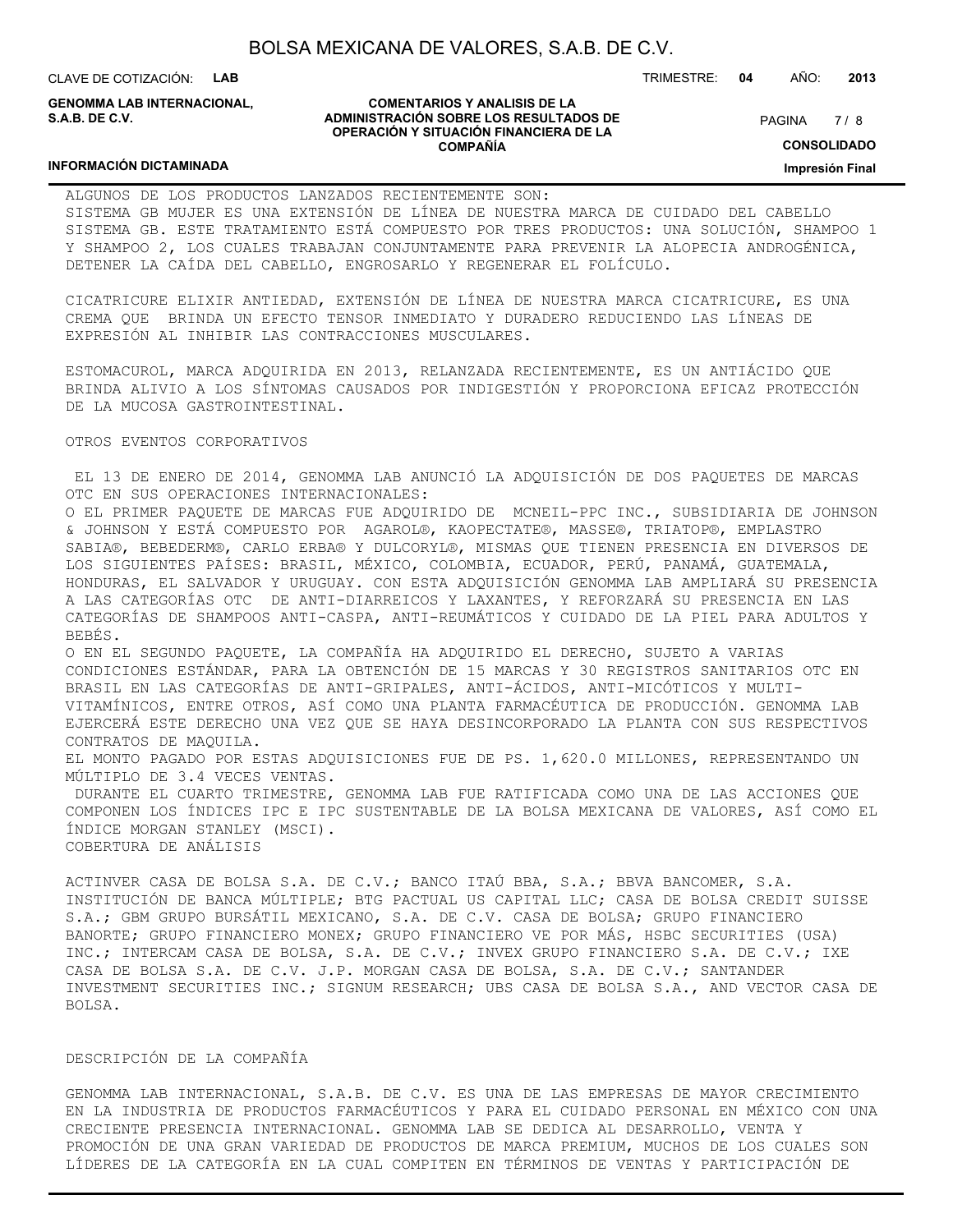CLAVE DE COTIZACIÓN: **LAB**

**GENOMMA LAB INTERNACIONAL, S.A.B. DE C.V.**

#### **COMENTARIOS Y ANALISIS DE LA ADMINISTRACIÓN SOBRE LOS RESULTADOS DE OPERACIÓN Y SITUACIÓN FINANCIERA DE LA COMPAÑÍA**

 $7/8$ PAGINA

TRIMESTRE: **04** AÑO: **2013**

**CONSOLIDADO**

**Impresión Final**

#### **INFORMACIÓN DICTAMINADA**

ALGUNOS DE LOS PRODUCTOS LANZADOS RECIENTEMENTE SON: SISTEMA GB MUJER ES UNA EXTENSIÓN DE LÍNEA DE NUESTRA MARCA DE CUIDADO DEL CABELLO SISTEMA GB. ESTE TRATAMIENTO ESTÁ COMPUESTO POR TRES PRODUCTOS: UNA SOLUCIÓN, SHAMPOO 1 Y SHAMPOO 2, LOS CUALES TRABAJAN CONJUNTAMENTE PARA PREVENIR LA ALOPECIA ANDROGÉNICA, DETENER LA CAÍDA DEL CABELLO, ENGROSARLO Y REGENERAR EL FOLÍCULO.

CICATRICURE ELIXIR ANTIEDAD, EXTENSIÓN DE LÍNEA DE NUESTRA MARCA CICATRICURE, ES UNA CREMA QUE BRINDA UN EFECTO TENSOR INMEDIATO Y DURADERO REDUCIENDO LAS LÍNEAS DE EXPRESIÓN AL INHIBIR LAS CONTRACCIONES MUSCULARES.

ESTOMACUROL, MARCA ADQUIRIDA EN 2013, RELANZADA RECIENTEMENTE, ES UN ANTIÁCIDO QUE BRINDA ALIVIO A LOS SÍNTOMAS CAUSADOS POR INDIGESTIÓN Y PROPORCIONA EFICAZ PROTECCIÓN DE LA MUCOSA GASTROINTESTINAL.

#### OTROS EVENTOS CORPORATIVOS

 EL 13 DE ENERO DE 2014, GENOMMA LAB ANUNCIÓ LA ADQUISICIÓN DE DOS PAQUETES DE MARCAS OTC EN SUS OPERACIONES INTERNACIONALES:

O EL PRIMER PAQUETE DE MARCAS FUE ADQUIRIDO DE MCNEIL-PPC INC., SUBSIDIARIA DE JOHNSON & JOHNSON Y ESTÁ COMPUESTO POR AGAROL®, KAOPECTATE®, MASSE®, TRIATOP®, EMPLASTRO SABIA®, BEBEDERM®, CARLO ERBA® Y DULCORYL®, MISMAS QUE TIENEN PRESENCIA EN DIVERSOS DE LOS SIGUIENTES PAÍSES: BRASIL, MÉXICO, COLOMBIA, ECUADOR, PERÚ, PANAMÁ, GUATEMALA, HONDURAS, EL SALVADOR Y URUGUAY. CON ESTA ADQUISICIÓN GENOMMA LAB AMPLIARÁ SU PRESENCIA A LAS CATEGORÍAS OTC DE ANTI-DIARREICOS Y LAXANTES, Y REFORZARÁ SU PRESENCIA EN LAS CATEGORÍAS DE SHAMPOOS ANTI-CASPA, ANTI-REUMÁTICOS Y CUIDADO DE LA PIEL PARA ADULTOS Y BEBÉS.

O EN EL SEGUNDO PAQUETE, LA COMPAÑÍA HA ADQUIRIDO EL DERECHO, SUJETO A VARIAS CONDICIONES ESTÁNDAR, PARA LA OBTENCIÓN DE 15 MARCAS Y 30 REGISTROS SANITARIOS OTC EN BRASIL EN LAS CATEGORÍAS DE ANTI-GRIPALES, ANTI-ÁCIDOS, ANTI-MICÓTICOS Y MULTI-VITAMÍNICOS, ENTRE OTROS, ASÍ COMO UNA PLANTA FARMACÉUTICA DE PRODUCCIÓN. GENOMMA LAB EJERCERÁ ESTE DERECHO UNA VEZ QUE SE HAYA DESINCORPORADO LA PLANTA CON SUS RESPECTIVOS CONTRATOS DE MAQUILA. EL MONTO PAGADO POR ESTAS ADQUISICIONES FUE DE PS. 1,620.0 MILLONES, REPRESENTANDO UN

MÚLTIPLO DE 3.4 VECES VENTAS. DURANTE EL CUARTO TRIMESTRE, GENOMMA LAB FUE RATIFICADA COMO UNA DE LAS ACCIONES QUE COMPONEN LOS ÍNDICES IPC E IPC SUSTENTABLE DE LA BOLSA MEXICANA DE VALORES, ASÍ COMO EL ÍNDICE MORGAN STANLEY (MSCI). COBERTURA DE ANÁLISIS

ACTINVER CASA DE BOLSA S.A. DE C.V.; BANCO ITAÚ BBA, S.A.; BBVA BANCOMER, S.A. INSTITUCIÓN DE BANCA MÚLTIPLE; BTG PACTUAL US CAPITAL LLC; CASA DE BOLSA CREDIT SUISSE S.A.; GBM GRUPO BURSÁTIL MEXICANO, S.A. DE C.V. CASA DE BOLSA; GRUPO FINANCIERO BANORTE; GRUPO FINANCIERO MONEX; GRUPO FINANCIERO VE POR MÁS, HSBC SECURITIES (USA) INC.; INTERCAM CASA DE BOLSA, S.A. DE C.V.; INVEX GRUPO FINANCIERO S.A. DE C.V.; IXE CASA DE BOLSA S.A. DE C.V. J.P. MORGAN CASA DE BOLSA, S.A. DE C.V.; SANTANDER INVESTMENT SECURITIES INC.; SIGNUM RESEARCH; UBS CASA DE BOLSA S.A., AND VECTOR CASA DE BOLSA.

#### DESCRIPCIÓN DE LA COMPAÑÍA

GENOMMA LAB INTERNACIONAL, S.A.B. DE C.V. ES UNA DE LAS EMPRESAS DE MAYOR CRECIMIENTO EN LA INDUSTRIA DE PRODUCTOS FARMACÉUTICOS Y PARA EL CUIDADO PERSONAL EN MÉXICO CON UNA CRECIENTE PRESENCIA INTERNACIONAL. GENOMMA LAB SE DEDICA AL DESARROLLO, VENTA Y PROMOCIÓN DE UNA GRAN VARIEDAD DE PRODUCTOS DE MARCA PREMIUM, MUCHOS DE LOS CUALES SON LÍDERES DE LA CATEGORÍA EN LA CUAL COMPITEN EN TÉRMINOS DE VENTAS Y PARTICIPACIÓN DE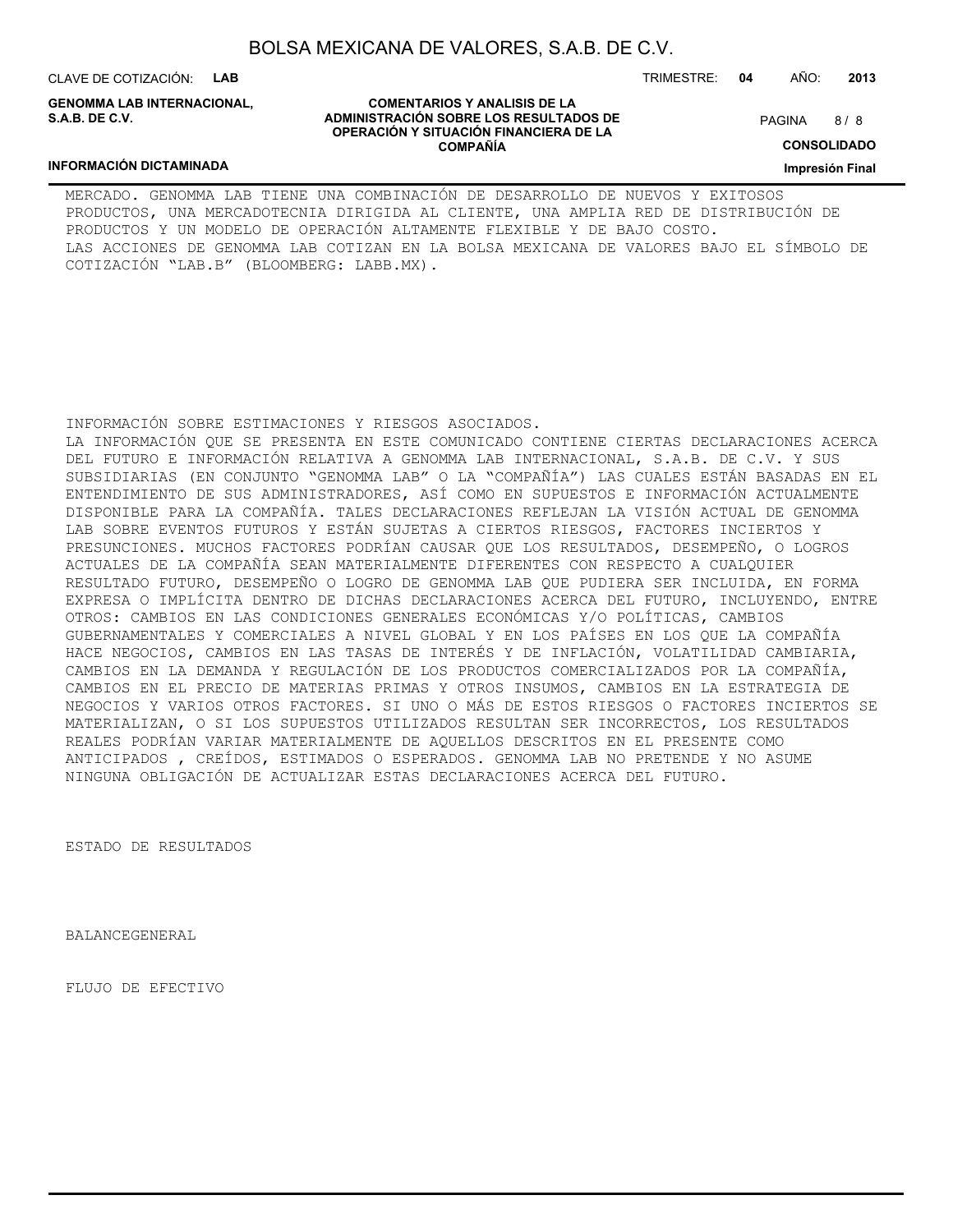CLAVE DE COTIZACIÓN: **LAB**

**INFORMACIÓN DICTAMINADA**

**GENOMMA LAB INTERNACIONAL, S.A.B. DE C.V.**

TRIMESTRE: **04** AÑO: **2013**

8/8 PAGINA

**CONSOLIDADO**

**Impresión Final**

#### MERCADO. GENOMMA LAB TIENE UNA COMBINACIÓN DE DESARROLLO DE NUEVOS Y EXITOSOS PRODUCTOS, UNA MERCADOTECNIA DIRIGIDA AL CLIENTE, UNA AMPLIA RED DE DISTRIBUCIÓN DE PRODUCTOS Y UN MODELO DE OPERACIÓN ALTAMENTE FLEXIBLE Y DE BAJO COSTO. LAS ACCIONES DE GENOMMA LAB COTIZAN EN LA BOLSA MEXICANA DE VALORES BAJO EL SÍMBOLO DE COTIZACIÓN "LAB.B" (BLOOMBERG: LABB.MX).

#### INFORMACIÓN SOBRE ESTIMACIONES Y RIESGOS ASOCIADOS.

LA INFORMACIÓN QUE SE PRESENTA EN ESTE COMUNICADO CONTIENE CIERTAS DECLARACIONES ACERCA DEL FUTURO E INFORMACIÓN RELATIVA A GENOMMA LAB INTERNACIONAL, S.A.B. DE C.V. Y SUS SUBSIDIARIAS (EN CONJUNTO "GENOMMA LAB" O LA "COMPAÑÍA") LAS CUALES ESTÁN BASADAS EN EL ENTENDIMIENTO DE SUS ADMINISTRADORES, ASÍ COMO EN SUPUESTOS E INFORMACIÓN ACTUALMENTE DISPONIBLE PARA LA COMPAÑÍA. TALES DECLARACIONES REFLEJAN LA VISIÓN ACTUAL DE GENOMMA LAB SOBRE EVENTOS FUTUROS Y ESTÁN SUJETAS A CIERTOS RIESGOS, FACTORES INCIERTOS Y PRESUNCIONES. MUCHOS FACTORES PODRÍAN CAUSAR QUE LOS RESULTADOS, DESEMPEÑO, O LOGROS ACTUALES DE LA COMPAÑÍA SEAN MATERIALMENTE DIFERENTES CON RESPECTO A CUALQUIER RESULTADO FUTURO, DESEMPEÑO O LOGRO DE GENOMMA LAB QUE PUDIERA SER INCLUIDA, EN FORMA EXPRESA O IMPLÍCITA DENTRO DE DICHAS DECLARACIONES ACERCA DEL FUTURO, INCLUYENDO, ENTRE OTROS: CAMBIOS EN LAS CONDICIONES GENERALES ECONÓMICAS Y/O POLÍTICAS, CAMBIOS GUBERNAMENTALES Y COMERCIALES A NIVEL GLOBAL Y EN LOS PAÍSES EN LOS QUE LA COMPAÑÍA HACE NEGOCIOS, CAMBIOS EN LAS TASAS DE INTERÉS Y DE INFLACIÓN, VOLATILIDAD CAMBIARIA, CAMBIOS EN LA DEMANDA Y REGULACIÓN DE LOS PRODUCTOS COMERCIALIZADOS POR LA COMPAÑÍA, CAMBIOS EN EL PRECIO DE MATERIAS PRIMAS Y OTROS INSUMOS, CAMBIOS EN LA ESTRATEGIA DE NEGOCIOS Y VARIOS OTROS FACTORES. SI UNO O MÁS DE ESTOS RIESGOS O FACTORES INCIERTOS SE MATERIALIZAN, O SI LOS SUPUESTOS UTILIZADOS RESULTAN SER INCORRECTOS, LOS RESULTADOS REALES PODRÍAN VARIAR MATERIALMENTE DE AQUELLOS DESCRITOS EN EL PRESENTE COMO ANTICIPADOS , CREÍDOS, ESTIMADOS O ESPERADOS. GENOMMA LAB NO PRETENDE Y NO ASUME NINGUNA OBLIGACIÓN DE ACTUALIZAR ESTAS DECLARACIONES ACERCA DEL FUTURO.

ESTADO DE RESULTADOS

BALANCEGENERAL

FLUJO DE EFECTIVO

**COMENTARIOS Y ANALISIS DE LA ADMINISTRACIÓN SOBRE LOS RESULTADOS DE OPERACIÓN Y SITUACIÓN FINANCIERA DE LA COMPAÑÍA**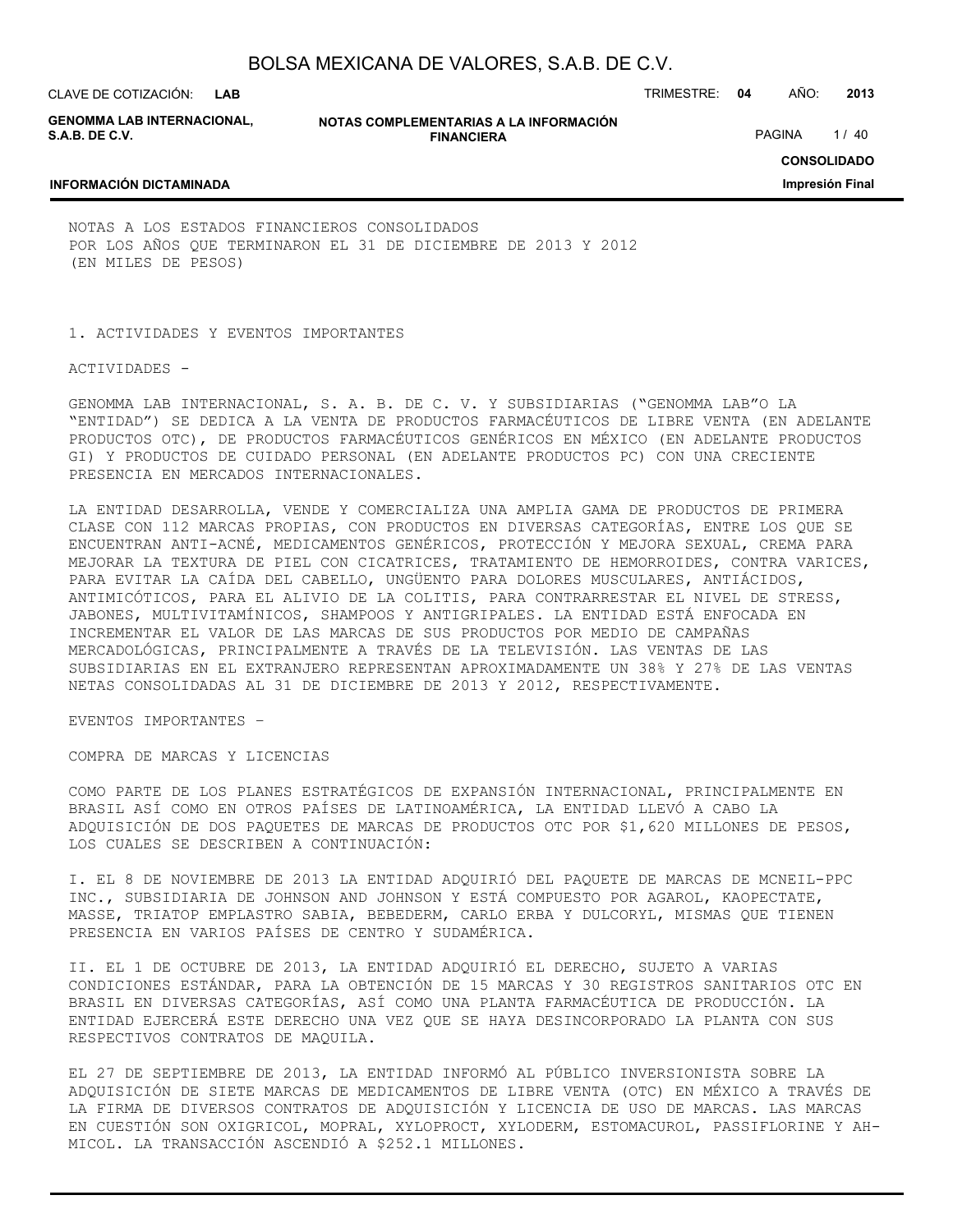**GENOMMA LAB INTERNACIONAL, S.A.B. DE C.V.**

**NOTAS COMPLEMENTARIAS A LA INFORMACIÓN FINANCIERA**

PAGINA 1/40

**CONSOLIDADO**

**Impresión Final**

#### **INFORMACIÓN DICTAMINADA**

NOTAS A LOS ESTADOS FINANCIEROS CONSOLIDADOS POR LOS AÑOS QUE TERMINARON EL 31 DE DICIEMBRE DE 2013 Y 2012 (EN MILES DE PESOS)

1. ACTIVIDADES Y EVENTOS IMPORTANTES

ACTIVIDADES -

GENOMMA LAB INTERNACIONAL, S. A. B. DE C. V. Y SUBSIDIARIAS ("GENOMMA LAB"O LA "ENTIDAD") SE DEDICA A LA VENTA DE PRODUCTOS FARMACÉUTICOS DE LIBRE VENTA (EN ADELANTE PRODUCTOS OTC), DE PRODUCTOS FARMACÉUTICOS GENÉRICOS EN MÉXICO (EN ADELANTE PRODUCTOS GI) Y PRODUCTOS DE CUIDADO PERSONAL (EN ADELANTE PRODUCTOS PC) CON UNA CRECIENTE PRESENCIA EN MERCADOS INTERNACIONALES.

LA ENTIDAD DESARROLLA, VENDE Y COMERCIALIZA UNA AMPLIA GAMA DE PRODUCTOS DE PRIMERA CLASE CON 112 MARCAS PROPIAS, CON PRODUCTOS EN DIVERSAS CATEGORÍAS, ENTRE LOS QUE SE ENCUENTRAN ANTI-ACNÉ, MEDICAMENTOS GENÉRICOS, PROTECCIÓN Y MEJORA SEXUAL, CREMA PARA MEJORAR LA TEXTURA DE PIEL CON CICATRICES, TRATAMIENTO DE HEMORROIDES, CONTRA VARICES, PARA EVITAR LA CAÍDA DEL CABELLO, UNGÜENTO PARA DOLORES MUSCULARES, ANTIÁCIDOS, ANTIMICÓTICOS, PARA EL ALIVIO DE LA COLITIS, PARA CONTRARRESTAR EL NIVEL DE STRESS, JABONES, MULTIVITAMÍNICOS, SHAMPOOS Y ANTIGRIPALES. LA ENTIDAD ESTÁ ENFOCADA EN INCREMENTAR EL VALOR DE LAS MARCAS DE SUS PRODUCTOS POR MEDIO DE CAMPAÑAS MERCADOLÓGICAS, PRINCIPALMENTE A TRAVÉS DE LA TELEVISIÓN. LAS VENTAS DE LAS SUBSIDIARIAS EN EL EXTRANJERO REPRESENTAN APROXIMADAMENTE UN 38% Y 27% DE LAS VENTAS NETAS CONSOLIDADAS AL 31 DE DICIEMBRE DE 2013 Y 2012, RESPECTIVAMENTE.

EVENTOS IMPORTANTES –

COMPRA DE MARCAS Y LICENCIAS

COMO PARTE DE LOS PLANES ESTRATÉGICOS DE EXPANSIÓN INTERNACIONAL, PRINCIPALMENTE EN BRASIL ASÍ COMO EN OTROS PAÍSES DE LATINOAMÉRICA, LA ENTIDAD LLEVÓ A CABO LA ADQUISICIÓN DE DOS PAQUETES DE MARCAS DE PRODUCTOS OTC POR \$1,620 MILLONES DE PESOS, LOS CUALES SE DESCRIBEN A CONTINUACIÓN:

I. EL 8 DE NOVIEMBRE DE 2013 LA ENTIDAD ADQUIRIÓ DEL PAQUETE DE MARCAS DE MCNEIL-PPC INC., SUBSIDIARIA DE JOHNSON AND JOHNSON Y ESTÁ COMPUESTO POR AGAROL, KAOPECTATE, MASSE, TRIATOP EMPLASTRO SABIA, BEBEDERM, CARLO ERBA Y DULCORYL, MISMAS QUE TIENEN PRESENCIA EN VARIOS PAÍSES DE CENTRO Y SUDAMÉRICA.

II. EL 1 DE OCTUBRE DE 2013, LA ENTIDAD ADQUIRIÓ EL DERECHO, SUJETO A VARIAS CONDICIONES ESTÁNDAR, PARA LA OBTENCIÓN DE 15 MARCAS Y 30 REGISTROS SANITARIOS OTC EN BRASIL EN DIVERSAS CATEGORÍAS, ASÍ COMO UNA PLANTA FARMACÉUTICA DE PRODUCCIÓN. LA ENTIDAD EJERCERÁ ESTE DERECHO UNA VEZ QUE SE HAYA DESINCORPORADO LA PLANTA CON SUS RESPECTIVOS CONTRATOS DE MAQUILA.

EL 27 DE SEPTIEMBRE DE 2013, LA ENTIDAD INFORMÓ AL PÚBLICO INVERSIONISTA SOBRE LA ADQUISICIÓN DE SIETE MARCAS DE MEDICAMENTOS DE LIBRE VENTA (OTC) EN MÉXICO A TRAVÉS DE LA FIRMA DE DIVERSOS CONTRATOS DE ADQUISICIÓN Y LICENCIA DE USO DE MARCAS. LAS MARCAS EN CUESTIÓN SON OXIGRICOL, MOPRAL, XYLOPROCT, XYLODERM, ESTOMACUROL, PASSIFLORINE Y AH-MICOL. LA TRANSACCIÓN ASCENDIÓ A \$252.1 MILLONES.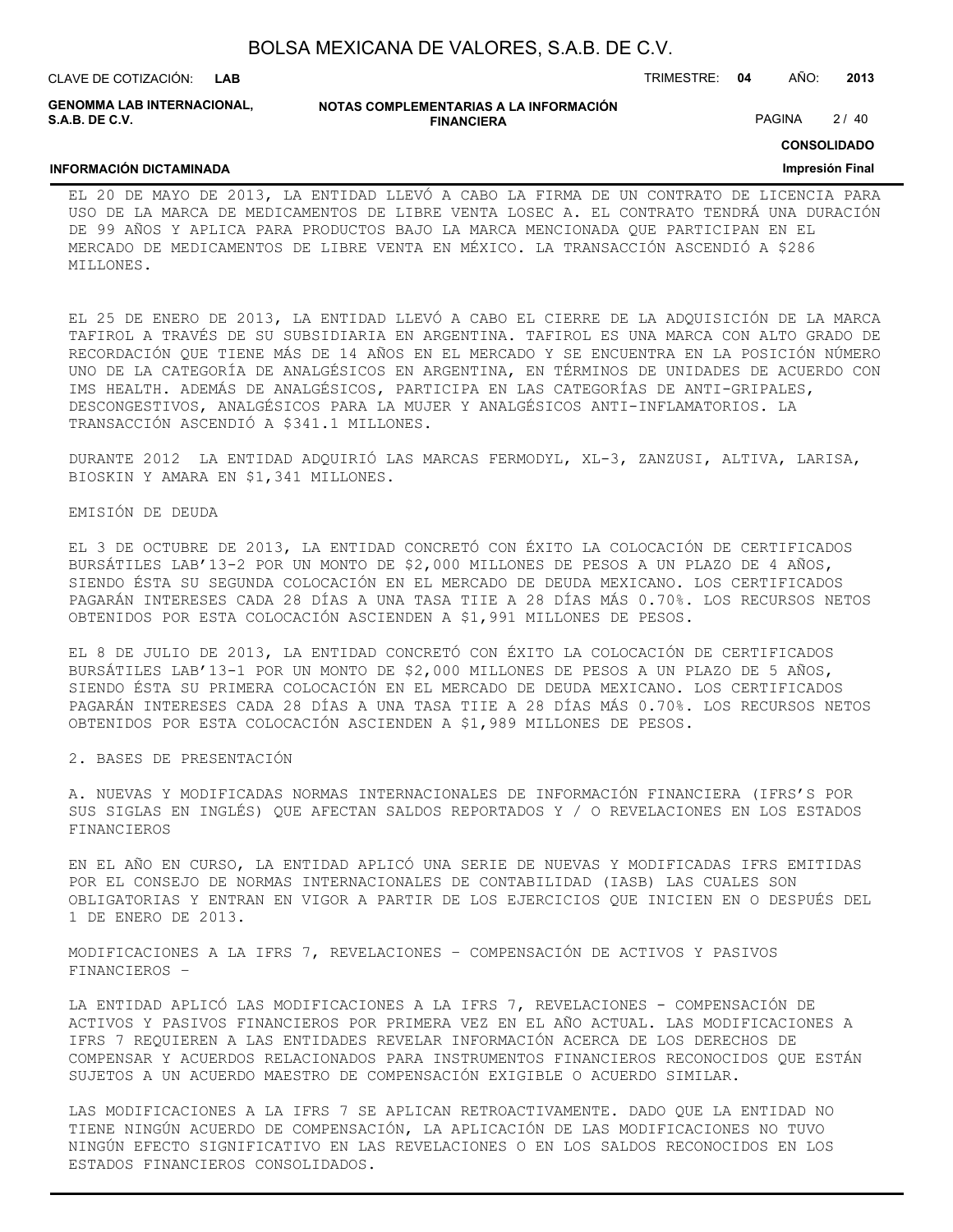| BOLSA MEXICANA DE VALORES, S.A.B. DE C.V. |  |  |  |
|-------------------------------------------|--|--|--|
|-------------------------------------------|--|--|--|

**NOTAS COMPLEMENTARIAS A LA INFORMACIÓN FINANCIERA GENOMMA LAB INTERNACIONAL,**

PAGINA 2/40

## **CONSOLIDADO**

#### **INFORMACIÓN DICTAMINADA**

**S.A.B. DE C.V.**

#### **Impresión Final**

EL 20 DE MAYO DE 2013, LA ENTIDAD LLEVÓ A CABO LA FIRMA DE UN CONTRATO DE LICENCIA PARA USO DE LA MARCA DE MEDICAMENTOS DE LIBRE VENTA LOSEC A. EL CONTRATO TENDRÁ UNA DURACIÓN DE 99 AÑOS Y APLICA PARA PRODUCTOS BAJO LA MARCA MENCIONADA QUE PARTICIPAN EN EL MERCADO DE MEDICAMENTOS DE LIBRE VENTA EN MÉXICO. LA TRANSACCIÓN ASCENDIÓ A \$286 MILLONES.

EL 25 DE ENERO DE 2013, LA ENTIDAD LLEVÓ A CABO EL CIERRE DE LA ADQUISICIÓN DE LA MARCA TAFIROL A TRAVÉS DE SU SUBSIDIARIA EN ARGENTINA. TAFIROL ES UNA MARCA CON ALTO GRADO DE RECORDACIÓN QUE TIENE MÁS DE 14 AÑOS EN EL MERCADO Y SE ENCUENTRA EN LA POSICIÓN NÚMERO UNO DE LA CATEGORÍA DE ANALGÉSICOS EN ARGENTINA, EN TÉRMINOS DE UNIDADES DE ACUERDO CON IMS HEALTH. ADEMÁS DE ANALGÉSICOS, PARTICIPA EN LAS CATEGORÍAS DE ANTI-GRIPALES, DESCONGESTIVOS, ANALGÉSICOS PARA LA MUJER Y ANALGÉSICOS ANTI-INFLAMATORIOS. LA TRANSACCIÓN ASCENDIÓ A \$341.1 MILLONES.

DURANTE 2012 LA ENTIDAD ADQUIRIÓ LAS MARCAS FERMODYL, XL-3, ZANZUSI, ALTIVA, LARISA, BIOSKIN Y AMARA EN \$1,341 MILLONES.

#### EMISIÓN DE DEUDA

EL 3 DE OCTUBRE DE 2013, LA ENTIDAD CONCRETÓ CON ÉXITO LA COLOCACIÓN DE CERTIFICADOS BURSÁTILES LAB'13-2 POR UN MONTO DE \$2,000 MILLONES DE PESOS A UN PLAZO DE 4 AÑOS, SIENDO ÉSTA SU SEGUNDA COLOCACIÓN EN EL MERCADO DE DEUDA MEXICANO. LOS CERTIFICADOS PAGARÁN INTERESES CADA 28 DÍAS A UNA TASA TIIE A 28 DÍAS MÁS 0.70%. LOS RECURSOS NETOS OBTENIDOS POR ESTA COLOCACIÓN ASCIENDEN A \$1,991 MILLONES DE PESOS.

EL 8 DE JULIO DE 2013, LA ENTIDAD CONCRETÓ CON ÉXITO LA COLOCACIÓN DE CERTIFICADOS BURSÁTILES LAB'13-1 POR UN MONTO DE \$2,000 MILLONES DE PESOS A UN PLAZO DE 5 AÑOS, SIENDO ÉSTA SU PRIMERA COLOCACIÓN EN EL MERCADO DE DEUDA MEXICANO. LOS CERTIFICADOS PAGARÁN INTERESES CADA 28 DÍAS A UNA TASA TIIE A 28 DÍAS MÁS 0.70%. LOS RECURSOS NETOS OBTENIDOS POR ESTA COLOCACIÓN ASCIENDEN A \$1,989 MILLONES DE PESOS.

2. BASES DE PRESENTACIÓN

A. NUEVAS Y MODIFICADAS NORMAS INTERNACIONALES DE INFORMACIÓN FINANCIERA (IFRS'S POR SUS SIGLAS EN INGLÉS) QUE AFECTAN SALDOS REPORTADOS Y / O REVELACIONES EN LOS ESTADOS FINANCIEROS

EN EL AÑO EN CURSO, LA ENTIDAD APLICÓ UNA SERIE DE NUEVAS Y MODIFICADAS IFRS EMITIDAS POR EL CONSEJO DE NORMAS INTERNACIONALES DE CONTABILIDAD (IASB) LAS CUALES SON OBLIGATORIAS Y ENTRAN EN VIGOR A PARTIR DE LOS EJERCICIOS QUE INICIEN EN O DESPUÉS DEL 1 DE ENERO DE 2013.

MODIFICACIONES A LA IFRS 7, REVELACIONES – COMPENSACIÓN DE ACTIVOS Y PASIVOS FINANCIEROS –

LA ENTIDAD APLICÓ LAS MODIFICACIONES A LA IFRS 7, REVELACIONES - COMPENSACIÓN DE ACTIVOS Y PASIVOS FINANCIEROS POR PRIMERA VEZ EN EL AÑO ACTUAL. LAS MODIFICACIONES A IFRS 7 REQUIEREN A LAS ENTIDADES REVELAR INFORMACIÓN ACERCA DE LOS DERECHOS DE COMPENSAR Y ACUERDOS RELACIONADOS PARA INSTRUMENTOS FINANCIEROS RECONOCIDOS QUE ESTÁN SUJETOS A UN ACUERDO MAESTRO DE COMPENSACIÓN EXIGIBLE O ACUERDO SIMILAR.

LAS MODIFICACIONES A LA IFRS 7 SE APLICAN RETROACTIVAMENTE. DADO QUE LA ENTIDAD NO TIENE NINGÚN ACUERDO DE COMPENSACIÓN, LA APLICACIÓN DE LAS MODIFICACIONES NO TUVO NINGÚN EFECTO SIGNIFICATIVO EN LAS REVELACIONES O EN LOS SALDOS RECONOCIDOS EN LOS ESTADOS FINANCIEROS CONSOLIDADOS.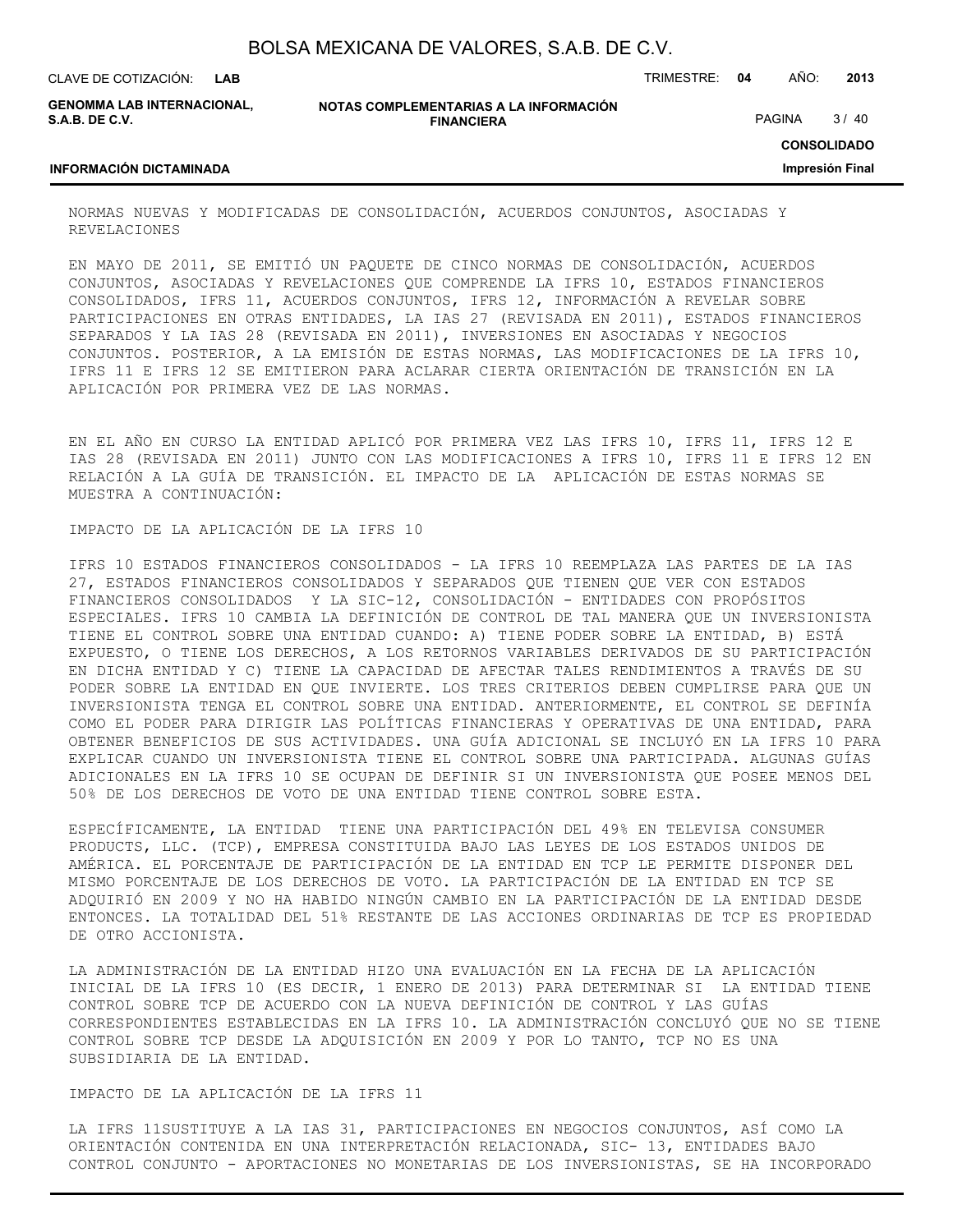| BOLSA MEXICANA DE VALORES, S.A.B. DE C.V. |  |  |  |
|-------------------------------------------|--|--|--|
|-------------------------------------------|--|--|--|

**GENOMMA LAB INTERNACIONAL, S.A.B. DE C.V.**

**NOTAS COMPLEMENTARIAS A LA INFORMACIÓN FINANCIERA**

PAGINA 3/40

**CONSOLIDADO**

#### **INFORMACIÓN DICTAMINADA**

NORMAS NUEVAS Y MODIFICADAS DE CONSOLIDACIÓN, ACUERDOS CONJUNTOS, ASOCIADAS Y REVELACIONES

EN MAYO DE 2011, SE EMITIÓ UN PAQUETE DE CINCO NORMAS DE CONSOLIDACIÓN, ACUERDOS CONJUNTOS, ASOCIADAS Y REVELACIONES QUE COMPRENDE LA IFRS 10, ESTADOS FINANCIEROS CONSOLIDADOS, IFRS 11, ACUERDOS CONJUNTOS, IFRS 12, INFORMACIÓN A REVELAR SOBRE PARTICIPACIONES EN OTRAS ENTIDADES, LA IAS 27 (REVISADA EN 2011), ESTADOS FINANCIEROS SEPARADOS Y LA IAS 28 (REVISADA EN 2011), INVERSIONES EN ASOCIADAS Y NEGOCIOS CONJUNTOS. POSTERIOR, A LA EMISIÓN DE ESTAS NORMAS, LAS MODIFICACIONES DE LA IFRS 10, IFRS 11 E IFRS 12 SE EMITIERON PARA ACLARAR CIERTA ORIENTACIÓN DE TRANSICIÓN EN LA APLICACIÓN POR PRIMERA VEZ DE LAS NORMAS.

EN EL AÑO EN CURSO LA ENTIDAD APLICÓ POR PRIMERA VEZ LAS IFRS 10, IFRS 11, IFRS 12 E IAS 28 (REVISADA EN 2011) JUNTO CON LAS MODIFICACIONES A IFRS 10, IFRS 11 E IFRS 12 EN RELACIÓN A LA GUÍA DE TRANSICIÓN. EL IMPACTO DE LA APLICACIÓN DE ESTAS NORMAS SE MUESTRA A CONTINUACIÓN:

#### IMPACTO DE LA APLICACIÓN DE LA IFRS 10

IFRS 10 ESTADOS FINANCIEROS CONSOLIDADOS - LA IFRS 10 REEMPLAZA LAS PARTES DE LA IAS 27, ESTADOS FINANCIEROS CONSOLIDADOS Y SEPARADOS QUE TIENEN QUE VER CON ESTADOS FINANCIEROS CONSOLIDADOS Y LA SIC-12, CONSOLIDACIÓN - ENTIDADES CON PROPÓSITOS ESPECIALES. IFRS 10 CAMBIA LA DEFINICIÓN DE CONTROL DE TAL MANERA QUE UN INVERSIONISTA TIENE EL CONTROL SOBRE UNA ENTIDAD CUANDO: A) TIENE PODER SOBRE LA ENTIDAD, B) ESTÁ EXPUESTO, O TIENE LOS DERECHOS, A LOS RETORNOS VARIABLES DERIVADOS DE SU PARTICIPACIÓN EN DICHA ENTIDAD Y C) TIENE LA CAPACIDAD DE AFECTAR TALES RENDIMIENTOS A TRAVÉS DE SU PODER SOBRE LA ENTIDAD EN QUE INVIERTE. LOS TRES CRITERIOS DEBEN CUMPLIRSE PARA QUE UN INVERSIONISTA TENGA EL CONTROL SOBRE UNA ENTIDAD. ANTERIORMENTE, EL CONTROL SE DEFINÍA COMO EL PODER PARA DIRIGIR LAS POLÍTICAS FINANCIERAS Y OPERATIVAS DE UNA ENTIDAD, PARA OBTENER BENEFICIOS DE SUS ACTIVIDADES. UNA GUÍA ADICIONAL SE INCLUYÓ EN LA IFRS 10 PARA EXPLICAR CUANDO UN INVERSIONISTA TIENE EL CONTROL SOBRE UNA PARTICIPADA. ALGUNAS GUÍAS ADICIONALES EN LA IFRS 10 SE OCUPAN DE DEFINIR SI UN INVERSIONISTA QUE POSEE MENOS DEL 50% DE LOS DERECHOS DE VOTO DE UNA ENTIDAD TIENE CONTROL SOBRE ESTA.

ESPECÍFICAMENTE, LA ENTIDAD TIENE UNA PARTICIPACIÓN DEL 49% EN TELEVISA CONSUMER PRODUCTS, LLC. (TCP), EMPRESA CONSTITUIDA BAJO LAS LEYES DE LOS ESTADOS UNIDOS DE AMÉRICA. EL PORCENTAJE DE PARTICIPACIÓN DE LA ENTIDAD EN TCP LE PERMITE DISPONER DEL MISMO PORCENTAJE DE LOS DERECHOS DE VOTO. LA PARTICIPACIÓN DE LA ENTIDAD EN TCP SE ADQUIRIÓ EN 2009 Y NO HA HABIDO NINGÚN CAMBIO EN LA PARTICIPACIÓN DE LA ENTIDAD DESDE ENTONCES. LA TOTALIDAD DEL 51% RESTANTE DE LAS ACCIONES ORDINARIAS DE TCP ES PROPIEDAD DE OTRO ACCIONISTA.

LA ADMINISTRACIÓN DE LA ENTIDAD HIZO UNA EVALUACIÓN EN LA FECHA DE LA APLICACIÓN INICIAL DE LA IFRS 10 (ES DECIR, 1 ENERO DE 2013) PARA DETERMINAR SI LA ENTIDAD TIENE CONTROL SOBRE TCP DE ACUERDO CON LA NUEVA DEFINICIÓN DE CONTROL Y LAS GUÍAS CORRESPONDIENTES ESTABLECIDAS EN LA IFRS 10. LA ADMINISTRACIÓN CONCLUYÓ QUE NO SE TIENE CONTROL SOBRE TCP DESDE LA ADQUISICIÓN EN 2009 Y POR LO TANTO, TCP NO ES UNA SUBSIDIARIA DE LA ENTIDAD.

IMPACTO DE LA APLICACIÓN DE LA IFRS 11

LA IFRS 11SUSTITUYE A LA IAS 31, PARTICIPACIONES EN NEGOCIOS CONJUNTOS, ASÍ COMO LA ORIENTACIÓN CONTENIDA EN UNA INTERPRETACIÓN RELACIONADA, SIC- 13, ENTIDADES BAJO CONTROL CONJUNTO - APORTACIONES NO MONETARIAS DE LOS INVERSIONISTAS, SE HA INCORPORADO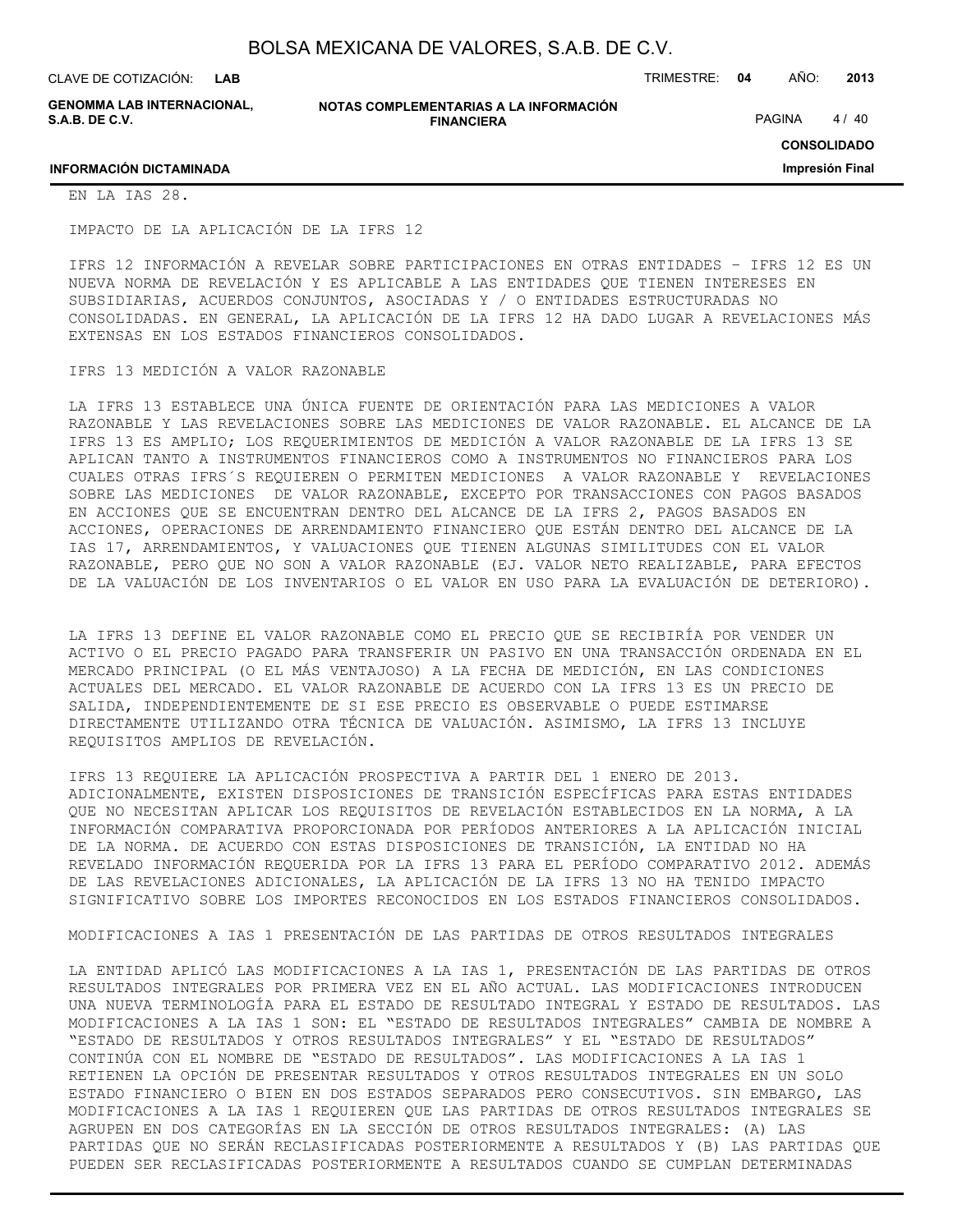CLAVE DE COTIZACIÓN: TRIMESTRE: **04** AÑO: **2013 LAB**

**GENOMMA LAB INTERNACIONAL, S.A.B. DE C.V.**

**NOTAS COMPLEMENTARIAS A LA INFORMACIÓN FINANCIERA**

PAGINA 4/40

**CONSOLIDADO**

**Impresión Final**

## **INFORMACIÓN DICTAMINADA**

EN LA IAS 28.

IMPACTO DE LA APLICACIÓN DE LA IFRS 12

IFRS 12 INFORMACIÓN A REVELAR SOBRE PARTICIPACIONES EN OTRAS ENTIDADES – IFRS 12 ES UN NUEVA NORMA DE REVELACIÓN Y ES APLICABLE A LAS ENTIDADES QUE TIENEN INTERESES EN SUBSIDIARIAS, ACUERDOS CONJUNTOS, ASOCIADAS Y / O ENTIDADES ESTRUCTURADAS NO CONSOLIDADAS. EN GENERAL, LA APLICACIÓN DE LA IFRS 12 HA DADO LUGAR A REVELACIONES MÁS EXTENSAS EN LOS ESTADOS FINANCIEROS CONSOLIDADOS.

#### IFRS 13 MEDICIÓN A VALOR RAZONABLE

LA IFRS 13 ESTABLECE UNA ÚNICA FUENTE DE ORIENTACIÓN PARA LAS MEDICIONES A VALOR RAZONABLE Y LAS REVELACIONES SOBRE LAS MEDICIONES DE VALOR RAZONABLE. EL ALCANCE DE LA IFRS 13 ES AMPLIO; LOS REQUERIMIENTOS DE MEDICIÓN A VALOR RAZONABLE DE LA IFRS 13 SE APLICAN TANTO A INSTRUMENTOS FINANCIEROS COMO A INSTRUMENTOS NO FINANCIEROS PARA LOS CUALES OTRAS IFRS´S REQUIEREN O PERMITEN MEDICIONES A VALOR RAZONABLE Y REVELACIONES SOBRE LAS MEDICIONES DE VALOR RAZONABLE, EXCEPTO POR TRANSACCIONES CON PAGOS BASADOS EN ACCIONES QUE SE ENCUENTRAN DENTRO DEL ALCANCE DE LA IFRS 2, PAGOS BASADOS EN ACCIONES, OPERACIONES DE ARRENDAMIENTO FINANCIERO QUE ESTÁN DENTRO DEL ALCANCE DE LA IAS 17, ARRENDAMIENTOS, Y VALUACIONES QUE TIENEN ALGUNAS SIMILITUDES CON EL VALOR RAZONABLE, PERO QUE NO SON A VALOR RAZONABLE (EJ. VALOR NETO REALIZABLE, PARA EFECTOS DE LA VALUACIÓN DE LOS INVENTARIOS O EL VALOR EN USO PARA LA EVALUACIÓN DE DETERIORO).

LA IFRS 13 DEFINE EL VALOR RAZONABLE COMO EL PRECIO QUE SE RECIBIRÍA POR VENDER UN ACTIVO O EL PRECIO PAGADO PARA TRANSFERIR UN PASIVO EN UNA TRANSACCIÓN ORDENADA EN EL MERCADO PRINCIPAL (O EL MÁS VENTAJOSO) A LA FECHA DE MEDICIÓN, EN LAS CONDICIONES ACTUALES DEL MERCADO. EL VALOR RAZONABLE DE ACUERDO CON LA IFRS 13 ES UN PRECIO DE SALIDA, INDEPENDIENTEMENTE DE SI ESE PRECIO ES OBSERVABLE O PUEDE ESTIMARSE DIRECTAMENTE UTILIZANDO OTRA TÉCNICA DE VALUACIÓN. ASIMISMO, LA IFRS 13 INCLUYE REQUISITOS AMPLIOS DE REVELACIÓN.

IFRS 13 REQUIERE LA APLICACIÓN PROSPECTIVA A PARTIR DEL 1 ENERO DE 2013. ADICIONALMENTE, EXISTEN DISPOSICIONES DE TRANSICIÓN ESPECÍFICAS PARA ESTAS ENTIDADES QUE NO NECESITAN APLICAR LOS REQUISITOS DE REVELACIÓN ESTABLECIDOS EN LA NORMA, A LA INFORMACIÓN COMPARATIVA PROPORCIONADA POR PERÍODOS ANTERIORES A LA APLICACIÓN INICIAL DE LA NORMA. DE ACUERDO CON ESTAS DISPOSICIONES DE TRANSICIÓN, LA ENTIDAD NO HA REVELADO INFORMACIÓN REQUERIDA POR LA IFRS 13 PARA EL PERÍODO COMPARATIVO 2012. ADEMÁS DE LAS REVELACIONES ADICIONALES, LA APLICACIÓN DE LA IFRS 13 NO HA TENIDO IMPACTO SIGNIFICATIVO SOBRE LOS IMPORTES RECONOCIDOS EN LOS ESTADOS FINANCIEROS CONSOLIDADOS.

MODIFICACIONES A IAS 1 PRESENTACIÓN DE LAS PARTIDAS DE OTROS RESULTADOS INTEGRALES

LA ENTIDAD APLICÓ LAS MODIFICACIONES A LA IAS 1, PRESENTACIÓN DE LAS PARTIDAS DE OTROS RESULTADOS INTEGRALES POR PRIMERA VEZ EN EL AÑO ACTUAL. LAS MODIFICACIONES INTRODUCEN UNA NUEVA TERMINOLOGÍA PARA EL ESTADO DE RESULTADO INTEGRAL Y ESTADO DE RESULTADOS. LAS MODIFICACIONES A LA IAS 1 SON: EL "ESTADO DE RESULTADOS INTEGRALES" CAMBIA DE NOMBRE A "ESTADO DE RESULTADOS Y OTROS RESULTADOS INTEGRALES" Y EL "ESTADO DE RESULTADOS" CONTINÚA CON EL NOMBRE DE "ESTADO DE RESULTADOS". LAS MODIFICACIONES A LA IAS 1 RETIENEN LA OPCIÓN DE PRESENTAR RESULTADOS Y OTROS RESULTADOS INTEGRALES EN UN SOLO ESTADO FINANCIERO O BIEN EN DOS ESTADOS SEPARADOS PERO CONSECUTIVOS. SIN EMBARGO, LAS MODIFICACIONES A LA IAS 1 REQUIEREN QUE LAS PARTIDAS DE OTROS RESULTADOS INTEGRALES SE AGRUPEN EN DOS CATEGORÍAS EN LA SECCIÓN DE OTROS RESULTADOS INTEGRALES: (A) LAS PARTIDAS QUE NO SERÁN RECLASIFICADAS POSTERIORMENTE A RESULTADOS Y (B) LAS PARTIDAS QUE PUEDEN SER RECLASIFICADAS POSTERIORMENTE A RESULTADOS CUANDO SE CUMPLAN DETERMINADAS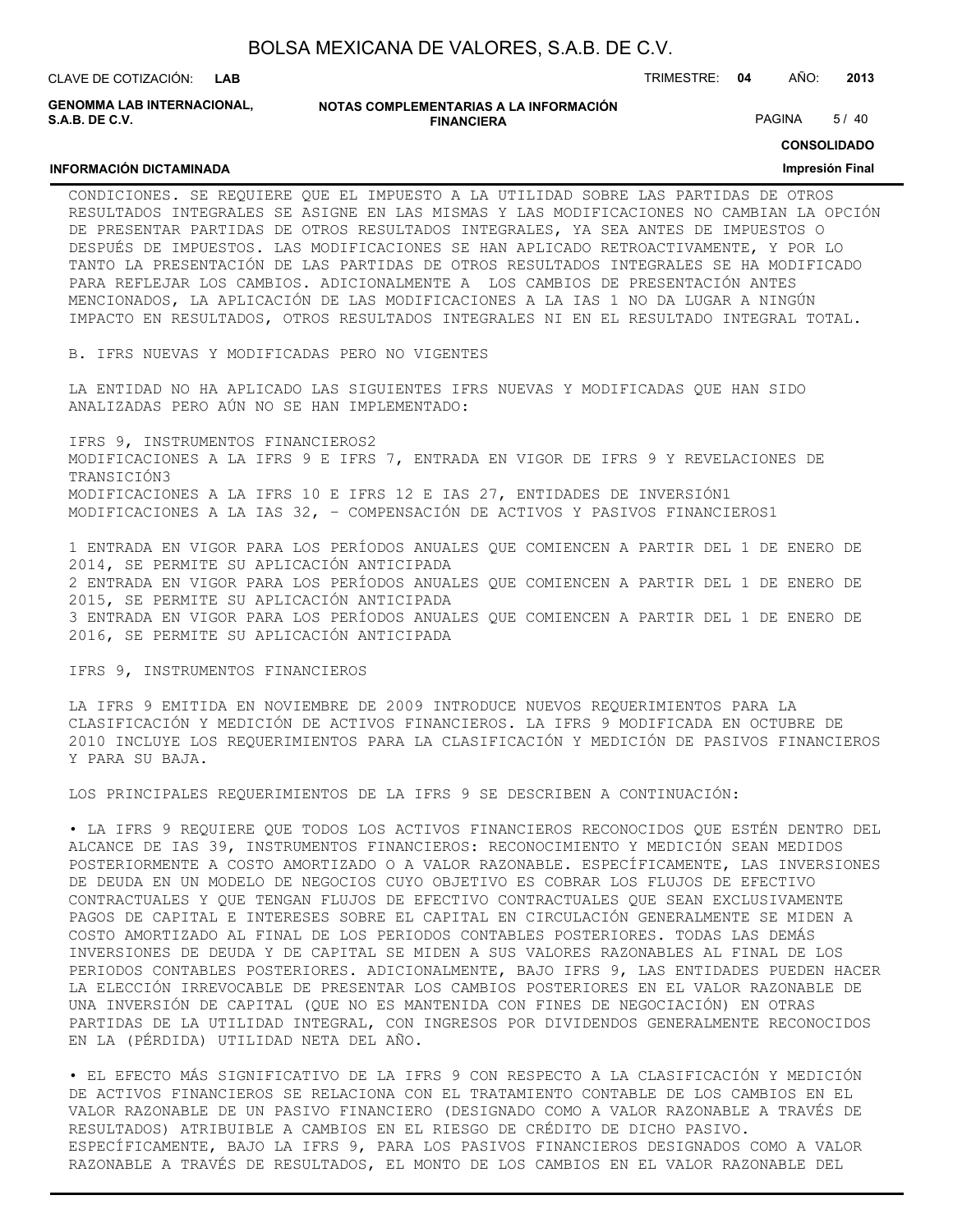| BOLSA MEXICANA DE VALORES, S.A.B. DE C.V. |  |  |
|-------------------------------------------|--|--|
|-------------------------------------------|--|--|

CLAVE DE COTIZACIÓN: TRIMESTRE: **04** AÑO: **2013 LAB GENOMMA LAB INTERNACIONAL,**

**NOTAS COMPLEMENTARIAS A LA INFORMACIÓN FINANCIERA**

PAGINA 5/40

#### **CONSOLIDADO**

#### **INFORMACIÓN DICTAMINADA**

**S.A.B. DE C.V.**

**Impresión Final**

CONDICIONES. SE REQUIERE QUE EL IMPUESTO A LA UTILIDAD SOBRE LAS PARTIDAS DE OTROS RESULTADOS INTEGRALES SE ASIGNE EN LAS MISMAS Y LAS MODIFICACIONES NO CAMBIAN LA OPCIÓN DE PRESENTAR PARTIDAS DE OTROS RESULTADOS INTEGRALES, YA SEA ANTES DE IMPUESTOS O DESPUÉS DE IMPUESTOS. LAS MODIFICACIONES SE HAN APLICADO RETROACTIVAMENTE, Y POR LO TANTO LA PRESENTACIÓN DE LAS PARTIDAS DE OTROS RESULTADOS INTEGRALES SE HA MODIFICADO PARA REFLEJAR LOS CAMBIOS. ADICIONALMENTE A LOS CAMBIOS DE PRESENTACIÓN ANTES MENCIONADOS, LA APLICACIÓN DE LAS MODIFICACIONES A LA IAS 1 NO DA LUGAR A NINGÚN IMPACTO EN RESULTADOS, OTROS RESULTADOS INTEGRALES NI EN EL RESULTADO INTEGRAL TOTAL.

B. IFRS NUEVAS Y MODIFICADAS PERO NO VIGENTES

LA ENTIDAD NO HA APLICADO LAS SIGUIENTES IFRS NUEVAS Y MODIFICADAS QUE HAN SIDO ANALIZADAS PERO AÚN NO SE HAN IMPLEMENTADO:

IFRS 9, INSTRUMENTOS FINANCIEROS2 MODIFICACIONES A LA IFRS 9 E IFRS 7, ENTRADA EN VIGOR DE IFRS 9 Y REVELACIONES DE TRANSICIÓN3 MODIFICACIONES A LA IFRS 10 E IFRS 12 E IAS 27, ENTIDADES DE INVERSIÓN1 MODIFICACIONES A LA IAS 32, – COMPENSACIÓN DE ACTIVOS Y PASIVOS FINANCIEROS1

1 ENTRADA EN VIGOR PARA LOS PERÍODOS ANUALES QUE COMIENCEN A PARTIR DEL 1 DE ENERO DE 2014, SE PERMITE SU APLICACIÓN ANTICIPADA 2 ENTRADA EN VIGOR PARA LOS PERÍODOS ANUALES QUE COMIENCEN A PARTIR DEL 1 DE ENERO DE 2015, SE PERMITE SU APLICACIÓN ANTICIPADA 3 ENTRADA EN VIGOR PARA LOS PERÍODOS ANUALES QUE COMIENCEN A PARTIR DEL 1 DE ENERO DE 2016, SE PERMITE SU APLICACIÓN ANTICIPADA

#### IFRS 9, INSTRUMENTOS FINANCIEROS

LA IFRS 9 EMITIDA EN NOVIEMBRE DE 2009 INTRODUCE NUEVOS REQUERIMIENTOS PARA LA CLASIFICACIÓN Y MEDICIÓN DE ACTIVOS FINANCIEROS. LA IFRS 9 MODIFICADA EN OCTUBRE DE 2010 INCLUYE LOS REQUERIMIENTOS PARA LA CLASIFICACIÓN Y MEDICIÓN DE PASIVOS FINANCIEROS Y PARA SU BAJA.

LOS PRINCIPALES REQUERIMIENTOS DE LA IFRS 9 SE DESCRIBEN A CONTINUACIÓN:

• LA IFRS 9 REQUIERE QUE TODOS LOS ACTIVOS FINANCIEROS RECONOCIDOS QUE ESTÉN DENTRO DEL ALCANCE DE IAS 39, INSTRUMENTOS FINANCIEROS: RECONOCIMIENTO Y MEDICIÓN SEAN MEDIDOS POSTERIORMENTE A COSTO AMORTIZADO O A VALOR RAZONABLE. ESPECÍFICAMENTE, LAS INVERSIONES DE DEUDA EN UN MODELO DE NEGOCIOS CUYO OBJETIVO ES COBRAR LOS FLUJOS DE EFECTIVO CONTRACTUALES Y QUE TENGAN FLUJOS DE EFECTIVO CONTRACTUALES QUE SEAN EXCLUSIVAMENTE PAGOS DE CAPITAL E INTERESES SOBRE EL CAPITAL EN CIRCULACIÓN GENERALMENTE SE MIDEN A COSTO AMORTIZADO AL FINAL DE LOS PERIODOS CONTABLES POSTERIORES. TODAS LAS DEMÁS INVERSIONES DE DEUDA Y DE CAPITAL SE MIDEN A SUS VALORES RAZONABLES AL FINAL DE LOS PERIODOS CONTABLES POSTERIORES. ADICIONALMENTE, BAJO IFRS 9, LAS ENTIDADES PUEDEN HACER LA ELECCIÓN IRREVOCABLE DE PRESENTAR LOS CAMBIOS POSTERIORES EN EL VALOR RAZONABLE DE UNA INVERSIÓN DE CAPITAL (QUE NO ES MANTENIDA CON FINES DE NEGOCIACIÓN) EN OTRAS PARTIDAS DE LA UTILIDAD INTEGRAL, CON INGRESOS POR DIVIDENDOS GENERALMENTE RECONOCIDOS EN LA (PÉRDIDA) UTILIDAD NETA DEL AÑO.

• EL EFECTO MÁS SIGNIFICATIVO DE LA IFRS 9 CON RESPECTO A LA CLASIFICACIÓN Y MEDICIÓN DE ACTIVOS FINANCIEROS SE RELACIONA CON EL TRATAMIENTO CONTABLE DE LOS CAMBIOS EN EL VALOR RAZONABLE DE UN PASIVO FINANCIERO (DESIGNADO COMO A VALOR RAZONABLE A TRAVÉS DE RESULTADOS) ATRIBUIBLE A CAMBIOS EN EL RIESGO DE CRÉDITO DE DICHO PASIVO. ESPECÍFICAMENTE, BAJO LA IFRS 9, PARA LOS PASIVOS FINANCIEROS DESIGNADOS COMO A VALOR RAZONABLE A TRAVÉS DE RESULTADOS, EL MONTO DE LOS CAMBIOS EN EL VALOR RAZONABLE DEL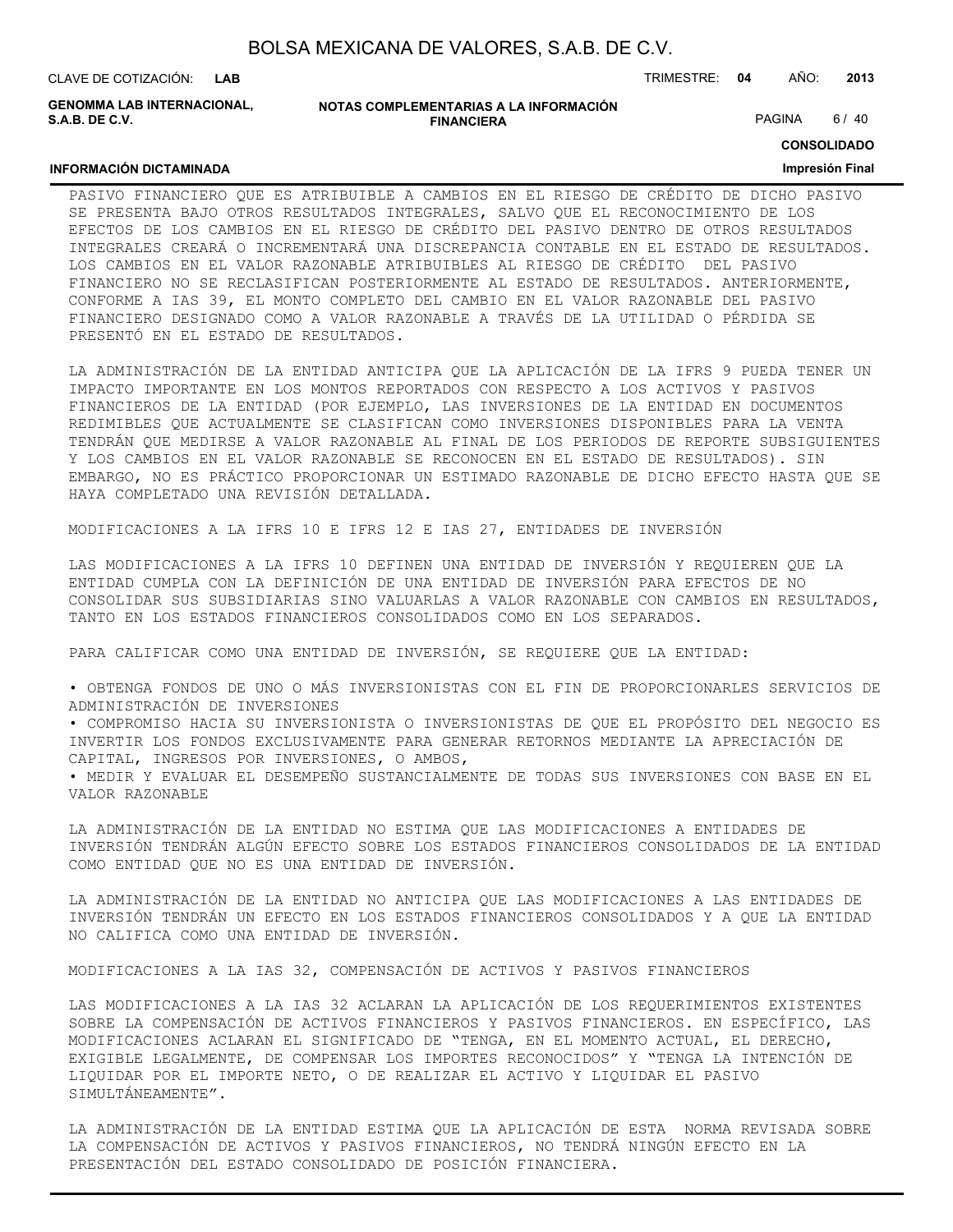| BOLSA MEXICANA DE VALORES, S.A.B. DE C.V. |  |  |
|-------------------------------------------|--|--|
|-------------------------------------------|--|--|

**INFORMACIÓN DICTAMINADA**

**GENOMMA LAB INTERNACIONAL, S.A.B. DE C.V.**

| NOTAS COMPLEMENTARIAS A LA INFORMACIÓN |
|----------------------------------------|
| <b>FINANCIERA</b>                      |

PAGINA 6/40

**CONSOLIDADO**

#### **Impresión Final**

PASIVO FINANCIERO QUE ES ATRIBUIBLE A CAMBIOS EN EL RIESGO DE CRÉDITO DE DICHO PASIVO SE PRESENTA BAJO OTROS RESULTADOS INTEGRALES, SALVO QUE EL RECONOCIMIENTO DE LOS EFECTOS DE LOS CAMBIOS EN EL RIESGO DE CRÉDITO DEL PASIVO DENTRO DE OTROS RESULTADOS INTEGRALES CREARÁ O INCREMENTARÁ UNA DISCREPANCIA CONTABLE EN EL ESTADO DE RESULTADOS. LOS CAMBIOS EN EL VALOR RAZONABLE ATRIBUIBLES AL RIESGO DE CRÉDITO DEL PASIVO FINANCIERO NO SE RECLASIFICAN POSTERIORMENTE AL ESTADO DE RESULTADOS. ANTERIORMENTE, CONFORME A IAS 39, EL MONTO COMPLETO DEL CAMBIO EN EL VALOR RAZONABLE DEL PASIVO FINANCIERO DESIGNADO COMO A VALOR RAZONABLE A TRAVÉS DE LA UTILIDAD O PÉRDIDA SE PRESENTÓ EN EL ESTADO DE RESULTADOS.

LA ADMINISTRACIÓN DE LA ENTIDAD ANTICIPA QUE LA APLICACIÓN DE LA IFRS 9 PUEDA TENER UN IMPACTO IMPORTANTE EN LOS MONTOS REPORTADOS CON RESPECTO A LOS ACTIVOS Y PASIVOS FINANCIEROS DE LA ENTIDAD (POR EJEMPLO, LAS INVERSIONES DE LA ENTIDAD EN DOCUMENTOS REDIMIBLES QUE ACTUALMENTE SE CLASIFICAN COMO INVERSIONES DISPONIBLES PARA LA VENTA TENDRÁN QUE MEDIRSE A VALOR RAZONABLE AL FINAL DE LOS PERIODOS DE REPORTE SUBSIGUIENTES Y LOS CAMBIOS EN EL VALOR RAZONABLE SE RECONOCEN EN EL ESTADO DE RESULTADOS). SIN EMBARGO, NO ES PRÁCTICO PROPORCIONAR UN ESTIMADO RAZONABLE DE DICHO EFECTO HASTA QUE SE HAYA COMPLETADO UNA REVISIÓN DETALLADA.

MODIFICACIONES A LA IFRS 10 E IFRS 12 E IAS 27, ENTIDADES DE INVERSIÓN

LAS MODIFICACIONES A LA IFRS 10 DEFINEN UNA ENTIDAD DE INVERSIÓN Y REQUIEREN QUE LA ENTIDAD CUMPLA CON LA DEFINICIÓN DE UNA ENTIDAD DE INVERSIÓN PARA EFECTOS DE NO CONSOLIDAR SUS SUBSIDIARIAS SINO VALUARLAS A VALOR RAZONABLE CON CAMBIOS EN RESULTADOS, TANTO EN LOS ESTADOS FINANCIEROS CONSOLIDADOS COMO EN LOS SEPARADOS.

PARA CALIFICAR COMO UNA ENTIDAD DE INVERSIÓN, SE REQUIERE QUE LA ENTIDAD:

• OBTENGA FONDOS DE UNO O MÁS INVERSIONISTAS CON EL FIN DE PROPORCIONARLES SERVICIOS DE ADMINISTRACIÓN DE INVERSIONES

• COMPROMISO HACIA SU INVERSIONISTA O INVERSIONISTAS DE QUE EL PROPÓSITO DEL NEGOCIO ES INVERTIR LOS FONDOS EXCLUSIVAMENTE PARA GENERAR RETORNOS MEDIANTE LA APRECIACIÓN DE CAPITAL, INGRESOS POR INVERSIONES, O AMBOS,

• MEDIR Y EVALUAR EL DESEMPEÑO SUSTANCIALMENTE DE TODAS SUS INVERSIONES CON BASE EN EL VALOR RAZONABLE

LA ADMINISTRACIÓN DE LA ENTIDAD NO ESTIMA QUE LAS MODIFICACIONES A ENTIDADES DE INVERSIÓN TENDRÁN ALGÚN EFECTO SOBRE LOS ESTADOS FINANCIEROS CONSOLIDADOS DE LA ENTIDAD COMO ENTIDAD QUE NO ES UNA ENTIDAD DE INVERSIÓN.

LA ADMINISTRACIÓN DE LA ENTIDAD NO ANTICIPA QUE LAS MODIFICACIONES A LAS ENTIDADES DE INVERSIÓN TENDRÁN UN EFECTO EN LOS ESTADOS FINANCIEROS CONSOLIDADOS Y A QUE LA ENTIDAD NO CALIFICA COMO UNA ENTIDAD DE INVERSIÓN.

MODIFICACIONES A LA IAS 32, COMPENSACIÓN DE ACTIVOS Y PASIVOS FINANCIEROS

LAS MODIFICACIONES A LA IAS 32 ACLARAN LA APLICACIÓN DE LOS REQUERIMIENTOS EXISTENTES SOBRE LA COMPENSACIÓN DE ACTIVOS FINANCIEROS Y PASIVOS FINANCIEROS. EN ESPECÍFICO, LAS MODIFICACIONES ACLARAN EL SIGNIFICADO DE "TENGA, EN EL MOMENTO ACTUAL, EL DERECHO, EXIGIBLE LEGALMENTE, DE COMPENSAR LOS IMPORTES RECONOCIDOS" Y "TENGA LA INTENCIÓN DE LIQUIDAR POR EL IMPORTE NETO, O DE REALIZAR EL ACTIVO Y LIQUIDAR EL PASIVO SIMULTÁNEAMENTE".

LA ADMINISTRACIÓN DE LA ENTIDAD ESTIMA QUE LA APLICACIÓN DE ESTA NORMA REVISADA SOBRE LA COMPENSACIÓN DE ACTIVOS Y PASIVOS FINANCIEROS, NO TENDRÁ NINGÚN EFECTO EN LA PRESENTACIÓN DEL ESTADO CONSOLIDADO DE POSICIÓN FINANCIERA.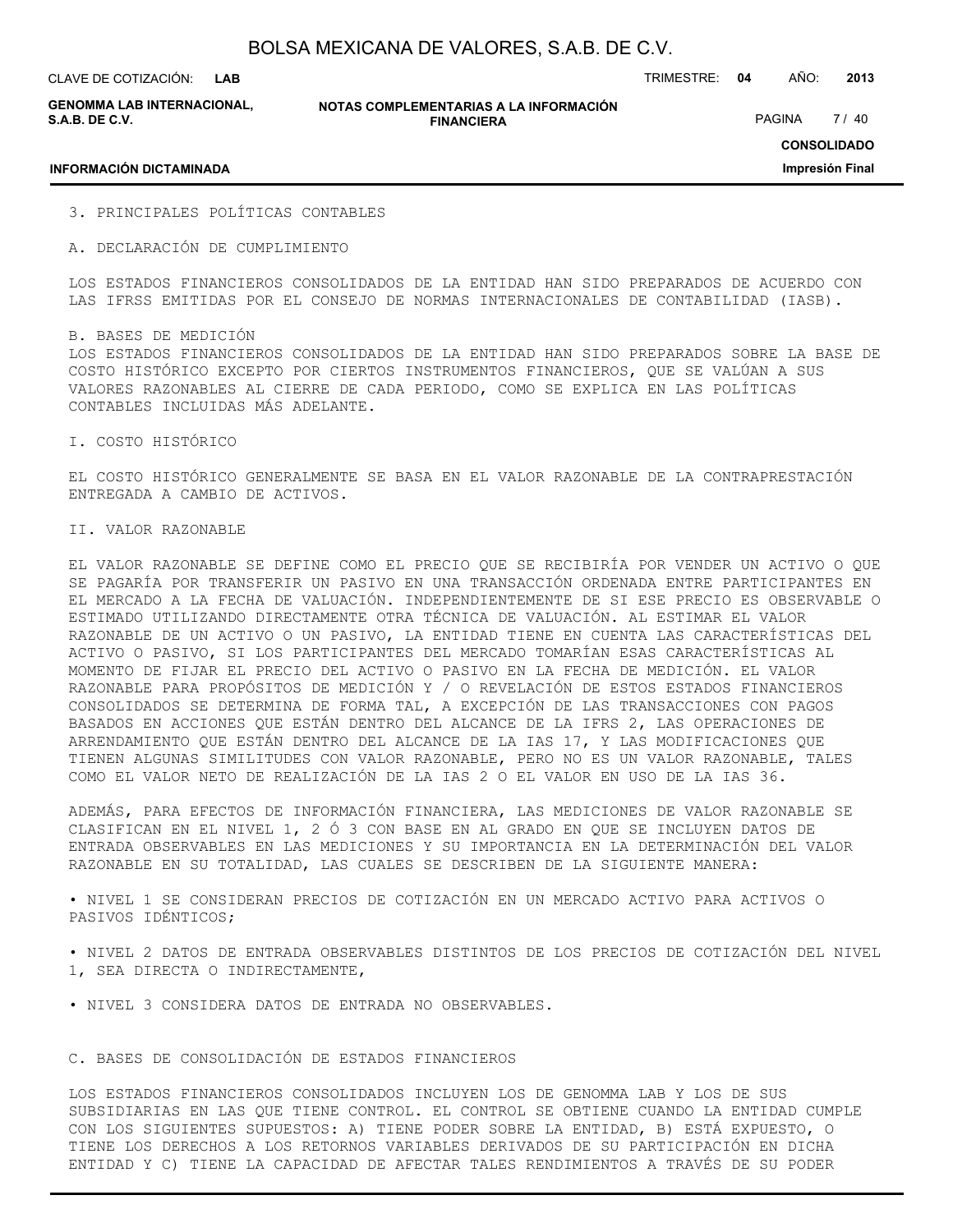**LAB**

CLAVE DE COTIZACIÓN: TRIMESTRE: **04** AÑO: **2013**

**GENOMMA LAB INTERNACIONAL, S.A.B. DE C.V.**

**NOTAS COMPLEMENTARIAS A LA INFORMACIÓN FINANCIERA**

PAGINA 7 / 40

#### **INFORMACIÓN DICTAMINADA**

**CONSOLIDADO Impresión Final**

- 3. PRINCIPALES POLÍTICAS CONTABLES
- A. DECLARACIÓN DE CUMPLIMIENTO

LOS ESTADOS FINANCIEROS CONSOLIDADOS DE LA ENTIDAD HAN SIDO PREPARADOS DE ACUERDO CON LAS IFRSS EMITIDAS POR EL CONSEJO DE NORMAS INTERNACIONALES DE CONTABILIDAD (IASB).

#### B. BASES DE MEDICIÓN

LOS ESTADOS FINANCIEROS CONSOLIDADOS DE LA ENTIDAD HAN SIDO PREPARADOS SOBRE LA BASE DE COSTO HISTÓRICO EXCEPTO POR CIERTOS INSTRUMENTOS FINANCIEROS, QUE SE VALÚAN A SUS VALORES RAZONABLES AL CIERRE DE CADA PERIODO, COMO SE EXPLICA EN LAS POLÍTICAS CONTABLES INCLUIDAS MÁS ADELANTE.

I. COSTO HISTÓRICO

EL COSTO HISTÓRICO GENERALMENTE SE BASA EN EL VALOR RAZONABLE DE LA CONTRAPRESTACIÓN ENTREGADA A CAMBIO DE ACTIVOS.

#### II. VALOR RAZONABLE

EL VALOR RAZONABLE SE DEFINE COMO EL PRECIO QUE SE RECIBIRÍA POR VENDER UN ACTIVO O QUE SE PAGARÍA POR TRANSFERIR UN PASIVO EN UNA TRANSACCIÓN ORDENADA ENTRE PARTICIPANTES EN EL MERCADO A LA FECHA DE VALUACIÓN. INDEPENDIENTEMENTE DE SI ESE PRECIO ES OBSERVABLE O ESTIMADO UTILIZANDO DIRECTAMENTE OTRA TÉCNICA DE VALUACIÓN. AL ESTIMAR EL VALOR RAZONABLE DE UN ACTIVO O UN PASIVO, LA ENTIDAD TIENE EN CUENTA LAS CARACTERÍSTICAS DEL ACTIVO O PASIVO, SI LOS PARTICIPANTES DEL MERCADO TOMARÍAN ESAS CARACTERÍSTICAS AL MOMENTO DE FIJAR EL PRECIO DEL ACTIVO O PASIVO EN LA FECHA DE MEDICIÓN. EL VALOR RAZONABLE PARA PROPÓSITOS DE MEDICIÓN Y / O REVELACIÓN DE ESTOS ESTADOS FINANCIEROS CONSOLIDADOS SE DETERMINA DE FORMA TAL, A EXCEPCIÓN DE LAS TRANSACCIONES CON PAGOS BASADOS EN ACCIONES QUE ESTÁN DENTRO DEL ALCANCE DE LA IFRS 2, LAS OPERACIONES DE ARRENDAMIENTO QUE ESTÁN DENTRO DEL ALCANCE DE LA IAS 17, Y LAS MODIFICACIONES QUE TIENEN ALGUNAS SIMILITUDES CON VALOR RAZONABLE, PERO NO ES UN VALOR RAZONABLE, TALES COMO EL VALOR NETO DE REALIZACIÓN DE LA IAS 2 O EL VALOR EN USO DE LA IAS 36.

ADEMÁS, PARA EFECTOS DE INFORMACIÓN FINANCIERA, LAS MEDICIONES DE VALOR RAZONABLE SE CLASIFICAN EN EL NIVEL 1, 2 Ó 3 CON BASE EN AL GRADO EN QUE SE INCLUYEN DATOS DE ENTRADA OBSERVABLES EN LAS MEDICIONES Y SU IMPORTANCIA EN LA DETERMINACIÓN DEL VALOR RAZONABLE EN SU TOTALIDAD, LAS CUALES SE DESCRIBEN DE LA SIGUIENTE MANERA:

• NIVEL 1 SE CONSIDERAN PRECIOS DE COTIZACIÓN EN UN MERCADO ACTIVO PARA ACTIVOS O PASIVOS IDÉNTICOS;

• NIVEL 2 DATOS DE ENTRADA OBSERVABLES DISTINTOS DE LOS PRECIOS DE COTIZACIÓN DEL NIVEL 1, SEA DIRECTA O INDIRECTAMENTE,

• NIVEL 3 CONSIDERA DATOS DE ENTRADA NO OBSERVABLES.

#### C. BASES DE CONSOLIDACIÓN DE ESTADOS FINANCIEROS

LOS ESTADOS FINANCIEROS CONSOLIDADOS INCLUYEN LOS DE GENOMMA LAB Y LOS DE SUS SUBSIDIARIAS EN LAS QUE TIENE CONTROL. EL CONTROL SE OBTIENE CUANDO LA ENTIDAD CUMPLE CON LOS SIGUIENTES SUPUESTOS: A) TIENE PODER SOBRE LA ENTIDAD, B) ESTÁ EXPUESTO, O TIENE LOS DERECHOS A LOS RETORNOS VARIABLES DERIVADOS DE SU PARTICIPACIÓN EN DICHA ENTIDAD Y C) TIENE LA CAPACIDAD DE AFECTAR TALES RENDIMIENTOS A TRAVÉS DE SU PODER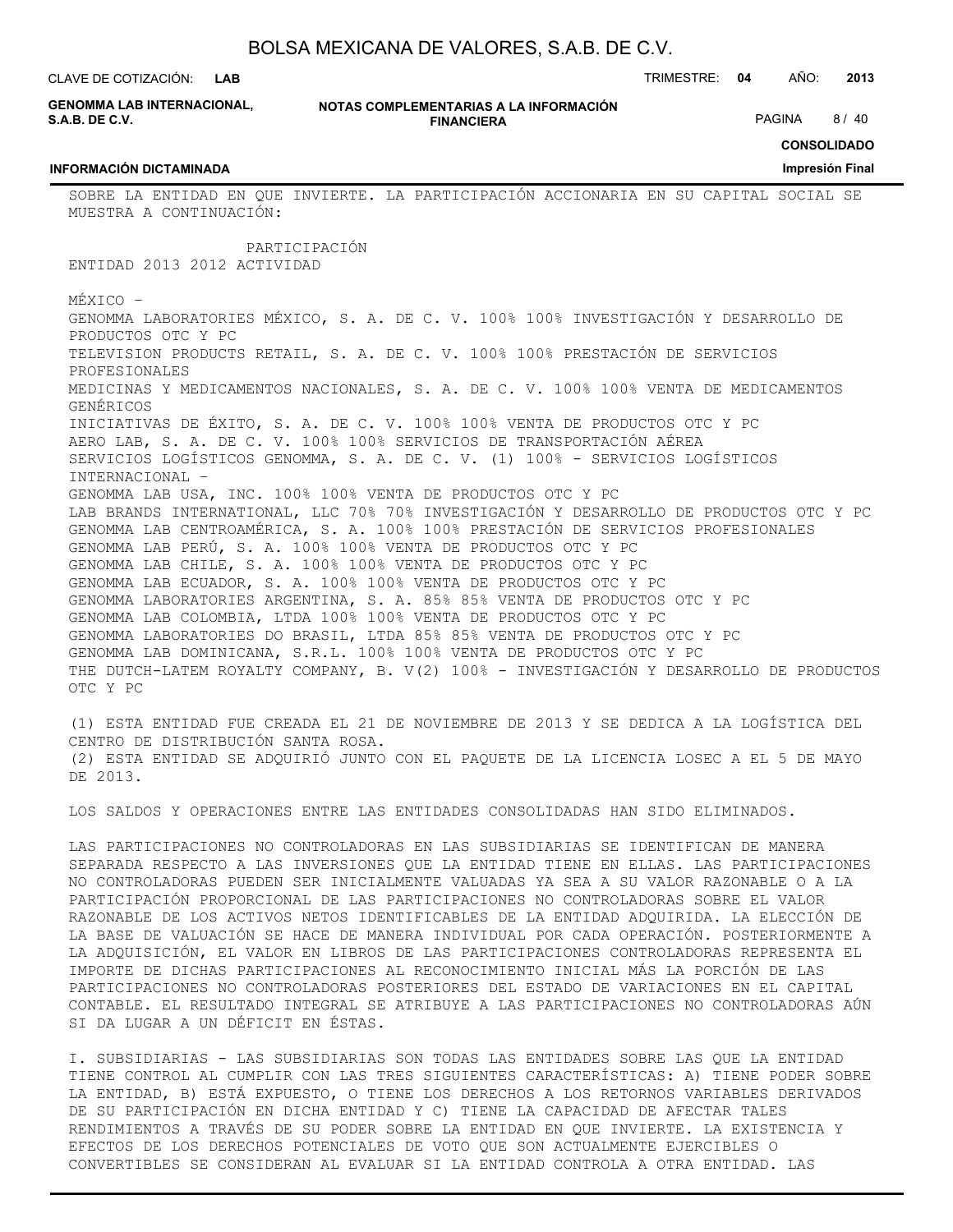**LAB**

CLAVE DE COTIZACIÓN: TRIMESTRE: **04** AÑO: **2013**

**GENOMMA LAB INTERNACIONAL, S.A.B. DE C.V.**

**INFORMACIÓN DICTAMINADA**

**NOTAS COMPLEMENTARIAS A LA INFORMACIÓN FINANCIERA**

PAGINA 8 / 40

**CONSOLIDADO**

#### **Impresión Final**

SOBRE LA ENTIDAD EN QUE INVIERTE. LA PARTICIPACIÓN ACCIONARIA EN SU CAPITAL SOCIAL SE MUESTRA A CONTINUACIÓN:

PARTICIPACIÓN

ENTIDAD 2013 2012 ACTIVIDAD

MÉXICO –

GENOMMA LABORATORIES MÉXICO, S. A. DE C. V. 100% 100% INVESTIGACIÓN Y DESARROLLO DE PRODUCTOS OTC Y PC TELEVISION PRODUCTS RETAIL, S. A. DE C. V. 100% 100% PRESTACIÓN DE SERVICIOS PROFESIONALES MEDICINAS Y MEDICAMENTOS NACIONALES, S. A. DE C. V. 100% 100% VENTA DE MEDICAMENTOS GENÉRICOS INICIATIVAS DE ÉXITO, S. A. DE C. V. 100% 100% VENTA DE PRODUCTOS OTC Y PC AERO LAB, S. A. DE C. V. 100% 100% SERVICIOS DE TRANSPORTACIÓN AÉREA SERVICIOS LOGÍSTICOS GENOMMA, S. A. DE C. V. (1) 100% - SERVICIOS LOGÍSTICOS INTERNACIONAL – GENOMMA LAB USA, INC. 100% 100% VENTA DE PRODUCTOS OTC Y PC LAB BRANDS INTERNATIONAL, LLC 70% 70% INVESTIGACIÓN Y DESARROLLO DE PRODUCTOS OTC Y PC GENOMMA LAB CENTROAMÉRICA, S. A. 100% 100% PRESTACIÓN DE SERVICIOS PROFESIONALES GENOMMA LAB PERÚ, S. A. 100% 100% VENTA DE PRODUCTOS OTC Y PC GENOMMA LAB CHILE, S. A. 100% 100% VENTA DE PRODUCTOS OTC Y PC GENOMMA LAB ECUADOR, S. A. 100% 100% VENTA DE PRODUCTOS OTC Y PC GENOMMA LABORATORIES ARGENTINA, S. A. 85% 85% VENTA DE PRODUCTOS OTC Y PC GENOMMA LAB COLOMBIA, LTDA 100% 100% VENTA DE PRODUCTOS OTC Y PC GENOMMA LABORATORIES DO BRASIL, LTDA 85% 85% VENTA DE PRODUCTOS OTC Y PC GENOMMA LAB DOMINICANA, S.R.L. 100% 100% VENTA DE PRODUCTOS OTC Y PC THE DUTCH-LATEM ROYALTY COMPANY, B. V(2) 100% - INVESTIGACIÓN Y DESARROLLO DE PRODUCTOS OTC Y PC

(1) ESTA ENTIDAD FUE CREADA EL 21 DE NOVIEMBRE DE 2013 Y SE DEDICA A LA LOGÍSTICA DEL CENTRO DE DISTRIBUCIÓN SANTA ROSA. (2) ESTA ENTIDAD SE ADQUIRIÓ JUNTO CON EL PAQUETE DE LA LICENCIA LOSEC A EL 5 DE MAYO DE 2013.

LOS SALDOS Y OPERACIONES ENTRE LAS ENTIDADES CONSOLIDADAS HAN SIDO ELIMINADOS.

LAS PARTICIPACIONES NO CONTROLADORAS EN LAS SUBSIDIARIAS SE IDENTIFICAN DE MANERA SEPARADA RESPECTO A LAS INVERSIONES QUE LA ENTIDAD TIENE EN ELLAS. LAS PARTICIPACIONES NO CONTROLADORAS PUEDEN SER INICIALMENTE VALUADAS YA SEA A SU VALOR RAZONABLE O A LA PARTICIPACIÓN PROPORCIONAL DE LAS PARTICIPACIONES NO CONTROLADORAS SOBRE EL VALOR RAZONABLE DE LOS ACTIVOS NETOS IDENTIFICABLES DE LA ENTIDAD ADQUIRIDA. LA ELECCIÓN DE LA BASE DE VALUACIÓN SE HACE DE MANERA INDIVIDUAL POR CADA OPERACIÓN. POSTERIORMENTE A LA ADQUISICIÓN, EL VALOR EN LIBROS DE LAS PARTICIPACIONES CONTROLADORAS REPRESENTA EL IMPORTE DE DICHAS PARTICIPACIONES AL RECONOCIMIENTO INICIAL MÁS LA PORCIÓN DE LAS PARTICIPACIONES NO CONTROLADORAS POSTERIORES DEL ESTADO DE VARIACIONES EN EL CAPITAL CONTABLE. EL RESULTADO INTEGRAL SE ATRIBUYE A LAS PARTICIPACIONES NO CONTROLADORAS AÚN SI DA LUGAR A UN DÉFICIT EN ÉSTAS.

I. SUBSIDIARIAS - LAS SUBSIDIARIAS SON TODAS LAS ENTIDADES SOBRE LAS QUE LA ENTIDAD TIENE CONTROL AL CUMPLIR CON LAS TRES SIGUIENTES CARACTERÍSTICAS: A) TIENE PODER SOBRE LA ENTIDAD, B) ESTÁ EXPUESTO, O TIENE LOS DERECHOS A LOS RETORNOS VARIABLES DERIVADOS DE SU PARTICIPACIÓN EN DICHA ENTIDAD Y C) TIENE LA CAPACIDAD DE AFECTAR TALES RENDIMIENTOS A TRAVÉS DE SU PODER SOBRE LA ENTIDAD EN QUE INVIERTE. LA EXISTENCIA Y EFECTOS DE LOS DERECHOS POTENCIALES DE VOTO QUE SON ACTUALMENTE EJERCIBLES O CONVERTIBLES SE CONSIDERAN AL EVALUAR SI LA ENTIDAD CONTROLA A OTRA ENTIDAD. LAS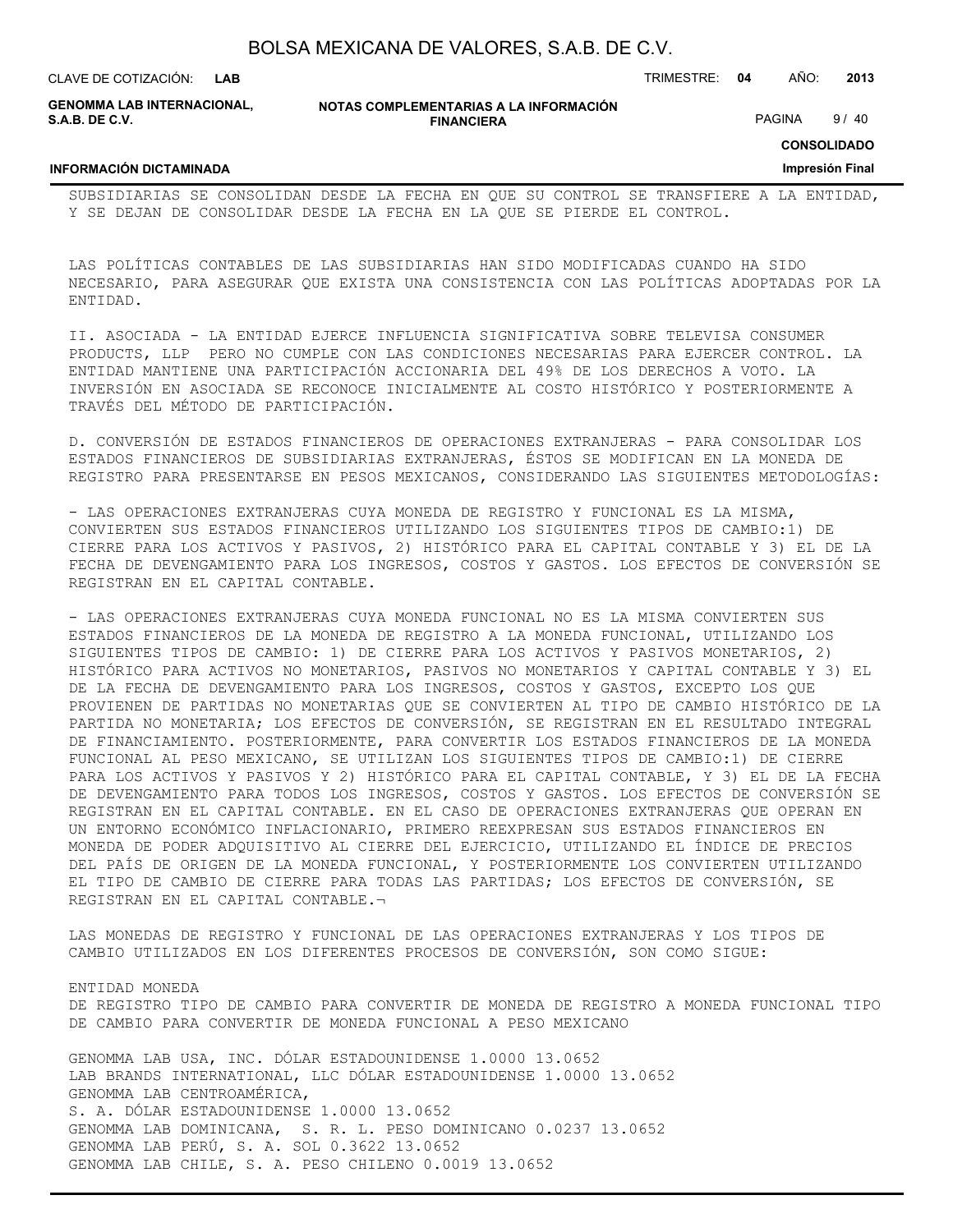CLAVE DE COTIZACIÓN: TRIMESTRE: **04** AÑO: **2013 LAB**

**GENOMMA LAB INTERNACIONAL, S.A.B. DE C.V.**

**NOTAS COMPLEMENTARIAS A LA INFORMACIÓN FINANCIERA**

PAGINA 9/40

**CONSOLIDADO**

#### **INFORMACIÓN DICTAMINADA**

ENTIDAD MONEDA

**Impresión Final**

SUBSIDIARIAS SE CONSOLIDAN DESDE LA FECHA EN QUE SU CONTROL SE TRANSFIERE A LA ENTIDAD, Y SE DEJAN DE CONSOLIDAR DESDE LA FECHA EN LA QUE SE PIERDE EL CONTROL.

LAS POLÍTICAS CONTABLES DE LAS SUBSIDIARIAS HAN SIDO MODIFICADAS CUANDO HA SIDO NECESARIO, PARA ASEGURAR QUE EXISTA UNA CONSISTENCIA CON LAS POLÍTICAS ADOPTADAS POR LA ENTIDAD.

II. ASOCIADA - LA ENTIDAD EJERCE INFLUENCIA SIGNIFICATIVA SOBRE TELEVISA CONSUMER PRODUCTS, LLP PERO NO CUMPLE CON LAS CONDICIONES NECESARIAS PARA EJERCER CONTROL. LA ENTIDAD MANTIENE UNA PARTICIPACIÓN ACCIONARIA DEL 49% DE LOS DERECHOS A VOTO. LA INVERSIÓN EN ASOCIADA SE RECONOCE INICIALMENTE AL COSTO HISTÓRICO Y POSTERIORMENTE A TRAVÉS DEL MÉTODO DE PARTICIPACIÓN.

D. CONVERSIÓN DE ESTADOS FINANCIEROS DE OPERACIONES EXTRANJERAS - PARA CONSOLIDAR LOS ESTADOS FINANCIEROS DE SUBSIDIARIAS EXTRANJERAS, ÉSTOS SE MODIFICAN EN LA MONEDA DE REGISTRO PARA PRESENTARSE EN PESOS MEXICANOS, CONSIDERANDO LAS SIGUIENTES METODOLOGÍAS:

- LAS OPERACIONES EXTRANJERAS CUYA MONEDA DE REGISTRO Y FUNCIONAL ES LA MISMA, CONVIERTEN SUS ESTADOS FINANCIEROS UTILIZANDO LOS SIGUIENTES TIPOS DE CAMBIO:1) DE CIERRE PARA LOS ACTIVOS Y PASIVOS, 2) HISTÓRICO PARA EL CAPITAL CONTABLE Y 3) EL DE LA FECHA DE DEVENGAMIENTO PARA LOS INGRESOS, COSTOS Y GASTOS. LOS EFECTOS DE CONVERSIÓN SE REGISTRAN EN EL CAPITAL CONTABLE.

- LAS OPERACIONES EXTRANJERAS CUYA MONEDA FUNCIONAL NO ES LA MISMA CONVIERTEN SUS ESTADOS FINANCIEROS DE LA MONEDA DE REGISTRO A LA MONEDA FUNCIONAL, UTILIZANDO LOS SIGUIENTES TIPOS DE CAMBIO: 1) DE CIERRE PARA LOS ACTIVOS Y PASIVOS MONETARIOS, 2) HISTÓRICO PARA ACTIVOS NO MONETARIOS, PASIVOS NO MONETARIOS Y CAPITAL CONTABLE Y 3) EL DE LA FECHA DE DEVENGAMIENTO PARA LOS INGRESOS, COSTOS Y GASTOS, EXCEPTO LOS QUE PROVIENEN DE PARTIDAS NO MONETARIAS QUE SE CONVIERTEN AL TIPO DE CAMBIO HISTÓRICO DE LA PARTIDA NO MONETARIA; LOS EFECTOS DE CONVERSIÓN, SE REGISTRAN EN EL RESULTADO INTEGRAL DE FINANCIAMIENTO. POSTERIORMENTE, PARA CONVERTIR LOS ESTADOS FINANCIEROS DE LA MONEDA FUNCIONAL AL PESO MEXICANO, SE UTILIZAN LOS SIGUIENTES TIPOS DE CAMBIO:1) DE CIERRE PARA LOS ACTIVOS Y PASIVOS Y 2) HISTÓRICO PARA EL CAPITAL CONTABLE, Y 3) EL DE LA FECHA DE DEVENGAMIENTO PARA TODOS LOS INGRESOS, COSTOS Y GASTOS. LOS EFECTOS DE CONVERSIÓN SE REGISTRAN EN EL CAPITAL CONTABLE. EN EL CASO DE OPERACIONES EXTRANJERAS QUE OPERAN EN UN ENTORNO ECONÓMICO INFLACIONARIO, PRIMERO REEXPRESAN SUS ESTADOS FINANCIEROS EN MONEDA DE PODER ADQUISITIVO AL CIERRE DEL EJERCICIO, UTILIZANDO EL ÍNDICE DE PRECIOS DEL PAÍS DE ORIGEN DE LA MONEDA FUNCIONAL, Y POSTERIORMENTE LOS CONVIERTEN UTILIZANDO EL TIPO DE CAMBIO DE CIERRE PARA TODAS LAS PARTIDAS; LOS EFECTOS DE CONVERSIÓN, SE REGISTRAN EN EL CAPITAL CONTABLE.¬

LAS MONEDAS DE REGISTRO Y FUNCIONAL DE LAS OPERACIONES EXTRANJERAS Y LOS TIPOS DE CAMBIO UTILIZADOS EN LOS DIFERENTES PROCESOS DE CONVERSIÓN, SON COMO SIGUE:

DE REGISTRO TIPO DE CAMBIO PARA CONVERTIR DE MONEDA DE REGISTRO A MONEDA FUNCIONAL TIPO DE CAMBIO PARA CONVERTIR DE MONEDA FUNCIONAL A PESO MEXICANO

GENOMMA LAB USA, INC. DÓLAR ESTADOUNIDENSE 1.0000 13.0652 LAB BRANDS INTERNATIONAL, LLC DÓLAR ESTADOUNIDENSE 1.0000 13.0652 GENOMMA LAB CENTROAMÉRICA, S. A. DÓLAR ESTADOUNIDENSE 1.0000 13.0652 GENOMMA LAB DOMINICANA, S. R. L. PESO DOMINICANO 0.0237 13.0652 GENOMMA LAB PERÚ, S. A. SOL 0.3622 13.0652 GENOMMA LAB CHILE, S. A. PESO CHILENO 0.0019 13.0652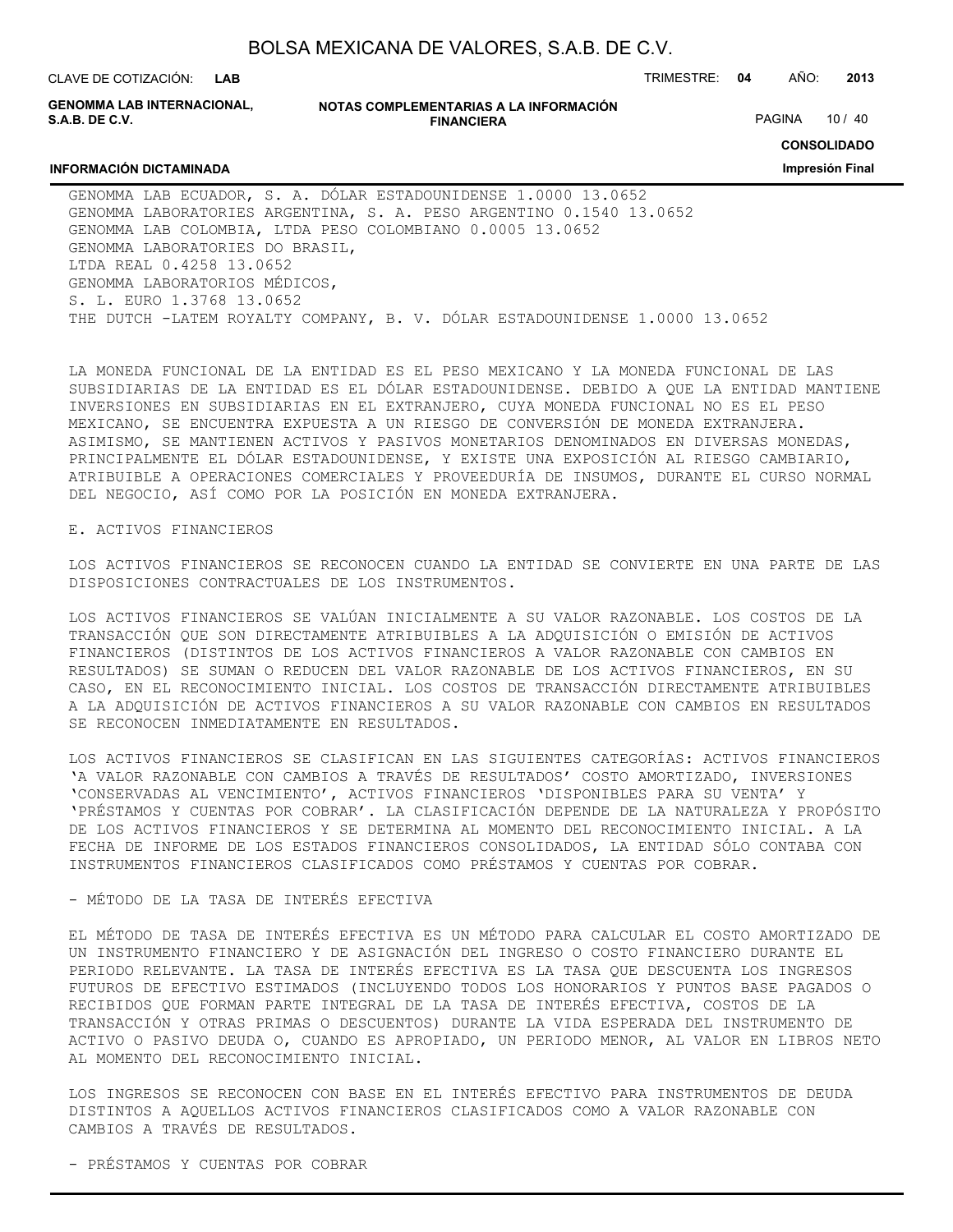CLAVE DE COTIZACIÓN: TRIMESTRE: **04** AÑO: **2013**

**GENOMMA LAB INTERNACIONAL, S.A.B. DE C.V.**

**INFORMACIÓN DICTAMINADA**

#### **NOTAS COMPLEMENTARIAS A LA INFORMACIÓN FINANCIERA**

PAGINA 10 / 40

**CONSOLIDADO**

**Impresión Final**

GENOMMA LAB ECUADOR, S. A. DÓLAR ESTADOUNIDENSE 1.0000 13.0652 GENOMMA LABORATORIES ARGENTINA, S. A. PESO ARGENTINO 0.1540 13.0652 GENOMMA LAB COLOMBIA, LTDA PESO COLOMBIANO 0.0005 13.0652 GENOMMA LABORATORIES DO BRASIL, LTDA REAL 0.4258 13.0652 GENOMMA LABORATORIOS MÉDICOS, S. L. EURO 1.3768 13.0652 THE DUTCH -LATEM ROYALTY COMPANY, B. V. DÓLAR ESTADOUNIDENSE 1.0000 13.0652

LA MONEDA FUNCIONAL DE LA ENTIDAD ES EL PESO MEXICANO Y LA MONEDA FUNCIONAL DE LAS SUBSIDIARIAS DE LA ENTIDAD ES EL DÓLAR ESTADOUNIDENSE. DEBIDO A QUE LA ENTIDAD MANTIENE INVERSIONES EN SUBSIDIARIAS EN EL EXTRANJERO, CUYA MONEDA FUNCIONAL NO ES EL PESO MEXICANO, SE ENCUENTRA EXPUESTA A UN RIESGO DE CONVERSIÓN DE MONEDA EXTRANJERA. ASIMISMO, SE MANTIENEN ACTIVOS Y PASIVOS MONETARIOS DENOMINADOS EN DIVERSAS MONEDAS, PRINCIPALMENTE EL DÓLAR ESTADOUNIDENSE, Y EXISTE UNA EXPOSICIÓN AL RIESGO CAMBIARIO, ATRIBUIBLE A OPERACIONES COMERCIALES Y PROVEEDURÍA DE INSUMOS, DURANTE EL CURSO NORMAL DEL NEGOCIO, ASÍ COMO POR LA POSICIÓN EN MONEDA EXTRANJERA.

#### E. ACTIVOS FINANCIEROS

LOS ACTIVOS FINANCIEROS SE RECONOCEN CUANDO LA ENTIDAD SE CONVIERTE EN UNA PARTE DE LAS DISPOSICIONES CONTRACTUALES DE LOS INSTRUMENTOS.

LOS ACTIVOS FINANCIEROS SE VALÚAN INICIALMENTE A SU VALOR RAZONABLE. LOS COSTOS DE LA TRANSACCIÓN QUE SON DIRECTAMENTE ATRIBUIBLES A LA ADQUISICIÓN O EMISIÓN DE ACTIVOS FINANCIEROS (DISTINTOS DE LOS ACTIVOS FINANCIEROS A VALOR RAZONABLE CON CAMBIOS EN RESULTADOS) SE SUMAN O REDUCEN DEL VALOR RAZONABLE DE LOS ACTIVOS FINANCIEROS, EN SU CASO, EN EL RECONOCIMIENTO INICIAL. LOS COSTOS DE TRANSACCIÓN DIRECTAMENTE ATRIBUIBLES A LA ADQUISICIÓN DE ACTIVOS FINANCIEROS A SU VALOR RAZONABLE CON CAMBIOS EN RESULTADOS SE RECONOCEN INMEDIATAMENTE EN RESULTADOS.

LOS ACTIVOS FINANCIEROS SE CLASIFICAN EN LAS SIGUIENTES CATEGORÍAS: ACTIVOS FINANCIEROS 'A VALOR RAZONABLE CON CAMBIOS A TRAVÉS DE RESULTADOS' COSTO AMORTIZADO, INVERSIONES 'CONSERVADAS AL VENCIMIENTO', ACTIVOS FINANCIEROS 'DISPONIBLES PARA SU VENTA' Y 'PRÉSTAMOS Y CUENTAS POR COBRAR'. LA CLASIFICACIÓN DEPENDE DE LA NATURALEZA Y PROPÓSITO DE LOS ACTIVOS FINANCIEROS Y SE DETERMINA AL MOMENTO DEL RECONOCIMIENTO INICIAL. A LA FECHA DE INFORME DE LOS ESTADOS FINANCIEROS CONSOLIDADOS, LA ENTIDAD SÓLO CONTABA CON INSTRUMENTOS FINANCIEROS CLASIFICADOS COMO PRÉSTAMOS Y CUENTAS POR COBRAR.

#### - MÉTODO DE LA TASA DE INTERÉS EFECTIVA

EL MÉTODO DE TASA DE INTERÉS EFECTIVA ES UN MÉTODO PARA CALCULAR EL COSTO AMORTIZADO DE UN INSTRUMENTO FINANCIERO Y DE ASIGNACIÓN DEL INGRESO O COSTO FINANCIERO DURANTE EL PERIODO RELEVANTE. LA TASA DE INTERÉS EFECTIVA ES LA TASA QUE DESCUENTA LOS INGRESOS FUTUROS DE EFECTIVO ESTIMADOS (INCLUYENDO TODOS LOS HONORARIOS Y PUNTOS BASE PAGADOS O RECIBIDOS QUE FORMAN PARTE INTEGRAL DE LA TASA DE INTERÉS EFECTIVA, COSTOS DE LA TRANSACCIÓN Y OTRAS PRIMAS O DESCUENTOS) DURANTE LA VIDA ESPERADA DEL INSTRUMENTO DE ACTIVO O PASIVO DEUDA O, CUANDO ES APROPIADO, UN PERIODO MENOR, AL VALOR EN LIBROS NETO AL MOMENTO DEL RECONOCIMIENTO INICIAL.

LOS INGRESOS SE RECONOCEN CON BASE EN EL INTERÉS EFECTIVO PARA INSTRUMENTOS DE DEUDA DISTINTOS A AQUELLOS ACTIVOS FINANCIEROS CLASIFICADOS COMO A VALOR RAZONABLE CON CAMBIOS A TRAVÉS DE RESULTADOS.

- PRÉSTAMOS Y CUENTAS POR COBRAR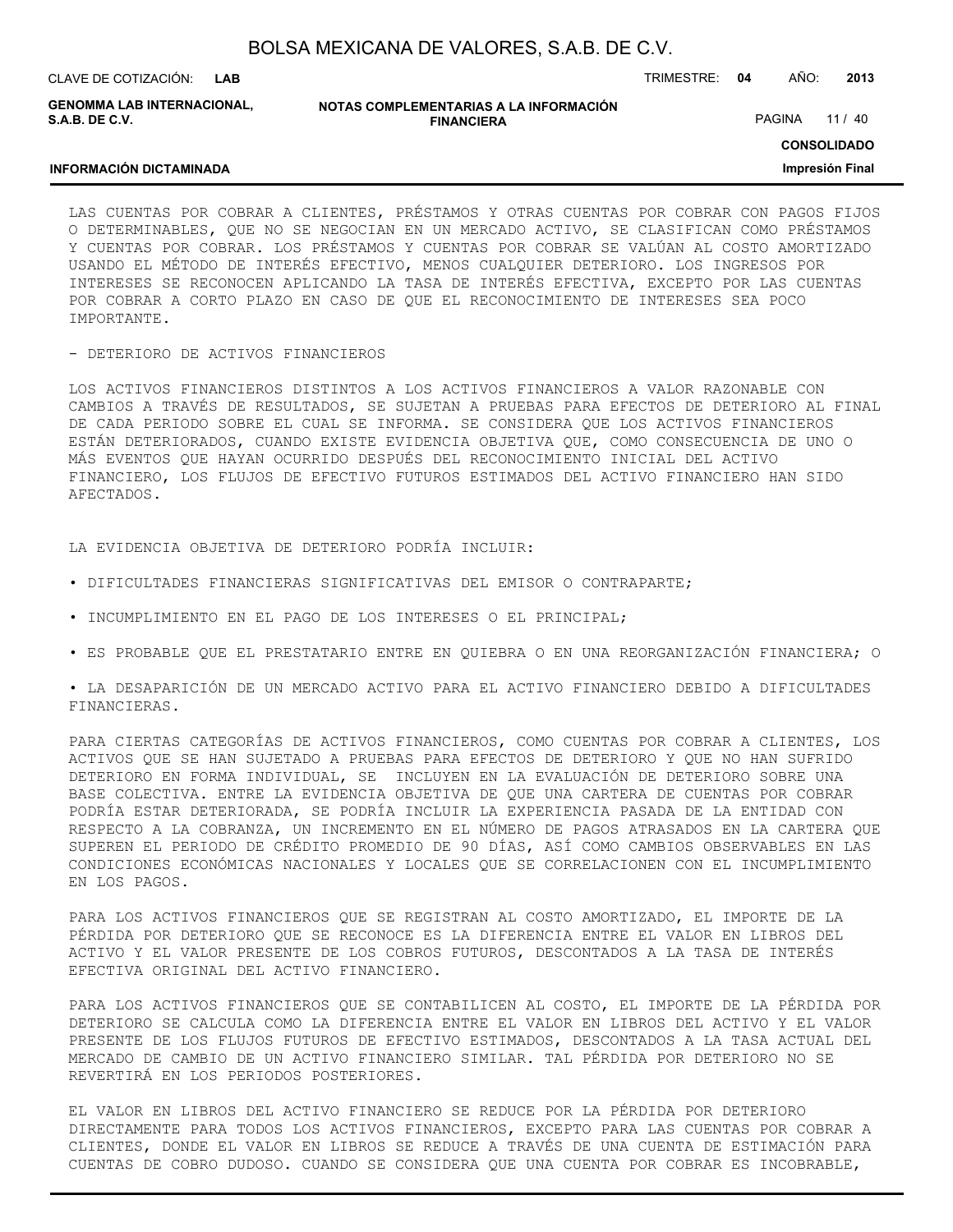| BOLSA MEXICANA DE VALORES, S.A.B. DE C.V. |  |  |
|-------------------------------------------|--|--|
|-------------------------------------------|--|--|

**INFORMACIÓN DICTAMINADA**

**GENOMMA LAB INTERNACIONAL, S.A.B. DE C.V.**

**NOTAS COMPLEMENTARIAS A LA INFORMACIÓN FINANCIERA**

PAGINA 11 / 40

**CONSOLIDADO**

**Impresión Final**

LAS CUENTAS POR COBRAR A CLIENTES, PRÉSTAMOS Y OTRAS CUENTAS POR COBRAR CON PAGOS FIJOS O DETERMINABLES, QUE NO SE NEGOCIAN EN UN MERCADO ACTIVO, SE CLASIFICAN COMO PRÉSTAMOS Y CUENTAS POR COBRAR. LOS PRÉSTAMOS Y CUENTAS POR COBRAR SE VALÚAN AL COSTO AMORTIZADO USANDO EL MÉTODO DE INTERÉS EFECTIVO, MENOS CUALQUIER DETERIORO. LOS INGRESOS POR INTERESES SE RECONOCEN APLICANDO LA TASA DE INTERÉS EFECTIVA, EXCEPTO POR LAS CUENTAS POR COBRAR A CORTO PLAZO EN CASO DE QUE EL RECONOCIMIENTO DE INTERESES SEA POCO IMPORTANTE.

#### - DETERIORO DE ACTIVOS FINANCIEROS

LOS ACTIVOS FINANCIEROS DISTINTOS A LOS ACTIVOS FINANCIEROS A VALOR RAZONABLE CON CAMBIOS A TRAVÉS DE RESULTADOS, SE SUJETAN A PRUEBAS PARA EFECTOS DE DETERIORO AL FINAL DE CADA PERIODO SOBRE EL CUAL SE INFORMA. SE CONSIDERA QUE LOS ACTIVOS FINANCIEROS ESTÁN DETERIORADOS, CUANDO EXISTE EVIDENCIA OBJETIVA QUE, COMO CONSECUENCIA DE UNO O MÁS EVENTOS QUE HAYAN OCURRIDO DESPUÉS DEL RECONOCIMIENTO INICIAL DEL ACTIVO FINANCIERO, LOS FLUJOS DE EFECTIVO FUTUROS ESTIMADOS DEL ACTIVO FINANCIERO HAN SIDO AFECTADOS.

LA EVIDENCIA OBJETIVA DE DETERIORO PODRÍA INCLUIR:

- DIFICULTADES FINANCIERAS SIGNIFICATIVAS DEL EMISOR O CONTRAPARTE;
- INCUMPLIMIENTO EN EL PAGO DE LOS INTERESES O EL PRINCIPAL;
- ES PROBABLE QUE EL PRESTATARIO ENTRE EN QUIEBRA O EN UNA REORGANIZACIÓN FINANCIERA; O

• LA DESAPARICIÓN DE UN MERCADO ACTIVO PARA EL ACTIVO FINANCIERO DEBIDO A DIFICULTADES FINANCIERAS.

PARA CIERTAS CATEGORÍAS DE ACTIVOS FINANCIEROS, COMO CUENTAS POR COBRAR A CLIENTES, LOS ACTIVOS QUE SE HAN SUJETADO A PRUEBAS PARA EFECTOS DE DETERIORO Y QUE NO HAN SUFRIDO DETERIORO EN FORMA INDIVIDUAL, SE INCLUYEN EN LA EVALUACIÓN DE DETERIORO SOBRE UNA BASE COLECTIVA. ENTRE LA EVIDENCIA OBJETIVA DE QUE UNA CARTERA DE CUENTAS POR COBRAR PODRÍA ESTAR DETERIORADA, SE PODRÍA INCLUIR LA EXPERIENCIA PASADA DE LA ENTIDAD CON RESPECTO A LA COBRANZA, UN INCREMENTO EN EL NÚMERO DE PAGOS ATRASADOS EN LA CARTERA QUE SUPEREN EL PERIODO DE CRÉDITO PROMEDIO DE 90 DÍAS, ASÍ COMO CAMBIOS OBSERVABLES EN LAS CONDICIONES ECONÓMICAS NACIONALES Y LOCALES QUE SE CORRELACIONEN CON EL INCUMPLIMIENTO EN LOS PAGOS.

PARA LOS ACTIVOS FINANCIEROS QUE SE REGISTRAN AL COSTO AMORTIZADO, EL IMPORTE DE LA PÉRDIDA POR DETERIORO QUE SE RECONOCE ES LA DIFERENCIA ENTRE EL VALOR EN LIBROS DEL ACTIVO Y EL VALOR PRESENTE DE LOS COBROS FUTUROS, DESCONTADOS A LA TASA DE INTERÉS EFECTIVA ORIGINAL DEL ACTIVO FINANCIERO.

PARA LOS ACTIVOS FINANCIEROS QUE SE CONTABILICEN AL COSTO, EL IMPORTE DE LA PÉRDIDA POR DETERIORO SE CALCULA COMO LA DIFERENCIA ENTRE EL VALOR EN LIBROS DEL ACTIVO Y EL VALOR PRESENTE DE LOS FLUJOS FUTUROS DE EFECTIVO ESTIMADOS, DESCONTADOS A LA TASA ACTUAL DEL MERCADO DE CAMBIO DE UN ACTIVO FINANCIERO SIMILAR. TAL PÉRDIDA POR DETERIORO NO SE REVERTIRÁ EN LOS PERIODOS POSTERIORES.

EL VALOR EN LIBROS DEL ACTIVO FINANCIERO SE REDUCE POR LA PÉRDIDA POR DETERIORO DIRECTAMENTE PARA TODOS LOS ACTIVOS FINANCIEROS, EXCEPTO PARA LAS CUENTAS POR COBRAR A CLIENTES, DONDE EL VALOR EN LIBROS SE REDUCE A TRAVÉS DE UNA CUENTA DE ESTIMACIÓN PARA CUENTAS DE COBRO DUDOSO. CUANDO SE CONSIDERA QUE UNA CUENTA POR COBRAR ES INCOBRABLE,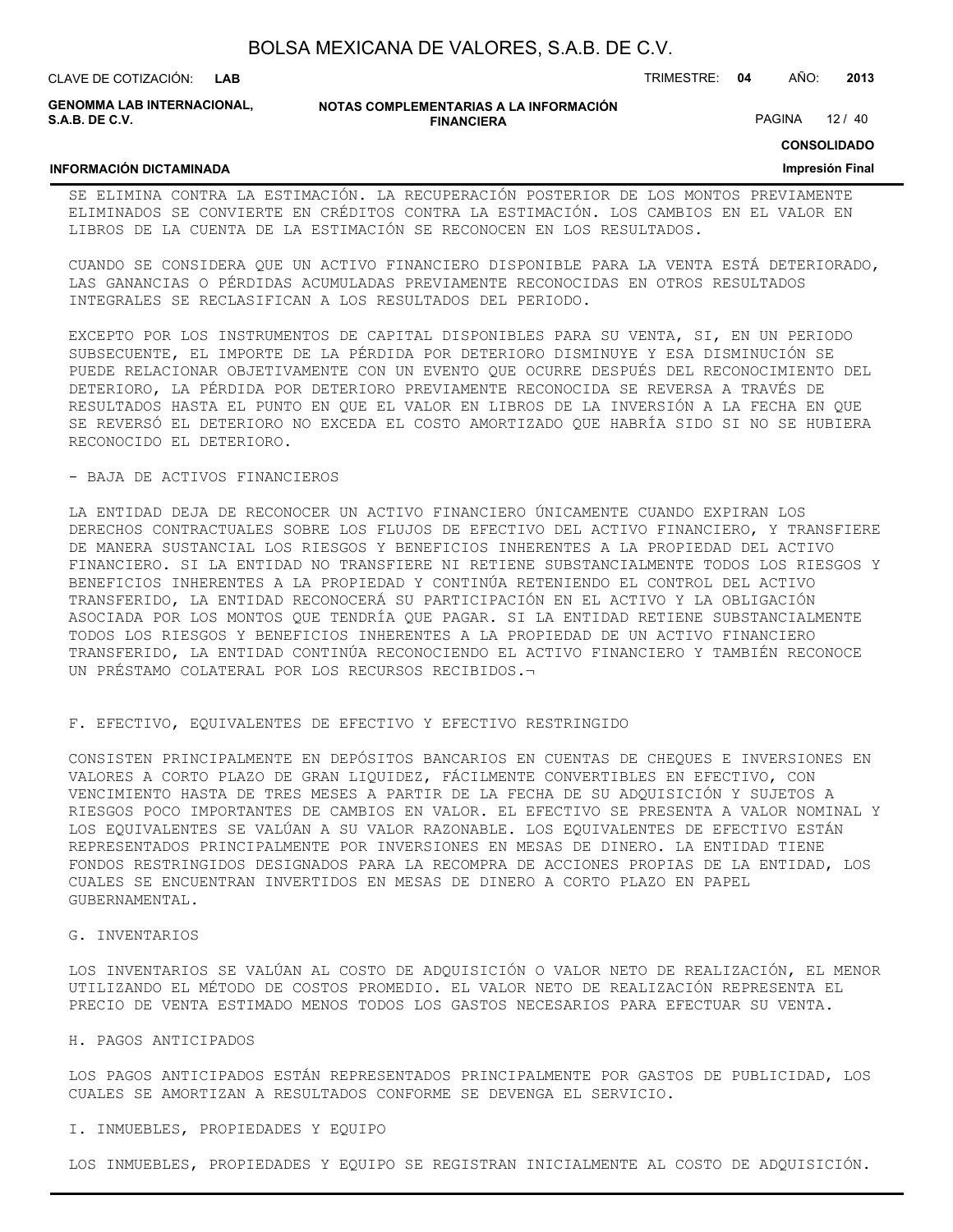| BOLSA MEXICANA DE VALORES, S.A.B. DE C.V. |  |  |
|-------------------------------------------|--|--|
|-------------------------------------------|--|--|

**GENOMMA LAB INTERNACIONAL, S.A.B. DE C.V.**

**NOTAS COMPLEMENTARIAS A LA INFORMACIÓN FINANCIERA**

PAGINA 12 / 40

**CONSOLIDADO**

#### **Impresión Final**

## **INFORMACIÓN DICTAMINADA**

SE ELIMINA CONTRA LA ESTIMACIÓN. LA RECUPERACIÓN POSTERIOR DE LOS MONTOS PREVIAMENTE ELIMINADOS SE CONVIERTE EN CRÉDITOS CONTRA LA ESTIMACIÓN. LOS CAMBIOS EN EL VALOR EN LIBROS DE LA CUENTA DE LA ESTIMACIÓN SE RECONOCEN EN LOS RESULTADOS.

CUANDO SE CONSIDERA QUE UN ACTIVO FINANCIERO DISPONIBLE PARA LA VENTA ESTÁ DETERIORADO, LAS GANANCIAS O PÉRDIDAS ACUMULADAS PREVIAMENTE RECONOCIDAS EN OTROS RESULTADOS INTEGRALES SE RECLASIFICAN A LOS RESULTADOS DEL PERIODO.

EXCEPTO POR LOS INSTRUMENTOS DE CAPITAL DISPONIBLES PARA SU VENTA, SI, EN UN PERIODO SUBSECUENTE, EL IMPORTE DE LA PÉRDIDA POR DETERIORO DISMINUYE Y ESA DISMINUCIÓN SE PUEDE RELACIONAR OBJETIVAMENTE CON UN EVENTO QUE OCURRE DESPUÉS DEL RECONOCIMIENTO DEL DETERIORO, LA PÉRDIDA POR DETERIORO PREVIAMENTE RECONOCIDA SE REVERSA A TRAVÉS DE RESULTADOS HASTA EL PUNTO EN QUE EL VALOR EN LIBROS DE LA INVERSIÓN A LA FECHA EN QUE SE REVERSÓ EL DETERIORO NO EXCEDA EL COSTO AMORTIZADO QUE HABRÍA SIDO SI NO SE HUBIERA RECONOCIDO EL DETERIORO.

#### - BAJA DE ACTIVOS FINANCIEROS

LA ENTIDAD DEJA DE RECONOCER UN ACTIVO FINANCIERO ÚNICAMENTE CUANDO EXPIRAN LOS DERECHOS CONTRACTUALES SOBRE LOS FLUJOS DE EFECTIVO DEL ACTIVO FINANCIERO, Y TRANSFIERE DE MANERA SUSTANCIAL LOS RIESGOS Y BENEFICIOS INHERENTES A LA PROPIEDAD DEL ACTIVO FINANCIERO. SI LA ENTIDAD NO TRANSFIERE NI RETIENE SUBSTANCIALMENTE TODOS LOS RIESGOS Y BENEFICIOS INHERENTES A LA PROPIEDAD Y CONTINÚA RETENIENDO EL CONTROL DEL ACTIVO TRANSFERIDO, LA ENTIDAD RECONOCERÁ SU PARTICIPACIÓN EN EL ACTIVO Y LA OBLIGACIÓN ASOCIADA POR LOS MONTOS QUE TENDRÍA QUE PAGAR. SI LA ENTIDAD RETIENE SUBSTANCIALMENTE TODOS LOS RIESGOS Y BENEFICIOS INHERENTES A LA PROPIEDAD DE UN ACTIVO FINANCIERO TRANSFERIDO, LA ENTIDAD CONTINÚA RECONOCIENDO EL ACTIVO FINANCIERO Y TAMBIÉN RECONOCE UN PRÉSTAMO COLATERAL POR LOS RECURSOS RECIBIDOS.¬

#### F. EFECTIVO, EQUIVALENTES DE EFECTIVO Y EFECTIVO RESTRINGIDO

CONSISTEN PRINCIPALMENTE EN DEPÓSITOS BANCARIOS EN CUENTAS DE CHEQUES E INVERSIONES EN VALORES A CORTO PLAZO DE GRAN LIQUIDEZ, FÁCILMENTE CONVERTIBLES EN EFECTIVO, CON VENCIMIENTO HASTA DE TRES MESES A PARTIR DE LA FECHA DE SU ADQUISICIÓN Y SUJETOS A RIESGOS POCO IMPORTANTES DE CAMBIOS EN VALOR. EL EFECTIVO SE PRESENTA A VALOR NOMINAL Y LOS EQUIVALENTES SE VALÚAN A SU VALOR RAZONABLE. LOS EQUIVALENTES DE EFECTIVO ESTÁN REPRESENTADOS PRINCIPALMENTE POR INVERSIONES EN MESAS DE DINERO. LA ENTIDAD TIENE FONDOS RESTRINGIDOS DESIGNADOS PARA LA RECOMPRA DE ACCIONES PROPIAS DE LA ENTIDAD, LOS CUALES SE ENCUENTRAN INVERTIDOS EN MESAS DE DINERO A CORTO PLAZO EN PAPEL GUBERNAMENTAL.

#### G. INVENTARIOS

LOS INVENTARIOS SE VALÚAN AL COSTO DE ADQUISICIÓN O VALOR NETO DE REALIZACIÓN, EL MENOR UTILIZANDO EL MÉTODO DE COSTOS PROMEDIO. EL VALOR NETO DE REALIZACIÓN REPRESENTA EL PRECIO DE VENTA ESTIMADO MENOS TODOS LOS GASTOS NECESARIOS PARA EFECTUAR SU VENTA.

#### H. PAGOS ANTICIPADOS

LOS PAGOS ANTICIPADOS ESTÁN REPRESENTADOS PRINCIPALMENTE POR GASTOS DE PUBLICIDAD, LOS CUALES SE AMORTIZAN A RESULTADOS CONFORME SE DEVENGA EL SERVICIO.

#### I. INMUEBLES, PROPIEDADES Y EQUIPO

LOS INMUEBLES, PROPIEDADES Y EQUIPO SE REGISTRAN INICIALMENTE AL COSTO DE ADQUISICIÓN.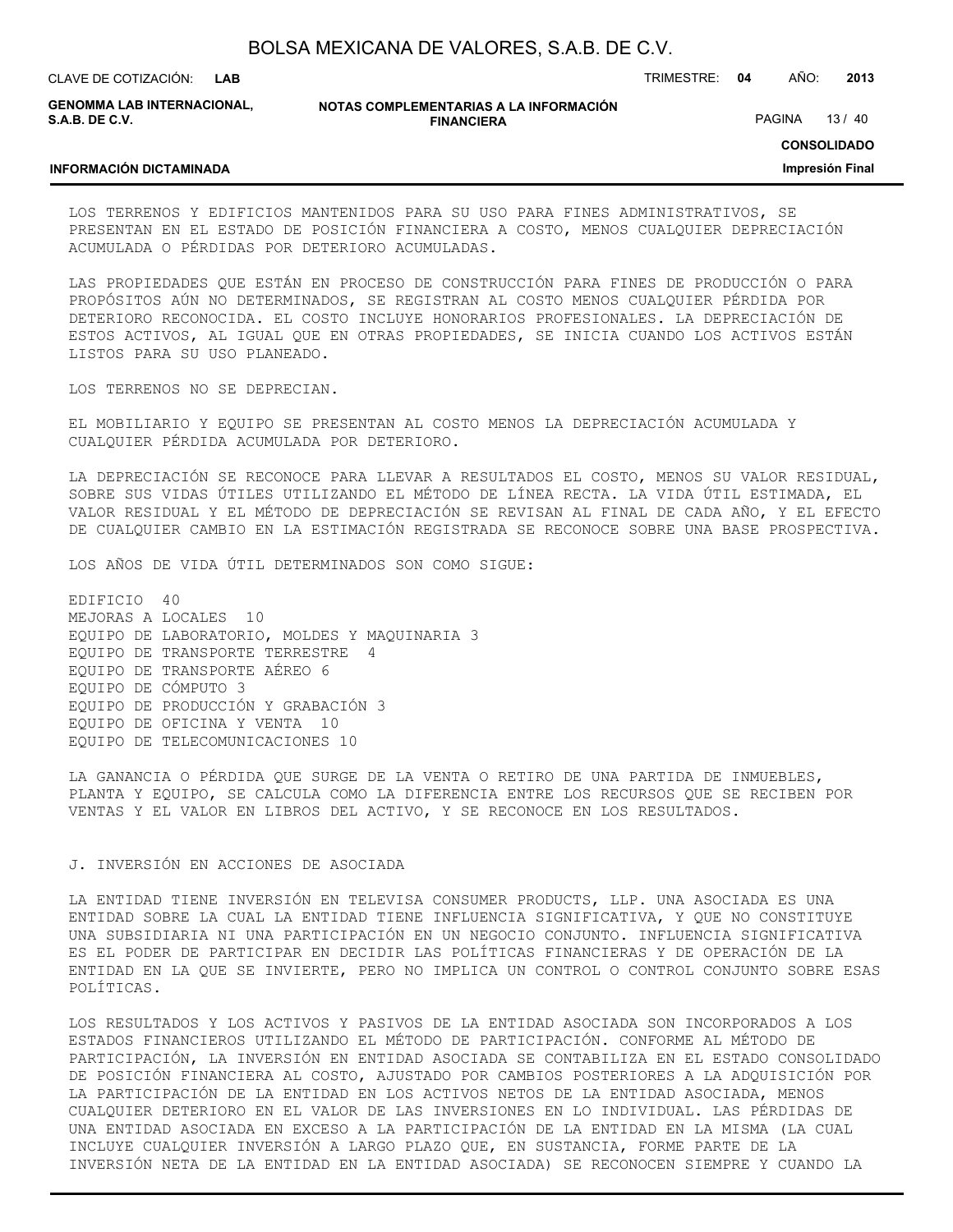**LAB**

CLAVE DE COTIZACIÓN: TRIMESTRE: **04** AÑO: **2013**

**GENOMMA LAB INTERNACIONAL, S.A.B. DE C.V.**

**INFORMACIÓN DICTAMINADA**

**NOTAS COMPLEMENTARIAS A LA INFORMACIÓN FINANCIERA**

PAGINA 13 / 40

**CONSOLIDADO**

#### **Impresión Final**

LOS TERRENOS Y EDIFICIOS MANTENIDOS PARA SU USO PARA FINES ADMINISTRATIVOS, SE PRESENTAN EN EL ESTADO DE POSICIÓN FINANCIERA A COSTO, MENOS CUALQUIER DEPRECIACIÓN ACUMULADA O PÉRDIDAS POR DETERIORO ACUMULADAS.

LAS PROPIEDADES QUE ESTÁN EN PROCESO DE CONSTRUCCIÓN PARA FINES DE PRODUCCIÓN O PARA PROPÓSITOS AÚN NO DETERMINADOS, SE REGISTRAN AL COSTO MENOS CUALQUIER PÉRDIDA POR DETERIORO RECONOCIDA. EL COSTO INCLUYE HONORARIOS PROFESIONALES. LA DEPRECIACIÓN DE ESTOS ACTIVOS, AL IGUAL QUE EN OTRAS PROPIEDADES, SE INICIA CUANDO LOS ACTIVOS ESTÁN LISTOS PARA SU USO PLANEADO.

LOS TERRENOS NO SE DEPRECIAN.

EL MOBILIARIO Y EQUIPO SE PRESENTAN AL COSTO MENOS LA DEPRECIACIÓN ACUMULADA Y CUALQUIER PÉRDIDA ACUMULADA POR DETERIORO.

LA DEPRECIACIÓN SE RECONOCE PARA LLEVAR A RESULTADOS EL COSTO, MENOS SU VALOR RESIDUAL, SOBRE SUS VIDAS ÚTILES UTILIZANDO EL MÉTODO DE LÍNEA RECTA. LA VIDA ÚTIL ESTIMADA, EL VALOR RESIDUAL Y EL MÉTODO DE DEPRECIACIÓN SE REVISAN AL FINAL DE CADA AÑO, Y EL EFECTO DE CUALQUIER CAMBIO EN LA ESTIMACIÓN REGISTRADA SE RECONOCE SOBRE UNA BASE PROSPECTIVA.

LOS AÑOS DE VIDA ÚTIL DETERMINADOS SON COMO SIGUE:

EDIFICIO 40 MEJORAS A LOCALES 10 EQUIPO DE LABORATORIO, MOLDES Y MAQUINARIA 3 EQUIPO DE TRANSPORTE TERRESTRE 4 EQUIPO DE TRANSPORTE AÉREO 6 EQUIPO DE CÓMPUTO 3 EQUIPO DE PRODUCCIÓN Y GRABACIÓN 3 EQUIPO DE OFICINA Y VENTA 10 EQUIPO DE TELECOMUNICACIONES 10

LA GANANCIA O PÉRDIDA QUE SURGE DE LA VENTA O RETIRO DE UNA PARTIDA DE INMUEBLES, PLANTA Y EQUIPO, SE CALCULA COMO LA DIFERENCIA ENTRE LOS RECURSOS QUE SE RECIBEN POR VENTAS Y EL VALOR EN LIBROS DEL ACTIVO, Y SE RECONOCE EN LOS RESULTADOS.

#### J. INVERSIÓN EN ACCIONES DE ASOCIADA

LA ENTIDAD TIENE INVERSIÓN EN TELEVISA CONSUMER PRODUCTS, LLP. UNA ASOCIADA ES UNA ENTIDAD SOBRE LA CUAL LA ENTIDAD TIENE INFLUENCIA SIGNIFICATIVA, Y QUE NO CONSTITUYE UNA SUBSIDIARIA NI UNA PARTICIPACIÓN EN UN NEGOCIO CONJUNTO. INFLUENCIA SIGNIFICATIVA ES EL PODER DE PARTICIPAR EN DECIDIR LAS POLÍTICAS FINANCIERAS Y DE OPERACIÓN DE LA ENTIDAD EN LA QUE SE INVIERTE, PERO NO IMPLICA UN CONTROL O CONTROL CONJUNTO SOBRE ESAS POLÍTICAS.

LOS RESULTADOS Y LOS ACTIVOS Y PASIVOS DE LA ENTIDAD ASOCIADA SON INCORPORADOS A LOS ESTADOS FINANCIEROS UTILIZANDO EL MÉTODO DE PARTICIPACIÓN. CONFORME AL MÉTODO DE PARTICIPACIÓN, LA INVERSIÓN EN ENTIDAD ASOCIADA SE CONTABILIZA EN EL ESTADO CONSOLIDADO DE POSICIÓN FINANCIERA AL COSTO, AJUSTADO POR CAMBIOS POSTERIORES A LA ADQUISICIÓN POR LA PARTICIPACIÓN DE LA ENTIDAD EN LOS ACTIVOS NETOS DE LA ENTIDAD ASOCIADA, MENOS CUALQUIER DETERIORO EN EL VALOR DE LAS INVERSIONES EN LO INDIVIDUAL. LAS PÉRDIDAS DE UNA ENTIDAD ASOCIADA EN EXCESO A LA PARTICIPACIÓN DE LA ENTIDAD EN LA MISMA (LA CUAL INCLUYE CUALQUIER INVERSIÓN A LARGO PLAZO QUE, EN SUSTANCIA, FORME PARTE DE LA INVERSIÓN NETA DE LA ENTIDAD EN LA ENTIDAD ASOCIADA) SE RECONOCEN SIEMPRE Y CUANDO LA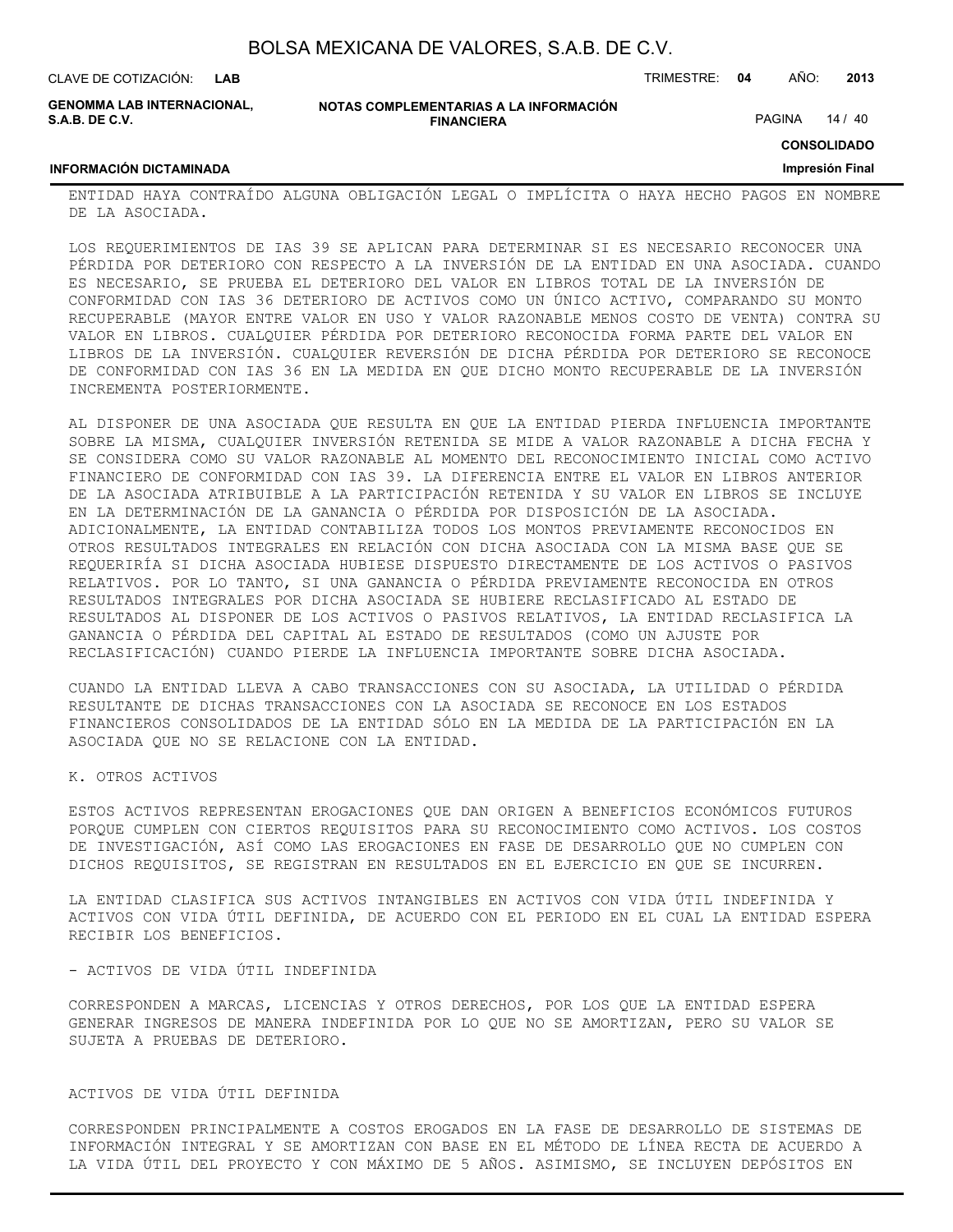| BOLSA MEXICANA DE VALORES, S.A.B. DE C.V. |  |  |  |
|-------------------------------------------|--|--|--|
|-------------------------------------------|--|--|--|

**INFORMACIÓN DICTAMINADA**

**GENOMMA LAB INTERNACIONAL, S.A.B. DE C.V.**

**NOTAS COMPLEMENTARIAS A LA INFORMACIÓN FINANCIERA**

CLAVE DE COTIZACIÓN: TRIMESTRE: **04** AÑO: **2013**

PAGINA 14 / 40

**CONSOLIDADO**

#### **Impresión Final**

ENTIDAD HAYA CONTRAÍDO ALGUNA OBLIGACIÓN LEGAL O IMPLÍCITA O HAYA HECHO PAGOS EN NOMBRE DE LA ASOCIADA.

LOS REQUERIMIENTOS DE IAS 39 SE APLICAN PARA DETERMINAR SI ES NECESARIO RECONOCER UNA PÉRDIDA POR DETERIORO CON RESPECTO A LA INVERSIÓN DE LA ENTIDAD EN UNA ASOCIADA. CUANDO ES NECESARIO, SE PRUEBA EL DETERIORO DEL VALOR EN LIBROS TOTAL DE LA INVERSIÓN DE CONFORMIDAD CON IAS 36 DETERIORO DE ACTIVOS COMO UN ÚNICO ACTIVO, COMPARANDO SU MONTO RECUPERABLE (MAYOR ENTRE VALOR EN USO Y VALOR RAZONABLE MENOS COSTO DE VENTA) CONTRA SU VALOR EN LIBROS. CUALQUIER PÉRDIDA POR DETERIORO RECONOCIDA FORMA PARTE DEL VALOR EN LIBROS DE LA INVERSIÓN. CUALQUIER REVERSIÓN DE DICHA PÉRDIDA POR DETERIORO SE RECONOCE DE CONFORMIDAD CON IAS 36 EN LA MEDIDA EN QUE DICHO MONTO RECUPERABLE DE LA INVERSIÓN INCREMENTA POSTERIORMENTE.

AL DISPONER DE UNA ASOCIADA QUE RESULTA EN QUE LA ENTIDAD PIERDA INFLUENCIA IMPORTANTE SOBRE LA MISMA, CUALQUIER INVERSIÓN RETENIDA SE MIDE A VALOR RAZONABLE A DICHA FECHA Y SE CONSIDERA COMO SU VALOR RAZONABLE AL MOMENTO DEL RECONOCIMIENTO INICIAL COMO ACTIVO FINANCIERO DE CONFORMIDAD CON IAS 39. LA DIFERENCIA ENTRE EL VALOR EN LIBROS ANTERIOR DE LA ASOCIADA ATRIBUIBLE A LA PARTICIPACIÓN RETENIDA Y SU VALOR EN LIBROS SE INCLUYE EN LA DETERMINACIÓN DE LA GANANCIA O PÉRDIDA POR DISPOSICIÓN DE LA ASOCIADA. ADICIONALMENTE, LA ENTIDAD CONTABILIZA TODOS LOS MONTOS PREVIAMENTE RECONOCIDOS EN OTROS RESULTADOS INTEGRALES EN RELACIÓN CON DICHA ASOCIADA CON LA MISMA BASE QUE SE REQUERIRÍA SI DICHA ASOCIADA HUBIESE DISPUESTO DIRECTAMENTE DE LOS ACTIVOS O PASIVOS RELATIVOS. POR LO TANTO, SI UNA GANANCIA O PÉRDIDA PREVIAMENTE RECONOCIDA EN OTROS RESULTADOS INTEGRALES POR DICHA ASOCIADA SE HUBIERE RECLASIFICADO AL ESTADO DE RESULTADOS AL DISPONER DE LOS ACTIVOS O PASIVOS RELATIVOS, LA ENTIDAD RECLASIFICA LA GANANCIA O PÉRDIDA DEL CAPITAL AL ESTADO DE RESULTADOS (COMO UN AJUSTE POR RECLASIFICACIÓN) CUANDO PIERDE LA INFLUENCIA IMPORTANTE SOBRE DICHA ASOCIADA.

CUANDO LA ENTIDAD LLEVA A CABO TRANSACCIONES CON SU ASOCIADA, LA UTILIDAD O PÉRDIDA RESULTANTE DE DICHAS TRANSACCIONES CON LA ASOCIADA SE RECONOCE EN LOS ESTADOS FINANCIEROS CONSOLIDADOS DE LA ENTIDAD SÓLO EN LA MEDIDA DE LA PARTICIPACIÓN EN LA ASOCIADA QUE NO SE RELACIONE CON LA ENTIDAD.

K. OTROS ACTIVOS

ESTOS ACTIVOS REPRESENTAN EROGACIONES QUE DAN ORIGEN A BENEFICIOS ECONÓMICOS FUTUROS PORQUE CUMPLEN CON CIERTOS REQUISITOS PARA SU RECONOCIMIENTO COMO ACTIVOS. LOS COSTOS DE INVESTIGACIÓN, ASÍ COMO LAS EROGACIONES EN FASE DE DESARROLLO QUE NO CUMPLEN CON DICHOS REQUISITOS, SE REGISTRAN EN RESULTADOS EN EL EJERCICIO EN QUE SE INCURREN.

LA ENTIDAD CLASIFICA SUS ACTIVOS INTANGIBLES EN ACTIVOS CON VIDA ÚTIL INDEFINIDA Y ACTIVOS CON VIDA ÚTIL DEFINIDA, DE ACUERDO CON EL PERIODO EN EL CUAL LA ENTIDAD ESPERA RECIBIR LOS BENEFICIOS.

#### - ACTIVOS DE VIDA ÚTIL INDEFINIDA

CORRESPONDEN A MARCAS, LICENCIAS Y OTROS DERECHOS, POR LOS QUE LA ENTIDAD ESPERA GENERAR INGRESOS DE MANERA INDEFINIDA POR LO QUE NO SE AMORTIZAN, PERO SU VALOR SE SUJETA A PRUEBAS DE DETERIORO.

#### ACTIVOS DE VIDA ÚTIL DEFINIDA

CORRESPONDEN PRINCIPALMENTE A COSTOS EROGADOS EN LA FASE DE DESARROLLO DE SISTEMAS DE INFORMACIÓN INTEGRAL Y SE AMORTIZAN CON BASE EN EL MÉTODO DE LÍNEA RECTA DE ACUERDO A LA VIDA ÚTIL DEL PROYECTO Y CON MÁXIMO DE 5 AÑOS. ASIMISMO, SE INCLUYEN DEPÓSITOS EN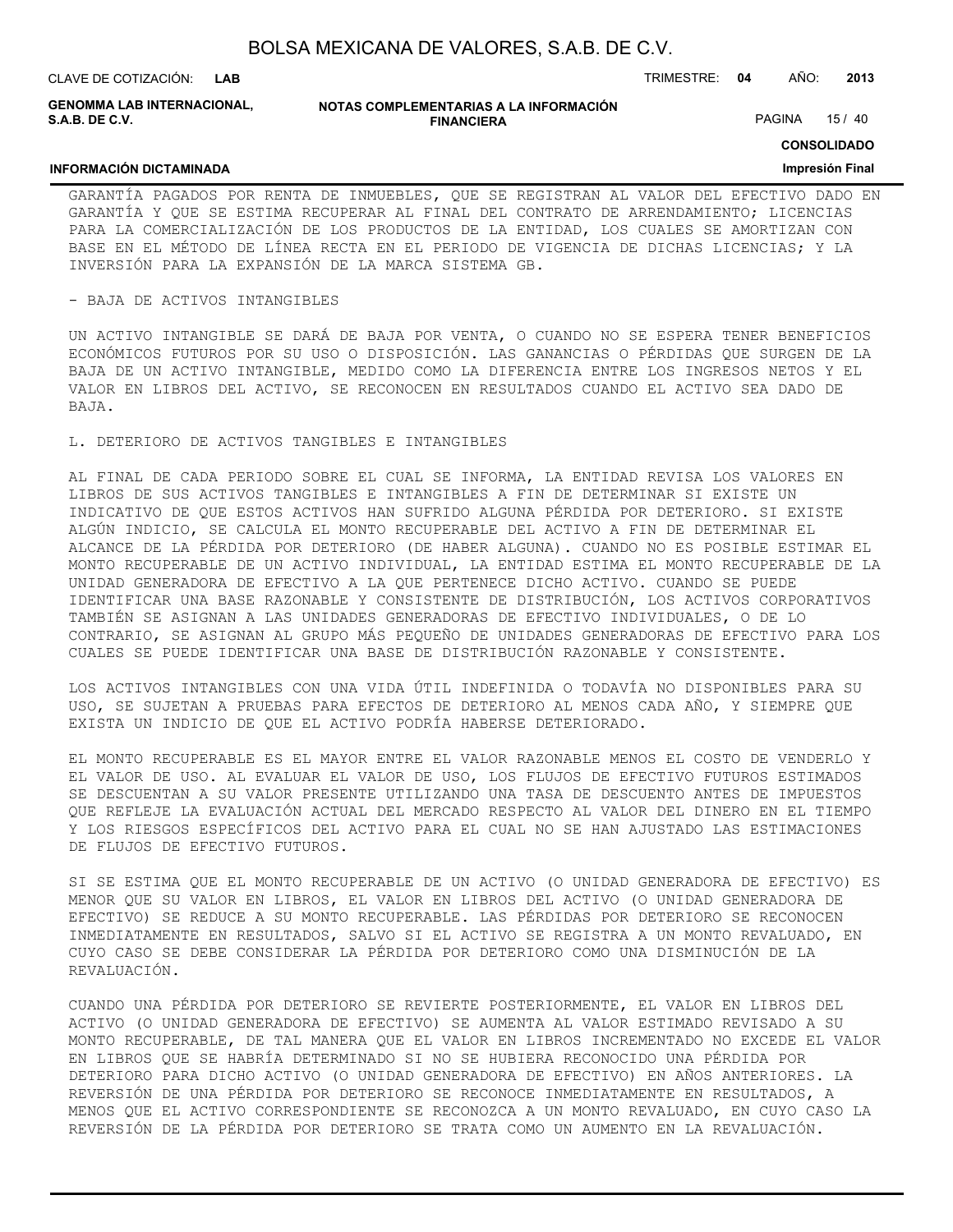**INFORMACIÓN DICTAMINADA**

**GENOMMA LAB INTERNACIONAL, S.A.B. DE C.V.**

#### **NOTAS COMPLEMENTARIAS A LA INFORMACIÓN FINANCIERA**

PAGINA 15 / 40

#### **CONSOLIDADO**

#### **Impresión Final**

GARANTÍA PAGADOS POR RENTA DE INMUEBLES, QUE SE REGISTRAN AL VALOR DEL EFECTIVO DADO EN GARANTÍA Y QUE SE ESTIMA RECUPERAR AL FINAL DEL CONTRATO DE ARRENDAMIENTO; LICENCIAS PARA LA COMERCIALIZACIÓN DE LOS PRODUCTOS DE LA ENTIDAD, LOS CUALES SE AMORTIZAN CON BASE EN EL MÉTODO DE LÍNEA RECTA EN EL PERIODO DE VIGENCIA DE DICHAS LICENCIAS; Y LA INVERSIÓN PARA LA EXPANSIÓN DE LA MARCA SISTEMA GB.

#### - BAJA DE ACTIVOS INTANGIBLES

UN ACTIVO INTANGIBLE SE DARÁ DE BAJA POR VENTA, O CUANDO NO SE ESPERA TENER BENEFICIOS ECONÓMICOS FUTUROS POR SU USO O DISPOSICIÓN. LAS GANANCIAS O PÉRDIDAS QUE SURGEN DE LA BAJA DE UN ACTIVO INTANGIBLE, MEDIDO COMO LA DIFERENCIA ENTRE LOS INGRESOS NETOS Y EL VALOR EN LIBROS DEL ACTIVO, SE RECONOCEN EN RESULTADOS CUANDO EL ACTIVO SEA DADO DE BAJA.

#### L. DETERIORO DE ACTIVOS TANGIBLES E INTANGIBLES

AL FINAL DE CADA PERIODO SOBRE EL CUAL SE INFORMA, LA ENTIDAD REVISA LOS VALORES EN LIBROS DE SUS ACTIVOS TANGIBLES E INTANGIBLES A FIN DE DETERMINAR SI EXISTE UN INDICATIVO DE QUE ESTOS ACTIVOS HAN SUFRIDO ALGUNA PÉRDIDA POR DETERIORO. SI EXISTE ALGÚN INDICIO, SE CALCULA EL MONTO RECUPERABLE DEL ACTIVO A FIN DE DETERMINAR EL ALCANCE DE LA PÉRDIDA POR DETERIORO (DE HABER ALGUNA). CUANDO NO ES POSIBLE ESTIMAR EL MONTO RECUPERABLE DE UN ACTIVO INDIVIDUAL, LA ENTIDAD ESTIMA EL MONTO RECUPERABLE DE LA UNIDAD GENERADORA DE EFECTIVO A LA QUE PERTENECE DICHO ACTIVO. CUANDO SE PUEDE IDENTIFICAR UNA BASE RAZONABLE Y CONSISTENTE DE DISTRIBUCIÓN, LOS ACTIVOS CORPORATIVOS TAMBIÉN SE ASIGNAN A LAS UNIDADES GENERADORAS DE EFECTIVO INDIVIDUALES, O DE LO CONTRARIO, SE ASIGNAN AL GRUPO MÁS PEQUEÑO DE UNIDADES GENERADORAS DE EFECTIVO PARA LOS CUALES SE PUEDE IDENTIFICAR UNA BASE DE DISTRIBUCIÓN RAZONABLE Y CONSISTENTE.

LOS ACTIVOS INTANGIBLES CON UNA VIDA ÚTIL INDEFINIDA O TODAVÍA NO DISPONIBLES PARA SU USO, SE SUJETAN A PRUEBAS PARA EFECTOS DE DETERIORO AL MENOS CADA AÑO, Y SIEMPRE QUE EXISTA UN INDICIO DE QUE EL ACTIVO PODRÍA HABERSE DETERIORADO.

EL MONTO RECUPERABLE ES EL MAYOR ENTRE EL VALOR RAZONABLE MENOS EL COSTO DE VENDERLO Y EL VALOR DE USO. AL EVALUAR EL VALOR DE USO, LOS FLUJOS DE EFECTIVO FUTUROS ESTIMADOS SE DESCUENTAN A SU VALOR PRESENTE UTILIZANDO UNA TASA DE DESCUENTO ANTES DE IMPUESTOS QUE REFLEJE LA EVALUACIÓN ACTUAL DEL MERCADO RESPECTO AL VALOR DEL DINERO EN EL TIEMPO Y LOS RIESGOS ESPECÍFICOS DEL ACTIVO PARA EL CUAL NO SE HAN AJUSTADO LAS ESTIMACIONES DE FLUJOS DE EFECTIVO FUTUROS.

SI SE ESTIMA QUE EL MONTO RECUPERABLE DE UN ACTIVO (O UNIDAD GENERADORA DE EFECTIVO) ES MENOR QUE SU VALOR EN LIBROS, EL VALOR EN LIBROS DEL ACTIVO (O UNIDAD GENERADORA DE EFECTIVO) SE REDUCE A SU MONTO RECUPERABLE. LAS PÉRDIDAS POR DETERIORO SE RECONOCEN INMEDIATAMENTE EN RESULTADOS, SALVO SI EL ACTIVO SE REGISTRA A UN MONTO REVALUADO, EN CUYO CASO SE DEBE CONSIDERAR LA PÉRDIDA POR DETERIORO COMO UNA DISMINUCIÓN DE LA REVALUACIÓN.

CUANDO UNA PÉRDIDA POR DETERIORO SE REVIERTE POSTERIORMENTE, EL VALOR EN LIBROS DEL ACTIVO (O UNIDAD GENERADORA DE EFECTIVO) SE AUMENTA AL VALOR ESTIMADO REVISADO A SU MONTO RECUPERABLE, DE TAL MANERA QUE EL VALOR EN LIBROS INCREMENTADO NO EXCEDE EL VALOR EN LIBROS QUE SE HABRÍA DETERMINADO SI NO SE HUBIERA RECONOCIDO UNA PÉRDIDA POR DETERIORO PARA DICHO ACTIVO (O UNIDAD GENERADORA DE EFECTIVO) EN AÑOS ANTERIORES. LA REVERSIÓN DE UNA PÉRDIDA POR DETERIORO SE RECONOCE INMEDIATAMENTE EN RESULTADOS, A MENOS QUE EL ACTIVO CORRESPONDIENTE SE RECONOZCA A UN MONTO REVALUADO, EN CUYO CASO LA REVERSIÓN DE LA PÉRDIDA POR DETERIORO SE TRATA COMO UN AUMENTO EN LA REVALUACIÓN.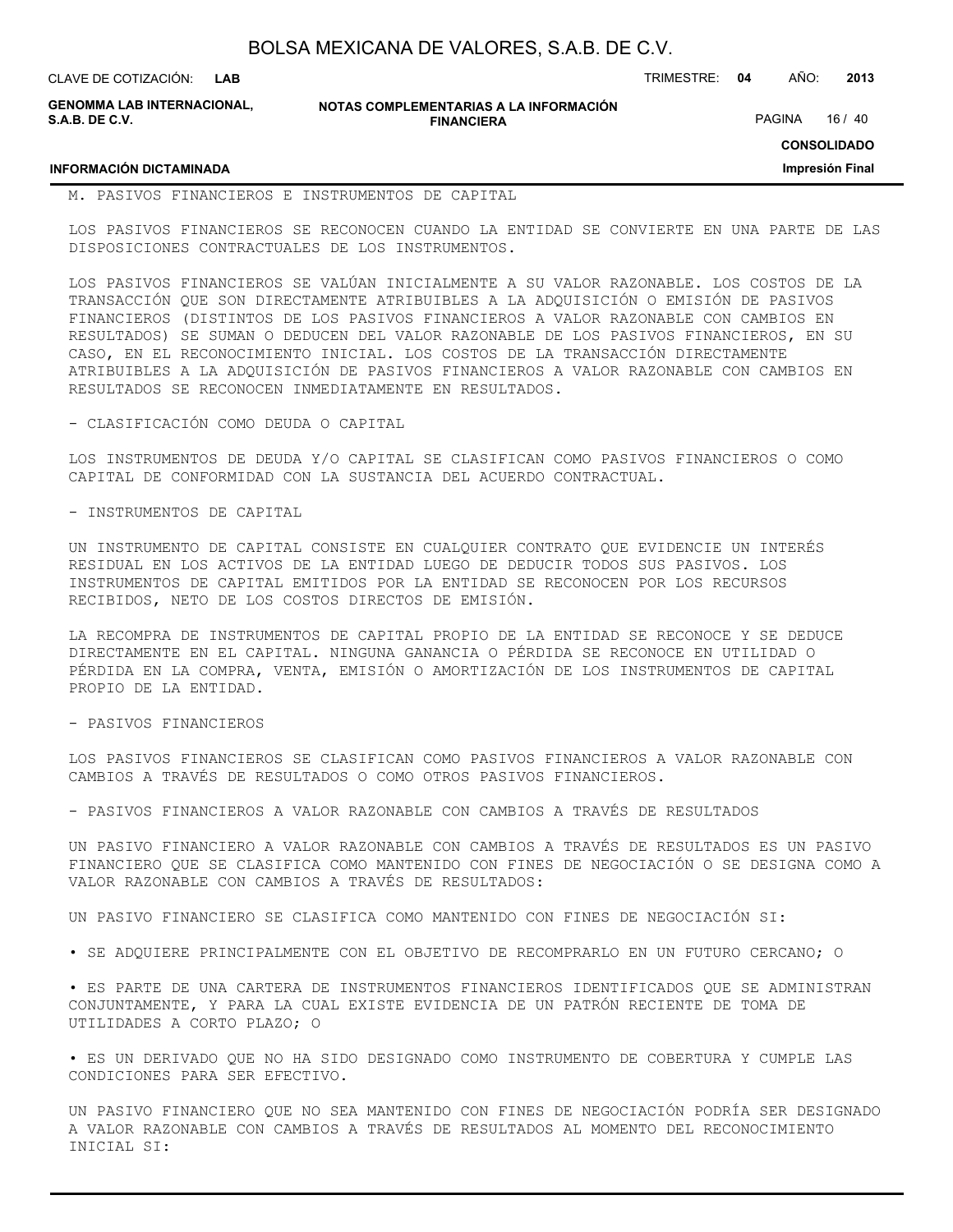| BOLSA MEXICANA DE VALORES, S.A.B. DE C.V. |  |  |
|-------------------------------------------|--|--|
|-------------------------------------------|--|--|

| CLAVE DE COTIZACIÓN: LAB                            |                                                             | TRIMESTRE: 04 | AÑO:          | 2013  |
|-----------------------------------------------------|-------------------------------------------------------------|---------------|---------------|-------|
| <b>GENOMMA LAB INTERNACIONAL,</b><br>S.A.B. DE C.V. | NOTAS COMPLEMENTARIAS A LA INFORMACIÓN<br><b>FINANCIERA</b> |               | <b>PAGINA</b> | 16/40 |

#### **INFORMACIÓN DICTAMINADA**

M. PASIVOS FINANCIEROS E INSTRUMENTOS DE CAPITAL

LOS PASIVOS FINANCIEROS SE RECONOCEN CUANDO LA ENTIDAD SE CONVIERTE EN UNA PARTE DE LAS DISPOSICIONES CONTRACTUALES DE LOS INSTRUMENTOS.

**CONSOLIDADO Impresión Final**

LOS PASIVOS FINANCIEROS SE VALÚAN INICIALMENTE A SU VALOR RAZONABLE. LOS COSTOS DE LA TRANSACCIÓN QUE SON DIRECTAMENTE ATRIBUIBLES A LA ADQUISICIÓN O EMISIÓN DE PASIVOS FINANCIEROS (DISTINTOS DE LOS PASIVOS FINANCIEROS A VALOR RAZONABLE CON CAMBIOS EN RESULTADOS) SE SUMAN O DEDUCEN DEL VALOR RAZONABLE DE LOS PASIVOS FINANCIEROS, EN SU CASO, EN EL RECONOCIMIENTO INICIAL. LOS COSTOS DE LA TRANSACCIÓN DIRECTAMENTE ATRIBUIBLES A LA ADQUISICIÓN DE PASIVOS FINANCIEROS A VALOR RAZONABLE CON CAMBIOS EN RESULTADOS SE RECONOCEN INMEDIATAMENTE EN RESULTADOS.

- CLASIFICACIÓN COMO DEUDA O CAPITAL

LOS INSTRUMENTOS DE DEUDA Y/O CAPITAL SE CLASIFICAN COMO PASIVOS FINANCIEROS O COMO CAPITAL DE CONFORMIDAD CON LA SUSTANCIA DEL ACUERDO CONTRACTUAL.

- INSTRUMENTOS DE CAPITAL

UN INSTRUMENTO DE CAPITAL CONSISTE EN CUALQUIER CONTRATO QUE EVIDENCIE UN INTERÉS RESIDUAL EN LOS ACTIVOS DE LA ENTIDAD LUEGO DE DEDUCIR TODOS SUS PASIVOS. LOS INSTRUMENTOS DE CAPITAL EMITIDOS POR LA ENTIDAD SE RECONOCEN POR LOS RECURSOS RECIBIDOS, NETO DE LOS COSTOS DIRECTOS DE EMISIÓN.

LA RECOMPRA DE INSTRUMENTOS DE CAPITAL PROPIO DE LA ENTIDAD SE RECONOCE Y SE DEDUCE DIRECTAMENTE EN EL CAPITAL. NINGUNA GANANCIA O PÉRDIDA SE RECONOCE EN UTILIDAD O PÉRDIDA EN LA COMPRA, VENTA, EMISIÓN O AMORTIZACIÓN DE LOS INSTRUMENTOS DE CAPITAL PROPIO DE LA ENTIDAD.

- PASIVOS FINANCIEROS

LOS PASIVOS FINANCIEROS SE CLASIFICAN COMO PASIVOS FINANCIEROS A VALOR RAZONABLE CON CAMBIOS A TRAVÉS DE RESULTADOS O COMO OTROS PASIVOS FINANCIEROS.

- PASIVOS FINANCIEROS A VALOR RAZONABLE CON CAMBIOS A TRAVÉS DE RESULTADOS

UN PASIVO FINANCIERO A VALOR RAZONABLE CON CAMBIOS A TRAVÉS DE RESULTADOS ES UN PASIVO FINANCIERO QUE SE CLASIFICA COMO MANTENIDO CON FINES DE NEGOCIACIÓN O SE DESIGNA COMO A VALOR RAZONABLE CON CAMBIOS A TRAVÉS DE RESULTADOS:

UN PASIVO FINANCIERO SE CLASIFICA COMO MANTENIDO CON FINES DE NEGOCIACIÓN SI:

• SE ADQUIERE PRINCIPALMENTE CON EL OBJETIVO DE RECOMPRARLO EN UN FUTURO CERCANO; O

• ES PARTE DE UNA CARTERA DE INSTRUMENTOS FINANCIEROS IDENTIFICADOS QUE SE ADMINISTRAN CONJUNTAMENTE, Y PARA LA CUAL EXISTE EVIDENCIA DE UN PATRÓN RECIENTE DE TOMA DE UTILIDADES A CORTO PLAZO; O

• ES UN DERIVADO QUE NO HA SIDO DESIGNADO COMO INSTRUMENTO DE COBERTURA Y CUMPLE LAS CONDICIONES PARA SER EFECTIVO.

UN PASIVO FINANCIERO QUE NO SEA MANTENIDO CON FINES DE NEGOCIACIÓN PODRÍA SER DESIGNADO A VALOR RAZONABLE CON CAMBIOS A TRAVÉS DE RESULTADOS AL MOMENTO DEL RECONOCIMIENTO INICIAL SI: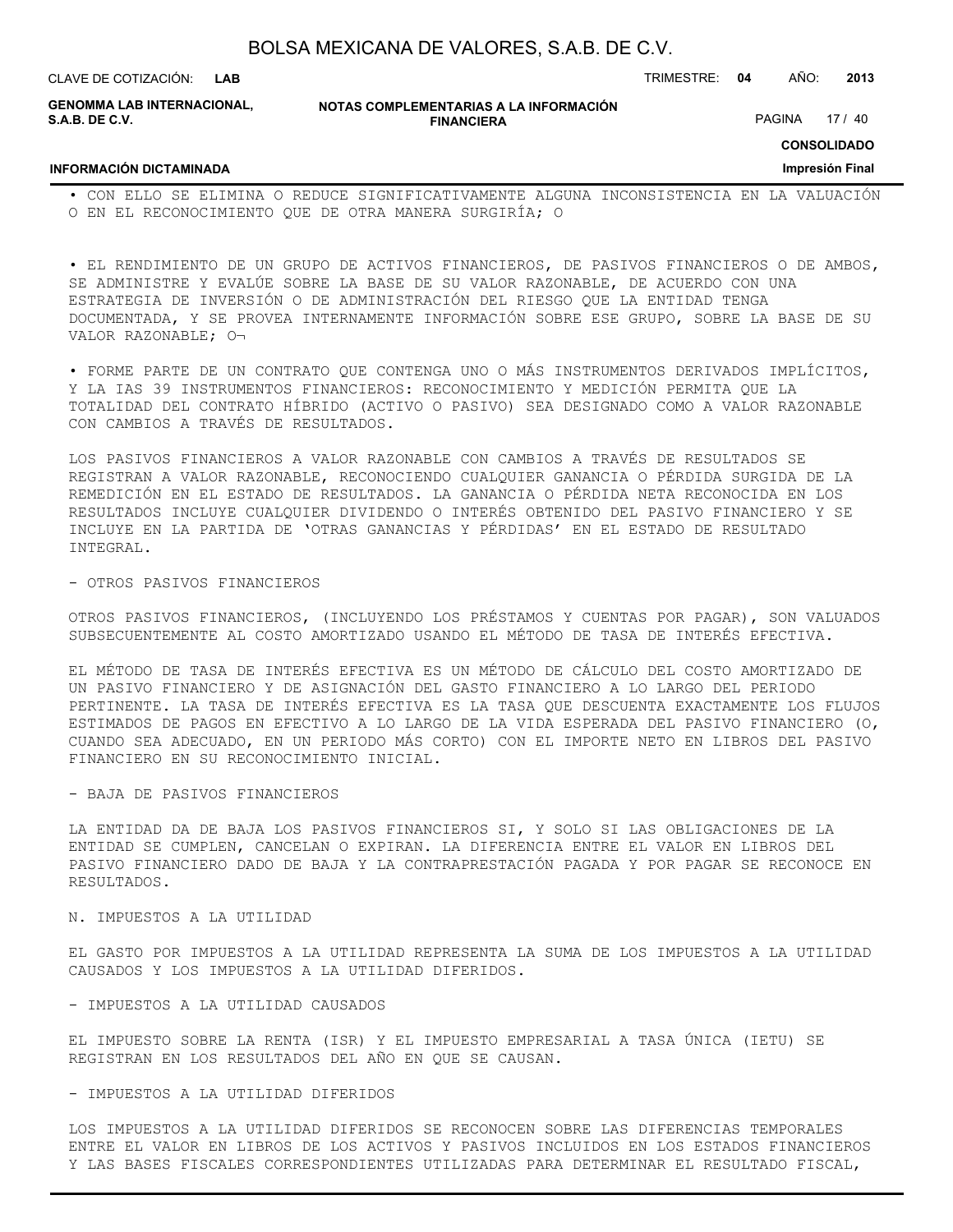| BOLSA MEXICANA DE VALORES, S.A.B. DE C.V. |  |  |
|-------------------------------------------|--|--|
|-------------------------------------------|--|--|

**GENOMMA LAB INTERNACIONAL, S.A.B. DE C.V.**

**NOTAS COMPLEMENTARIAS A LA INFORMACIÓN FINANCIERA**

**CONSOLIDADO**

PAGINA 17 / 40

#### **INFORMACIÓN DICTAMINADA**

**Impresión Final**

• CON ELLO SE ELIMINA O REDUCE SIGNIFICATIVAMENTE ALGUNA INCONSISTENCIA EN LA VALUACIÓN O EN EL RECONOCIMIENTO QUE DE OTRA MANERA SURGIRÍA; O

• EL RENDIMIENTO DE UN GRUPO DE ACTIVOS FINANCIEROS, DE PASIVOS FINANCIEROS O DE AMBOS, SE ADMINISTRE Y EVALÚE SOBRE LA BASE DE SU VALOR RAZONABLE, DE ACUERDO CON UNA ESTRATEGIA DE INVERSIÓN O DE ADMINISTRACIÓN DEL RIESGO QUE LA ENTIDAD TENGA DOCUMENTADA, Y SE PROVEA INTERNAMENTE INFORMACIÓN SOBRE ESE GRUPO, SOBRE LA BASE DE SU VALOR RAZONABLE; O¬

• FORME PARTE DE UN CONTRATO QUE CONTENGA UNO O MÁS INSTRUMENTOS DERIVADOS IMPLÍCITOS, Y LA IAS 39 INSTRUMENTOS FINANCIEROS: RECONOCIMIENTO Y MEDICIÓN PERMITA QUE LA TOTALIDAD DEL CONTRATO HÍBRIDO (ACTIVO O PASIVO) SEA DESIGNADO COMO A VALOR RAZONABLE CON CAMBIOS A TRAVÉS DE RESULTADOS.

LOS PASIVOS FINANCIEROS A VALOR RAZONABLE CON CAMBIOS A TRAVÉS DE RESULTADOS SE REGISTRAN A VALOR RAZONABLE, RECONOCIENDO CUALQUIER GANANCIA O PÉRDIDA SURGIDA DE LA REMEDICIÓN EN EL ESTADO DE RESULTADOS. LA GANANCIA O PÉRDIDA NETA RECONOCIDA EN LOS RESULTADOS INCLUYE CUALQUIER DIVIDENDO O INTERÉS OBTENIDO DEL PASIVO FINANCIERO Y SE INCLUYE EN LA PARTIDA DE 'OTRAS GANANCIAS Y PÉRDIDAS' EN EL ESTADO DE RESULTADO INTEGRAL.

#### - OTROS PASIVOS FINANCIEROS

OTROS PASIVOS FINANCIEROS, (INCLUYENDO LOS PRÉSTAMOS Y CUENTAS POR PAGAR), SON VALUADOS SUBSECUENTEMENTE AL COSTO AMORTIZADO USANDO EL MÉTODO DE TASA DE INTERÉS EFECTIVA.

EL MÉTODO DE TASA DE INTERÉS EFECTIVA ES UN MÉTODO DE CÁLCULO DEL COSTO AMORTIZADO DE UN PASIVO FINANCIERO Y DE ASIGNACIÓN DEL GASTO FINANCIERO A LO LARGO DEL PERIODO PERTINENTE. LA TASA DE INTERÉS EFECTIVA ES LA TASA QUE DESCUENTA EXACTAMENTE LOS FLUJOS ESTIMADOS DE PAGOS EN EFECTIVO A LO LARGO DE LA VIDA ESPERADA DEL PASIVO FINANCIERO (O, CUANDO SEA ADECUADO, EN UN PERIODO MÁS CORTO) CON EL IMPORTE NETO EN LIBROS DEL PASIVO FINANCIERO EN SU RECONOCIMIENTO INICIAL.

#### - BAJA DE PASIVOS FINANCIEROS

LA ENTIDAD DA DE BAJA LOS PASIVOS FINANCIEROS SI, Y SOLO SI LAS OBLIGACIONES DE LA ENTIDAD SE CUMPLEN, CANCELAN O EXPIRAN. LA DIFERENCIA ENTRE EL VALOR EN LIBROS DEL PASIVO FINANCIERO DADO DE BAJA Y LA CONTRAPRESTACIÓN PAGADA Y POR PAGAR SE RECONOCE EN RESULTADOS.

#### N. IMPUESTOS A LA UTILIDAD

EL GASTO POR IMPUESTOS A LA UTILIDAD REPRESENTA LA SUMA DE LOS IMPUESTOS A LA UTILIDAD CAUSADOS Y LOS IMPUESTOS A LA UTILIDAD DIFERIDOS.

#### - IMPUESTOS A LA UTILIDAD CAUSADOS

EL IMPUESTO SOBRE LA RENTA (ISR) Y EL IMPUESTO EMPRESARIAL A TASA ÚNICA (IETU) SE REGISTRAN EN LOS RESULTADOS DEL AÑO EN QUE SE CAUSAN.

#### - IMPUESTOS A LA UTILIDAD DIFERIDOS

LOS IMPUESTOS A LA UTILIDAD DIFERIDOS SE RECONOCEN SOBRE LAS DIFERENCIAS TEMPORALES ENTRE EL VALOR EN LIBROS DE LOS ACTIVOS Y PASIVOS INCLUIDOS EN LOS ESTADOS FINANCIEROS Y LAS BASES FISCALES CORRESPONDIENTES UTILIZADAS PARA DETERMINAR EL RESULTADO FISCAL,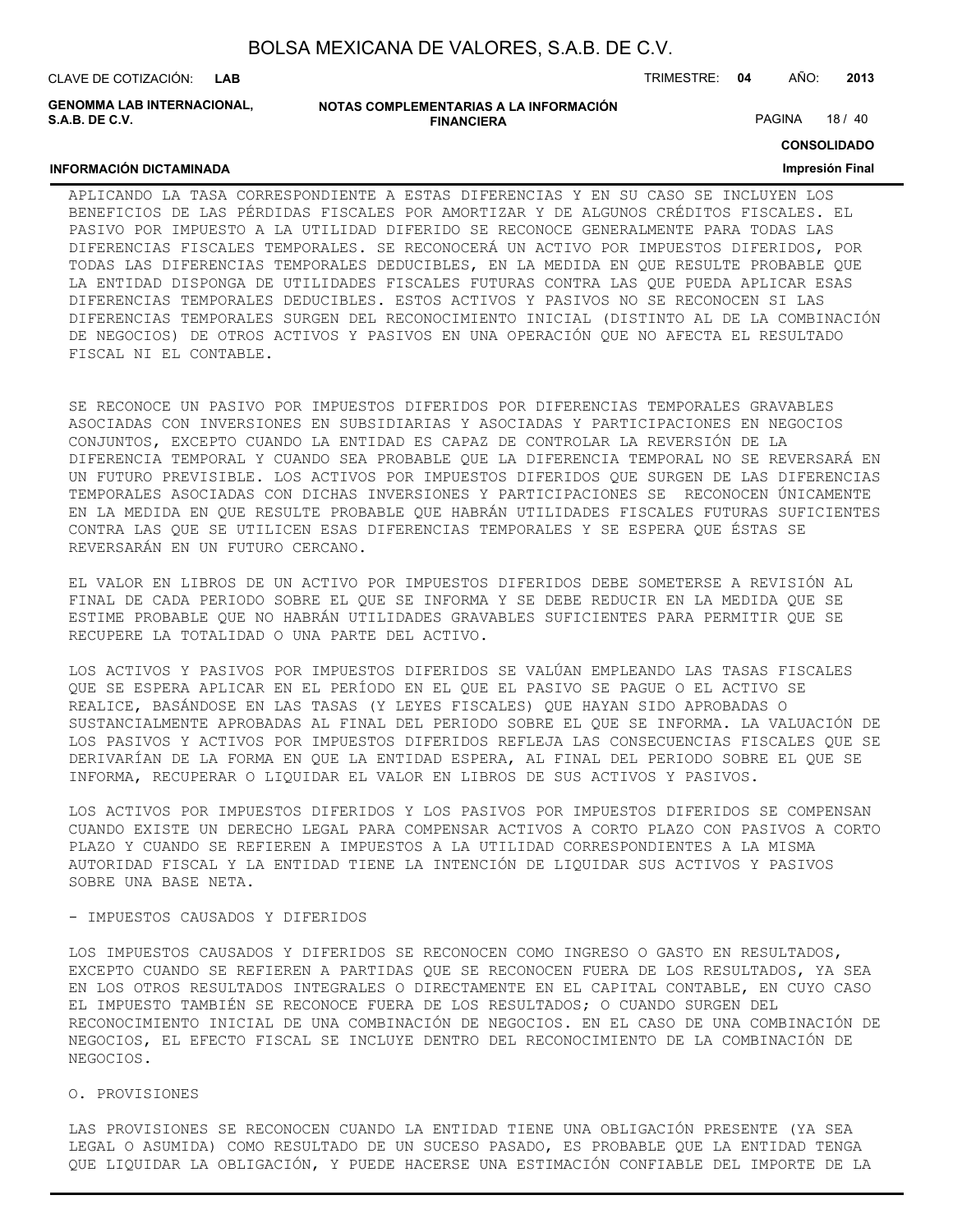**INFORMACIÓN DICTAMINADA**

**GENOMMA LAB INTERNACIONAL, S.A.B. DE C.V.**

| NOTAS COMPLEMENTARIAS A LA INFORMACIÓN |
|----------------------------------------|
| <b>FINANCIERA</b>                      |

PAGINA 18 / 40

**CONSOLIDADO**

#### **Impresión Final**

#### APLICANDO LA TASA CORRESPONDIENTE A ESTAS DIFERENCIAS Y EN SU CASO SE INCLUYEN LOS BENEFICIOS DE LAS PÉRDIDAS FISCALES POR AMORTIZAR Y DE ALGUNOS CRÉDITOS FISCALES. EL PASIVO POR IMPUESTO A LA UTILIDAD DIFERIDO SE RECONOCE GENERALMENTE PARA TODAS LAS DIFERENCIAS FISCALES TEMPORALES. SE RECONOCERÁ UN ACTIVO POR IMPUESTOS DIFERIDOS, POR TODAS LAS DIFERENCIAS TEMPORALES DEDUCIBLES, EN LA MEDIDA EN QUE RESULTE PROBABLE QUE LA ENTIDAD DISPONGA DE UTILIDADES FISCALES FUTURAS CONTRA LAS QUE PUEDA APLICAR ESAS DIFERENCIAS TEMPORALES DEDUCIBLES. ESTOS ACTIVOS Y PASIVOS NO SE RECONOCEN SI LAS DIFERENCIAS TEMPORALES SURGEN DEL RECONOCIMIENTO INICIAL (DISTINTO AL DE LA COMBINACIÓN DE NEGOCIOS) DE OTROS ACTIVOS Y PASIVOS EN UNA OPERACIÓN QUE NO AFECTA EL RESULTADO FISCAL NI EL CONTABLE.

SE RECONOCE UN PASIVO POR IMPUESTOS DIFERIDOS POR DIFERENCIAS TEMPORALES GRAVABLES ASOCIADAS CON INVERSIONES EN SUBSIDIARIAS Y ASOCIADAS Y PARTICIPACIONES EN NEGOCIOS CONJUNTOS, EXCEPTO CUANDO LA ENTIDAD ES CAPAZ DE CONTROLAR LA REVERSIÓN DE LA DIFERENCIA TEMPORAL Y CUANDO SEA PROBABLE QUE LA DIFERENCIA TEMPORAL NO SE REVERSARÁ EN UN FUTURO PREVISIBLE. LOS ACTIVOS POR IMPUESTOS DIFERIDOS QUE SURGEN DE LAS DIFERENCIAS TEMPORALES ASOCIADAS CON DICHAS INVERSIONES Y PARTICIPACIONES SE RECONOCEN ÚNICAMENTE EN LA MEDIDA EN QUE RESULTE PROBABLE QUE HABRÁN UTILIDADES FISCALES FUTURAS SUFICIENTES CONTRA LAS QUE SE UTILICEN ESAS DIFERENCIAS TEMPORALES Y SE ESPERA QUE ÉSTAS SE REVERSARÁN EN UN FUTURO CERCANO.

EL VALOR EN LIBROS DE UN ACTIVO POR IMPUESTOS DIFERIDOS DEBE SOMETERSE A REVISIÓN AL FINAL DE CADA PERIODO SOBRE EL QUE SE INFORMA Y SE DEBE REDUCIR EN LA MEDIDA QUE SE ESTIME PROBABLE QUE NO HABRÁN UTILIDADES GRAVABLES SUFICIENTES PARA PERMITIR QUE SE RECUPERE LA TOTALIDAD O UNA PARTE DEL ACTIVO.

LOS ACTIVOS Y PASIVOS POR IMPUESTOS DIFERIDOS SE VALÚAN EMPLEANDO LAS TASAS FISCALES QUE SE ESPERA APLICAR EN EL PERÍODO EN EL QUE EL PASIVO SE PAGUE O EL ACTIVO SE REALICE, BASÁNDOSE EN LAS TASAS (Y LEYES FISCALES) QUE HAYAN SIDO APROBADAS O SUSTANCIALMENTE APROBADAS AL FINAL DEL PERIODO SOBRE EL QUE SE INFORMA. LA VALUACIÓN DE LOS PASIVOS Y ACTIVOS POR IMPUESTOS DIFERIDOS REFLEJA LAS CONSECUENCIAS FISCALES QUE SE DERIVARÍAN DE LA FORMA EN QUE LA ENTIDAD ESPERA, AL FINAL DEL PERIODO SOBRE EL QUE SE INFORMA, RECUPERAR O LIQUIDAR EL VALOR EN LIBROS DE SUS ACTIVOS Y PASIVOS.

LOS ACTIVOS POR IMPUESTOS DIFERIDOS Y LOS PASIVOS POR IMPUESTOS DIFERIDOS SE COMPENSAN CUANDO EXISTE UN DERECHO LEGAL PARA COMPENSAR ACTIVOS A CORTO PLAZO CON PASIVOS A CORTO PLAZO Y CUANDO SE REFIEREN A IMPUESTOS A LA UTILIDAD CORRESPONDIENTES A LA MISMA AUTORIDAD FISCAL Y LA ENTIDAD TIENE LA INTENCIÓN DE LIQUIDAR SUS ACTIVOS Y PASIVOS SOBRE UNA BASE NETA.

#### - IMPUESTOS CAUSADOS Y DIFERIDOS

LOS IMPUESTOS CAUSADOS Y DIFERIDOS SE RECONOCEN COMO INGRESO O GASTO EN RESULTADOS, EXCEPTO CUANDO SE REFIEREN A PARTIDAS QUE SE RECONOCEN FUERA DE LOS RESULTADOS, YA SEA EN LOS OTROS RESULTADOS INTEGRALES O DIRECTAMENTE EN EL CAPITAL CONTABLE, EN CUYO CASO EL IMPUESTO TAMBIÉN SE RECONOCE FUERA DE LOS RESULTADOS; O CUANDO SURGEN DEL RECONOCIMIENTO INICIAL DE UNA COMBINACIÓN DE NEGOCIOS. EN EL CASO DE UNA COMBINACIÓN DE NEGOCIOS, EL EFECTO FISCAL SE INCLUYE DENTRO DEL RECONOCIMIENTO DE LA COMBINACIÓN DE NEGOCIOS.

#### O. PROVISIONES

LAS PROVISIONES SE RECONOCEN CUANDO LA ENTIDAD TIENE UNA OBLIGACIÓN PRESENTE (YA SEA LEGAL O ASUMIDA) COMO RESULTADO DE UN SUCESO PASADO, ES PROBABLE QUE LA ENTIDAD TENGA QUE LIQUIDAR LA OBLIGACIÓN, Y PUEDE HACERSE UNA ESTIMACIÓN CONFIABLE DEL IMPORTE DE LA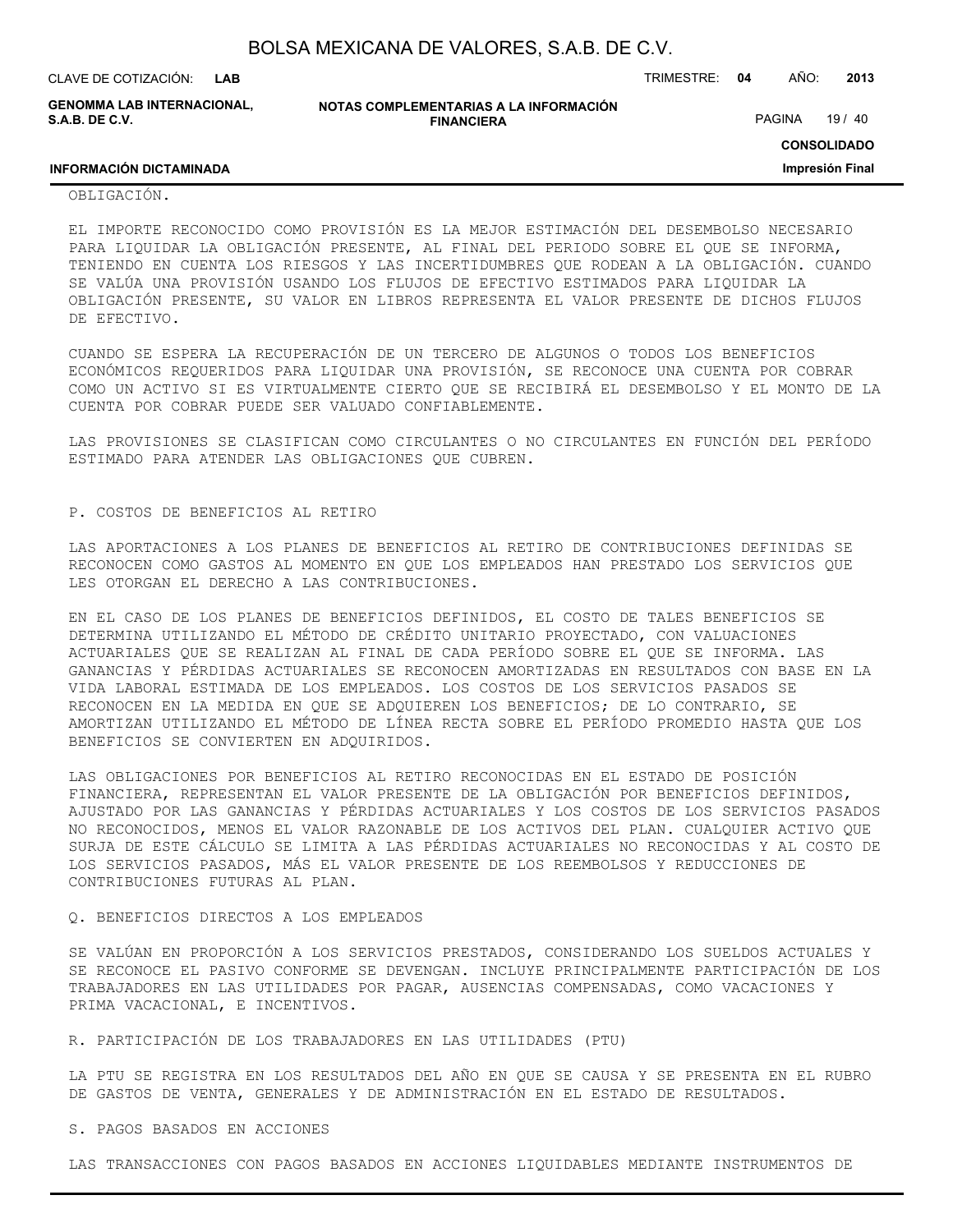| BOLSA MEXICANA DE VALORES, S.A.B. DE C.V. |  |  |  |
|-------------------------------------------|--|--|--|
|-------------------------------------------|--|--|--|

**GENOMMA LAB INTERNACIONAL, S.A.B. DE C.V.**

**NOTAS COMPLEMENTARIAS A LA INFORMACIÓN FINANCIERA**

PAGINA 19 / 40

**CONSOLIDADO**

**Impresión Final**

## **INFORMACIÓN DICTAMINADA**

#### OBLIGACIÓN.

EL IMPORTE RECONOCIDO COMO PROVISIÓN ES LA MEJOR ESTIMACIÓN DEL DESEMBOLSO NECESARIO PARA LIQUIDAR LA OBLIGACIÓN PRESENTE, AL FINAL DEL PERIODO SOBRE EL QUE SE INFORMA, TENIENDO EN CUENTA LOS RIESGOS Y LAS INCERTIDUMBRES QUE RODEAN A LA OBLIGACIÓN. CUANDO SE VALÚA UNA PROVISIÓN USANDO LOS FLUJOS DE EFECTIVO ESTIMADOS PARA LIQUIDAR LA OBLIGACIÓN PRESENTE, SU VALOR EN LIBROS REPRESENTA EL VALOR PRESENTE DE DICHOS FLUJOS DE EFECTIVO.

CUANDO SE ESPERA LA RECUPERACIÓN DE UN TERCERO DE ALGUNOS O TODOS LOS BENEFICIOS ECONÓMICOS REQUERIDOS PARA LIQUIDAR UNA PROVISIÓN, SE RECONOCE UNA CUENTA POR COBRAR COMO UN ACTIVO SI ES VIRTUALMENTE CIERTO QUE SE RECIBIRÁ EL DESEMBOLSO Y EL MONTO DE LA CUENTA POR COBRAR PUEDE SER VALUADO CONFIABLEMENTE.

LAS PROVISIONES SE CLASIFICAN COMO CIRCULANTES O NO CIRCULANTES EN FUNCIÓN DEL PERÍODO ESTIMADO PARA ATENDER LAS OBLIGACIONES QUE CUBREN.

#### P. COSTOS DE BENEFICIOS AL RETIRO

LAS APORTACIONES A LOS PLANES DE BENEFICIOS AL RETIRO DE CONTRIBUCIONES DEFINIDAS SE RECONOCEN COMO GASTOS AL MOMENTO EN QUE LOS EMPLEADOS HAN PRESTADO LOS SERVICIOS QUE LES OTORGAN EL DERECHO A LAS CONTRIBUCIONES.

EN EL CASO DE LOS PLANES DE BENEFICIOS DEFINIDOS, EL COSTO DE TALES BENEFICIOS SE DETERMINA UTILIZANDO EL MÉTODO DE CRÉDITO UNITARIO PROYECTADO, CON VALUACIONES ACTUARIALES QUE SE REALIZAN AL FINAL DE CADA PERÍODO SOBRE EL QUE SE INFORMA. LAS GANANCIAS Y PÉRDIDAS ACTUARIALES SE RECONOCEN AMORTIZADAS EN RESULTADOS CON BASE EN LA VIDA LABORAL ESTIMADA DE LOS EMPLEADOS. LOS COSTOS DE LOS SERVICIOS PASADOS SE RECONOCEN EN LA MEDIDA EN QUE SE ADQUIEREN LOS BENEFICIOS; DE LO CONTRARIO, SE AMORTIZAN UTILIZANDO EL MÉTODO DE LÍNEA RECTA SOBRE EL PERÍODO PROMEDIO HASTA QUE LOS BENEFICIOS SE CONVIERTEN EN ADQUIRIDOS.

LAS OBLIGACIONES POR BENEFICIOS AL RETIRO RECONOCIDAS EN EL ESTADO DE POSICIÓN FINANCIERA, REPRESENTAN EL VALOR PRESENTE DE LA OBLIGACIÓN POR BENEFICIOS DEFINIDOS, AJUSTADO POR LAS GANANCIAS Y PÉRDIDAS ACTUARIALES Y LOS COSTOS DE LOS SERVICIOS PASADOS NO RECONOCIDOS, MENOS EL VALOR RAZONABLE DE LOS ACTIVOS DEL PLAN. CUALQUIER ACTIVO QUE SURJA DE ESTE CÁLCULO SE LIMITA A LAS PÉRDIDAS ACTUARIALES NO RECONOCIDAS Y AL COSTO DE LOS SERVICIOS PASADOS, MÁS EL VALOR PRESENTE DE LOS REEMBOLSOS Y REDUCCIONES DE CONTRIBUCIONES FUTURAS AL PLAN.

#### Q. BENEFICIOS DIRECTOS A LOS EMPLEADOS

SE VALÚAN EN PROPORCIÓN A LOS SERVICIOS PRESTADOS, CONSIDERANDO LOS SUELDOS ACTUALES Y SE RECONOCE EL PASIVO CONFORME SE DEVENGAN. INCLUYE PRINCIPALMENTE PARTICIPACIÓN DE LOS TRABAJADORES EN LAS UTILIDADES POR PAGAR, AUSENCIAS COMPENSADAS, COMO VACACIONES Y PRIMA VACACIONAL, E INCENTIVOS.

R. PARTICIPACIÓN DE LOS TRABAJADORES EN LAS UTILIDADES (PTU)

LA PTU SE REGISTRA EN LOS RESULTADOS DEL AÑO EN QUE SE CAUSA Y SE PRESENTA EN EL RUBRO DE GASTOS DE VENTA, GENERALES Y DE ADMINISTRACIÓN EN EL ESTADO DE RESULTADOS.

S. PAGOS BASADOS EN ACCIONES

LAS TRANSACCIONES CON PAGOS BASADOS EN ACCIONES LIQUIDABLES MEDIANTE INSTRUMENTOS DE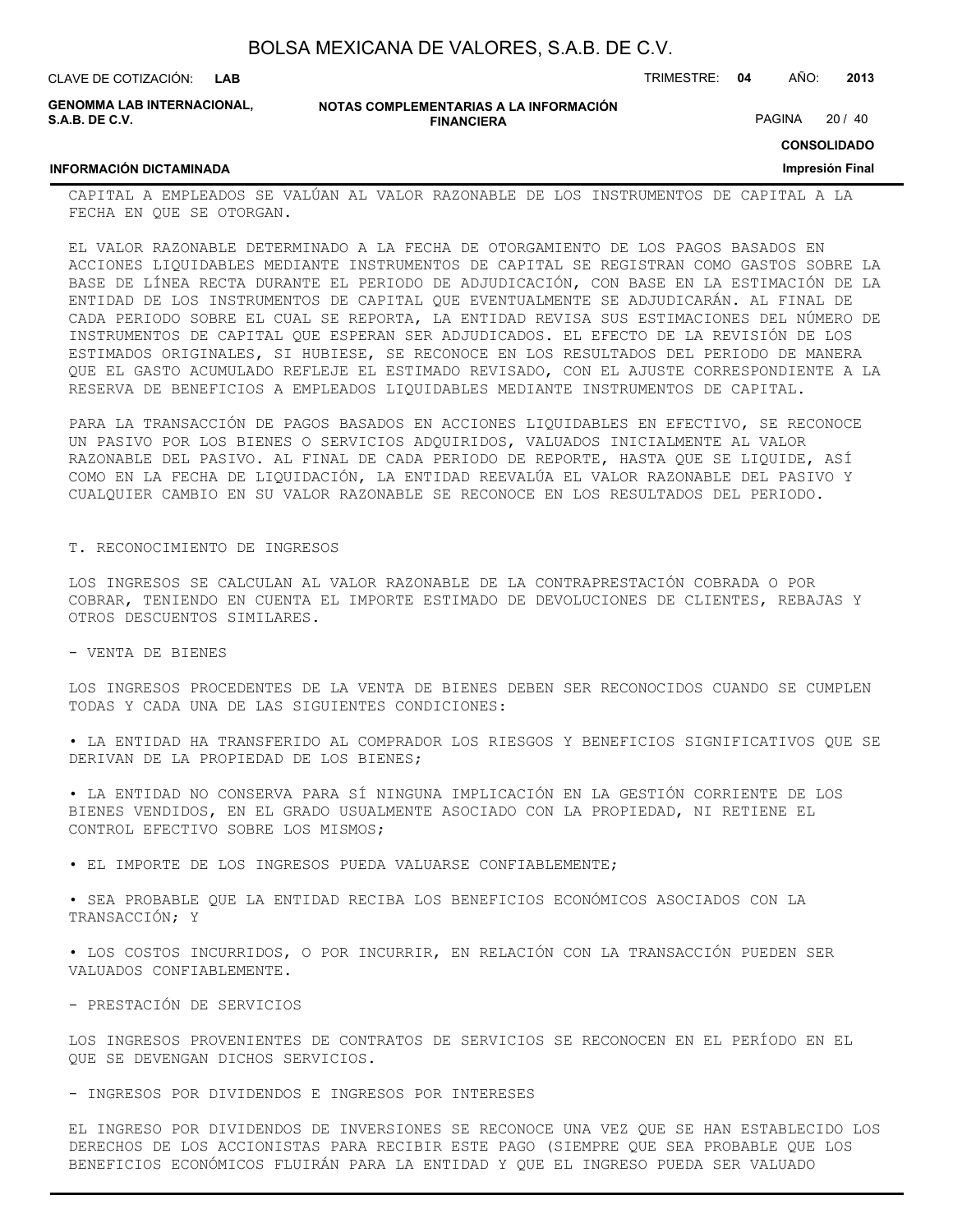| BOLSA MEXICANA DE VALORES, S.A.B. DE C.V. |  |  |  |
|-------------------------------------------|--|--|--|
|-------------------------------------------|--|--|--|

| CLAVE DE COTIZACIÓN:<br>LAB                  |                                                             | TRIMESTRE: 04 | AÑO:          | 2013    |
|----------------------------------------------|-------------------------------------------------------------|---------------|---------------|---------|
| GENOMMA LAB INTERNACIONAL.<br>S.A.B. DE C.V. | NOTAS COMPLEMENTARIAS A LA INFORMACIÓN<br><b>FINANCIERA</b> |               | <b>PAGINA</b> | 20 / 40 |

## **CONSOLIDADO**

#### **Impresión Final**

## **INFORMACIÓN DICTAMINADA**

CAPITAL A EMPLEADOS SE VALÚAN AL VALOR RAZONABLE DE LOS INSTRUMENTOS DE CAPITAL A LA FECHA EN QUE SE OTORGAN.

EL VALOR RAZONABLE DETERMINADO A LA FECHA DE OTORGAMIENTO DE LOS PAGOS BASADOS EN ACCIONES LIQUIDABLES MEDIANTE INSTRUMENTOS DE CAPITAL SE REGISTRAN COMO GASTOS SOBRE LA BASE DE LÍNEA RECTA DURANTE EL PERIODO DE ADJUDICACIÓN, CON BASE EN LA ESTIMACIÓN DE LA ENTIDAD DE LOS INSTRUMENTOS DE CAPITAL QUE EVENTUALMENTE SE ADJUDICARÁN. AL FINAL DE CADA PERIODO SOBRE EL CUAL SE REPORTA, LA ENTIDAD REVISA SUS ESTIMACIONES DEL NÚMERO DE INSTRUMENTOS DE CAPITAL QUE ESPERAN SER ADJUDICADOS. EL EFECTO DE LA REVISIÓN DE LOS ESTIMADOS ORIGINALES, SI HUBIESE, SE RECONOCE EN LOS RESULTADOS DEL PERIODO DE MANERA QUE EL GASTO ACUMULADO REFLEJE EL ESTIMADO REVISADO, CON EL AJUSTE CORRESPONDIENTE A LA RESERVA DE BENEFICIOS A EMPLEADOS LIQUIDABLES MEDIANTE INSTRUMENTOS DE CAPITAL.

PARA LA TRANSACCIÓN DE PAGOS BASADOS EN ACCIONES LIQUIDABLES EN EFECTIVO, SE RECONOCE UN PASIVO POR LOS BIENES O SERVICIOS ADQUIRIDOS, VALUADOS INICIALMENTE AL VALOR RAZONABLE DEL PASIVO. AL FINAL DE CADA PERIODO DE REPORTE, HASTA QUE SE LIQUIDE, ASÍ COMO EN LA FECHA DE LIQUIDACIÓN, LA ENTIDAD REEVALÚA EL VALOR RAZONABLE DEL PASIVO Y CUALQUIER CAMBIO EN SU VALOR RAZONABLE SE RECONOCE EN LOS RESULTADOS DEL PERIODO.

#### T. RECONOCIMIENTO DE INGRESOS

LOS INGRESOS SE CALCULAN AL VALOR RAZONABLE DE LA CONTRAPRESTACIÓN COBRADA O POR COBRAR, TENIENDO EN CUENTA EL IMPORTE ESTIMADO DE DEVOLUCIONES DE CLIENTES, REBAJAS Y OTROS DESCUENTOS SIMILARES.

- VENTA DE BIENES

LOS INGRESOS PROCEDENTES DE LA VENTA DE BIENES DEBEN SER RECONOCIDOS CUANDO SE CUMPLEN TODAS Y CADA UNA DE LAS SIGUIENTES CONDICIONES:

• LA ENTIDAD HA TRANSFERIDO AL COMPRADOR LOS RIESGOS Y BENEFICIOS SIGNIFICATIVOS QUE SE DERIVAN DE LA PROPIEDAD DE LOS BIENES;

• LA ENTIDAD NO CONSERVA PARA SÍ NINGUNA IMPLICACIÓN EN LA GESTIÓN CORRIENTE DE LOS BIENES VENDIDOS, EN EL GRADO USUALMENTE ASOCIADO CON LA PROPIEDAD, NI RETIENE EL CONTROL EFECTIVO SOBRE LOS MISMOS;

• EL IMPORTE DE LOS INGRESOS PUEDA VALUARSE CONFIABLEMENTE;

• SEA PROBABLE QUE LA ENTIDAD RECIBA LOS BENEFICIOS ECONÓMICOS ASOCIADOS CON LA TRANSACCIÓN; Y

• LOS COSTOS INCURRIDOS, O POR INCURRIR, EN RELACIÓN CON LA TRANSACCIÓN PUEDEN SER VALUADOS CONFIABLEMENTE.

- PRESTACIÓN DE SERVICIOS

LOS INGRESOS PROVENIENTES DE CONTRATOS DE SERVICIOS SE RECONOCEN EN EL PERÍODO EN EL QUE SE DEVENGAN DICHOS SERVICIOS.

- INGRESOS POR DIVIDENDOS E INGRESOS POR INTERESES

EL INGRESO POR DIVIDENDOS DE INVERSIONES SE RECONOCE UNA VEZ QUE SE HAN ESTABLECIDO LOS DERECHOS DE LOS ACCIONISTAS PARA RECIBIR ESTE PAGO (SIEMPRE QUE SEA PROBABLE QUE LOS BENEFICIOS ECONÓMICOS FLUIRÁN PARA LA ENTIDAD Y QUE EL INGRESO PUEDA SER VALUADO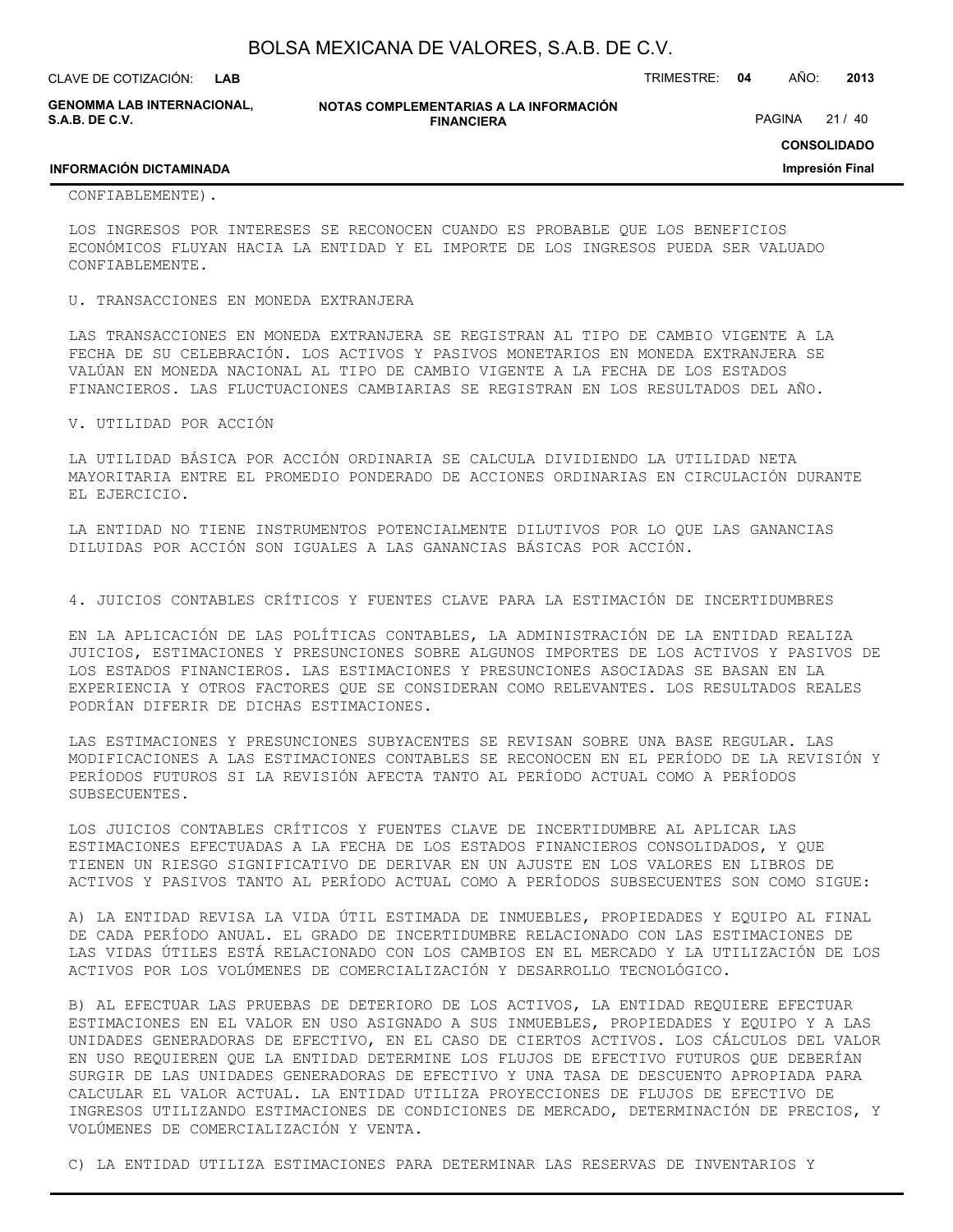| BOLSA MEXICANA DE VALORES, S.A.B. DE C.V. |  |  |
|-------------------------------------------|--|--|
|-------------------------------------------|--|--|

**GENOMMA LAB INTERNACIONAL, S.A.B. DE C.V.**

**NOTAS COMPLEMENTARIAS A LA INFORMACIÓN FINANCIERA**

PAGINA 21 / 40

**CONSOLIDADO**

**Impresión Final**

#### **INFORMACIÓN DICTAMINADA**

#### CONFIABLEMENTE).

LOS INGRESOS POR INTERESES SE RECONOCEN CUANDO ES PROBABLE QUE LOS BENEFICIOS ECONÓMICOS FLUYAN HACIA LA ENTIDAD Y EL IMPORTE DE LOS INGRESOS PUEDA SER VALUADO CONFIABLEMENTE.

#### U. TRANSACCIONES EN MONEDA EXTRANJERA

LAS TRANSACCIONES EN MONEDA EXTRANJERA SE REGISTRAN AL TIPO DE CAMBIO VIGENTE A LA FECHA DE SU CELEBRACIÓN. LOS ACTIVOS Y PASIVOS MONETARIOS EN MONEDA EXTRANJERA SE VALÚAN EN MONEDA NACIONAL AL TIPO DE CAMBIO VIGENTE A LA FECHA DE LOS ESTADOS FINANCIEROS. LAS FLUCTUACIONES CAMBIARIAS SE REGISTRAN EN LOS RESULTADOS DEL AÑO.

#### V. UTILIDAD POR ACCIÓN

LA UTILIDAD BÁSICA POR ACCIÓN ORDINARIA SE CALCULA DIVIDIENDO LA UTILIDAD NETA MAYORITARIA ENTRE EL PROMEDIO PONDERADO DE ACCIONES ORDINARIAS EN CIRCULACIÓN DURANTE EL EJERCICIO.

LA ENTIDAD NO TIENE INSTRUMENTOS POTENCIALMENTE DILUTIVOS POR LO QUE LAS GANANCIAS DILUIDAS POR ACCIÓN SON IGUALES A LAS GANANCIAS BÁSICAS POR ACCIÓN.

4. JUICIOS CONTABLES CRÍTICOS Y FUENTES CLAVE PARA LA ESTIMACIÓN DE INCERTIDUMBRES

EN LA APLICACIÓN DE LAS POLÍTICAS CONTABLES, LA ADMINISTRACIÓN DE LA ENTIDAD REALIZA JUICIOS, ESTIMACIONES Y PRESUNCIONES SOBRE ALGUNOS IMPORTES DE LOS ACTIVOS Y PASIVOS DE LOS ESTADOS FINANCIEROS. LAS ESTIMACIONES Y PRESUNCIONES ASOCIADAS SE BASAN EN LA EXPERIENCIA Y OTROS FACTORES QUE SE CONSIDERAN COMO RELEVANTES. LOS RESULTADOS REALES PODRÍAN DIFERIR DE DICHAS ESTIMACIONES.

LAS ESTIMACIONES Y PRESUNCIONES SUBYACENTES SE REVISAN SOBRE UNA BASE REGULAR. LAS MODIFICACIONES A LAS ESTIMACIONES CONTABLES SE RECONOCEN EN EL PERÍODO DE LA REVISIÓN Y PERÍODOS FUTUROS SI LA REVISIÓN AFECTA TANTO AL PERÍODO ACTUAL COMO A PERÍODOS SUBSECUENTES.

LOS JUICIOS CONTABLES CRÍTICOS Y FUENTES CLAVE DE INCERTIDUMBRE AL APLICAR LAS ESTIMACIONES EFECTUADAS A LA FECHA DE LOS ESTADOS FINANCIEROS CONSOLIDADOS, Y QUE TIENEN UN RIESGO SIGNIFICATIVO DE DERIVAR EN UN AJUSTE EN LOS VALORES EN LIBROS DE ACTIVOS Y PASIVOS TANTO AL PERÍODO ACTUAL COMO A PERÍODOS SUBSECUENTES SON COMO SIGUE:

A) LA ENTIDAD REVISA LA VIDA ÚTIL ESTIMADA DE INMUEBLES, PROPIEDADES Y EQUIPO AL FINAL DE CADA PERÍODO ANUAL. EL GRADO DE INCERTIDUMBRE RELACIONADO CON LAS ESTIMACIONES DE LAS VIDAS ÚTILES ESTÁ RELACIONADO CON LOS CAMBIOS EN EL MERCADO Y LA UTILIZACIÓN DE LOS ACTIVOS POR LOS VOLÚMENES DE COMERCIALIZACIÓN Y DESARROLLO TECNOLÓGICO.

B) AL EFECTUAR LAS PRUEBAS DE DETERIORO DE LOS ACTIVOS, LA ENTIDAD REQUIERE EFECTUAR ESTIMACIONES EN EL VALOR EN USO ASIGNADO A SUS INMUEBLES, PROPIEDADES Y EQUIPO Y A LAS UNIDADES GENERADORAS DE EFECTIVO, EN EL CASO DE CIERTOS ACTIVOS. LOS CÁLCULOS DEL VALOR EN USO REQUIEREN QUE LA ENTIDAD DETERMINE LOS FLUJOS DE EFECTIVO FUTUROS QUE DEBERÍAN SURGIR DE LAS UNIDADES GENERADORAS DE EFECTIVO Y UNA TASA DE DESCUENTO APROPIADA PARA CALCULAR EL VALOR ACTUAL. LA ENTIDAD UTILIZA PROYECCIONES DE FLUJOS DE EFECTIVO DE INGRESOS UTILIZANDO ESTIMACIONES DE CONDICIONES DE MERCADO, DETERMINACIÓN DE PRECIOS, Y VOLÚMENES DE COMERCIALIZACIÓN Y VENTA.

C) LA ENTIDAD UTILIZA ESTIMACIONES PARA DETERMINAR LAS RESERVAS DE INVENTARIOS Y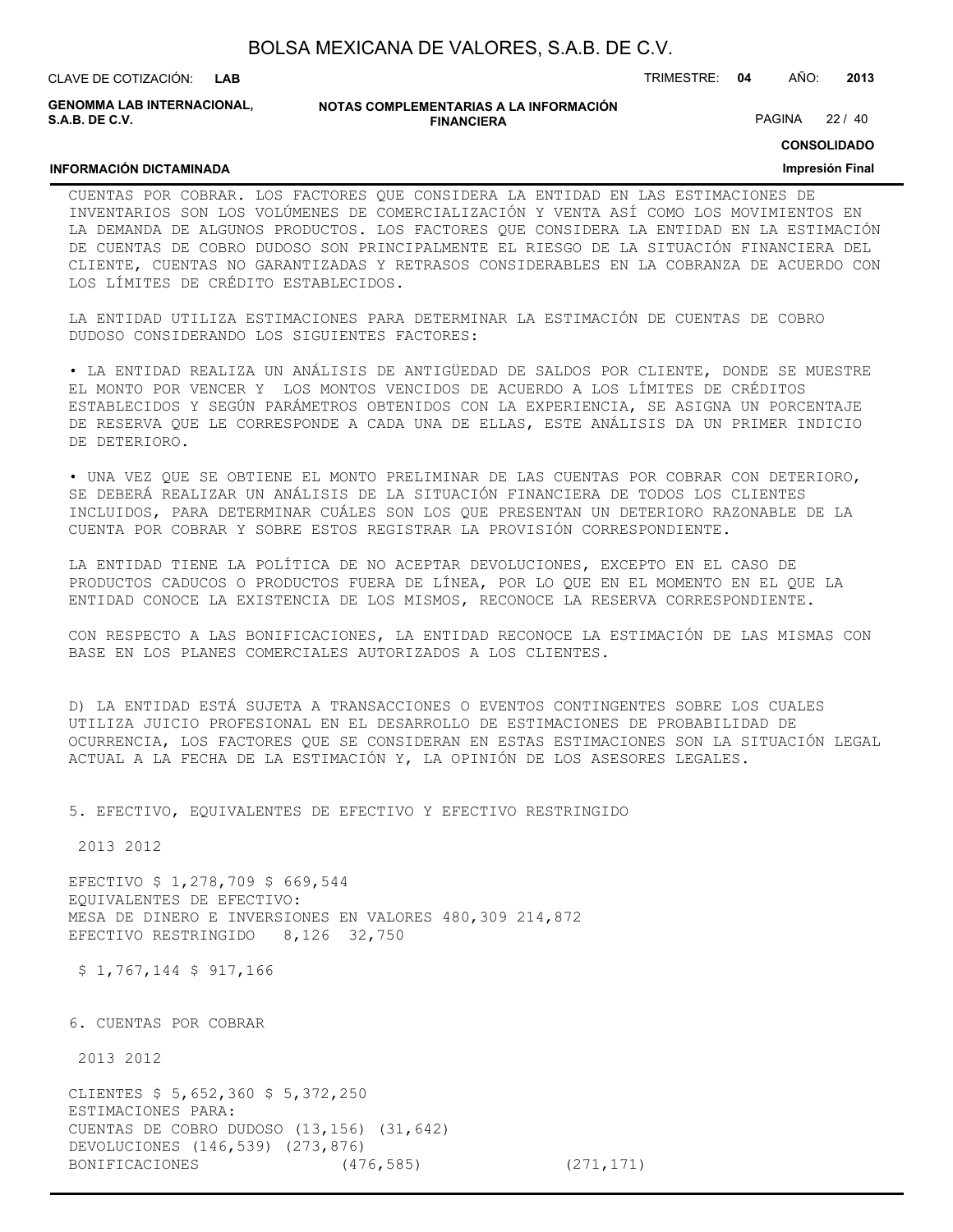| BOLSA MEXICANA DE VALORES, S.A.B. DE C.V. |  |  |
|-------------------------------------------|--|--|
|-------------------------------------------|--|--|

CLAVE DE COTIZACIÓN: TRIMESTRE: **04** AÑO: **2013 LAB GENOMMA LAB INTERNACIONAL,**

**INFORMACIÓN DICTAMINADA**

**S.A.B. DE C.V.**

**NOTAS COMPLEMENTARIAS A LA INFORMACIÓN FINANCIERA**

PAGINA 22 / 40

#### **CONSOLIDADO**

#### **Impresión Final**

#### CUENTAS POR COBRAR. LOS FACTORES QUE CONSIDERA LA ENTIDAD EN LAS ESTIMACIONES DE INVENTARIOS SON LOS VOLÚMENES DE COMERCIALIZACIÓN Y VENTA ASÍ COMO LOS MOVIMIENTOS EN LA DEMANDA DE ALGUNOS PRODUCTOS. LOS FACTORES QUE CONSIDERA LA ENTIDAD EN LA ESTIMACIÓN DE CUENTAS DE COBRO DUDOSO SON PRINCIPALMENTE EL RIESGO DE LA SITUACIÓN FINANCIERA DEL CLIENTE, CUENTAS NO GARANTIZADAS Y RETRASOS CONSIDERABLES EN LA COBRANZA DE ACUERDO CON LOS LÍMITES DE CRÉDITO ESTABLECIDOS.

LA ENTIDAD UTILIZA ESTIMACIONES PARA DETERMINAR LA ESTIMACIÓN DE CUENTAS DE COBRO DUDOSO CONSIDERANDO LOS SIGUIENTES FACTORES:

• LA ENTIDAD REALIZA UN ANÁLISIS DE ANTIGÜEDAD DE SALDOS POR CLIENTE, DONDE SE MUESTRE EL MONTO POR VENCER Y LOS MONTOS VENCIDOS DE ACUERDO A LOS LÍMITES DE CRÉDITOS ESTABLECIDOS Y SEGÚN PARÁMETROS OBTENIDOS CON LA EXPERIENCIA, SE ASIGNA UN PORCENTAJE DE RESERVA QUE LE CORRESPONDE A CADA UNA DE ELLAS, ESTE ANÁLISIS DA UN PRIMER INDICIO DE DETERIORO.

• UNA VEZ QUE SE OBTIENE EL MONTO PRELIMINAR DE LAS CUENTAS POR COBRAR CON DETERIORO, SE DEBERÁ REALIZAR UN ANÁLISIS DE LA SITUACIÓN FINANCIERA DE TODOS LOS CLIENTES INCLUIDOS, PARA DETERMINAR CUÁLES SON LOS QUE PRESENTAN UN DETERIORO RAZONABLE DE LA CUENTA POR COBRAR Y SOBRE ESTOS REGISTRAR LA PROVISIÓN CORRESPONDIENTE.

LA ENTIDAD TIENE LA POLÍTICA DE NO ACEPTAR DEVOLUCIONES, EXCEPTO EN EL CASO DE PRODUCTOS CADUCOS O PRODUCTOS FUERA DE LÍNEA, POR LO QUE EN EL MOMENTO EN EL QUE LA ENTIDAD CONOCE LA EXISTENCIA DE LOS MISMOS, RECONOCE LA RESERVA CORRESPONDIENTE.

CON RESPECTO A LAS BONIFICACIONES, LA ENTIDAD RECONOCE LA ESTIMACIÓN DE LAS MISMAS CON BASE EN LOS PLANES COMERCIALES AUTORIZADOS A LOS CLIENTES.

D) LA ENTIDAD ESTÁ SUJETA A TRANSACCIONES O EVENTOS CONTINGENTES SOBRE LOS CUALES UTILIZA JUICIO PROFESIONAL EN EL DESARROLLO DE ESTIMACIONES DE PROBABILIDAD DE OCURRENCIA, LOS FACTORES QUE SE CONSIDERAN EN ESTAS ESTIMACIONES SON LA SITUACIÓN LEGAL ACTUAL A LA FECHA DE LA ESTIMACIÓN Y, LA OPINIÓN DE LOS ASESORES LEGALES.

5. EFECTIVO, EQUIVALENTES DE EFECTIVO Y EFECTIVO RESTRINGIDO

2013 2012

EFECTIVO \$ 1,278,709 \$ 669,544 EQUIVALENTES DE EFECTIVO: MESA DE DINERO E INVERSIONES EN VALORES 480,309 214,872 EFECTIVO RESTRINGIDO 8,126 32,750

\$ 1,767,144 \$ 917,166

6. CUENTAS POR COBRAR

2013 2012

CLIENTES \$ 5,652,360 \$ 5,372,250 ESTIMACIONES PARA: CUENTAS DE COBRO DUDOSO (13,156) (31,642) DEVOLUCIONES (146,539) (273,876) BONIFICACIONES (476,585) (271,171)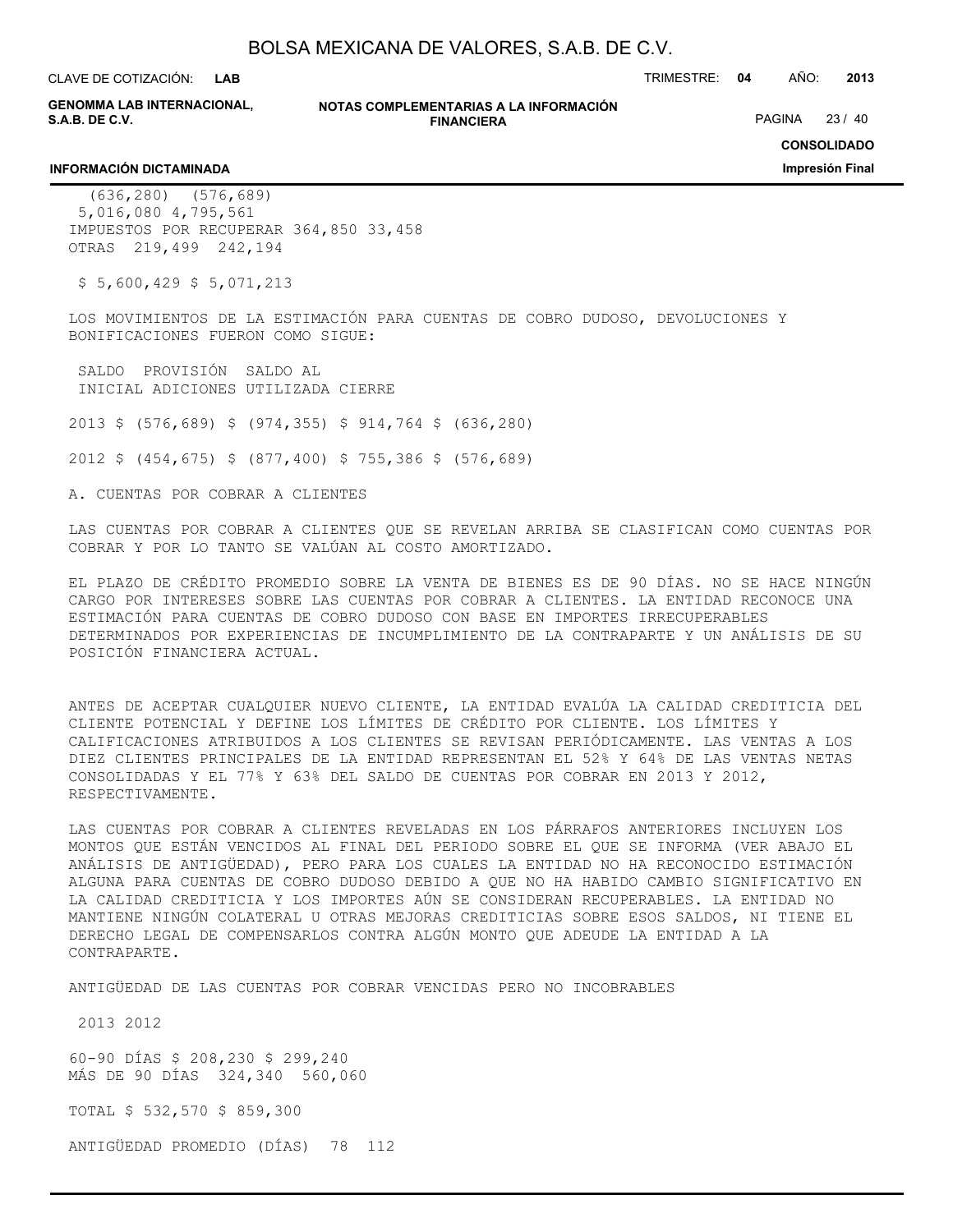CLAVE DE COTIZACIÓN: TRIMESTRE: **04** AÑO: **2013 LAB**

**GENOMMA LAB INTERNACIONAL, S.A.B. DE C.V.**

**NOTAS COMPLEMENTARIAS A LA INFORMACIÓN FINANCIERA**

PAGINA 23 / 40

**CONSOLIDADO**

**Impresión Final**

#### **INFORMACIÓN DICTAMINADA**

 (636,280) (576,689) 5,016,080 4,795,561 IMPUESTOS POR RECUPERAR 364,850 33,458 OTRAS 219,499 242,194

 $$5,600,429$   $$5,071,213$ 

LOS MOVIMIENTOS DE LA ESTIMACIÓN PARA CUENTAS DE COBRO DUDOSO, DEVOLUCIONES Y BONIFICACIONES FUERON COMO SIGUE:

 SALDO PROVISIÓN SALDO AL INICIAL ADICIONES UTILIZADA CIERRE

2013 \$ (576,689) \$ (974,355) \$ 914,764 \$ (636,280)

2012 \$ (454,675) \$ (877,400) \$ 755,386 \$ (576,689)

A. CUENTAS POR COBRAR A CLIENTES

LAS CUENTAS POR COBRAR A CLIENTES QUE SE REVELAN ARRIBA SE CLASIFICAN COMO CUENTAS POR COBRAR Y POR LO TANTO SE VALÚAN AL COSTO AMORTIZADO.

EL PLAZO DE CRÉDITO PROMEDIO SOBRE LA VENTA DE BIENES ES DE 90 DÍAS. NO SE HACE NINGÚN CARGO POR INTERESES SOBRE LAS CUENTAS POR COBRAR A CLIENTES. LA ENTIDAD RECONOCE UNA ESTIMACIÓN PARA CUENTAS DE COBRO DUDOSO CON BASE EN IMPORTES IRRECUPERABLES DETERMINADOS POR EXPERIENCIAS DE INCUMPLIMIENTO DE LA CONTRAPARTE Y UN ANÁLISIS DE SU POSICIÓN FINANCIERA ACTUAL.

ANTES DE ACEPTAR CUALQUIER NUEVO CLIENTE, LA ENTIDAD EVALÚA LA CALIDAD CREDITICIA DEL CLIENTE POTENCIAL Y DEFINE LOS LÍMITES DE CRÉDITO POR CLIENTE. LOS LÍMITES Y CALIFICACIONES ATRIBUIDOS A LOS CLIENTES SE REVISAN PERIÓDICAMENTE. LAS VENTAS A LOS DIEZ CLIENTES PRINCIPALES DE LA ENTIDAD REPRESENTAN EL 52% Y 64% DE LAS VENTAS NETAS CONSOLIDADAS Y EL 77% Y 63% DEL SALDO DE CUENTAS POR COBRAR EN 2013 Y 2012, RESPECTIVAMENTE.

LAS CUENTAS POR COBRAR A CLIENTES REVELADAS EN LOS PÁRRAFOS ANTERIORES INCLUYEN LOS MONTOS QUE ESTÁN VENCIDOS AL FINAL DEL PERIODO SOBRE EL QUE SE INFORMA (VER ABAJO EL ANÁLISIS DE ANTIGÜEDAD), PERO PARA LOS CUALES LA ENTIDAD NO HA RECONOCIDO ESTIMACIÓN ALGUNA PARA CUENTAS DE COBRO DUDOSO DEBIDO A QUE NO HA HABIDO CAMBIO SIGNIFICATIVO EN LA CALIDAD CREDITICIA Y LOS IMPORTES AÚN SE CONSIDERAN RECUPERABLES. LA ENTIDAD NO MANTIENE NINGÚN COLATERAL U OTRAS MEJORAS CREDITICIAS SOBRE ESOS SALDOS, NI TIENE EL DERECHO LEGAL DE COMPENSARLOS CONTRA ALGÚN MONTO QUE ADEUDE LA ENTIDAD A LA CONTRAPARTE.

ANTIGÜEDAD DE LAS CUENTAS POR COBRAR VENCIDAS PERO NO INCOBRABLES

2013 2012

60-90 DÍAS \$ 208,230 \$ 299,240 MÁS DE 90 DÍAS 324,340 560,060

TOTAL \$ 532,570 \$ 859,300

ANTIGÜEDAD PROMEDIO (DÍAS) 78 112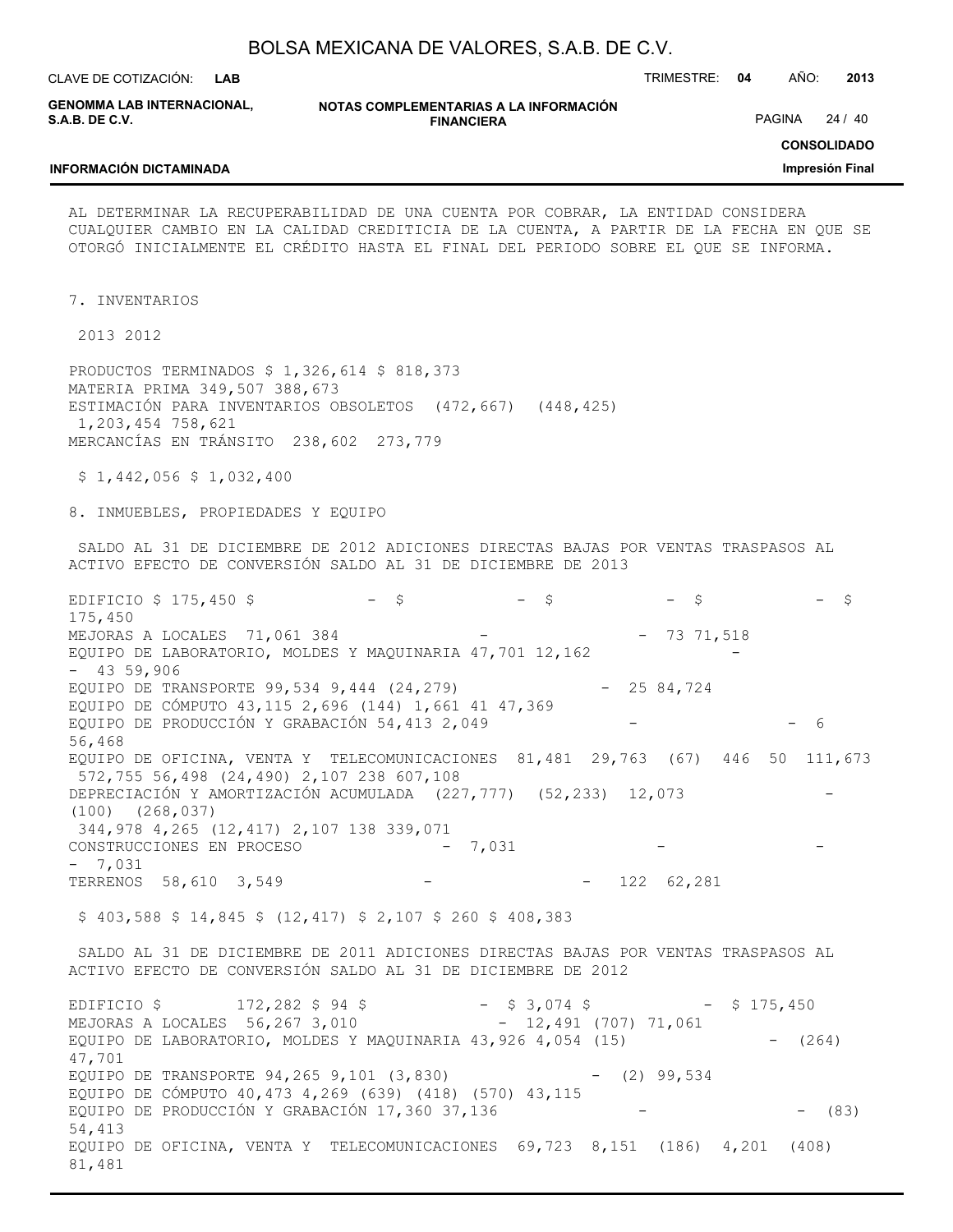| BOLSA MEXICANA DE VALORES, S.A.B. DE C.V. |  |  |
|-------------------------------------------|--|--|
|-------------------------------------------|--|--|

**NOTAS COMPLEMENTARIAS A LA INFORMACIÓN FINANCIERA** CLAVE DE COTIZACIÓN: TRIMESTRE: **04** AÑO: **2013 LAB CONSOLIDADO Impresión Final GENOMMA LAB INTERNACIONAL, S.A.B. DE C.V. INFORMACIÓN DICTAMINADA** PAGINA 24 / 40 AL DETERMINAR LA RECUPERABILIDAD DE UNA CUENTA POR COBRAR, LA ENTIDAD CONSIDERA CUALQUIER CAMBIO EN LA CALIDAD CREDITICIA DE LA CUENTA, A PARTIR DE LA FECHA EN QUE SE OTORGÓ INICIALMENTE EL CRÉDITO HASTA EL FINAL DEL PERIODO SOBRE EL QUE SE INFORMA. 7. INVENTARIOS 2013 2012 PRODUCTOS TERMINADOS \$ 1,326,614 \$ 818,373 MATERIA PRIMA 349,507 388,673 ESTIMACIÓN PARA INVENTARIOS OBSOLETOS (472,667) (448,425) 1,203,454 758,621 MERCANCÍAS EN TRÁNSITO 238,602 273,779 \$ 1,442,056 \$ 1,032,400 8. INMUEBLES, PROPIEDADES Y EQUIPO SALDO AL 31 DE DICIEMBRE DE 2012 ADICIONES DIRECTAS BAJAS POR VENTAS TRASPASOS AL ACTIVO EFECTO DE CONVERSIÓN SALDO AL 31 DE DICIEMBRE DE 2013 EDIFICIO \$ 175,450 \$ - \$ - \$ - \$ - \$ 175,450 MEJORAS A LOCALES 71,061 384 - - 73 71,518 EQUIPO DE LABORATORIO, MOLDES Y MAQUINARIA 47,701 12,162 - 43 59,906 EQUIPO DE TRANSPORTE 99,534 9,444 (24,279) - 25 84,724 EQUIPO DE CÓMPUTO 43,115 2,696 (144) 1,661 41 47,369 EQUIPO DE PRODUCCIÓN Y GRABACIÓN 54,413 2,049 - - - - - 6 56,468 EQUIPO DE OFICINA, VENTA Y TELECOMUNICACIONES 81,481 29,763 (67) 446 50 111,673 572,755 56,498 (24,490) 2,107 238 607,108 DEPRECIACIÓN Y AMORTIZACIÓN ACUMULADA (227,777) (52,233) 12,073 - (100) (268,037) 344,978 4,265 (12,417) 2,107 138 339,071 CONSTRUCCIONES EN PROCESO - 7,031 - 7,031 TERRENOS 58,610 3,549 - - - 122 62,281 \$ 403,588 \$ 14,845 \$ (12,417) \$ 2,107 \$ 260 \$ 408,383 SALDO AL 31 DE DICIEMBRE DE 2011 ADICIONES DIRECTAS BAJAS POR VENTAS TRASPASOS AL ACTIVO EFECTO DE CONVERSIÓN SALDO AL 31 DE DICIEMBRE DE 2012 EDIFICIO \$ 172,282 \$ 94 \$ - \$ 3,074 \$ - \$ 175,450 MEJORAS A LOCALES 56,267 3,010 - 12,491 (707) 71,061 EQUIPO DE LABORATORIO, MOLDES Y MAQUINARIA 43,926 4,054 (15) - (264) 47,701 EQUIPO DE TRANSPORTE 94,265 9,101 (3,830) - (2) 99,534 EQUIPO DE CÓMPUTO 40,473 4,269 (639) (418) (570) 43,115 EQUIPO DE PRODUCCIÓN Y GRABACIÓN 17,360 37,136 - - (83) 54,413 EQUIPO DE OFICINA, VENTA Y TELECOMUNICACIONES 69,723 8,151 (186) 4,201 (408) 81,481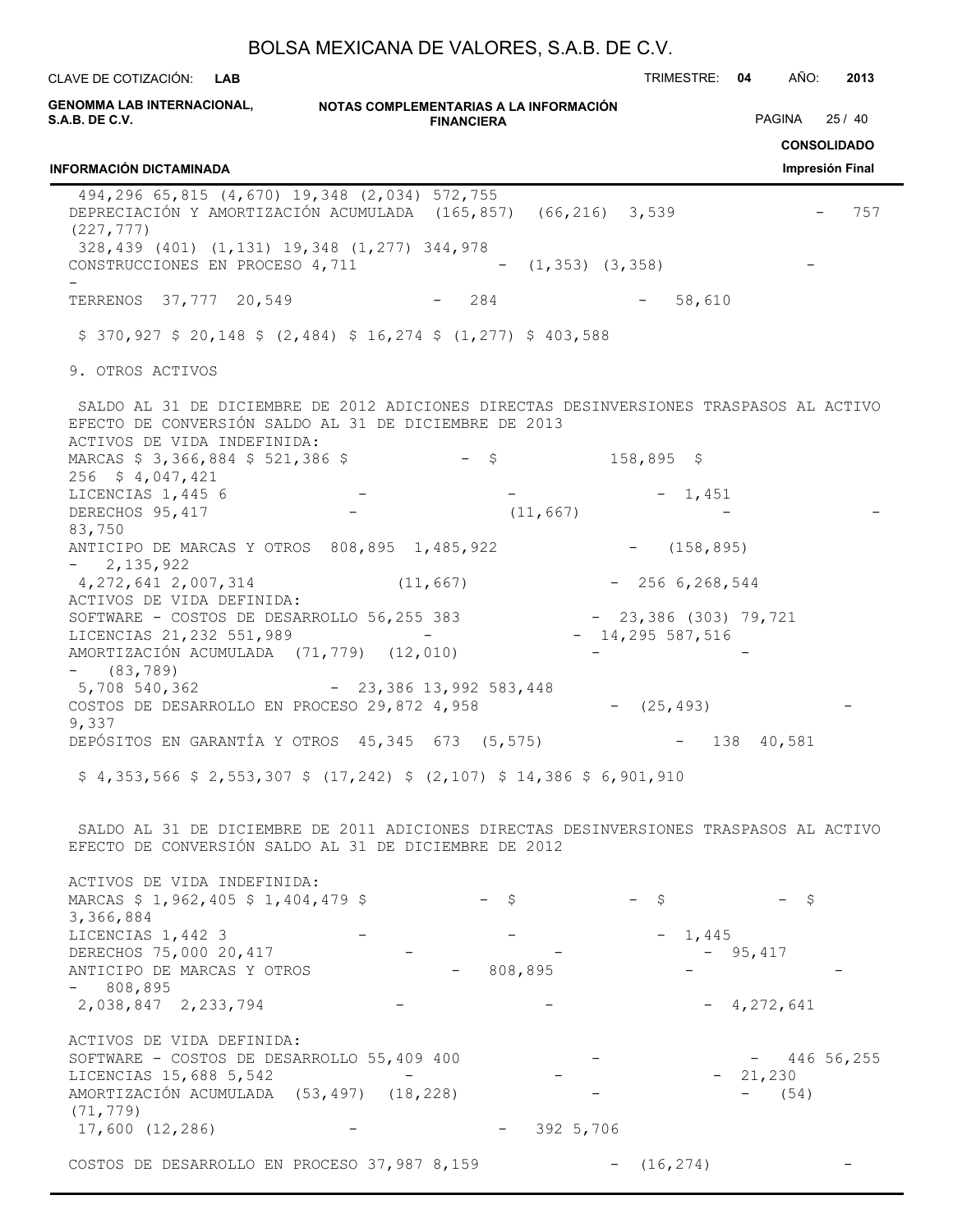| CLAVE DE COTIZACIÓN: L <b>AB</b>                                                                                                                                                                                                            |                   | TRIMESTRE: 04     | AÑO:<br>2013                         |
|---------------------------------------------------------------------------------------------------------------------------------------------------------------------------------------------------------------------------------------------|-------------------|-------------------|--------------------------------------|
| GENOMMA LAB INTERNACIONAL,                   NOTAS COMPLEMENTARIAS A LA INFORMACIÓN<br>S.A.B. DE C.V.                                                                                                                                       | <b>FINANCIERA</b> |                   | PAGINA 25 / 40<br><b>CONSOLIDADO</b> |
| <b>INFORMACIÓN DICTAMINADA</b>                                                                                                                                                                                                              |                   |                   | Impresión Final                      |
| 494,296 65,815 (4,670) 19,348 (2,034) 572,755<br>DEPRECIACIÓN Y AMORTIZACIÓN ACUMULADA (165,857) (66,216) 3,539<br>(227, 777)<br>328,439 (401) (1,131) 19,348 (1,277) 344,978<br>CONSTRUCCIONES EN PROCESO $4, 711$ - $(1, 353)$ $(3, 358)$ |                   |                   | 757                                  |
|                                                                                                                                                                                                                                             |                   |                   |                                      |
| TERRENOS 37,777 20,549                                                                                                                                                                                                                      | $-284$            | $-58,610$         |                                      |
| $$370,927$ $$20,148$ $$(2,484)$ $$16,274$ $$(1,277)$ $$403,588$                                                                                                                                                                             |                   |                   |                                      |
| 9. OTROS ACTIVOS                                                                                                                                                                                                                            |                   |                   |                                      |
| SALDO AL 31 DE DICIEMBRE DE 2012 ADICIONES DIRECTAS DESINVERSIONES TRASPASOS AL ACTIVO<br>EFECTO DE CONVERSIÓN SALDO AL 31 DE DICIEMBRE DE 2013<br>ACTIVOS DE VIDA INDEFINIDA:                                                              |                   |                   |                                      |
| MARCAS \$ 3,366,884 \$ 521,386 \$ - \$ 158,895 \$                                                                                                                                                                                           |                   |                   |                                      |
| $256 \div 4,047,421$<br>LICENCIAS 1,445 6                                                                                                                                                                                                   |                   |                   |                                      |
| DERECHOS 95, 417                                                                                                                                                                                                                            | (11, 667)         | $-1,451$          |                                      |
| 83,750                                                                                                                                                                                                                                      |                   |                   |                                      |
| ANTICIPO DE MARCAS Y OTROS 808,895 1,485,922 - (158,895)<br>$-2,135,922$                                                                                                                                                                    |                   |                   |                                      |
| $4,272,641,2,007,314$ (11,667) - 256 6,268,544                                                                                                                                                                                              |                   |                   |                                      |
| ACTIVOS DE VIDA DEFINIDA:<br>SOFTWARE - COSTOS DE DESARROLLO 56,255 383 - 23,386 (303) 79,721                                                                                                                                               |                   |                   |                                      |
| LICENCIAS 21, 232 551, 989 -<br>AMORTIZACIÓN ACUMULADA (71,779) (12,010)<br>$-$ (83,789)                                                                                                                                                    |                   | $-14,295$ 587,516 |                                      |
| 5,708 540,362 - 23,386 13,992 583,448<br>COSTOS DE DESARROLLO EN PROCESO 29,872 4,958                                                                                                                                                       |                   | $-$ (25,493)      |                                      |
| 9,337<br>DEPÓSITOS EN GARANTÍA Y OTROS 45,345 673 (5,575)                                                                                                                                                                                   |                   |                   | $- 138 40,581$                       |
| $$4,353,566$ $$2,553,307$ $$(17,242)$ $$(2,107)$ $$14,386$ $$6,901,910$                                                                                                                                                                     |                   |                   |                                      |
|                                                                                                                                                                                                                                             |                   |                   |                                      |
| SALDO AL 31 DE DICIEMBRE DE 2011 ADICIONES DIRECTAS DESINVERSIONES TRASPASOS AL ACTIVO<br>EFECTO DE CONVERSIÓN SALDO AL 31 DE DICIEMBRE DE 2012                                                                                             |                   |                   |                                      |
| ACTIVOS DE VIDA INDEFINIDA:<br>MARCAS \$ 1,962,405 \$ 1,404,479 \$                                                                                                                                                                          | $-$ \$            | $-$ \$            | $-$ \$                               |
| 3,366,884<br>LICENCIAS 1,442 3                                                                                                                                                                                                              |                   | $-1,445$          |                                      |
| DERECHOS 75,000 20,417<br>ANTICIPO DE MARCAS Y OTROS                                                                                                                                                                                        | 808,895           |                   | $-95,417$                            |
| $-808,895$                                                                                                                                                                                                                                  |                   |                   |                                      |
| 2,038,847 2,233,794                                                                                                                                                                                                                         |                   |                   | $-4,272,641$                         |
| ACTIVOS DE VIDA DEFINIDA:                                                                                                                                                                                                                   |                   |                   |                                      |
| SOFTWARE - COSTOS DE DESARROLLO 55,409 400<br>LICENCIAS 15,688 5,542                                                                                                                                                                        |                   |                   | $-44656,255$<br>$-21,230$            |
| AMORTIZACIÓN ACUMULADA (53,497) (18,228)                                                                                                                                                                                                    |                   |                   | $- (54)$                             |
| (71, 779)<br>17,600(12,286)                                                                                                                                                                                                                 | $-3925,706$       |                   |                                      |
|                                                                                                                                                                                                                                             |                   |                   |                                      |
| COSTOS DE DESARROLLO EN PROCESO 37,987 8,159                                                                                                                                                                                                |                   | (16, 274)         |                                      |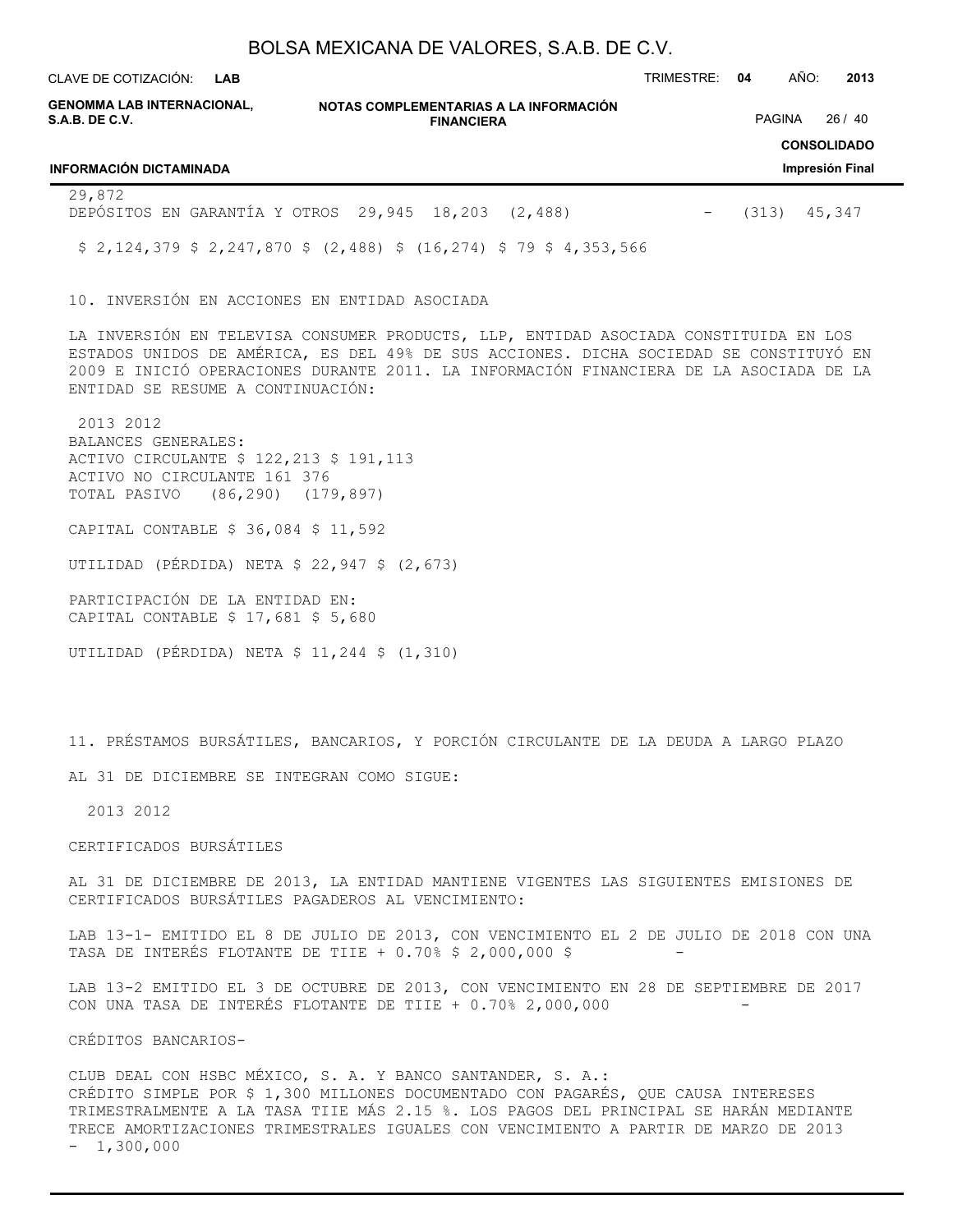CLAVE DE COTIZACIÓN: TRIMESTRE: **04** AÑO: **2013 LAB**

| GENOMMA LAB INTERNACIONAL,<br>S.A.B. DE C.V.                        |  | NOTAS COMPLEMENTARIAS A LA INFORMACIÓN<br><b>FINANCIERA</b> |  | <b>PAGINA</b> | 26/40                                 |
|---------------------------------------------------------------------|--|-------------------------------------------------------------|--|---------------|---------------------------------------|
| <b>INFORMACIÓN DICTAMINADA</b>                                      |  |                                                             |  |               | <b>CONSOLIDADO</b><br>Impresión Final |
| 29,872<br>DEPÓSITOS EN GARANTÍA Y OTROS 29,945 18,203 (2,488)       |  |                                                             |  | (313)         | 45,347                                |
| $$2,124,379$ $$2,247,870$ $$(2,488)$ $$(16,274)$ $$79$ $$4,353,566$ |  |                                                             |  |               |                                       |
|                                                                     |  |                                                             |  |               |                                       |

10. INVERSIÓN EN ACCIONES EN ENTIDAD ASOCIADA

LA INVERSIÓN EN TELEVISA CONSUMER PRODUCTS, LLP, ENTIDAD ASOCIADA CONSTITUIDA EN LOS ESTADOS UNIDOS DE AMÉRICA, ES DEL 49% DE SUS ACCIONES. DICHA SOCIEDAD SE CONSTITUYÓ EN 2009 E INICIÓ OPERACIONES DURANTE 2011. LA INFORMACIÓN FINANCIERA DE LA ASOCIADA DE LA ENTIDAD SE RESUME A CONTINUACIÓN:

 2013 2012 BALANCES GENERALES: ACTIVO CIRCULANTE \$ 122,213 \$ 191,113 ACTIVO NO CIRCULANTE 161 376 TOTAL PASIVO (86,290) (179,897)

CAPITAL CONTABLE \$ 36,084 \$ 11,592

UTILIDAD (PÉRDIDA) NETA \$ 22,947 \$ (2,673)

PARTICIPACIÓN DE LA ENTIDAD EN: CAPITAL CONTABLE \$ 17,681 \$ 5,680

UTILIDAD (PÉRDIDA) NETA \$ 11,244 \$ (1,310)

11. PRÉSTAMOS BURSÁTILES, BANCARIOS, Y PORCIÓN CIRCULANTE DE LA DEUDA A LARGO PLAZO

AL 31 DE DICIEMBRE SE INTEGRAN COMO SIGUE:

2013 2012

#### CERTIFICADOS BURSÁTILES

AL 31 DE DICIEMBRE DE 2013, LA ENTIDAD MANTIENE VIGENTES LAS SIGUIENTES EMISIONES DE CERTIFICADOS BURSÁTILES PAGADEROS AL VENCIMIENTO:

LAB 13-1- EMITIDO EL 8 DE JULIO DE 2013, CON VENCIMIENTO EL 2 DE JULIO DE 2018 CON UNA TASA DE INTERÉS FLOTANTE DE TIIE +  $0.70$ % \$ 2,000,000 \$

LAB 13-2 EMITIDO EL 3 DE OCTUBRE DE 2013, CON VENCIMIENTO EN 28 DE SEPTIEMBRE DE 2017 CON UNA TASA DE INTERÉS FLOTANTE DE TIIE  $+0.70$   $2,000,000$ 

CRÉDITOS BANCARIOS-

CLUB DEAL CON HSBC MÉXICO, S. A. Y BANCO SANTANDER, S. A.: CRÉDITO SIMPLE POR \$ 1,300 MILLONES DOCUMENTADO CON PAGARÉS, QUE CAUSA INTERESES TRIMESTRALMENTE A LA TASA TIIE MÁS 2.15 %. LOS PAGOS DEL PRINCIPAL SE HARÁN MEDIANTE TRECE AMORTIZACIONES TRIMESTRALES IGUALES CON VENCIMIENTO A PARTIR DE MARZO DE 2013  $-1,300,000$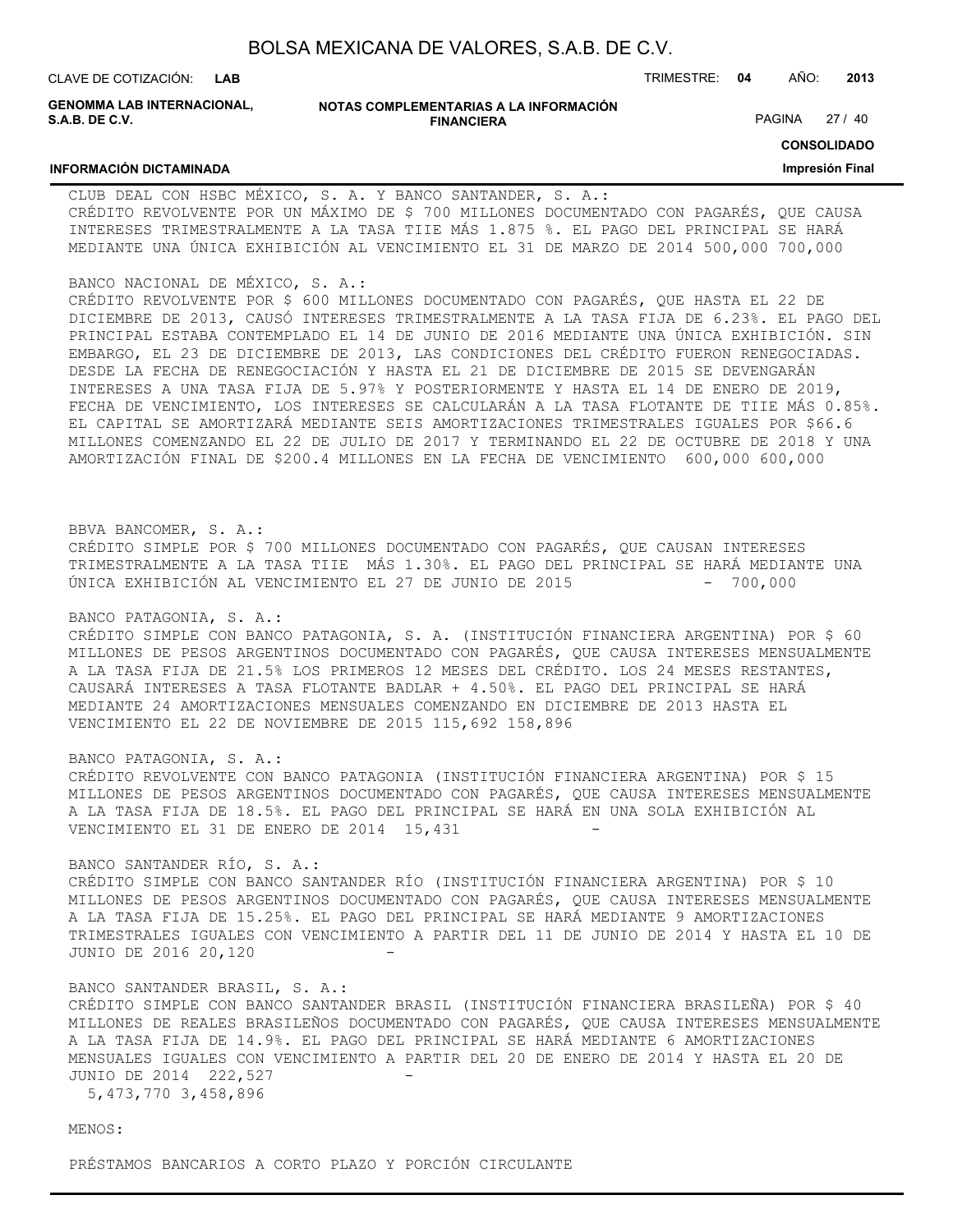| BOLSA MEXICANA DE VALORES, S.A.B. DE C.V. |  |  |
|-------------------------------------------|--|--|
|-------------------------------------------|--|--|

| CLAVE DE COTIZACIÓN: LAB                     |                                                             | TRIMESTRE: | 04     | AÑO: | 2013    |
|----------------------------------------------|-------------------------------------------------------------|------------|--------|------|---------|
| GENOMMA LAB INTERNACIONAL,<br>S.A.B. DE C.V. | NOTAS COMPLEMENTARIAS A LA INFORMACIÓN<br><b>FINANCIERA</b> |            | PAGINA |      | 27 / 40 |

#### **INFORMACIÓN DICTAMINADA**

**CONSOLIDADO**

#### **Impresión Final**

CLUB DEAL CON HSBC MÉXICO, S. A. Y BANCO SANTANDER, S. A.: CRÉDITO REVOLVENTE POR UN MÁXIMO DE \$ 700 MILLONES DOCUMENTADO CON PAGARÉS, QUE CAUSA INTERESES TRIMESTRALMENTE A LA TASA TIIE MÁS 1.875 %. EL PAGO DEL PRINCIPAL SE HARÁ MEDIANTE UNA ÚNICA EXHIBICIÓN AL VENCIMIENTO EL 31 DE MARZO DE 2014 500,000 700,000

#### BANCO NACIONAL DE MÉXICO, S. A.:

CRÉDITO REVOLVENTE POR \$ 600 MILLONES DOCUMENTADO CON PAGARÉS, QUE HASTA EL 22 DE DICIEMBRE DE 2013, CAUSÓ INTERESES TRIMESTRALMENTE A LA TASA FIJA DE 6.23%. EL PAGO DEL PRINCIPAL ESTABA CONTEMPLADO EL 14 DE JUNIO DE 2016 MEDIANTE UNA ÚNICA EXHIBICIÓN. SIN EMBARGO, EL 23 DE DICIEMBRE DE 2013, LAS CONDICIONES DEL CRÉDITO FUERON RENEGOCIADAS. DESDE LA FECHA DE RENEGOCIACIÓN Y HASTA EL 21 DE DICIEMBRE DE 2015 SE DEVENGARÁN INTERESES A UNA TASA FIJA DE 5.97% Y POSTERIORMENTE Y HASTA EL 14 DE ENERO DE 2019, FECHA DE VENCIMIENTO, LOS INTERESES SE CALCULARÁN A LA TASA FLOTANTE DE TIIE MÁS 0.85%. EL CAPITAL SE AMORTIZARÁ MEDIANTE SEIS AMORTIZACIONES TRIMESTRALES IGUALES POR \$66.6 MILLONES COMENZANDO EL 22 DE JULIO DE 2017 Y TERMINANDO EL 22 DE OCTUBRE DE 2018 Y UNA AMORTIZACIÓN FINAL DE \$200.4 MILLONES EN LA FECHA DE VENCIMIENTO 600,000 600,000

#### BBVA BANCOMER, S. A.:

CRÉDITO SIMPLE POR \$ 700 MILLONES DOCUMENTADO CON PAGARÉS, QUE CAUSAN INTERESES TRIMESTRALMENTE A LA TASA TIIE MÁS 1.30%. EL PAGO DEL PRINCIPAL SE HARÁ MEDIANTE UNA ÚNICA EXHIBICIÓN AL VENCIMIENTO EL 27 DE JUNIO DE 2015 - 700,000

#### BANCO PATAGONIA, S. A.:

CRÉDITO SIMPLE CON BANCO PATAGONIA, S. A. (INSTITUCIÓN FINANCIERA ARGENTINA) POR \$ 60 MILLONES DE PESOS ARGENTINOS DOCUMENTADO CON PAGARÉS, QUE CAUSA INTERESES MENSUALMENTE A LA TASA FIJA DE 21.5% LOS PRIMEROS 12 MESES DEL CRÉDITO. LOS 24 MESES RESTANTES, CAUSARÁ INTERESES A TASA FLOTANTE BADLAR + 4.50%. EL PAGO DEL PRINCIPAL SE HARÁ MEDIANTE 24 AMORTIZACIONES MENSUALES COMENZANDO EN DICIEMBRE DE 2013 HASTA EL VENCIMIENTO EL 22 DE NOVIEMBRE DE 2015 115,692 158,896

#### BANCO PATAGONIA, S. A.:

CRÉDITO REVOLVENTE CON BANCO PATAGONIA (INSTITUCIÓN FINANCIERA ARGENTINA) POR \$ 15 MILLONES DE PESOS ARGENTINOS DOCUMENTADO CON PAGARÉS, QUE CAUSA INTERESES MENSUALMENTE A LA TASA FIJA DE 18.5%. EL PAGO DEL PRINCIPAL SE HARÁ EN UNA SOLA EXHIBICIÓN AL VENCIMIENTO EL 31 DE ENERO DE 2014 15,431

#### BANCO SANTANDER RÍO, S. A.:

CRÉDITO SIMPLE CON BANCO SANTANDER RÍO (INSTITUCIÓN FINANCIERA ARGENTINA) POR \$ 10 MILLONES DE PESOS ARGENTINOS DOCUMENTADO CON PAGARÉS, QUE CAUSA INTERESES MENSUALMENTE A LA TASA FIJA DE 15.25%. EL PAGO DEL PRINCIPAL SE HARÁ MEDIANTE 9 AMORTIZACIONES TRIMESTRALES IGUALES CON VENCIMIENTO A PARTIR DEL 11 DE JUNIO DE 2014 Y HASTA EL 10 DE JUNIO DE 2016 20,120 -

#### BANCO SANTANDER BRASIL, S. A.:

CRÉDITO SIMPLE CON BANCO SANTANDER BRASIL (INSTITUCIÓN FINANCIERA BRASILEÑA) POR \$ 40 MILLONES DE REALES BRASILEÑOS DOCUMENTADO CON PAGARÉS, QUE CAUSA INTERESES MENSUALMENTE A LA TASA FIJA DE 14.9%. EL PAGO DEL PRINCIPAL SE HARÁ MEDIANTE 6 AMORTIZACIONES MENSUALES IGUALES CON VENCIMIENTO A PARTIR DEL 20 DE ENERO DE 2014 Y HASTA EL 20 DE JUNIO DE 2014 222,527

5,473,770 3,458,896

MENOS:

PRÉSTAMOS BANCARIOS A CORTO PLAZO Y PORCIÓN CIRCULANTE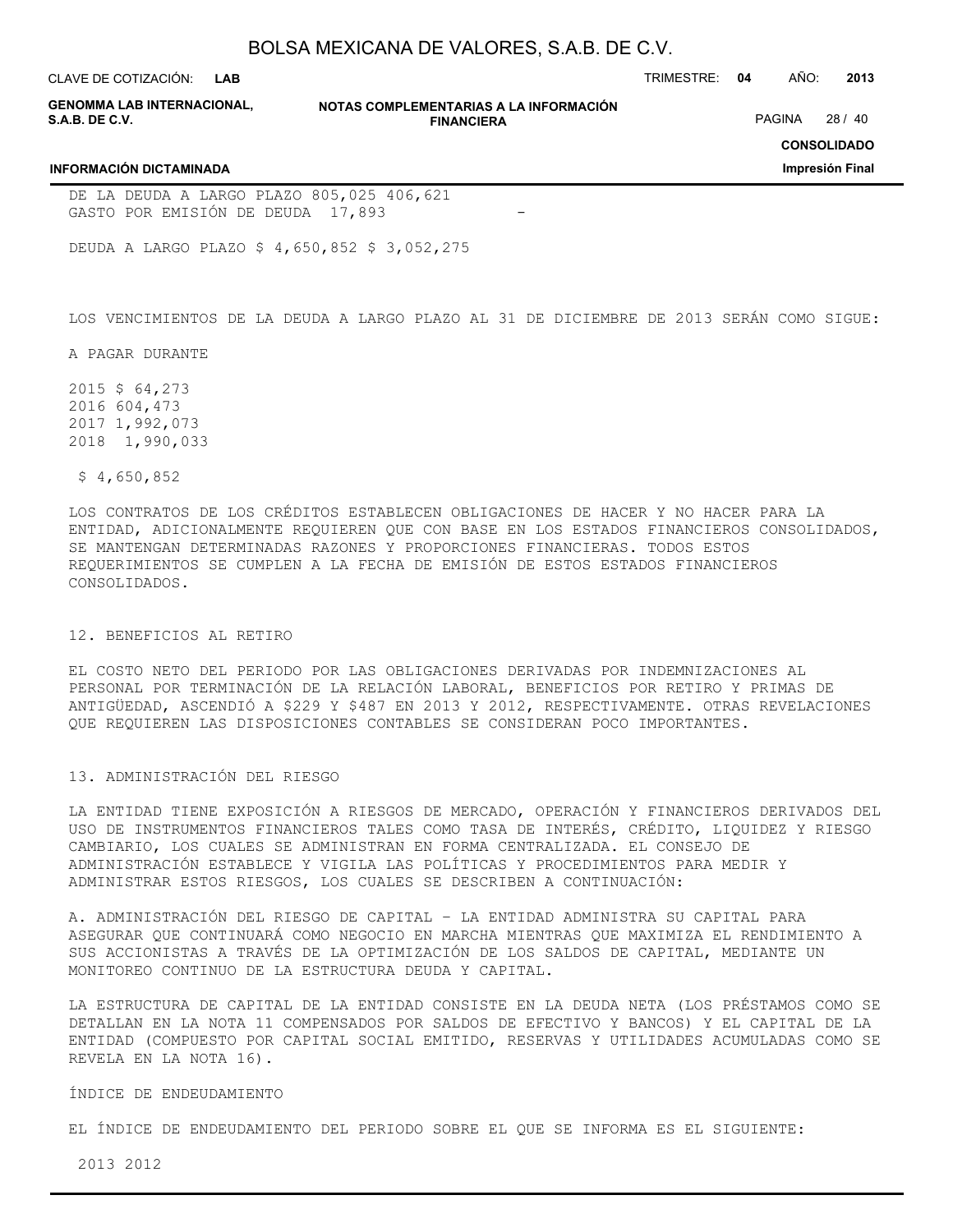**LAB**

CLAVE DE COTIZACIÓN: TRIMESTRE: **04** AÑO: **2013**

| <b>GENOMMA LAB INTERNACIONAL.</b> |  |
|-----------------------------------|--|
| <b>S.A.B. DE C.V.</b>             |  |

**NOTAS COMPLEMENTARIAS A LA INFORMACIÓN FINANCIERA**

PAGINA 28 / 40

**CONSOLIDADO**

**Impresión Final**

#### **INFORMACIÓN DICTAMINADA**

DE LA DEUDA A LARGO PLAZO 805,025 406,621 GASTO POR EMISIÓN DE DEUDA 17,893

DEUDA A LARGO PLAZO \$ 4,650,852 \$ 3,052,275

LOS VENCIMIENTOS DE LA DEUDA A LARGO PLAZO AL 31 DE DICIEMBRE DE 2013 SERÁN COMO SIGUE:

A PAGAR DURANTE

2015 \$ 64,273 2016 604,473 2017 1,992,073 2018 1,990,033

\$ 4,650,852

LOS CONTRATOS DE LOS CRÉDITOS ESTABLECEN OBLIGACIONES DE HACER Y NO HACER PARA LA ENTIDAD, ADICIONALMENTE REQUIEREN QUE CON BASE EN LOS ESTADOS FINANCIEROS CONSOLIDADOS, SE MANTENGAN DETERMINADAS RAZONES Y PROPORCIONES FINANCIERAS. TODOS ESTOS REQUERIMIENTOS SE CUMPLEN A LA FECHA DE EMISIÓN DE ESTOS ESTADOS FINANCIEROS CONSOLIDADOS.

#### 12. BENEFICIOS AL RETIRO

EL COSTO NETO DEL PERIODO POR LAS OBLIGACIONES DERIVADAS POR INDEMNIZACIONES AL PERSONAL POR TERMINACIÓN DE LA RELACIÓN LABORAL, BENEFICIOS POR RETIRO Y PRIMAS DE ANTIGÜEDAD, ASCENDIÓ A \$229 Y \$487 EN 2013 Y 2012, RESPECTIVAMENTE. OTRAS REVELACIONES QUE REQUIEREN LAS DISPOSICIONES CONTABLES SE CONSIDERAN POCO IMPORTANTES.

#### 13. ADMINISTRACIÓN DEL RIESGO

LA ENTIDAD TIENE EXPOSICIÓN A RIESGOS DE MERCADO, OPERACIÓN Y FINANCIEROS DERIVADOS DEL USO DE INSTRUMENTOS FINANCIEROS TALES COMO TASA DE INTERÉS, CRÉDITO, LIQUIDEZ Y RIESGO CAMBIARIO, LOS CUALES SE ADMINISTRAN EN FORMA CENTRALIZADA. EL CONSEJO DE ADMINISTRACIÓN ESTABLECE Y VIGILA LAS POLÍTICAS Y PROCEDIMIENTOS PARA MEDIR Y ADMINISTRAR ESTOS RIESGOS, LOS CUALES SE DESCRIBEN A CONTINUACIÓN:

A. ADMINISTRACIÓN DEL RIESGO DE CAPITAL – LA ENTIDAD ADMINISTRA SU CAPITAL PARA ASEGURAR QUE CONTINUARÁ COMO NEGOCIO EN MARCHA MIENTRAS QUE MAXIMIZA EL RENDIMIENTO A SUS ACCIONISTAS A TRAVÉS DE LA OPTIMIZACIÓN DE LOS SALDOS DE CAPITAL, MEDIANTE UN MONITOREO CONTINUO DE LA ESTRUCTURA DEUDA Y CAPITAL.

LA ESTRUCTURA DE CAPITAL DE LA ENTIDAD CONSISTE EN LA DEUDA NETA (LOS PRÉSTAMOS COMO SE DETALLAN EN LA NOTA 11 COMPENSADOS POR SALDOS DE EFECTIVO Y BANCOS) Y EL CAPITAL DE LA ENTIDAD (COMPUESTO POR CAPITAL SOCIAL EMITIDO, RESERVAS Y UTILIDADES ACUMULADAS COMO SE REVELA EN LA NOTA 16).

#### ÍNDICE DE ENDEUDAMIENTO

EL ÍNDICE DE ENDEUDAMIENTO DEL PERIODO SOBRE EL QUE SE INFORMA ES EL SIGUIENTE:

2013 2012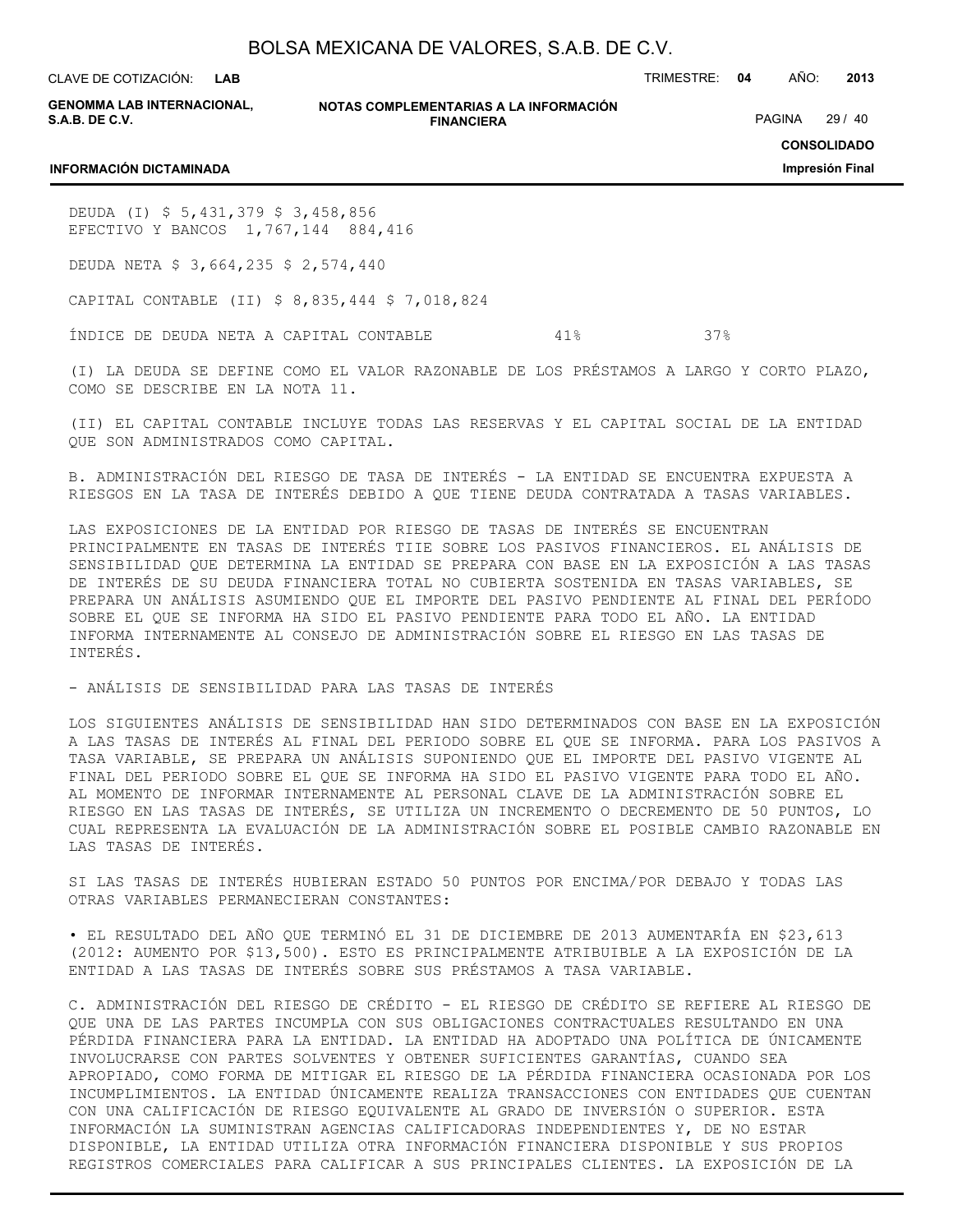**LAB**

CLAVE DE COTIZACIÓN: TRIMESTRE: **04** AÑO: **2013**

**GENOMMA LAB INTERNACIONAL, S.A.B. DE C.V.**

**NOTAS COMPLEMENTARIAS A LA INFORMACIÓN FINANCIERA**

PAGINA 29 / 40

**CONSOLIDADO Impresión Final**

#### **INFORMACIÓN DICTAMINADA**

DEUDA (I) \$ 5,431,379 \$ 3,458,856 EFECTIVO Y BANCOS 1,767,144 884,416

DEUDA NETA \$ 3,664,235 \$ 2,574,440

CAPITAL CONTABLE (II) \$ 8,835,444 \$ 7,018,824

ÍNDICE DE DEUDA NETA A CAPITAL CONTABLE 41% 37%

(I) LA DEUDA SE DEFINE COMO EL VALOR RAZONABLE DE LOS PRÉSTAMOS A LARGO Y CORTO PLAZO, COMO SE DESCRIBE EN LA NOTA 11.

(II) EL CAPITAL CONTABLE INCLUYE TODAS LAS RESERVAS Y EL CAPITAL SOCIAL DE LA ENTIDAD QUE SON ADMINISTRADOS COMO CAPITAL.

B. ADMINISTRACIÓN DEL RIESGO DE TASA DE INTERÉS - LA ENTIDAD SE ENCUENTRA EXPUESTA A RIESGOS EN LA TASA DE INTERÉS DEBIDO A QUE TIENE DEUDA CONTRATADA A TASAS VARIABLES.

LAS EXPOSICIONES DE LA ENTIDAD POR RIESGO DE TASAS DE INTERÉS SE ENCUENTRAN PRINCIPALMENTE EN TASAS DE INTERÉS TIIE SOBRE LOS PASIVOS FINANCIEROS. EL ANÁLISIS DE SENSIBILIDAD QUE DETERMINA LA ENTIDAD SE PREPARA CON BASE EN LA EXPOSICIÓN A LAS TASAS DE INTERÉS DE SU DEUDA FINANCIERA TOTAL NO CUBIERTA SOSTENIDA EN TASAS VARIABLES, SE PREPARA UN ANÁLISIS ASUMIENDO QUE EL IMPORTE DEL PASIVO PENDIENTE AL FINAL DEL PERÍODO SOBRE EL QUE SE INFORMA HA SIDO EL PASIVO PENDIENTE PARA TODO EL AÑO. LA ENTIDAD INFORMA INTERNAMENTE AL CONSEJO DE ADMINISTRACIÓN SOBRE EL RIESGO EN LAS TASAS DE INTERÉS.

- ANÁLISIS DE SENSIBILIDAD PARA LAS TASAS DE INTERÉS

LOS SIGUIENTES ANÁLISIS DE SENSIBILIDAD HAN SIDO DETERMINADOS CON BASE EN LA EXPOSICIÓN A LAS TASAS DE INTERÉS AL FINAL DEL PERIODO SOBRE EL QUE SE INFORMA. PARA LOS PASIVOS A TASA VARIABLE, SE PREPARA UN ANÁLISIS SUPONIENDO QUE EL IMPORTE DEL PASIVO VIGENTE AL FINAL DEL PERIODO SOBRE EL QUE SE INFORMA HA SIDO EL PASIVO VIGENTE PARA TODO EL AÑO. AL MOMENTO DE INFORMAR INTERNAMENTE AL PERSONAL CLAVE DE LA ADMINISTRACIÓN SOBRE EL RIESGO EN LAS TASAS DE INTERÉS, SE UTILIZA UN INCREMENTO O DECREMENTO DE 50 PUNTOS, LO CUAL REPRESENTA LA EVALUACIÓN DE LA ADMINISTRACIÓN SOBRE EL POSIBLE CAMBIO RAZONABLE EN LAS TASAS DE INTERÉS.

SI LAS TASAS DE INTERÉS HUBIERAN ESTADO 50 PUNTOS POR ENCIMA/POR DEBAJO Y TODAS LAS OTRAS VARIABLES PERMANECIERAN CONSTANTES:

• EL RESULTADO DEL AÑO QUE TERMINÓ EL 31 DE DICIEMBRE DE 2013 AUMENTARÍA EN \$23,613 (2012: AUMENTO POR \$13,500). ESTO ES PRINCIPALMENTE ATRIBUIBLE A LA EXPOSICIÓN DE LA ENTIDAD A LAS TASAS DE INTERÉS SOBRE SUS PRÉSTAMOS A TASA VARIABLE.

C. ADMINISTRACIÓN DEL RIESGO DE CRÉDITO - EL RIESGO DE CRÉDITO SE REFIERE AL RIESGO DE QUE UNA DE LAS PARTES INCUMPLA CON SUS OBLIGACIONES CONTRACTUALES RESULTANDO EN UNA PÉRDIDA FINANCIERA PARA LA ENTIDAD. LA ENTIDAD HA ADOPTADO UNA POLÍTICA DE ÚNICAMENTE INVOLUCRARSE CON PARTES SOLVENTES Y OBTENER SUFICIENTES GARANTÍAS, CUANDO SEA APROPIADO, COMO FORMA DE MITIGAR EL RIESGO DE LA PÉRDIDA FINANCIERA OCASIONADA POR LOS INCUMPLIMIENTOS. LA ENTIDAD ÚNICAMENTE REALIZA TRANSACCIONES CON ENTIDADES QUE CUENTAN CON UNA CALIFICACIÓN DE RIESGO EQUIVALENTE AL GRADO DE INVERSIÓN O SUPERIOR. ESTA INFORMACIÓN LA SUMINISTRAN AGENCIAS CALIFICADORAS INDEPENDIENTES Y, DE NO ESTAR DISPONIBLE, LA ENTIDAD UTILIZA OTRA INFORMACIÓN FINANCIERA DISPONIBLE Y SUS PROPIOS REGISTROS COMERCIALES PARA CALIFICAR A SUS PRINCIPALES CLIENTES. LA EXPOSICIÓN DE LA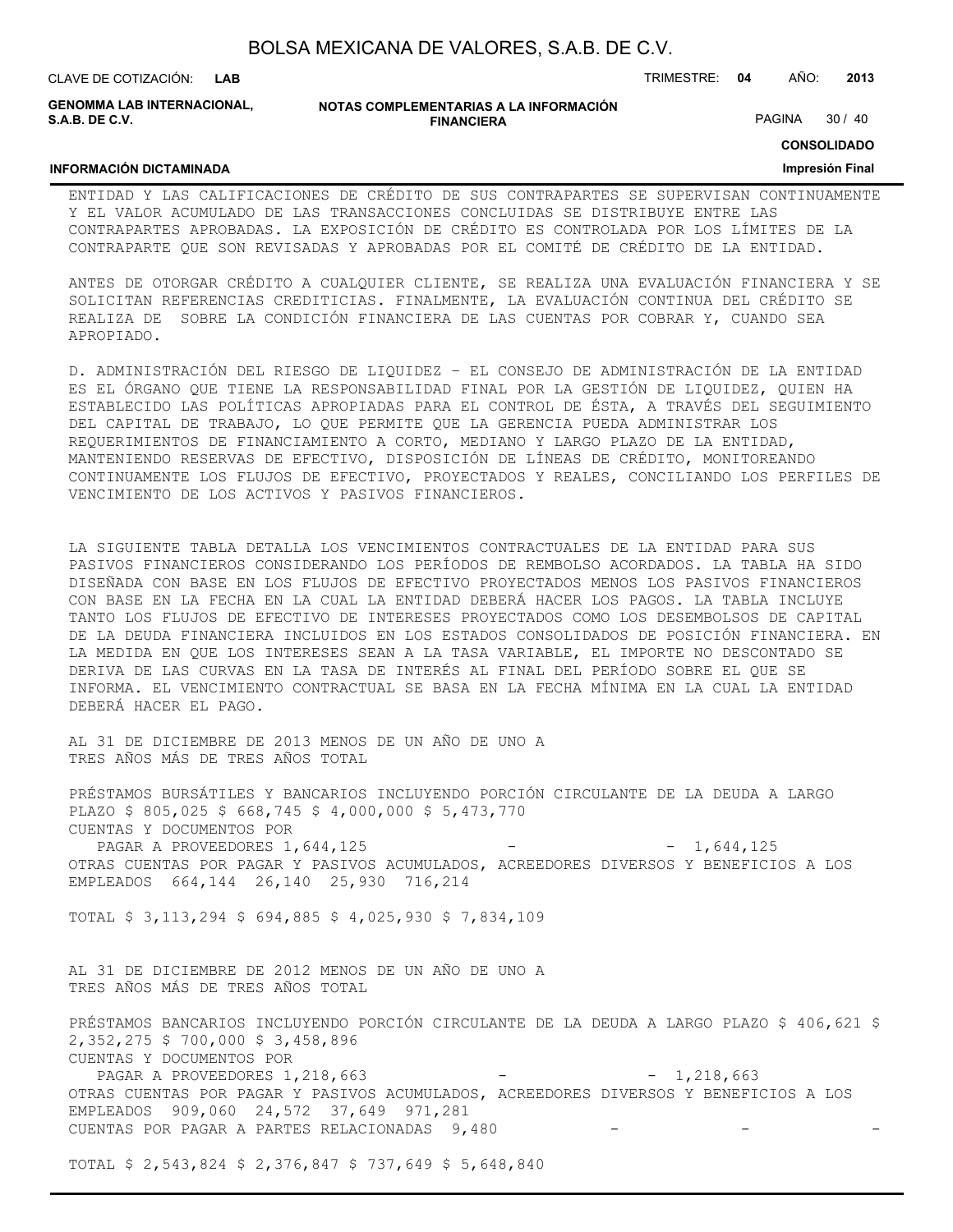| BOLSA MEXICANA DE VALORES, S.A.B. DE C.V. |  |  |  |
|-------------------------------------------|--|--|--|
|-------------------------------------------|--|--|--|

**INFORMACIÓN DICTAMINADA**

**GENOMMA LAB INTERNACIONAL, S.A.B. DE C.V.**

**NOTAS COMPLEMENTARIAS A LA INFORMACIÓN FINANCIERA**

PAGINA 30 / 40

**CONSOLIDADO**

#### **Impresión Final**

ENTIDAD Y LAS CALIFICACIONES DE CRÉDITO DE SUS CONTRAPARTES SE SUPERVISAN CONTINUAMENTE Y EL VALOR ACUMULADO DE LAS TRANSACCIONES CONCLUIDAS SE DISTRIBUYE ENTRE LAS CONTRAPARTES APROBADAS. LA EXPOSICIÓN DE CRÉDITO ES CONTROLADA POR LOS LÍMITES DE LA CONTRAPARTE QUE SON REVISADAS Y APROBADAS POR EL COMITÉ DE CRÉDITO DE LA ENTIDAD.

ANTES DE OTORGAR CRÉDITO A CUALQUIER CLIENTE, SE REALIZA UNA EVALUACIÓN FINANCIERA Y SE SOLICITAN REFERENCIAS CREDITICIAS. FINALMENTE, LA EVALUACIÓN CONTINUA DEL CRÉDITO SE REALIZA DE SOBRE LA CONDICIÓN FINANCIERA DE LAS CUENTAS POR COBRAR Y, CUANDO SEA APROPIADO.

D. ADMINISTRACIÓN DEL RIESGO DE LIQUIDEZ – EL CONSEJO DE ADMINISTRACIÓN DE LA ENTIDAD ES EL ÓRGANO QUE TIENE LA RESPONSABILIDAD FINAL POR LA GESTIÓN DE LIQUIDEZ, QUIEN HA ESTABLECIDO LAS POLÍTICAS APROPIADAS PARA EL CONTROL DE ÉSTA, A TRAVÉS DEL SEGUIMIENTO DEL CAPITAL DE TRABAJO, LO QUE PERMITE QUE LA GERENCIA PUEDA ADMINISTRAR LOS REQUERIMIENTOS DE FINANCIAMIENTO A CORTO, MEDIANO Y LARGO PLAZO DE LA ENTIDAD, MANTENIENDO RESERVAS DE EFECTIVO, DISPOSICIÓN DE LÍNEAS DE CRÉDITO, MONITOREANDO CONTINUAMENTE LOS FLUJOS DE EFECTIVO, PROYECTADOS Y REALES, CONCILIANDO LOS PERFILES DE VENCIMIENTO DE LOS ACTIVOS Y PASIVOS FINANCIEROS.

LA SIGUIENTE TABLA DETALLA LOS VENCIMIENTOS CONTRACTUALES DE LA ENTIDAD PARA SUS PASIVOS FINANCIEROS CONSIDERANDO LOS PERÍODOS DE REMBOLSO ACORDADOS. LA TABLA HA SIDO DISEÑADA CON BASE EN LOS FLUJOS DE EFECTIVO PROYECTADOS MENOS LOS PASIVOS FINANCIEROS CON BASE EN LA FECHA EN LA CUAL LA ENTIDAD DEBERÁ HACER LOS PAGOS. LA TABLA INCLUYE TANTO LOS FLUJOS DE EFECTIVO DE INTERESES PROYECTADOS COMO LOS DESEMBOLSOS DE CAPITAL DE LA DEUDA FINANCIERA INCLUIDOS EN LOS ESTADOS CONSOLIDADOS DE POSICIÓN FINANCIERA. EN LA MEDIDA EN QUE LOS INTERESES SEAN A LA TASA VARIABLE, EL IMPORTE NO DESCONTADO SE DERIVA DE LAS CURVAS EN LA TASA DE INTERÉS AL FINAL DEL PERÍODO SOBRE EL QUE SE INFORMA. EL VENCIMIENTO CONTRACTUAL SE BASA EN LA FECHA MÍNIMA EN LA CUAL LA ENTIDAD DEBERÁ HACER EL PAGO.

AL 31 DE DICIEMBRE DE 2013 MENOS DE UN AÑO DE UNO A TRES AÑOS MÁS DE TRES AÑOS TOTAL

PRÉSTAMOS BURSÁTILES Y BANCARIOS INCLUYENDO PORCIÓN CIRCULANTE DE LA DEUDA A LARGO PLAZO \$ 805,025 \$ 668,745 \$ 4,000,000 \$ 5,473,770 CUENTAS Y DOCUMENTOS POR

PAGAR A PROVEEDORES 1,644,125 - - 1,644,125 OTRAS CUENTAS POR PAGAR Y PASIVOS ACUMULADOS, ACREEDORES DIVERSOS Y BENEFICIOS A LOS EMPLEADOS 664,144 26,140 25,930 716,214

TOTAL \$ 3,113,294 \$ 694,885 \$ 4,025,930 \$ 7,834,109

AL 31 DE DICIEMBRE DE 2012 MENOS DE UN AÑO DE UNO A TRES AÑOS MÁS DE TRES AÑOS TOTAL

PRÉSTAMOS BANCARIOS INCLUYENDO PORCIÓN CIRCULANTE DE LA DEUDA A LARGO PLAZO \$ 406,621 \$ 2,352,275 \$ 700,000 \$ 3,458,896 CUENTAS Y DOCUMENTOS POR PAGAR A PROVEEDORES 1,218,663 - - - - 1,218,663 OTRAS CUENTAS POR PAGAR Y PASIVOS ACUMULADOS, ACREEDORES DIVERSOS Y BENEFICIOS A LOS EMPLEADOS 909,060 24,572 37,649 971,281 CUENTAS POR PAGAR A PARTES RELACIONADAS 9,480

TOTAL \$ 2,543,824 \$ 2,376,847 \$ 737,649 \$ 5,648,840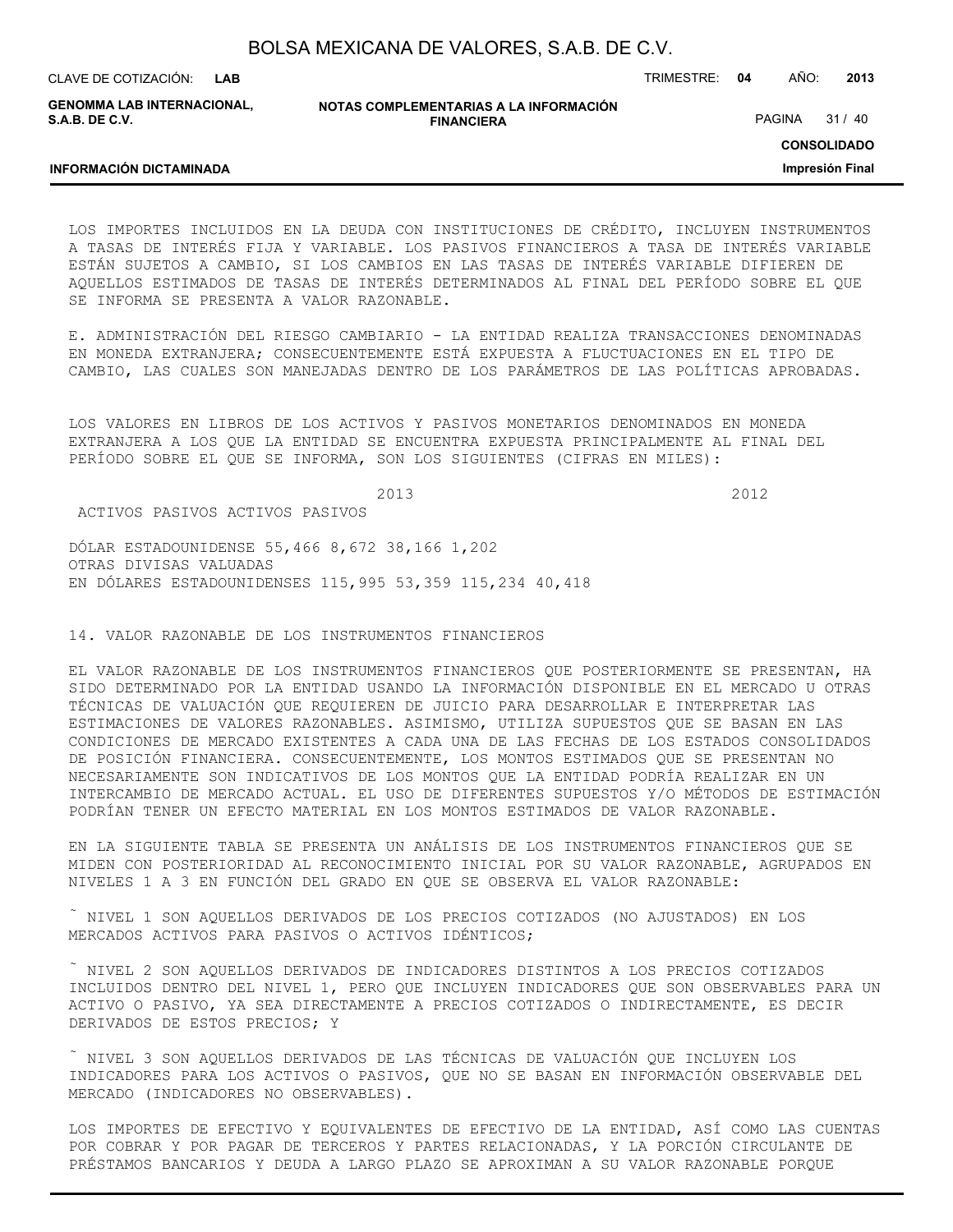**NOTAS COMPLEMENTARIAS A LA INFORMACIÓN FINANCIERA** CLAVE DE COTIZACIÓN: TRIMESTRE: **04** AÑO: **2013 LAB GENOMMA LAB INTERNACIONAL, S.A.B. DE C.V.** PAGINA 31 / 40

**CONSOLIDADO**

**Impresión Final**

LOS IMPORTES INCLUIDOS EN LA DEUDA CON INSTITUCIONES DE CRÉDITO, INCLUYEN INSTRUMENTOS A TASAS DE INTERÉS FIJA Y VARIABLE. LOS PASIVOS FINANCIEROS A TASA DE INTERÉS VARIABLE ESTÁN SUJETOS A CAMBIO, SI LOS CAMBIOS EN LAS TASAS DE INTERÉS VARIABLE DIFIEREN DE AQUELLOS ESTIMADOS DE TASAS DE INTERÉS DETERMINADOS AL FINAL DEL PERÍODO SOBRE EL QUE SE INFORMA SE PRESENTA A VALOR RAZONABLE.

E. ADMINISTRACIÓN DEL RIESGO CAMBIARIO - LA ENTIDAD REALIZA TRANSACCIONES DENOMINADAS EN MONEDA EXTRANJERA; CONSECUENTEMENTE ESTÁ EXPUESTA A FLUCTUACIONES EN EL TIPO DE CAMBIO, LAS CUALES SON MANEJADAS DENTRO DE LOS PARÁMETROS DE LAS POLÍTICAS APROBADAS.

LOS VALORES EN LIBROS DE LOS ACTIVOS Y PASIVOS MONETARIOS DENOMINADOS EN MONEDA EXTRANJERA A LOS QUE LA ENTIDAD SE ENCUENTRA EXPUESTA PRINCIPALMENTE AL FINAL DEL PERÍODO SOBRE EL QUE SE INFORMA, SON LOS SIGUIENTES (CIFRAS EN MILES):

2013 2012

ACTIVOS PASIVOS ACTIVOS PASIVOS

**INFORMACIÓN DICTAMINADA**

DÓLAR ESTADOUNIDENSE 55,466 8,672 38,166 1,202 OTRAS DIVISAS VALUADAS EN DÓLARES ESTADOUNIDENSES 115,995 53,359 115,234 40,418

14. VALOR RAZONABLE DE LOS INSTRUMENTOS FINANCIEROS

EL VALOR RAZONABLE DE LOS INSTRUMENTOS FINANCIEROS QUE POSTERIORMENTE SE PRESENTAN, HA SIDO DETERMINADO POR LA ENTIDAD USANDO LA INFORMACIÓN DISPONIBLE EN EL MERCADO U OTRAS TÉCNICAS DE VALUACIÓN QUE REQUIEREN DE JUICIO PARA DESARROLLAR E INTERPRETAR LAS ESTIMACIONES DE VALORES RAZONABLES. ASIMISMO, UTILIZA SUPUESTOS QUE SE BASAN EN LAS CONDICIONES DE MERCADO EXISTENTES A CADA UNA DE LAS FECHAS DE LOS ESTADOS CONSOLIDADOS DE POSICIÓN FINANCIERA. CONSECUENTEMENTE, LOS MONTOS ESTIMADOS QUE SE PRESENTAN NO NECESARIAMENTE SON INDICATIVOS DE LOS MONTOS QUE LA ENTIDAD PODRÍA REALIZAR EN UN INTERCAMBIO DE MERCADO ACTUAL. EL USO DE DIFERENTES SUPUESTOS Y/O MÉTODOS DE ESTIMACIÓN PODRÍAN TENER UN EFECTO MATERIAL EN LOS MONTOS ESTIMADOS DE VALOR RAZONABLE.

EN LA SIGUIENTE TABLA SE PRESENTA UN ANÁLISIS DE LOS INSTRUMENTOS FINANCIEROS QUE SE MIDEN CON POSTERIORIDAD AL RECONOCIMIENTO INICIAL POR SU VALOR RAZONABLE, AGRUPADOS EN NIVELES 1 A 3 EN FUNCIÓN DEL GRADO EN QUE SE OBSERVA EL VALOR RAZONABLE:

 $\tilde{N}$  NIVEL 1 SON AQUELLOS DERIVADOS DE LOS PRECIOS COTIZADOS (NO AJUSTADOS) EN LOS MERCADOS ACTIVOS PARA PASIVOS O ACTIVOS IDÉNTICOS;

 NIVEL 2 SON AQUELLOS DERIVADOS DE INDICADORES DISTINTOS A LOS PRECIOS COTIZADOS INCLUIDOS DENTRO DEL NIVEL 1, PERO QUE INCLUYEN INDICADORES QUE SON OBSERVABLES PARA UN ACTIVO O PASIVO, YA SEA DIRECTAMENTE A PRECIOS COTIZADOS O INDIRECTAMENTE, ES DECIR DERIVADOS DE ESTOS PRECIOS; Y

 NIVEL 3 SON AQUELLOS DERIVADOS DE LAS TÉCNICAS DE VALUACIÓN QUE INCLUYEN LOS INDICADORES PARA LOS ACTIVOS O PASIVOS, QUE NO SE BASAN EN INFORMACIÓN OBSERVABLE DEL MERCADO (INDICADORES NO OBSERVABLES).

LOS IMPORTES DE EFECTIVO Y EQUIVALENTES DE EFECTIVO DE LA ENTIDAD, ASÍ COMO LAS CUENTAS POR COBRAR Y POR PAGAR DE TERCEROS Y PARTES RELACIONADAS, Y LA PORCIÓN CIRCULANTE DE PRÉSTAMOS BANCARIOS Y DEUDA A LARGO PLAZO SE APROXIMAN A SU VALOR RAZONABLE PORQUE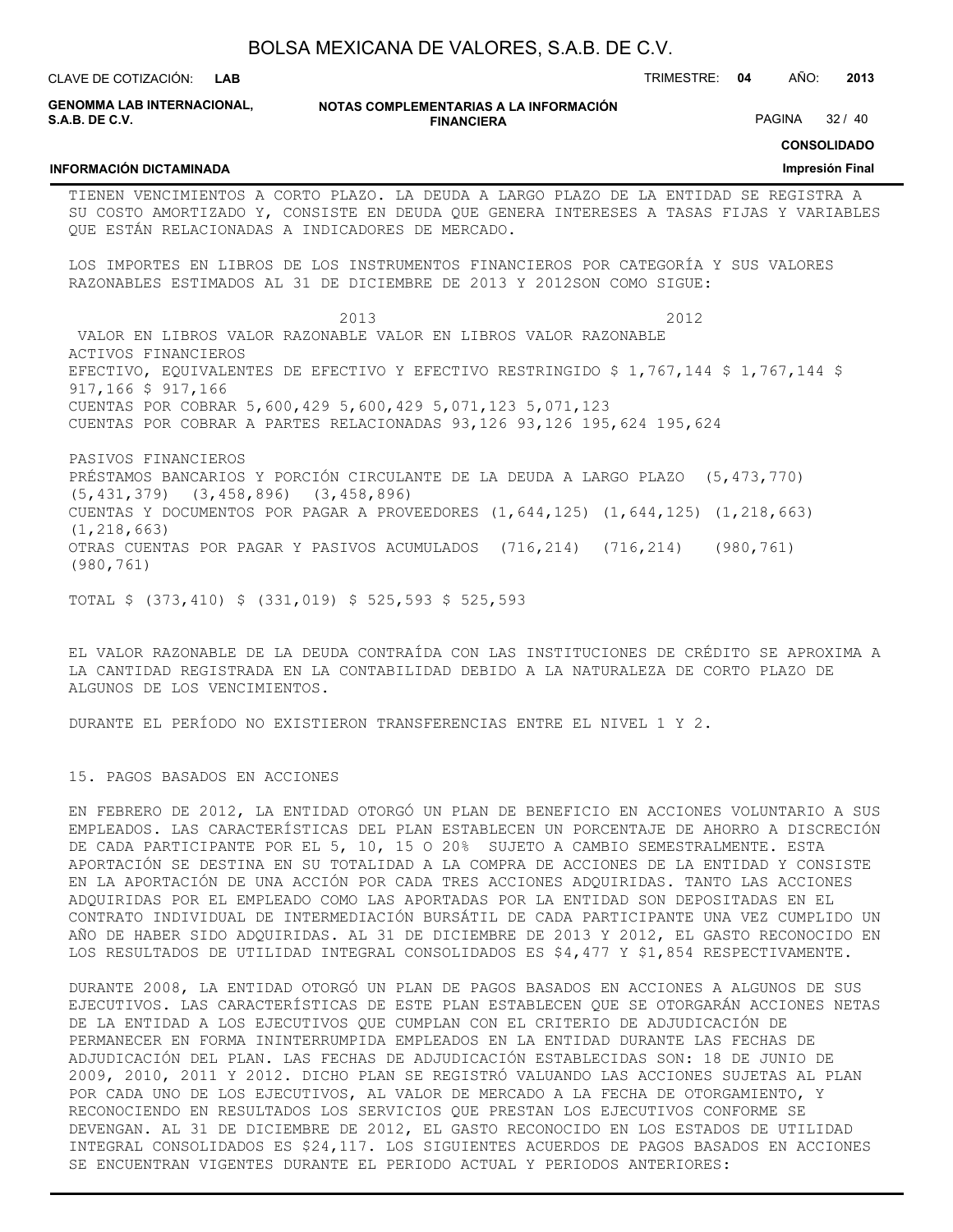BOLSA MEXICANA DE VALORES, S.A.B. DE C.V. **NOTAS COMPLEMENTARIAS A LA INFORMACIÓN FINANCIERA** CLAVE DE COTIZACIÓN: TRIMESTRE: **04** AÑO: **2013 CONSOLIDADO Impresión Final LAB GENOMMA LAB INTERNACIONAL, S.A.B. DE C.V. INFORMACIÓN DICTAMINADA** PAGINA 32 / 40 TIENEN VENCIMIENTOS A CORTO PLAZO. LA DEUDA A LARGO PLAZO DE LA ENTIDAD SE REGISTRA A SU COSTO AMORTIZADO Y, CONSISTE EN DEUDA QUE GENERA INTERESES A TASAS FIJAS Y VARIABLES QUE ESTÁN RELACIONADAS A INDICADORES DE MERCADO. LOS IMPORTES EN LIBROS DE LOS INSTRUMENTOS FINANCIEROS POR CATEGORÍA Y SUS VALORES RAZONABLES ESTIMADOS AL 31 DE DICIEMBRE DE 2013 Y 2012SON COMO SIGUE: 2013 2012 VALOR EN LIBROS VALOR RAZONABLE VALOR EN LIBROS VALOR RAZONABLE ACTIVOS FINANCIEROS EFECTIVO, EQUIVALENTES DE EFECTIVO Y EFECTIVO RESTRINGIDO \$ 1,767,144 \$ 1,767,144 \$ 917,166 \$ 917,166 CUENTAS POR COBRAR 5,600,429 5,600,429 5,071,123 5,071,123 CUENTAS POR COBRAR A PARTES RELACIONADAS 93,126 93,126 195,624 195,624 PASIVOS FINANCIEROS PRÉSTAMOS BANCARIOS Y PORCIÓN CIRCULANTE DE LA DEUDA A LARGO PLAZO (5,473,770) (5,431,379) (3,458,896) (3,458,896) CUENTAS Y DOCUMENTOS POR PAGAR A PROVEEDORES (1,644,125) (1,644,125) (1,218,663) (1,218,663)

OTRAS CUENTAS POR PAGAR Y PASIVOS ACUMULADOS (716,214) (716,214) (980,761) (980,761)

TOTAL \$ (373,410) \$ (331,019) \$ 525,593 \$ 525,593

EL VALOR RAZONABLE DE LA DEUDA CONTRAÍDA CON LAS INSTITUCIONES DE CRÉDITO SE APROXIMA A LA CANTIDAD REGISTRADA EN LA CONTABILIDAD DEBIDO A LA NATURALEZA DE CORTO PLAZO DE ALGUNOS DE LOS VENCIMIENTOS.

DURANTE EL PERÍODO NO EXISTIERON TRANSFERENCIAS ENTRE EL NIVEL 1 Y 2.

15. PAGOS BASADOS EN ACCIONES

EN FEBRERO DE 2012, LA ENTIDAD OTORGÓ UN PLAN DE BENEFICIO EN ACCIONES VOLUNTARIO A SUS EMPLEADOS. LAS CARACTERÍSTICAS DEL PLAN ESTABLECEN UN PORCENTAJE DE AHORRO A DISCRECIÓN DE CADA PARTICIPANTE POR EL 5, 10, 15 O 20% SUJETO A CAMBIO SEMESTRALMENTE. ESTA APORTACIÓN SE DESTINA EN SU TOTALIDAD A LA COMPRA DE ACCIONES DE LA ENTIDAD Y CONSISTE EN LA APORTACIÓN DE UNA ACCIÓN POR CADA TRES ACCIONES ADQUIRIDAS. TANTO LAS ACCIONES ADQUIRIDAS POR EL EMPLEADO COMO LAS APORTADAS POR LA ENTIDAD SON DEPOSITADAS EN EL CONTRATO INDIVIDUAL DE INTERMEDIACIÓN BURSÁTIL DE CADA PARTICIPANTE UNA VEZ CUMPLIDO UN AÑO DE HABER SIDO ADQUIRIDAS. AL 31 DE DICIEMBRE DE 2013 Y 2012, EL GASTO RECONOCIDO EN LOS RESULTADOS DE UTILIDAD INTEGRAL CONSOLIDADOS ES \$4,477 Y \$1,854 RESPECTIVAMENTE.

DURANTE 2008, LA ENTIDAD OTORGÓ UN PLAN DE PAGOS BASADOS EN ACCIONES A ALGUNOS DE SUS EJECUTIVOS. LAS CARACTERÍSTICAS DE ESTE PLAN ESTABLECEN QUE SE OTORGARÁN ACCIONES NETAS DE LA ENTIDAD A LOS EJECUTIVOS QUE CUMPLAN CON EL CRITERIO DE ADJUDICACIÓN DE PERMANECER EN FORMA ININTERRUMPIDA EMPLEADOS EN LA ENTIDAD DURANTE LAS FECHAS DE ADJUDICACIÓN DEL PLAN. LAS FECHAS DE ADJUDICACIÓN ESTABLECIDAS SON: 18 DE JUNIO DE 2009, 2010, 2011 Y 2012. DICHO PLAN SE REGISTRÓ VALUANDO LAS ACCIONES SUJETAS AL PLAN POR CADA UNO DE LOS EJECUTIVOS, AL VALOR DE MERCADO A LA FECHA DE OTORGAMIENTO, Y RECONOCIENDO EN RESULTADOS LOS SERVICIOS QUE PRESTAN LOS EJECUTIVOS CONFORME SE DEVENGAN. AL 31 DE DICIEMBRE DE 2012, EL GASTO RECONOCIDO EN LOS ESTADOS DE UTILIDAD INTEGRAL CONSOLIDADOS ES \$24,117. LOS SIGUIENTES ACUERDOS DE PAGOS BASADOS EN ACCIONES SE ENCUENTRAN VIGENTES DURANTE EL PERIODO ACTUAL Y PERIODOS ANTERIORES: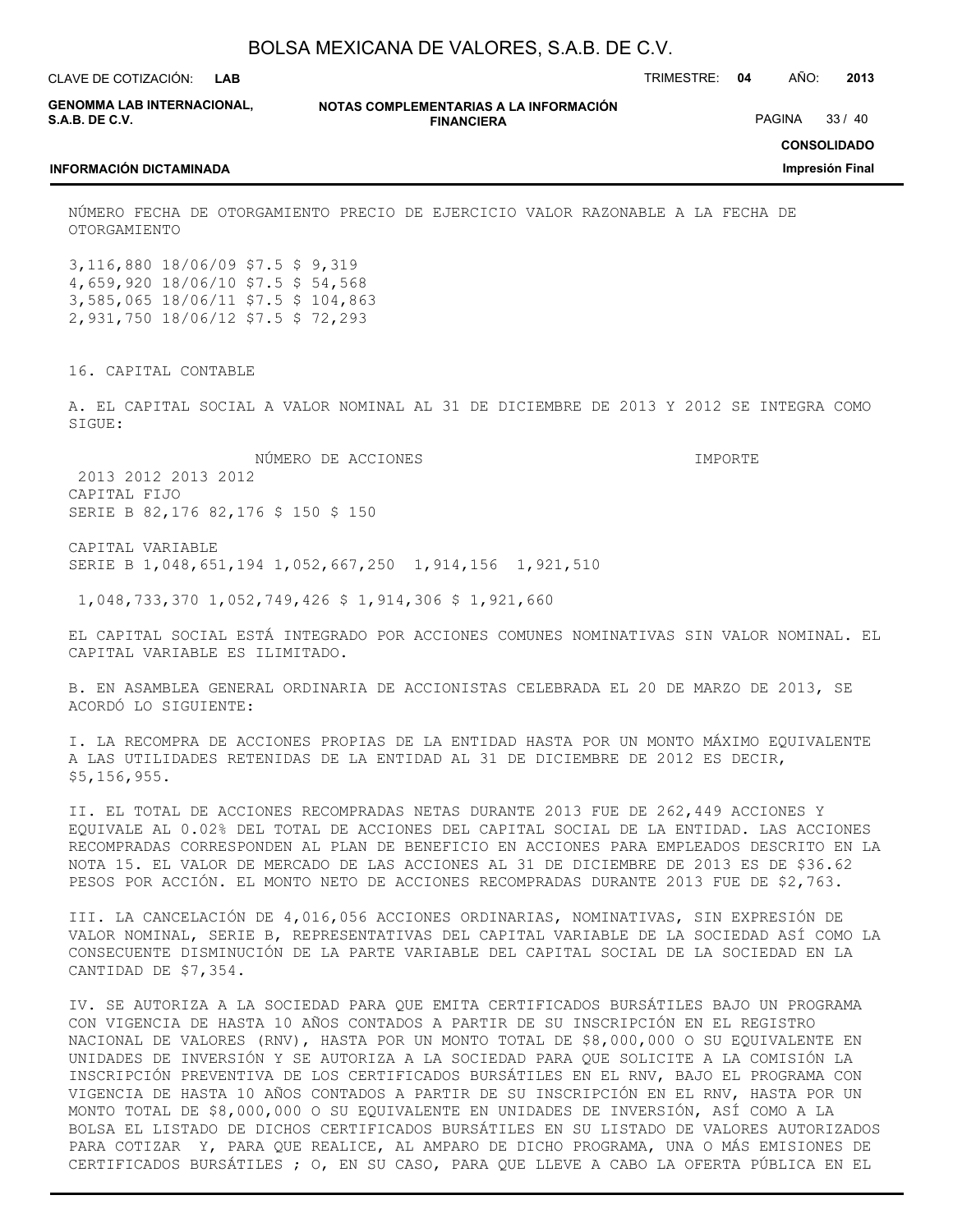| BOLSA MEXICANA DE VALORES, S.A.B. DE C.V. |  |  |
|-------------------------------------------|--|--|
|-------------------------------------------|--|--|

**GENOMMA LAB INTERNACIONAL, S.A.B. DE C.V.**

**NOTAS COMPLEMENTARIAS A LA INFORMACIÓN FINANCIERA**

**CONSOLIDADO**

PAGINA 33 / 40

**Impresión Final**

#### **INFORMACIÓN DICTAMINADA**

NÚMERO FECHA DE OTORGAMIENTO PRECIO DE EJERCICIO VALOR RAZONABLE A LA FECHA DE OTORGAMIENTO

3,116,880 18/06/09 \$7.5 \$ 9,319 4,659,920 18/06/10 \$7.5 \$ 54,568 3,585,065 18/06/11 \$7.5 \$ 104,863 2,931,750 18/06/12 \$7.5 \$ 72,293

16. CAPITAL CONTABLE

A. EL CAPITAL SOCIAL A VALOR NOMINAL AL 31 DE DICIEMBRE DE 2013 Y 2012 SE INTEGRA COMO SIGUE:

 NÚMERO DE ACCIONES IMPORTE 2013 2012 2013 2012

CAPITAL FIJO SERIE B 82,176 82,176 \$ 150 \$ 150

CAPITAL VARIABLE SERIE B 1,048,651,194 1,052,667,250 1,914,156 1,921,510

1,048,733,370 1,052,749,426 \$ 1,914,306 \$ 1,921,660

EL CAPITAL SOCIAL ESTÁ INTEGRADO POR ACCIONES COMUNES NOMINATIVAS SIN VALOR NOMINAL. EL CAPITAL VARIABLE ES ILIMITADO.

B. EN ASAMBLEA GENERAL ORDINARIA DE ACCIONISTAS CELEBRADA EL 20 DE MARZO DE 2013, SE ACORDÓ LO SIGUIENTE:

I. LA RECOMPRA DE ACCIONES PROPIAS DE LA ENTIDAD HASTA POR UN MONTO MÁXIMO EQUIVALENTE A LAS UTILIDADES RETENIDAS DE LA ENTIDAD AL 31 DE DICIEMBRE DE 2012 ES DECIR, \$5,156,955.

II. EL TOTAL DE ACCIONES RECOMPRADAS NETAS DURANTE 2013 FUE DE 262,449 ACCIONES Y EQUIVALE AL 0.02% DEL TOTAL DE ACCIONES DEL CAPITAL SOCIAL DE LA ENTIDAD. LAS ACCIONES RECOMPRADAS CORRESPONDEN AL PLAN DE BENEFICIO EN ACCIONES PARA EMPLEADOS DESCRITO EN LA NOTA 15. EL VALOR DE MERCADO DE LAS ACCIONES AL 31 DE DICIEMBRE DE 2013 ES DE \$36.62 PESOS POR ACCIÓN. EL MONTO NETO DE ACCIONES RECOMPRADAS DURANTE 2013 FUE DE \$2,763.

III. LA CANCELACIÓN DE 4,016,056 ACCIONES ORDINARIAS, NOMINATIVAS, SIN EXPRESIÓN DE VALOR NOMINAL, SERIE B, REPRESENTATIVAS DEL CAPITAL VARIABLE DE LA SOCIEDAD ASÍ COMO LA CONSECUENTE DISMINUCIÓN DE LA PARTE VARIABLE DEL CAPITAL SOCIAL DE LA SOCIEDAD EN LA CANTIDAD DE \$7,354.

IV. SE AUTORIZA A LA SOCIEDAD PARA QUE EMITA CERTIFICADOS BURSÁTILES BAJO UN PROGRAMA CON VIGENCIA DE HASTA 10 AÑOS CONTADOS A PARTIR DE SU INSCRIPCIÓN EN EL REGISTRO NACIONAL DE VALORES (RNV), HASTA POR UN MONTO TOTAL DE \$8,000,000 O SU EQUIVALENTE EN UNIDADES DE INVERSIÓN Y SE AUTORIZA A LA SOCIEDAD PARA QUE SOLICITE A LA COMISIÓN LA INSCRIPCIÓN PREVENTIVA DE LOS CERTIFICADOS BURSÁTILES EN EL RNV, BAJO EL PROGRAMA CON VIGENCIA DE HASTA 10 AÑOS CONTADOS A PARTIR DE SU INSCRIPCIÓN EN EL RNV, HASTA POR UN MONTO TOTAL DE \$8,000,000 O SU EQUIVALENTE EN UNIDADES DE INVERSIÓN, ASÍ COMO A LA BOLSA EL LISTADO DE DICHOS CERTIFICADOS BURSÁTILES EN SU LISTADO DE VALORES AUTORIZADOS PARA COTIZAR Y, PARA QUE REALICE, AL AMPARO DE DICHO PROGRAMA, UNA O MÁS EMISIONES DE CERTIFICADOS BURSÁTILES ; O, EN SU CASO, PARA QUE LLEVE A CABO LA OFERTA PÚBLICA EN EL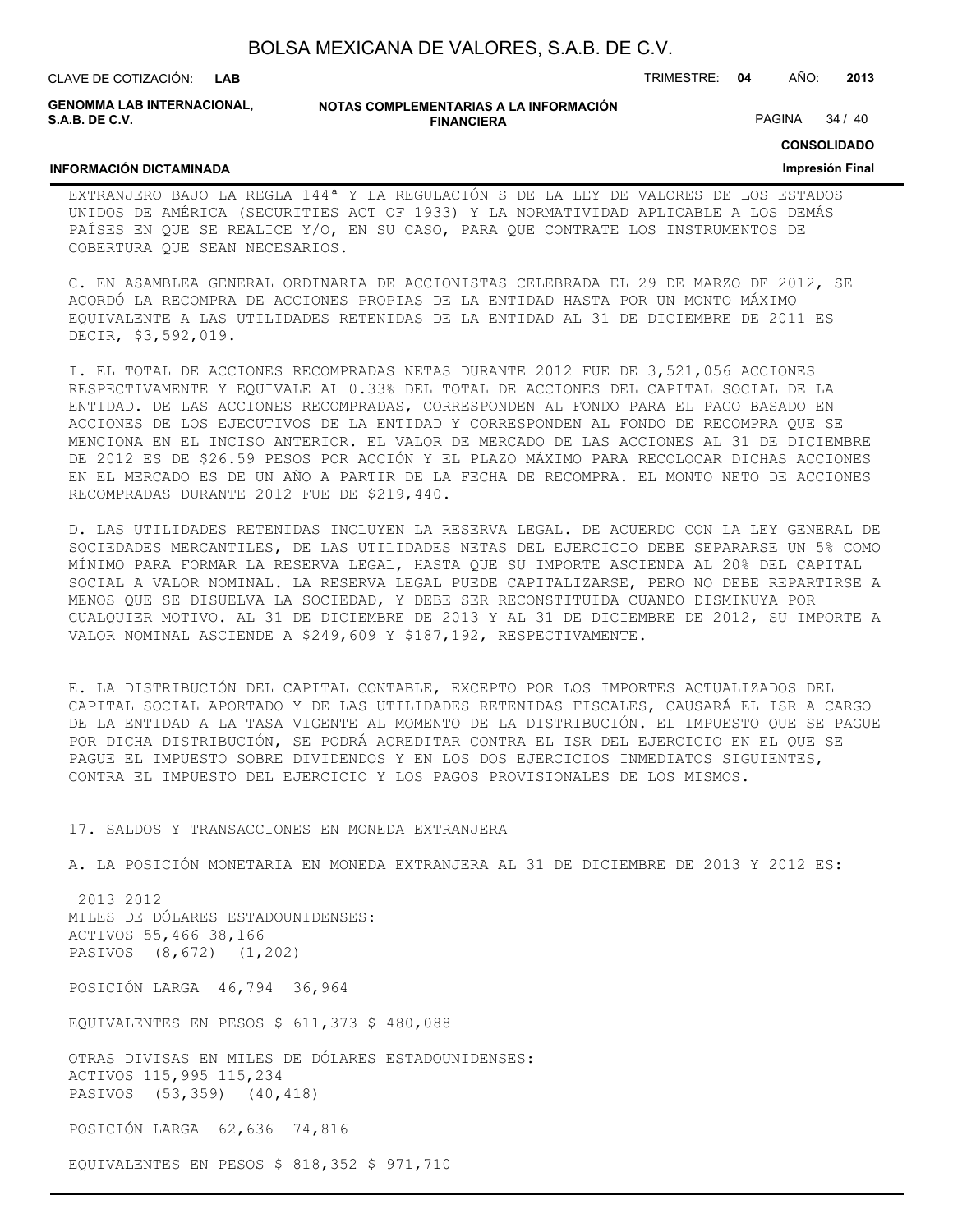| BOLSA MEXICANA DE VALORES, S.A.B. DE C.V. |  |  |
|-------------------------------------------|--|--|
|-------------------------------------------|--|--|

CLAVE DE COTIZACIÓN: TRIMESTRE: **04** AÑO: **2013**

**GENOMMA LAB INTERNACIONAL, S.A.B. DE C.V.**

| NOTAS COMPLEMENTARIAS A LA INFORMACIÓN |
|----------------------------------------|
| <b>FINANCIERA</b>                      |

PAGINA 34 / 40

**CONSOLIDADO**

#### **INFORMACIÓN DICTAMINADA**

#### **Impresión Final**

EXTRANJERO BAJO LA REGLA 144ª Y LA REGULACIÓN S DE LA LEY DE VALORES DE LOS ESTADOS UNIDOS DE AMÉRICA (SECURITIES ACT OF 1933) Y LA NORMATIVIDAD APLICABLE A LOS DEMÁS PAÍSES EN QUE SE REALICE Y/O, EN SU CASO, PARA QUE CONTRATE LOS INSTRUMENTOS DE COBERTURA QUE SEAN NECESARIOS.

C. EN ASAMBLEA GENERAL ORDINARIA DE ACCIONISTAS CELEBRADA EL 29 DE MARZO DE 2012, SE ACORDÓ LA RECOMPRA DE ACCIONES PROPIAS DE LA ENTIDAD HASTA POR UN MONTO MÁXIMO EQUIVALENTE A LAS UTILIDADES RETENIDAS DE LA ENTIDAD AL 31 DE DICIEMBRE DE 2011 ES DECIR, \$3,592,019.

I. EL TOTAL DE ACCIONES RECOMPRADAS NETAS DURANTE 2012 FUE DE 3,521,056 ACCIONES RESPECTIVAMENTE Y EQUIVALE AL 0.33% DEL TOTAL DE ACCIONES DEL CAPITAL SOCIAL DE LA ENTIDAD. DE LAS ACCIONES RECOMPRADAS, CORRESPONDEN AL FONDO PARA EL PAGO BASADO EN ACCIONES DE LOS EJECUTIVOS DE LA ENTIDAD Y CORRESPONDEN AL FONDO DE RECOMPRA QUE SE MENCIONA EN EL INCISO ANTERIOR. EL VALOR DE MERCADO DE LAS ACCIONES AL 31 DE DICIEMBRE DE 2012 ES DE \$26.59 PESOS POR ACCIÓN Y EL PLAZO MÁXIMO PARA RECOLOCAR DICHAS ACCIONES EN EL MERCADO ES DE UN AÑO A PARTIR DE LA FECHA DE RECOMPRA. EL MONTO NETO DE ACCIONES RECOMPRADAS DURANTE 2012 FUE DE \$219,440.

D. LAS UTILIDADES RETENIDAS INCLUYEN LA RESERVA LEGAL. DE ACUERDO CON LA LEY GENERAL DE SOCIEDADES MERCANTILES, DE LAS UTILIDADES NETAS DEL EJERCICIO DEBE SEPARARSE UN 5% COMO MÍNIMO PARA FORMAR LA RESERVA LEGAL, HASTA QUE SU IMPORTE ASCIENDA AL 20% DEL CAPITAL SOCIAL A VALOR NOMINAL. LA RESERVA LEGAL PUEDE CAPITALIZARSE, PERO NO DEBE REPARTIRSE A MENOS QUE SE DISUELVA LA SOCIEDAD, Y DEBE SER RECONSTITUIDA CUANDO DISMINUYA POR CUALQUIER MOTIVO. AL 31 DE DICIEMBRE DE 2013 Y AL 31 DE DICIEMBRE DE 2012, SU IMPORTE A VALOR NOMINAL ASCIENDE A \$249,609 Y \$187,192, RESPECTIVAMENTE.

E. LA DISTRIBUCIÓN DEL CAPITAL CONTABLE, EXCEPTO POR LOS IMPORTES ACTUALIZADOS DEL CAPITAL SOCIAL APORTADO Y DE LAS UTILIDADES RETENIDAS FISCALES, CAUSARÁ EL ISR A CARGO DE LA ENTIDAD A LA TASA VIGENTE AL MOMENTO DE LA DISTRIBUCIÓN. EL IMPUESTO QUE SE PAGUE POR DICHA DISTRIBUCIÓN, SE PODRÁ ACREDITAR CONTRA EL ISR DEL EJERCICIO EN EL QUE SE PAGUE EL IMPUESTO SOBRE DIVIDENDOS Y EN LOS DOS EJERCICIOS INMEDIATOS SIGUIENTES, CONTRA EL IMPUESTO DEL EJERCICIO Y LOS PAGOS PROVISIONALES DE LOS MISMOS.

#### 17. SALDOS Y TRANSACCIONES EN MONEDA EXTRANJERA

A. LA POSICIÓN MONETARIA EN MONEDA EXTRANJERA AL 31 DE DICIEMBRE DE 2013 Y 2012 ES:

 2013 2012 MILES DE DÓLARES ESTADOUNIDENSES: ACTIVOS 55,466 38,166 PASIVOS (8,672) (1,202)

POSICIÓN LARGA 46,794 36,964

EQUIVALENTES EN PESOS \$ 611,373 \$ 480,088

OTRAS DIVISAS EN MILES DE DÓLARES ESTADOUNIDENSES: ACTIVOS 115,995 115,234 PASIVOS (53,359) (40,418)

POSICIÓN LARGA 62,636 74,816

EQUIVALENTES EN PESOS \$ 818,352 \$ 971,710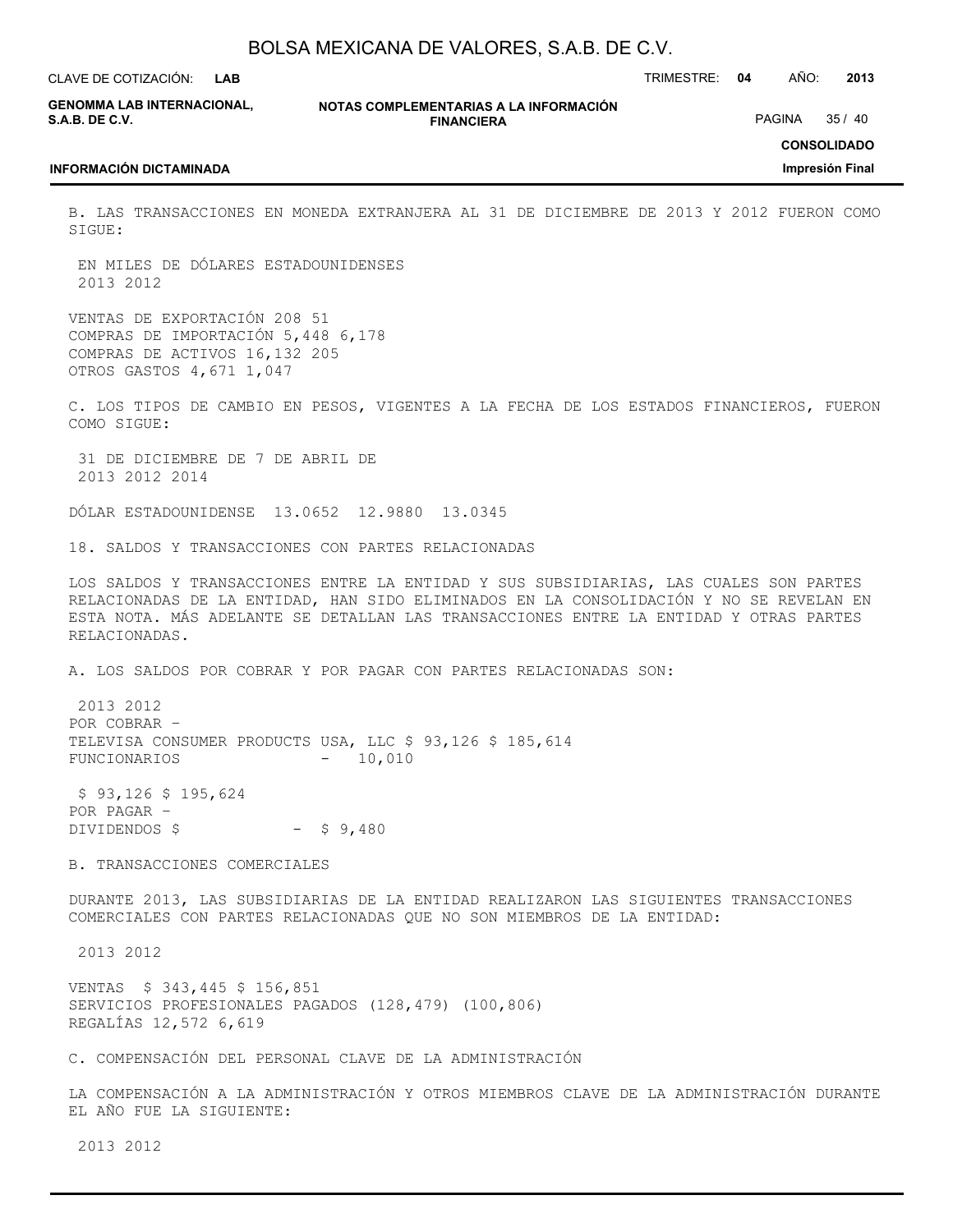| BOLSA MEXICANA DE VALORES, S.A.B. DE C.V. |  |  |  |
|-------------------------------------------|--|--|--|
|-------------------------------------------|--|--|--|

CLAVE DE COTIZACIÓN: TRIMESTRE: **04** AÑO: **2013**

**GENOMMA LAB INTERNACIONAL, S.A.B. DE C.V.**

**INFORMACIÓN DICTAMINADA**

**NOTAS COMPLEMENTARIAS A LA INFORMACIÓN FINANCIERA**

PAGINA 35 / 40

**CONSOLIDADO**

#### **Impresión Final**

B. LAS TRANSACCIONES EN MONEDA EXTRANJERA AL 31 DE DICIEMBRE DE 2013 Y 2012 FUERON COMO SIGUE:

 EN MILES DE DÓLARES ESTADOUNIDENSES 2013 2012

VENTAS DE EXPORTACIÓN 208 51 COMPRAS DE IMPORTACIÓN 5,448 6,178 COMPRAS DE ACTIVOS 16,132 205 OTROS GASTOS 4,671 1,047

C. LOS TIPOS DE CAMBIO EN PESOS, VIGENTES A LA FECHA DE LOS ESTADOS FINANCIEROS, FUERON COMO SIGUE:

 31 DE DICIEMBRE DE 7 DE ABRIL DE 2013 2012 2014

DÓLAR ESTADOUNIDENSE 13.0652 12.9880 13.0345

18. SALDOS Y TRANSACCIONES CON PARTES RELACIONADAS

LOS SALDOS Y TRANSACCIONES ENTRE LA ENTIDAD Y SUS SUBSIDIARIAS, LAS CUALES SON PARTES RELACIONADAS DE LA ENTIDAD, HAN SIDO ELIMINADOS EN LA CONSOLIDACIÓN Y NO SE REVELAN EN ESTA NOTA. MÁS ADELANTE SE DETALLAN LAS TRANSACCIONES ENTRE LA ENTIDAD Y OTRAS PARTES RELACIONADAS.

A. LOS SALDOS POR COBRAR Y POR PAGAR CON PARTES RELACIONADAS SON:

 2013 2012 POR COBRAR – TELEVISA CONSUMER PRODUCTS USA, LLC \$ 93,126 \$ 185,614 FUNCIONARIOS - 10,010

 \$ 93,126 \$ 195,624 POR PAGAR – DIVIDENDOS  $$$  -  $$9,480$ 

B. TRANSACCIONES COMERCIALES

DURANTE 2013, LAS SUBSIDIARIAS DE LA ENTIDAD REALIZARON LAS SIGUIENTES TRANSACCIONES COMERCIALES CON PARTES RELACIONADAS QUE NO SON MIEMBROS DE LA ENTIDAD:

2013 2012

VENTAS \$ 343,445 \$ 156,851 SERVICIOS PROFESIONALES PAGADOS (128,479) (100,806) REGALÍAS 12,572 6,619

C. COMPENSACIÓN DEL PERSONAL CLAVE DE LA ADMINISTRACIÓN

LA COMPENSACIÓN A LA ADMINISTRACIÓN Y OTROS MIEMBROS CLAVE DE LA ADMINISTRACIÓN DURANTE EL AÑO FUE LA SIGUIENTE:

2013 2012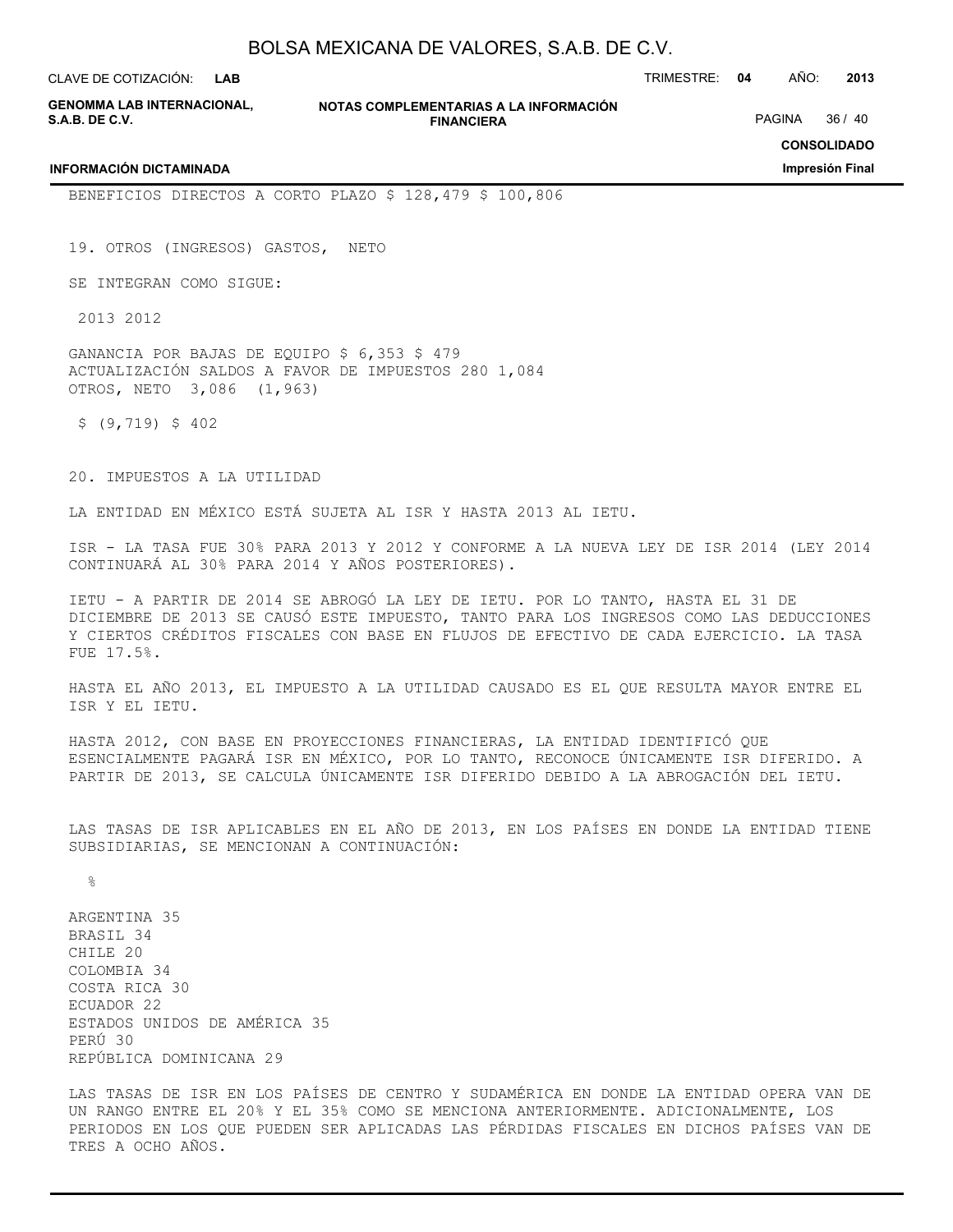**GENOMMA LAB INTERNACIONAL, S.A.B. DE C.V.**

**INFORMACIÓN DICTAMINADA**

**NOTAS COMPLEMENTARIAS A LA INFORMACIÓN FINANCIERA**

CLAVE DE COTIZACIÓN: TRIMESTRE: **04** AÑO: **2013**

PAGINA 36 / 40

**CONSOLIDADO**

**Impresión Final**

BENEFICIOS DIRECTOS A CORTO PLAZO \$ 128,479 \$ 100,806

19. OTROS (INGRESOS) GASTOS, NETO

SE INTEGRAN COMO SIGUE:

2013 2012

GANANCIA POR BAJAS DE EQUIPO \$ 6,353 \$ 479 ACTUALIZACIÓN SALDOS A FAVOR DE IMPUESTOS 280 1,084 OTROS, NETO 3,086 (1,963)

 $$ (9, 719) $ $402$ 

20. IMPUESTOS A LA UTILIDAD

LA ENTIDAD EN MÉXICO ESTÁ SUJETA AL ISR Y HASTA 2013 AL IETU.

ISR - LA TASA FUE 30% PARA 2013 Y 2012 Y CONFORME A LA NUEVA LEY DE ISR 2014 (LEY 2014 CONTINUARÁ AL 30% PARA 2014 Y AÑOS POSTERIORES).

IETU - A PARTIR DE 2014 SE ABROGÓ LA LEY DE IETU. POR LO TANTO, HASTA EL 31 DE DICIEMBRE DE 2013 SE CAUSÓ ESTE IMPUESTO, TANTO PARA LOS INGRESOS COMO LAS DEDUCCIONES Y CIERTOS CRÉDITOS FISCALES CON BASE EN FLUJOS DE EFECTIVO DE CADA EJERCICIO. LA TASA FUE 17.5%.

HASTA EL AÑO 2013, EL IMPUESTO A LA UTILIDAD CAUSADO ES EL QUE RESULTA MAYOR ENTRE EL ISR Y EL IETU.

HASTA 2012, CON BASE EN PROYECCIONES FINANCIERAS, LA ENTIDAD IDENTIFICÓ QUE ESENCIALMENTE PAGARÁ ISR EN MÉXICO, POR LO TANTO, RECONOCE ÚNICAMENTE ISR DIFERIDO. A PARTIR DE 2013, SE CALCULA ÚNICAMENTE ISR DIFERIDO DEBIDO A LA ABROGACIÓN DEL IETU.

LAS TASAS DE ISR APLICABLES EN EL AÑO DE 2013, EN LOS PAÍSES EN DONDE LA ENTIDAD TIENE SUBSIDIARIAS, SE MENCIONAN A CONTINUACIÓN:

 $\approx$ 

ARGENTINA 35 BRASIL 34 CHILE 20 COLOMBIA 34 COSTA RICA 30 ECUADOR 22 ESTADOS UNIDOS DE AMÉRICA 35 PERÚ 30 REPÚBLICA DOMINICANA 29

LAS TASAS DE ISR EN LOS PAÍSES DE CENTRO Y SUDAMÉRICA EN DONDE LA ENTIDAD OPERA VAN DE UN RANGO ENTRE EL 20% Y EL 35% COMO SE MENCIONA ANTERIORMENTE. ADICIONALMENTE, LOS PERIODOS EN LOS QUE PUEDEN SER APLICADAS LAS PÉRDIDAS FISCALES EN DICHOS PAÍSES VAN DE TRES A OCHO AÑOS.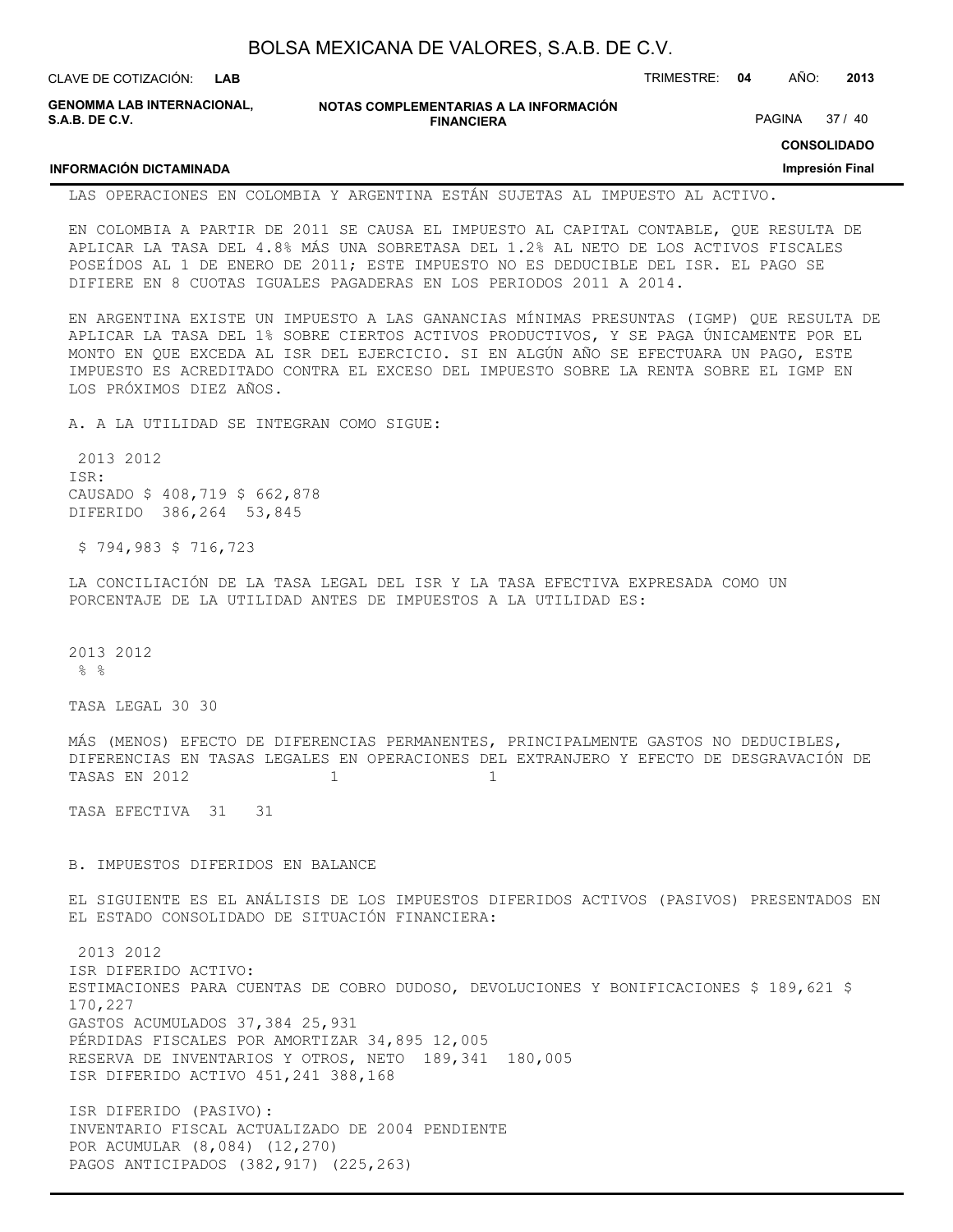| BOLSA MEXICANA DE VALORES, S.A.B. DE C.V. |  |  |
|-------------------------------------------|--|--|
|-------------------------------------------|--|--|

| CLAVE DE COTIZACIÓN: L <b>AB</b>             |                                                             | TRIMESTRE: 04 | AÑO:   | 2013  |
|----------------------------------------------|-------------------------------------------------------------|---------------|--------|-------|
| GENOMMA LAB INTERNACIONAL.<br>S.A.B. DE C.V. | NOTAS COMPLEMENTARIAS A LA INFORMACIÓN<br><b>FINANCIERA</b> |               | PAGINA | 37/40 |

#### **CONSOLIDADO**

#### **Impresión Final**

LAS OPERACIONES EN COLOMBIA Y ARGENTINA ESTÁN SUJETAS AL IMPUESTO AL ACTIVO.

EN COLOMBIA A PARTIR DE 2011 SE CAUSA EL IMPUESTO AL CAPITAL CONTABLE, QUE RESULTA DE APLICAR LA TASA DEL 4.8% MÁS UNA SOBRETASA DEL 1.2% AL NETO DE LOS ACTIVOS FISCALES POSEÍDOS AL 1 DE ENERO DE 2011; ESTE IMPUESTO NO ES DEDUCIBLE DEL ISR. EL PAGO SE DIFIERE EN 8 CUOTAS IGUALES PAGADERAS EN LOS PERIODOS 2011 A 2014.

EN ARGENTINA EXISTE UN IMPUESTO A LAS GANANCIAS MÍNIMAS PRESUNTAS (IGMP) QUE RESULTA DE APLICAR LA TASA DEL 1% SOBRE CIERTOS ACTIVOS PRODUCTIVOS, Y SE PAGA ÚNICAMENTE POR EL MONTO EN QUE EXCEDA AL ISR DEL EJERCICIO. SI EN ALGÚN AÑO SE EFECTUARA UN PAGO, ESTE IMPUESTO ES ACREDITADO CONTRA EL EXCESO DEL IMPUESTO SOBRE LA RENTA SOBRE EL IGMP EN LOS PRÓXIMOS DIEZ AÑOS.

A. A LA UTILIDAD SE INTEGRAN COMO SIGUE:

 2013 2012 ISR: CAUSADO \$ 408,719 \$ 662,878 DIFERIDO 386,264 53,845

\$ 794,983 \$ 716,723

**INFORMACIÓN DICTAMINADA**

LA CONCILIACIÓN DE LA TASA LEGAL DEL ISR Y LA TASA EFECTIVA EXPRESADA COMO UN PORCENTAJE DE LA UTILIDAD ANTES DE IMPUESTOS A LA UTILIDAD ES:

2013 2012 % %

TASA LEGAL 30 30

MÁS (MENOS) EFECTO DE DIFERENCIAS PERMANENTES, PRINCIPALMENTE GASTOS NO DEDUCIBLES, DIFERENCIAS EN TASAS LEGALES EN OPERACIONES DEL EXTRANJERO Y EFECTO DE DESGRAVACIÓN DE TASAS EN 2012 1 1 1 1 1

TASA EFECTIVA 31 31

B. IMPUESTOS DIFERIDOS EN BALANCE

EL SIGUIENTE ES EL ANÁLISIS DE LOS IMPUESTOS DIFERIDOS ACTIVOS (PASIVOS) PRESENTADOS EN EL ESTADO CONSOLIDADO DE SITUACIÓN FINANCIERA:

 2013 2012 ISR DIFERIDO ACTIVO: ESTIMACIONES PARA CUENTAS DE COBRO DUDOSO, DEVOLUCIONES Y BONIFICACIONES \$ 189,621 \$ 170,227 GASTOS ACUMULADOS 37,384 25,931 PÉRDIDAS FISCALES POR AMORTIZAR 34,895 12,005 RESERVA DE INVENTARIOS Y OTROS, NETO 189,341 180,005 ISR DIFERIDO ACTIVO 451,241 388,168

ISR DIFERIDO (PASIVO): INVENTARIO FISCAL ACTUALIZADO DE 2004 PENDIENTE POR ACUMULAR (8,084) (12,270) PAGOS ANTICIPADOS (382,917) (225,263)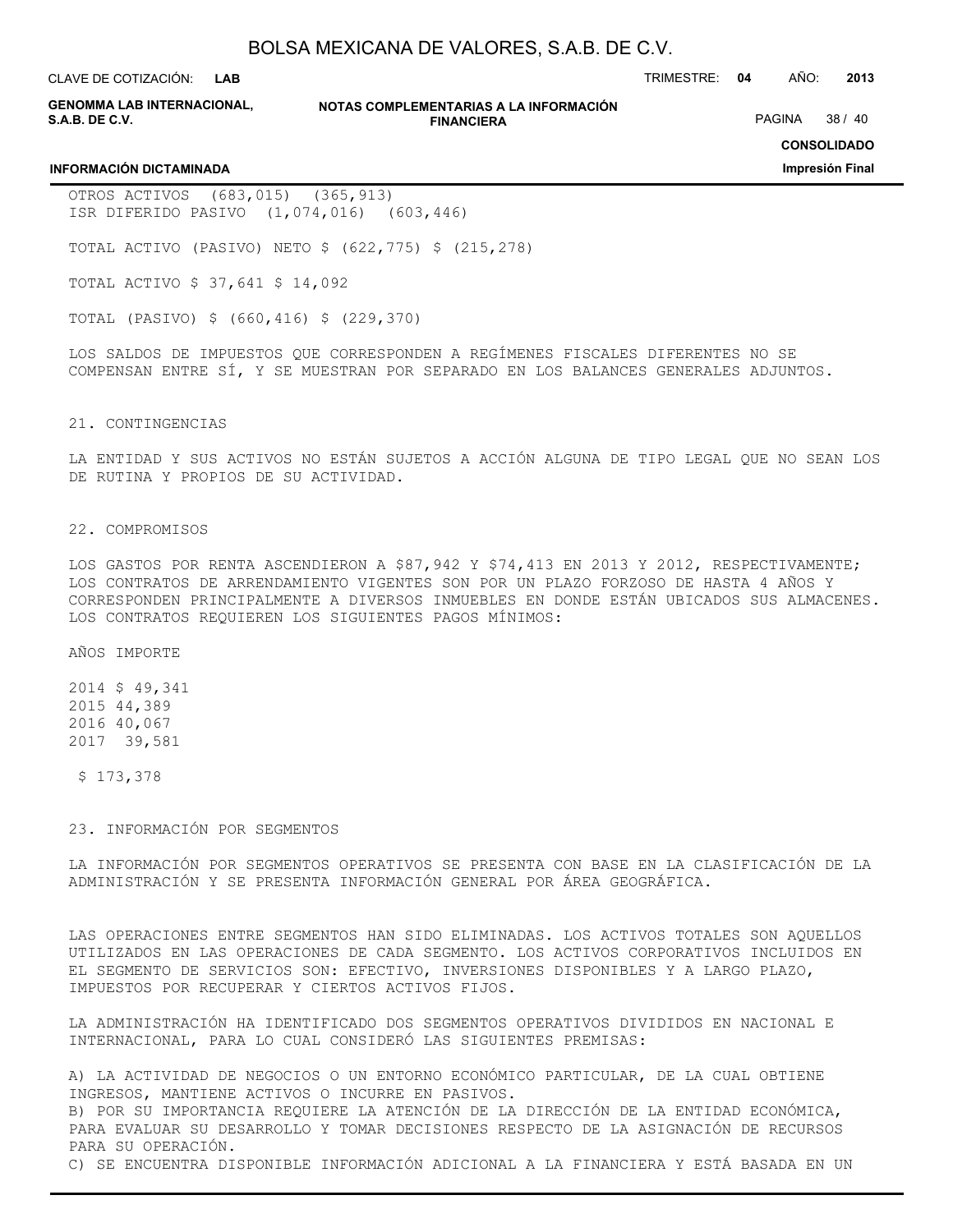**LAB**

CLAVE DE COTIZACIÓN: TRIMESTRE: **04** AÑO: **2013**

**GENOMMA LAB INTERNACIONAL, S.A.B. DE C.V.**

**NOTAS COMPLEMENTARIAS A LA INFORMACIÓN FINANCIERA**

PAGINA 38 / 40

**CONSOLIDADO**

**Impresión Final**

#### **INFORMACIÓN DICTAMINADA**

OTROS ACTIVOS (683,015) (365,913) ISR DIFERIDO PASIVO (1,074,016) (603,446)

TOTAL ACTIVO (PASIVO) NETO \$ (622,775) \$ (215,278)

TOTAL ACTIVO \$ 37,641 \$ 14,092

TOTAL (PASIVO) \$ (660,416) \$ (229,370)

LOS SALDOS DE IMPUESTOS QUE CORRESPONDEN A REGÍMENES FISCALES DIFERENTES NO SE COMPENSAN ENTRE SÍ, Y SE MUESTRAN POR SEPARADO EN LOS BALANCES GENERALES ADJUNTOS.

#### 21. CONTINGENCIAS

LA ENTIDAD Y SUS ACTIVOS NO ESTÁN SUJETOS A ACCIÓN ALGUNA DE TIPO LEGAL QUE NO SEAN LOS DE RUTINA Y PROPIOS DE SU ACTIVIDAD.

#### 22. COMPROMISOS

LOS GASTOS POR RENTA ASCENDIERON A \$87,942 Y \$74,413 EN 2013 Y 2012, RESPECTIVAMENTE; LOS CONTRATOS DE ARRENDAMIENTO VIGENTES SON POR UN PLAZO FORZOSO DE HASTA 4 AÑOS Y CORRESPONDEN PRINCIPALMENTE A DIVERSOS INMUEBLES EN DONDE ESTÁN UBICADOS SUS ALMACENES. LOS CONTRATOS REQUIEREN LOS SIGUIENTES PAGOS MÍNIMOS:

AÑOS IMPORTE

2014 \$ 49,341 2015 44,389 2016 40,067 2017 39,581

\$ 173,378

23. INFORMACIÓN POR SEGMENTOS

LA INFORMACIÓN POR SEGMENTOS OPERATIVOS SE PRESENTA CON BASE EN LA CLASIFICACIÓN DE LA ADMINISTRACIÓN Y SE PRESENTA INFORMACIÓN GENERAL POR ÁREA GEOGRÁFICA.

LAS OPERACIONES ENTRE SEGMENTOS HAN SIDO ELIMINADAS. LOS ACTIVOS TOTALES SON AQUELLOS UTILIZADOS EN LAS OPERACIONES DE CADA SEGMENTO. LOS ACTIVOS CORPORATIVOS INCLUIDOS EN EL SEGMENTO DE SERVICIOS SON: EFECTIVO, INVERSIONES DISPONIBLES Y A LARGO PLAZO, IMPUESTOS POR RECUPERAR Y CIERTOS ACTIVOS FIJOS.

LA ADMINISTRACIÓN HA IDENTIFICADO DOS SEGMENTOS OPERATIVOS DIVIDIDOS EN NACIONAL E INTERNACIONAL, PARA LO CUAL CONSIDERÓ LAS SIGUIENTES PREMISAS:

A) LA ACTIVIDAD DE NEGOCIOS O UN ENTORNO ECONÓMICO PARTICULAR, DE LA CUAL OBTIENE INGRESOS, MANTIENE ACTIVOS O INCURRE EN PASIVOS.

B) POR SU IMPORTANCIA REQUIERE LA ATENCIÓN DE LA DIRECCIÓN DE LA ENTIDAD ECONÓMICA, PARA EVALUAR SU DESARROLLO Y TOMAR DECISIONES RESPECTO DE LA ASIGNACIÓN DE RECURSOS PARA SU OPERACIÓN.

C) SE ENCUENTRA DISPONIBLE INFORMACIÓN ADICIONAL A LA FINANCIERA Y ESTÁ BASADA EN UN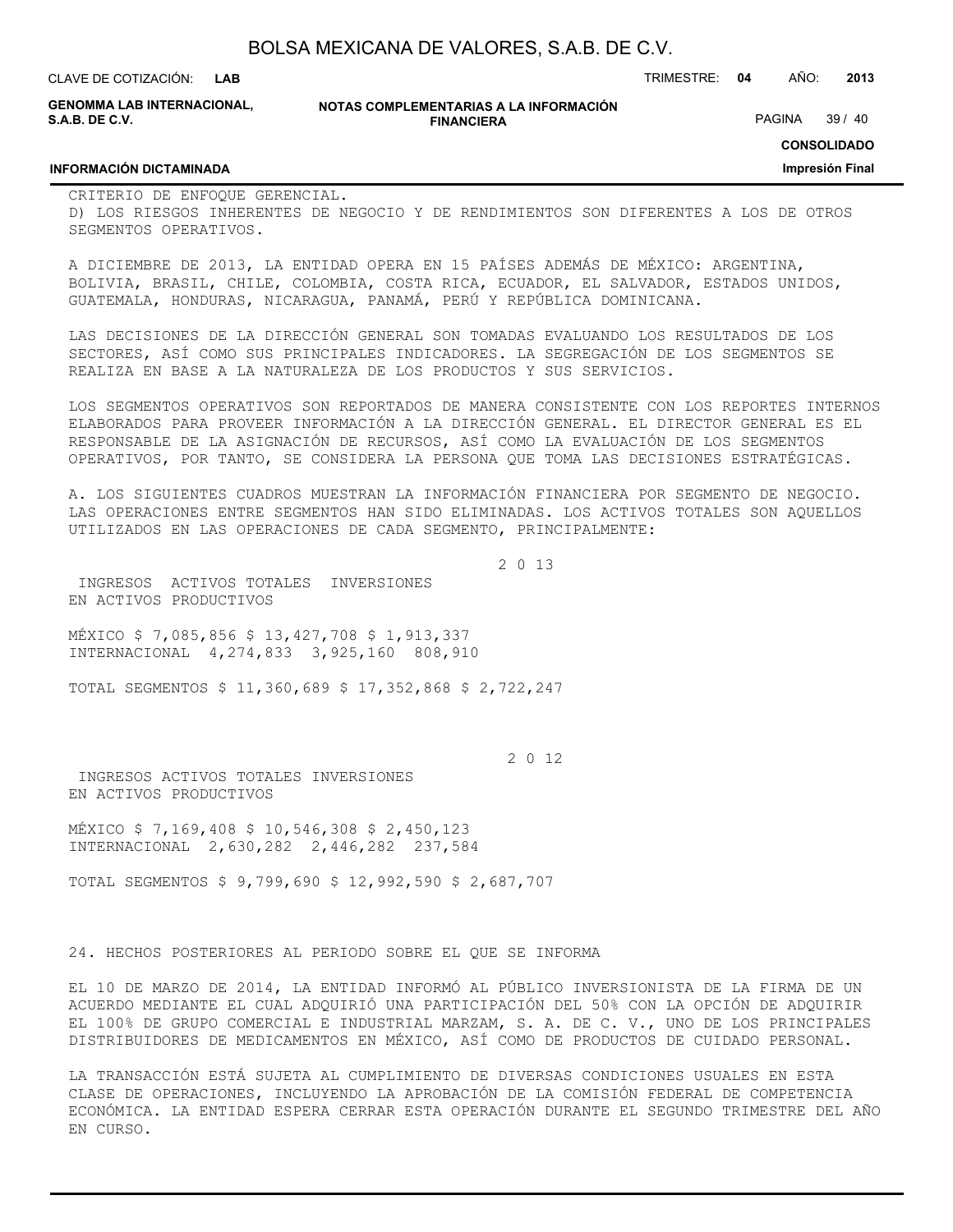**GENOMMA LAB INTERNACIONAL, S.A.B. DE C.V.**

**NOTAS COMPLEMENTARIAS A LA INFORMACIÓN FINANCIERA**

PAGINA 39 / 40

**CONSOLIDADO**

**Impresión Final**

#### **INFORMACIÓN DICTAMINADA**

CRITERIO DE ENFOQUE GERENCIAL. D) LOS RIESGOS INHERENTES DE NEGOCIO Y DE RENDIMIENTOS SON DIFERENTES A LOS DE OTROS SEGMENTOS OPERATIVOS.

A DICIEMBRE DE 2013, LA ENTIDAD OPERA EN 15 PAÍSES ADEMÁS DE MÉXICO: ARGENTINA, BOLIVIA, BRASIL, CHILE, COLOMBIA, COSTA RICA, ECUADOR, EL SALVADOR, ESTADOS UNIDOS, GUATEMALA, HONDURAS, NICARAGUA, PANAMÁ, PERÚ Y REPÚBLICA DOMINICANA.

LAS DECISIONES DE LA DIRECCIÓN GENERAL SON TOMADAS EVALUANDO LOS RESULTADOS DE LOS SECTORES, ASÍ COMO SUS PRINCIPALES INDICADORES. LA SEGREGACIÓN DE LOS SEGMENTOS SE REALIZA EN BASE A LA NATURALEZA DE LOS PRODUCTOS Y SUS SERVICIOS.

LOS SEGMENTOS OPERATIVOS SON REPORTADOS DE MANERA CONSISTENTE CON LOS REPORTES INTERNOS ELABORADOS PARA PROVEER INFORMACIÓN A LA DIRECCIÓN GENERAL. EL DIRECTOR GENERAL ES EL RESPONSABLE DE LA ASIGNACIÓN DE RECURSOS, ASÍ COMO LA EVALUACIÓN DE LOS SEGMENTOS OPERATIVOS, POR TANTO, SE CONSIDERA LA PERSONA QUE TOMA LAS DECISIONES ESTRATÉGICAS.

A. LOS SIGUIENTES CUADROS MUESTRAN LA INFORMACIÓN FINANCIERA POR SEGMENTO DE NEGOCIO. LAS OPERACIONES ENTRE SEGMENTOS HAN SIDO ELIMINADAS. LOS ACTIVOS TOTALES SON AQUELLOS UTILIZADOS EN LAS OPERACIONES DE CADA SEGMENTO, PRINCIPALMENTE:

2 0 13

 INGRESOS ACTIVOS TOTALES INVERSIONES EN ACTIVOS PRODUCTIVOS

MÉXICO \$ 7,085,856 \$ 13,427,708 \$ 1,913,337 INTERNACIONAL 4,274,833 3,925,160 808,910

TOTAL SEGMENTOS \$ 11,360,689 \$ 17,352,868 \$ 2,722,247

2 0 12

 INGRESOS ACTIVOS TOTALES INVERSIONES EN ACTIVOS PRODUCTIVOS

MÉXICO \$ 7,169,408 \$ 10,546,308 \$ 2,450,123 INTERNACIONAL 2,630,282 2,446,282 237,584

TOTAL SEGMENTOS \$ 9,799,690 \$ 12,992,590 \$ 2,687,707

24. HECHOS POSTERIORES AL PERIODO SOBRE EL QUE SE INFORMA

EL 10 DE MARZO DE 2014, LA ENTIDAD INFORMÓ AL PÚBLICO INVERSIONISTA DE LA FIRMA DE UN ACUERDO MEDIANTE EL CUAL ADQUIRIÓ UNA PARTICIPACIÓN DEL 50% CON LA OPCIÓN DE ADQUIRIR EL 100% DE GRUPO COMERCIAL E INDUSTRIAL MARZAM, S. A. DE C. V., UNO DE LOS PRINCIPALES DISTRIBUIDORES DE MEDICAMENTOS EN MÉXICO, ASÍ COMO DE PRODUCTOS DE CUIDADO PERSONAL.

LA TRANSACCIÓN ESTÁ SUJETA AL CUMPLIMIENTO DE DIVERSAS CONDICIONES USUALES EN ESTA CLASE DE OPERACIONES, INCLUYENDO LA APROBACIÓN DE LA COMISIÓN FEDERAL DE COMPETENCIA ECONÓMICA. LA ENTIDAD ESPERA CERRAR ESTA OPERACIÓN DURANTE EL SEGUNDO TRIMESTRE DEL AÑO EN CURSO.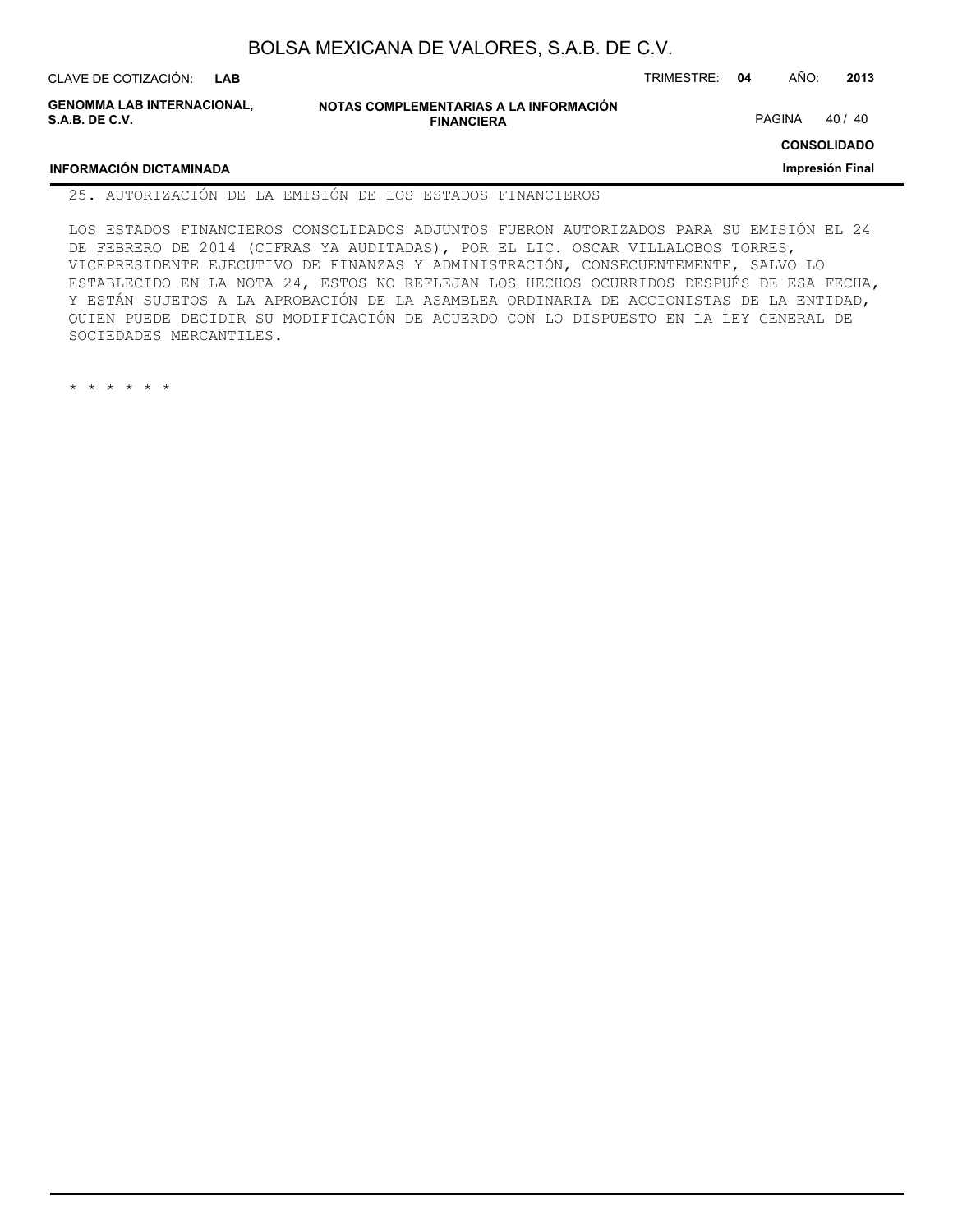| CLAVE DE COTIZACIÓN:                                | LAB |                                                             | TRIMESTRE: | 04 | AÑO:   | 2013               |
|-----------------------------------------------------|-----|-------------------------------------------------------------|------------|----|--------|--------------------|
| <b>GENOMMA LAB INTERNACIONAL.</b><br>S.A.B. DE C.V. |     | NOTAS COMPLEMENTARIAS A LA INFORMACIÓN<br><b>FINANCIERA</b> |            |    | PAGINA | 40 / 40            |
|                                                     |     |                                                             |            |    |        | <b>CONSOLIDADO</b> |
| <b>INFORMACIÓN DICTAMINADA</b>                      |     |                                                             |            |    |        | Impresión Final    |

#### 25. AUTORIZACIÓN DE LA EMISIÓN DE LOS ESTADOS FINANCIEROS

LOS ESTADOS FINANCIEROS CONSOLIDADOS ADJUNTOS FUERON AUTORIZADOS PARA SU EMISIÓN EL 24 DE FEBRERO DE 2014 (CIFRAS YA AUDITADAS), POR EL LIC. OSCAR VILLALOBOS TORRES, VICEPRESIDENTE EJECUTIVO DE FINANZAS Y ADMINISTRACIÓN, CONSECUENTEMENTE, SALVO LO ESTABLECIDO EN LA NOTA 24, ESTOS NO REFLEJAN LOS HECHOS OCURRIDOS DESPUÉS DE ESA FECHA, Y ESTÁN SUJETOS A LA APROBACIÓN DE LA ASAMBLEA ORDINARIA DE ACCIONISTAS DE LA ENTIDAD, QUIEN PUEDE DECIDIR SU MODIFICACIÓN DE ACUERDO CON LO DISPUESTO EN LA LEY GENERAL DE SOCIEDADES MERCANTILES.

\* \* \* \* \* \*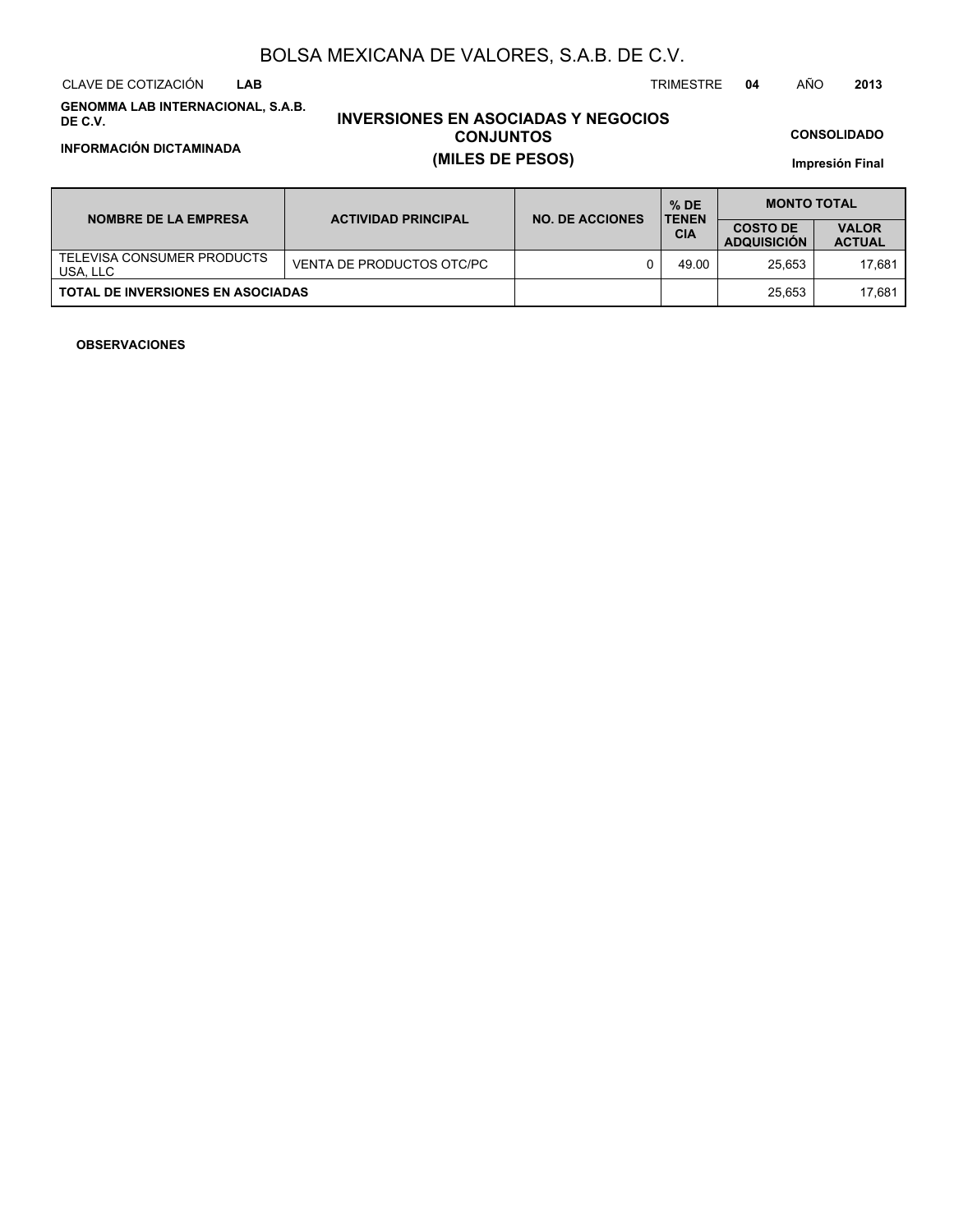CLAVE DE COTIZACIÓN TRIMESTRE **04** AÑO **2013 LAB**

**GENOMMA LAB INTERNACIONAL, S.A.B. DE C.V.**

## **INVERSIONES EN ASOCIADAS Y NEGOCIOS CONJUNTOS INFORMACIÓN DICTAMINADA (MILES DE PESOS)**

**CONSOLIDADO**

**Impresión Final**

| <b>NOMBRE DE LA EMPRESA</b>              | <b>ACTIVIDAD PRINCIPAL</b> | <b>NO. DE ACCIONES</b> | $%$ DE<br><b>TENEN</b> | <b>MONTO TOTAL</b>                    |                               |  |  |
|------------------------------------------|----------------------------|------------------------|------------------------|---------------------------------------|-------------------------------|--|--|
|                                          |                            |                        | <b>CIA</b>             | <b>COSTO DE</b><br><b>ADQUISICION</b> | <b>VALOR</b><br><b>ACTUAL</b> |  |  |
| TELEVISA CONSUMER PRODUCTS<br>USA. LLC   | VENTA DE PRODUCTOS OTC/PC  |                        | 49.00                  | 25.653                                | 17.681                        |  |  |
| <b>TOTAL DE INVERSIONES EN ASOCIADAS</b> |                            |                        |                        | 25.653                                | 17.681                        |  |  |

#### **OBSERVACIONES**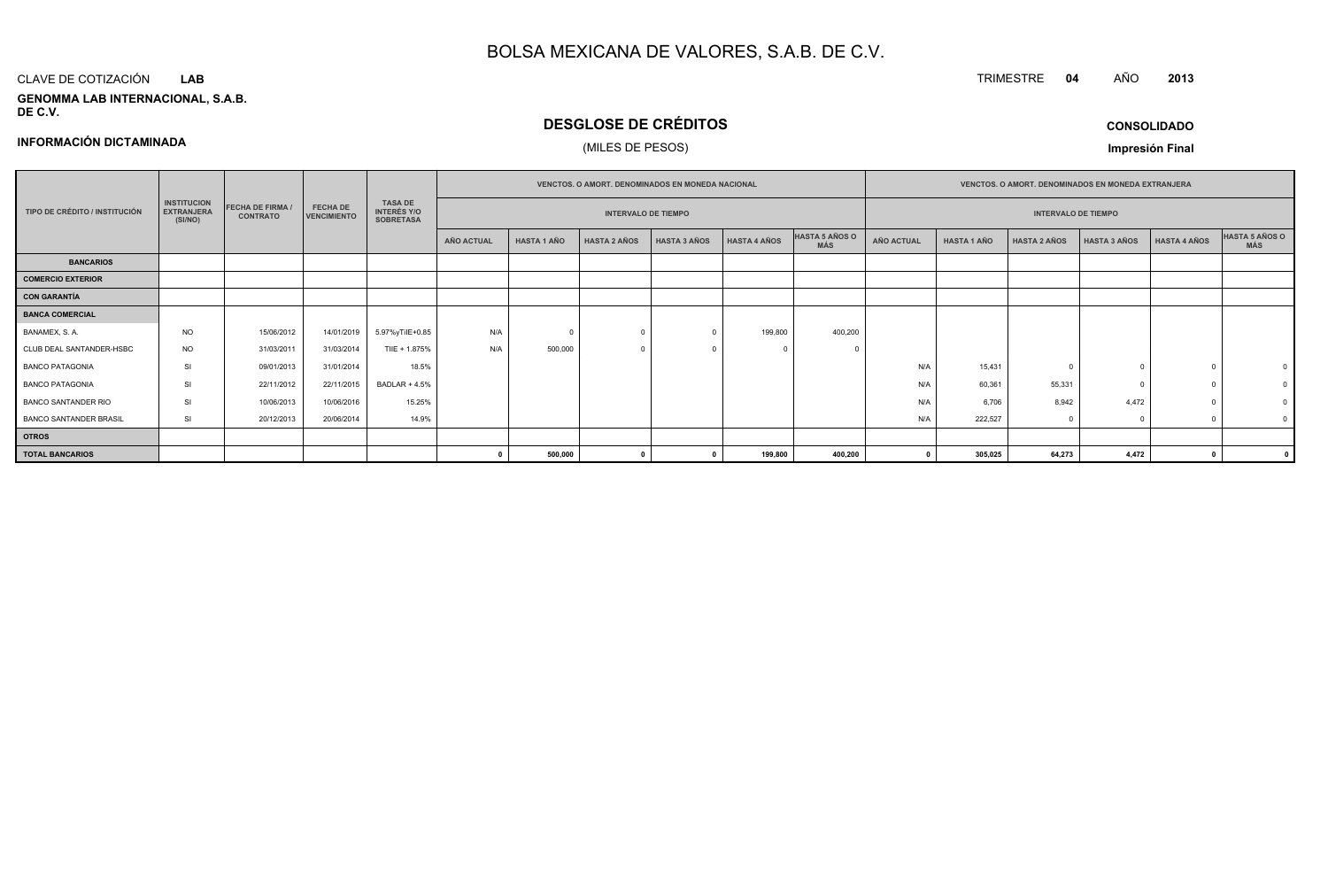#### CLAVE DE COTIZACIÓN**LAB**

**INFORMACIÓN DICTAMINADA**

#### **GENOMMA LAB INTERNACIONAL, S.A.B. DE C.V.**

## **DESGLOSE DE CRÉDITOS**

## (MILES DE PESOS)

**CONSOLIDADO**

**<sup>2013</sup>**

TRIMESTRE **<sup>04</sup>** AÑO

**Impresión Final**

|                               |                                                    |                                            |                                       |                                                          |                   |                            |                     | VENCTOS. O AMORT. DENOMINADOS EN MONEDA NACIONAL |                     |                              |                            |                    | VENCTOS. O AMORT. DENOMINADOS EN MONEDA EXTRANJERA |                     |                     |                       |
|-------------------------------|----------------------------------------------------|--------------------------------------------|---------------------------------------|----------------------------------------------------------|-------------------|----------------------------|---------------------|--------------------------------------------------|---------------------|------------------------------|----------------------------|--------------------|----------------------------------------------------|---------------------|---------------------|-----------------------|
| TIPO DE CRÉDITO / INSTITUCIÓN | <b>INSTITUCION</b><br><b>EXTRANJERA</b><br>(SI/NO) | <b>FECHA DE FIRMA /</b><br><b>CONTRATO</b> | <b>FECHA DE</b><br><b>VENCIMIENTO</b> | <b>TASA DE</b><br><b>INTERÉS Y/O</b><br><b>SOBRETASA</b> |                   | <b>INTERVALO DE TIEMPO</b> |                     |                                                  |                     |                              | <b>INTERVALO DE TIEMPO</b> |                    |                                                    |                     |                     |                       |
|                               |                                                    |                                            |                                       |                                                          | <b>AÑO ACTUAL</b> | <b>HASTA 1 AÑO</b>         | <b>HASTA 2 AÑOS</b> | <b>HASTA 3 AÑOS</b>                              | <b>HASTA 4 AÑOS</b> | HASTA 5 AÑOS O<br><b>MÁS</b> | AÑO ACTUAL                 | <b>HASTA 1 AÑO</b> | <b>HASTA 2 AÑOS</b>                                | <b>HASTA 3 AÑOS</b> | <b>HASTA 4 AÑOS</b> | HASTA 5 AÑOS O<br>MÁS |
| <b>BANCARIOS</b>              |                                                    |                                            |                                       |                                                          |                   |                            |                     |                                                  |                     |                              |                            |                    |                                                    |                     |                     |                       |
| <b>COMERCIO EXTERIOR</b>      |                                                    |                                            |                                       |                                                          |                   |                            |                     |                                                  |                     |                              |                            |                    |                                                    |                     |                     |                       |
| <b>CON GARANTÍA</b>           |                                                    |                                            |                                       |                                                          |                   |                            |                     |                                                  |                     |                              |                            |                    |                                                    |                     |                     |                       |
| <b>BANCA COMERCIAL</b>        |                                                    |                                            |                                       |                                                          |                   |                            |                     |                                                  |                     |                              |                            |                    |                                                    |                     |                     |                       |
| BANAMEX, S.A.                 | <b>NO</b>                                          | 15/06/2012                                 | 14/01/2019                            | 5.97%yTilE+0.85                                          | N/A               | $\Omega$                   |                     |                                                  | 199,800             | 400,200                      |                            |                    |                                                    |                     |                     |                       |
| CLUB DEAL SANTANDER-HSBC      | <b>NO</b>                                          | 31/03/2011                                 | 31/03/2014                            | TIIE + 1.875%                                            | N/A               | 500,000                    |                     |                                                  |                     |                              |                            |                    |                                                    |                     |                     |                       |
| <b>BANCO PATAGONIA</b>        | SI                                                 | 09/01/2013                                 | 31/01/2014                            | 18.5%                                                    |                   |                            |                     |                                                  |                     |                              | N/A                        | 15,431             |                                                    |                     |                     |                       |
| <b>BANCO PATAGONIA</b>        | SI                                                 | 22/11/2012                                 | 22/11/2015                            | <b>BADLAR + 4.5%</b>                                     |                   |                            |                     |                                                  |                     |                              | N/A                        | 60,361             | 55,331                                             |                     |                     |                       |
| <b>BANCO SANTANDER RIO</b>    | SI                                                 | 10/06/2013                                 | 10/06/2016                            | 15.25%                                                   |                   |                            |                     |                                                  |                     |                              | N/A                        | 6,706              | 8,942                                              | 4,472               |                     |                       |
| <b>BANCO SANTANDER BRASIL</b> | SI                                                 | 20/12/2013                                 | 20/06/2014                            | 14.9%                                                    |                   |                            |                     |                                                  |                     |                              | N/A                        | 222,527            |                                                    |                     |                     |                       |
| <b>OTROS</b>                  |                                                    |                                            |                                       |                                                          |                   |                            |                     |                                                  |                     |                              |                            |                    |                                                    |                     |                     |                       |
| <b>TOTAL BANCARIOS</b>        |                                                    |                                            |                                       |                                                          |                   | 500,000                    |                     |                                                  | 199,800             | 400,200                      |                            | 305,025            | 64,273                                             | 4,472               | $\mathbf{0}$        |                       |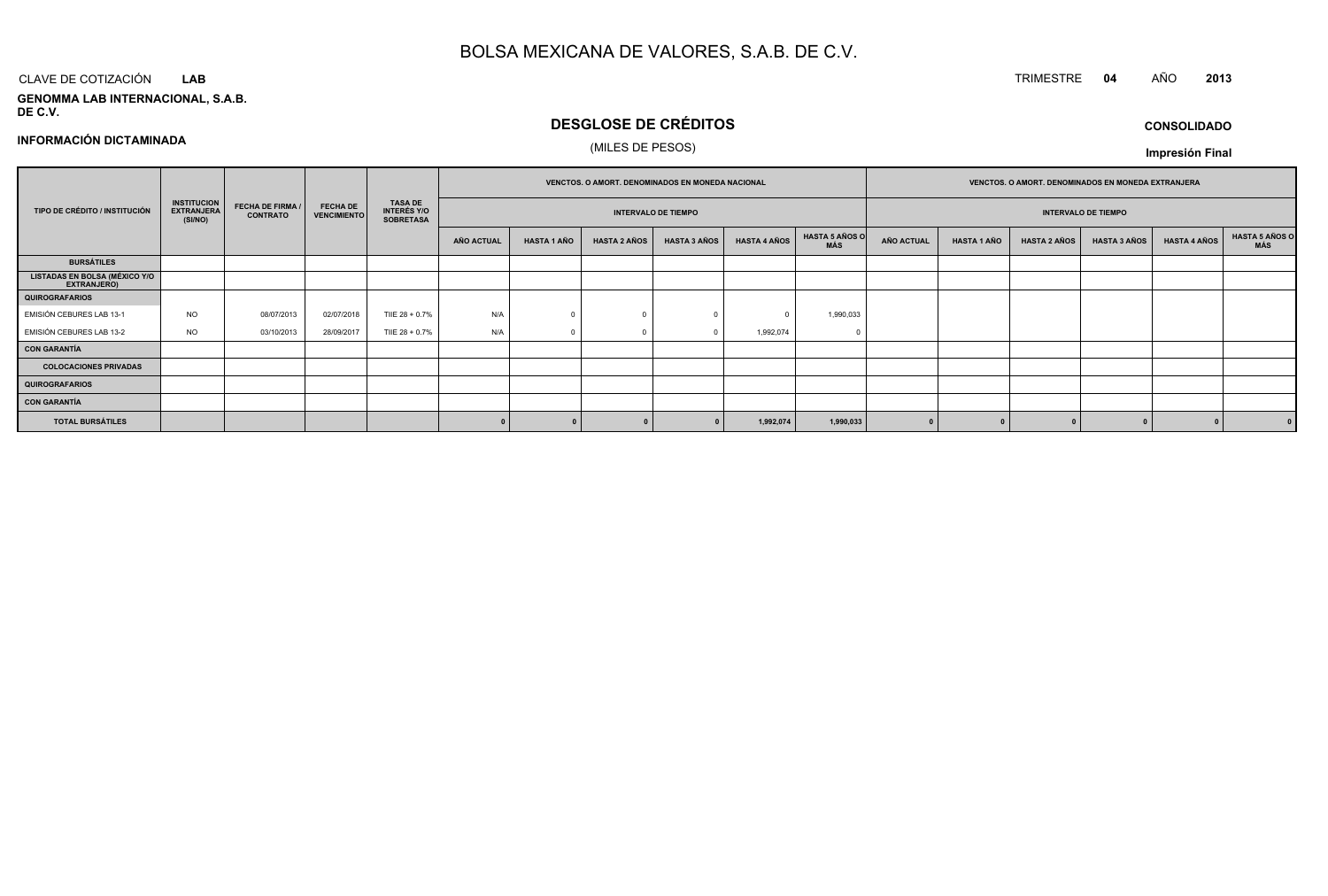#### CLAVE DE COTIZACIÓN TRIMESTRE **<sup>04</sup>** AÑO **<sup>2013</sup> LAB**

**GENOMMA LAB INTERNACIONAL, S.A.B. DE C.V.**

## **DESGLOSE DE CRÉDITOS**(MILES DE PESOS)

**INFORMACIÓN DICTAMINADA**

#### **TIPO DE CRÉDITO / INSTITUCIÓN FECHA DE VENCIMIENTO EXTRANJERA TASA DE INTERÉS Y/O SOBRETASAAÑO ACTUAL HASTA 1 AÑO HASTA 2 AÑOS HASTA 3 AÑOS HASTA 4 AÑOS HASTA 5 AÑOS O MÁS AÑO ACTUAL HASTA 1 AÑO HASTA 2 AÑOS HASTA 3 AÑOS HASTA 4 AÑOS HASTA 5 AÑOS O MÁS INTERVALO DE TIEMPOVENCTOS. O AMORT. DENOMINADOS EN MONEDA EXTRANJERAINTERVALO DE TIEMPOVENCTOS. O AMORT. DENOMINADOS EN MONEDA NACIONALINSTITUCION(SI/NO) FECHA DE FIRMA /CONTRATOQUIROGRAFARIOSLISTADAS EN BOLSA (MÉXICO Y/O EXTRANJERO)BURSÁTILES**EMISIÓN CEBURES LAB 13-1 NO08/07/2013 02/07/2018 TILE 28 + 0.7% % | N/A | 0 0 0 0 0 0 1,990,033 EMISIÓN CEBURES LAB 13-2 NO03/10/2013 28/09/2017 TILE 28 + 0.7%  $\%$  N/A 0 0 0 0 1,992,074 0 **CON GARANTÍAQUIROGRAFARIOSCOLOCACIONES PRIVADASCON GARANTÍATOTAL BURSÁTILES<sup>0</sup> <sup>0</sup> <sup>0</sup> <sup>0</sup> 1,992,074 1,990,033 <sup>0</sup> <sup>0</sup> <sup>0</sup> <sup>0</sup> <sup>0</sup> <sup>0</sup>**

**CONSOLIDADOImpresión Final**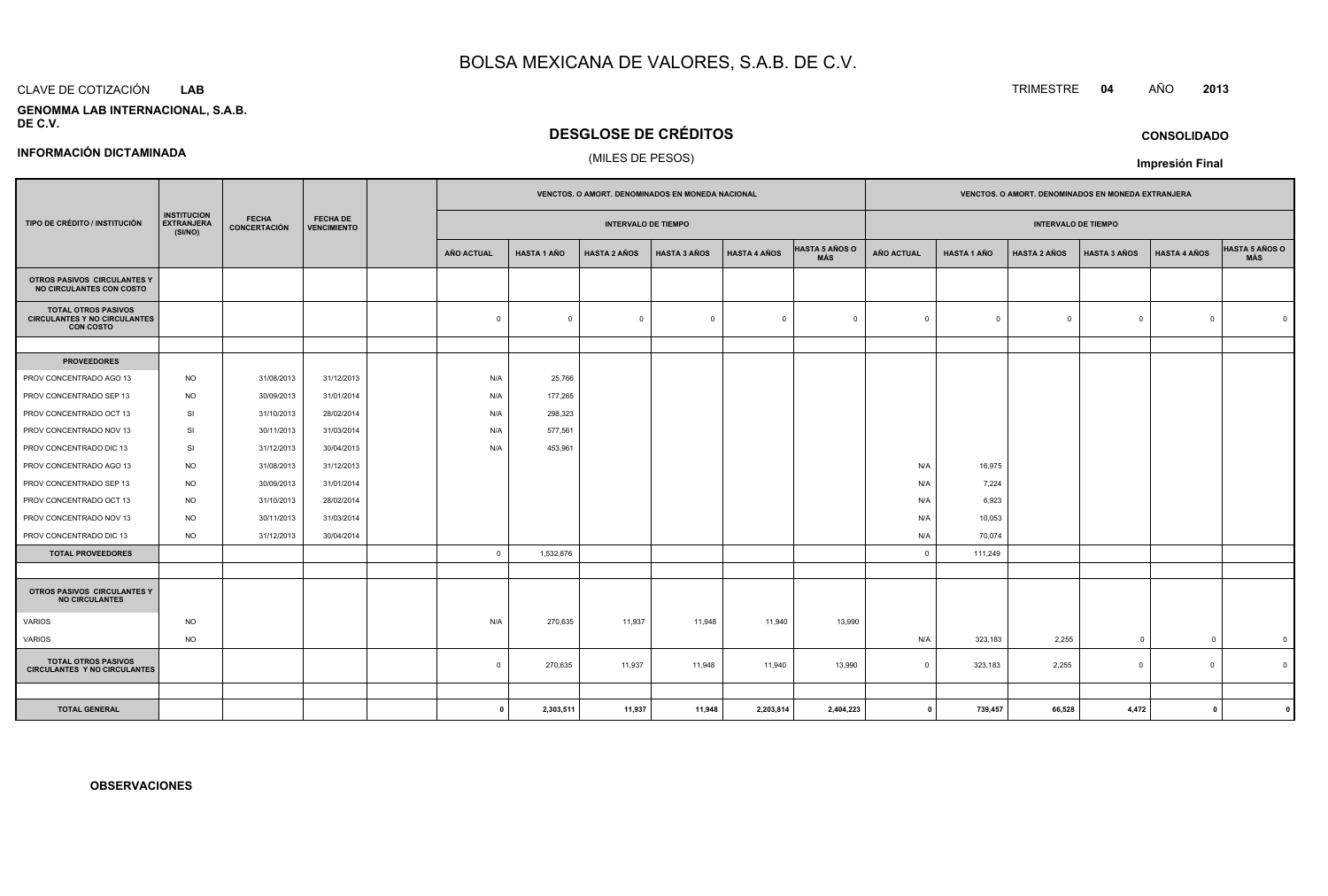#### CLAVE DE COTIZACIÓN**LAB**

#### **GENOMMA LAB INTERNACIONAL, S.A.B.DE C.V.**

## **DESGLOSE DE CRÉDITOS**

#### (MILES DE PESOS)

|                                                                                       |                                                    |                              |                                       |                         |                    | <b>VENCTOS, O AMORT, DENOMINADOS EN MONEDA NACIONAL</b> |                     |                     |                              |                   |                            |                     | <b>VENCTOS, O AMORT, DENOMINADOS EN MONEDA EXTRANJERA</b> |                         |                              |
|---------------------------------------------------------------------------------------|----------------------------------------------------|------------------------------|---------------------------------------|-------------------------|--------------------|---------------------------------------------------------|---------------------|---------------------|------------------------------|-------------------|----------------------------|---------------------|-----------------------------------------------------------|-------------------------|------------------------------|
| TIPO DE CRÉDITO / INSTITUCIÓN                                                         | <b>INSTITUCION</b><br><b>EXTRANJERA</b><br>(SI/NO) | <b>FECHA</b><br>CONCERTACIÓN | <b>FECHA DE</b><br><b>VENCIMIENTO</b> |                         |                    | <b>INTERVALO DE TIEMPO</b>                              |                     |                     |                              |                   | <b>INTERVALO DE TIEMPO</b> |                     |                                                           |                         |                              |
|                                                                                       |                                                    |                              |                                       | <b>AÑO ACTUAL</b>       | <b>HASTA 1 AÑO</b> | <b>HASTA 2 AÑOS</b>                                     | <b>HASTA 3 AÑOS</b> | <b>HASTA 4 AÑOS</b> | <b>HASTA 5 AÑOS O</b><br>MÁS | <b>AÑO ACTUAL</b> | <b>HASTA 1 AÑO</b>         | <b>HASTA 2 AÑOS</b> | <b>HASTA 3 AÑOS</b>                                       | <b>HASTA 4 AÑOS</b>     | <b>HASTA 5 AÑOS O</b><br>MÁS |
| OTROS PASIVOS CIRCULANTES Y<br>NO CIRCULANTES CON COSTO                               |                                                    |                              |                                       |                         |                    |                                                         |                     |                     |                              |                   |                            |                     |                                                           |                         |                              |
| <b>TOTAL OTROS PASIVOS</b><br><b>CIRCULANTES Y NO CIRCULANTES</b><br><b>CON COSTO</b> |                                                    |                              |                                       | $\Omega$                | $\overline{0}$     | $\overline{0}$                                          | $\Omega$            | $\overline{0}$      | $\Omega$                     | $\circ$           | $\Omega$                   | $\mathbf 0$         | $\Omega$                                                  | $\circ$                 |                              |
|                                                                                       |                                                    |                              |                                       |                         |                    |                                                         |                     |                     |                              |                   |                            |                     |                                                           |                         |                              |
| <b>PROVEEDORES</b>                                                                    |                                                    |                              |                                       |                         |                    |                                                         |                     |                     |                              |                   |                            |                     |                                                           |                         |                              |
| PROV CONCENTRADO AGO 13                                                               | <b>NO</b>                                          | 31/08/2013                   | 31/12/2013                            | N/A                     | 25,766             |                                                         |                     |                     |                              |                   |                            |                     |                                                           |                         |                              |
| PROV CONCENTRADO SEP 13                                                               | <b>NO</b>                                          | 30/09/2013                   | 31/01/2014                            | N/A                     | 177,265            |                                                         |                     |                     |                              |                   |                            |                     |                                                           |                         |                              |
| PROV CONCENTRADO OCT 13                                                               | SI                                                 | 31/10/2013                   | 28/02/2014                            | N/A                     | 298,323            |                                                         |                     |                     |                              |                   |                            |                     |                                                           |                         |                              |
| PROV CONCENTRADO NOV 13                                                               | SI                                                 | 30/11/2013                   | 31/03/2014                            | N/A                     | 577,561            |                                                         |                     |                     |                              |                   |                            |                     |                                                           |                         |                              |
| PROV CONCENTRADO DIC 13                                                               | SI                                                 | 31/12/2013                   | 30/04/2013                            | N/A                     | 453,961            |                                                         |                     |                     |                              |                   |                            |                     |                                                           |                         |                              |
| PROV CONCENTRADO AGO 13                                                               | <b>NO</b>                                          | 31/08/2013                   | 31/12/2013                            |                         |                    |                                                         |                     |                     |                              | N/A               | 16,975                     |                     |                                                           |                         |                              |
| PROV CONCENTRADO SEP 13                                                               | <b>NO</b>                                          | 30/09/2013                   | 31/01/2014                            |                         |                    |                                                         |                     |                     |                              | N/A               | 7,224                      |                     |                                                           |                         |                              |
| PROV CONCENTRADO OCT 13                                                               | <b>NO</b>                                          | 31/10/2013                   | 28/02/2014                            |                         |                    |                                                         |                     |                     |                              | N/A               | 6,923                      |                     |                                                           |                         |                              |
| PROV CONCENTRADO NOV 13                                                               | <b>NO</b>                                          | 30/11/2013                   | 31/03/2014                            |                         |                    |                                                         |                     |                     |                              | N/A               | 10,053                     |                     |                                                           |                         |                              |
| PROV CONCENTRADO DIC 13                                                               | <b>NO</b>                                          | 31/12/2013                   | 30/04/2014                            |                         |                    |                                                         |                     |                     |                              | N/A               | 70,074                     |                     |                                                           |                         |                              |
| <b>TOTAL PROVEEDORES</b>                                                              |                                                    |                              |                                       | $\overline{\mathbf{0}}$ | 1,532,876          |                                                         |                     |                     |                              | $\circ$           | 111,249                    |                     |                                                           |                         |                              |
|                                                                                       |                                                    |                              |                                       |                         |                    |                                                         |                     |                     |                              |                   |                            |                     |                                                           |                         |                              |
| OTROS PASIVOS CIRCULANTES Y<br><b>NO CIRCULANTES</b>                                  |                                                    |                              |                                       |                         |                    |                                                         |                     |                     |                              |                   |                            |                     |                                                           |                         |                              |
| <b>VARIOS</b>                                                                         | <b>NO</b>                                          |                              |                                       | N/A                     | 270,635            | 11,937                                                  | 11,948              | 11,940              | 13,990                       |                   |                            |                     |                                                           |                         |                              |
| <b>VARIOS</b>                                                                         | <b>NO</b>                                          |                              |                                       |                         |                    |                                                         |                     |                     |                              | N/A               | 323,183                    | 2,255               | $\mathbf 0$                                               | $\mathbf 0$             | $\mathfrak{c}$               |
| <b>TOTAL OTROS PASIVOS</b><br><b>CIRCULANTES Y NO CIRCULANTES</b>                     |                                                    |                              |                                       | $\mathbf 0$             | 270,635            | 11,937                                                  | 11,948              | 11,940              | 13,990                       | $\mathbf{0}$      | 323,183                    | 2,255               | $\mathbf 0$                                               | $\Omega$                |                              |
|                                                                                       |                                                    |                              |                                       |                         |                    |                                                         |                     |                     |                              |                   |                            |                     |                                                           |                         |                              |
| <b>TOTAL GENERAL</b>                                                                  |                                                    |                              |                                       | $\mathbf{0}$            | 2,303,511          | 11,937                                                  | 11,948              | 2,203,814           | 2,404,223                    | $\mathbf{0}$      | 739,457                    | 66.528              | 4,472                                                     | $\overline{\mathbf{0}}$ |                              |

**<sup>0</sup> 2,303,511 11,937 11,948 2,203,814 2,404,223 <sup>0</sup> 739,457 66,528 4,472 <sup>0</sup> <sup>0</sup>**

#### **INFORMACIÓN DICTAMINADA**

**OBSERVACIONES**



**CONSOLIDADO**

**Impresión Final**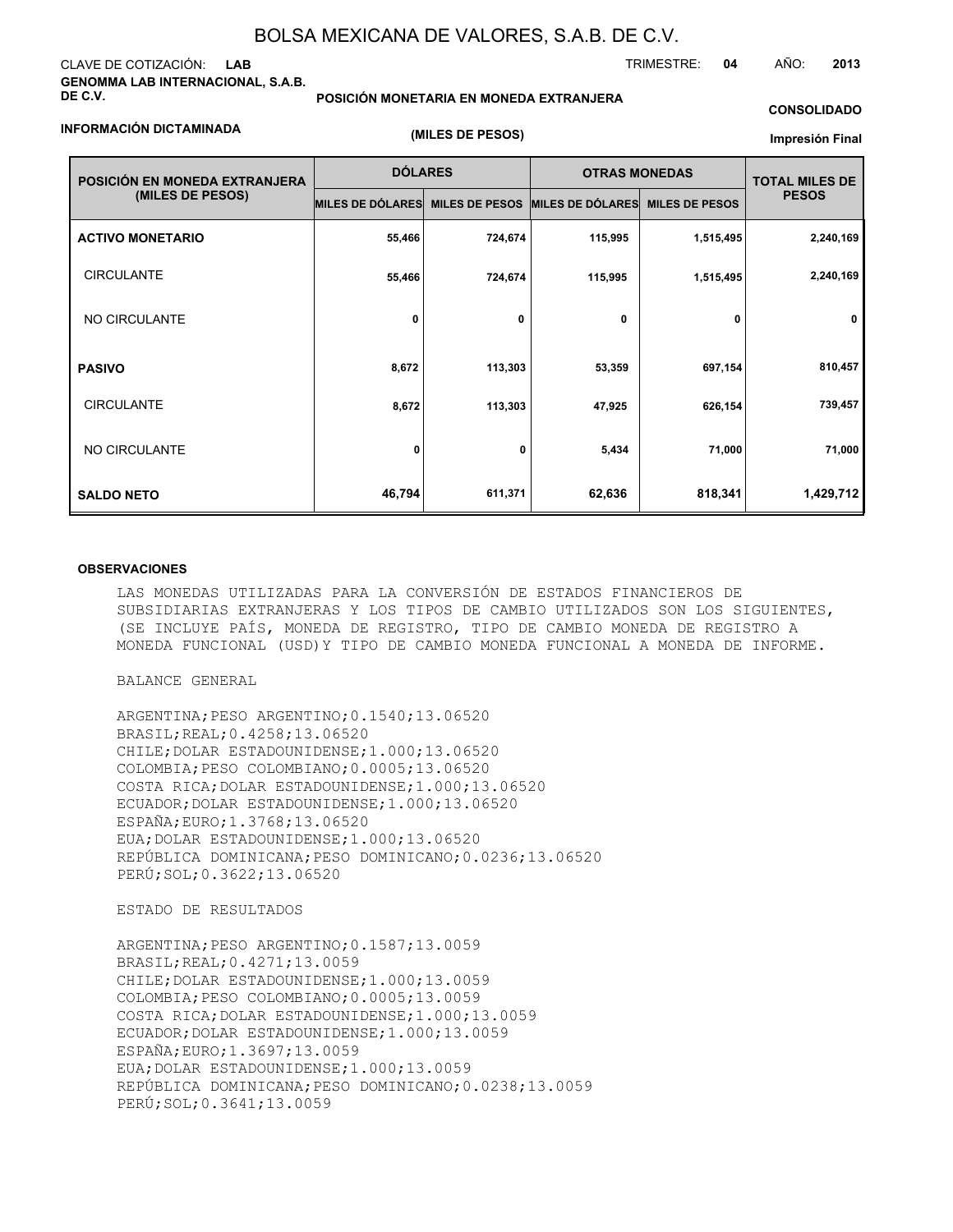#### CLAVE DE COTIZACIÓN: **LAB GENOMMA LAB INTERNACIONAL, S.A.B. DE C.V.**

#### **POSICIÓN MONETARIA EN MONEDA EXTRANJERA**

#### **CONSOLIDADO**

TRIMESTRE: **04** AÑO: **2013**

#### **INFORMACIÓN DICTAMINADA**

**(MILES DE PESOS)**

#### **Impresión Final**

| POSICIÓN EN MONEDA EXTRANJERA | <b>DÓLARES</b>          |                       | <b>OTRAS MONEDAS</b>    | <b>TOTAL MILES DE</b> |              |
|-------------------------------|-------------------------|-----------------------|-------------------------|-----------------------|--------------|
| (MILES DE PESOS)              | <b>MILES DE DÓLARES</b> | <b>MILES DE PESOS</b> | <b>MILES DE DÓLARES</b> | <b>MILES DE PESOS</b> | <b>PESOS</b> |
| <b>ACTIVO MONETARIO</b>       | 55,466                  | 724,674               | 115,995                 | 1,515,495             | 2,240,169    |
| <b>CIRCULANTE</b>             | 55,466                  | 724,674               | 115,995                 | 1,515,495             | 2,240,169    |
| NO CIRCULANTE                 | 0                       | 0                     | $\mathbf 0$             | 0                     | $\mathbf 0$  |
| <b>PASIVO</b>                 | 8,672                   | 113,303               | 53,359                  | 697,154               | 810,457      |
| <b>CIRCULANTE</b>             | 8,672                   | 113,303               | 47,925                  | 626,154               | 739,457      |
| NO CIRCULANTE                 | 0                       | 0                     | 5,434                   | 71,000                | 71,000       |
| <b>SALDO NETO</b>             | 46,794                  | 611,371               | 62,636                  | 818,341               | 1,429,712    |

#### **OBSERVACIONES**

LAS MONEDAS UTILIZADAS PARA LA CONVERSIÓN DE ESTADOS FINANCIEROS DE SUBSIDIARIAS EXTRANJERAS Y LOS TIPOS DE CAMBIO UTILIZADOS SON LOS SIGUIENTES, (SE INCLUYE PAÍS, MONEDA DE REGISTRO, TIPO DE CAMBIO MONEDA DE REGISTRO A MONEDA FUNCIONAL (USD)Y TIPO DE CAMBIO MONEDA FUNCIONAL A MONEDA DE INFORME.

BALANCE GENERAL

ARGENTINA;PESO ARGENTINO;0.1540;13.06520 BRASIL;REAL;0.4258;13.06520 CHILE;DOLAR ESTADOUNIDENSE;1.000;13.06520 COLOMBIA;PESO COLOMBIANO;0.0005;13.06520 COSTA RICA;DOLAR ESTADOUNIDENSE;1.000;13.06520 ECUADOR;DOLAR ESTADOUNIDENSE;1.000;13.06520 ESPAÑA;EURO;1.3768;13.06520 EUA;DOLAR ESTADOUNIDENSE;1.000;13.06520 REPÚBLICA DOMINICANA;PESO DOMINICANO;0.0236;13.06520 PERÚ;SOL;0.3622;13.06520

ESTADO DE RESULTADOS

ARGENTINA;PESO ARGENTINO;0.1587;13.0059 BRASIL;REAL;0.4271;13.0059 CHILE;DOLAR ESTADOUNIDENSE;1.000;13.0059 COLOMBIA;PESO COLOMBIANO;0.0005;13.0059 COSTA RICA;DOLAR ESTADOUNIDENSE;1.000;13.0059 ECUADOR;DOLAR ESTADOUNIDENSE;1.000;13.0059 ESPAÑA;EURO;1.3697;13.0059 EUA;DOLAR ESTADOUNIDENSE;1.000;13.0059 REPÚBLICA DOMINICANA;PESO DOMINICANO;0.0238;13.0059 PERÚ;SOL;0.3641;13.0059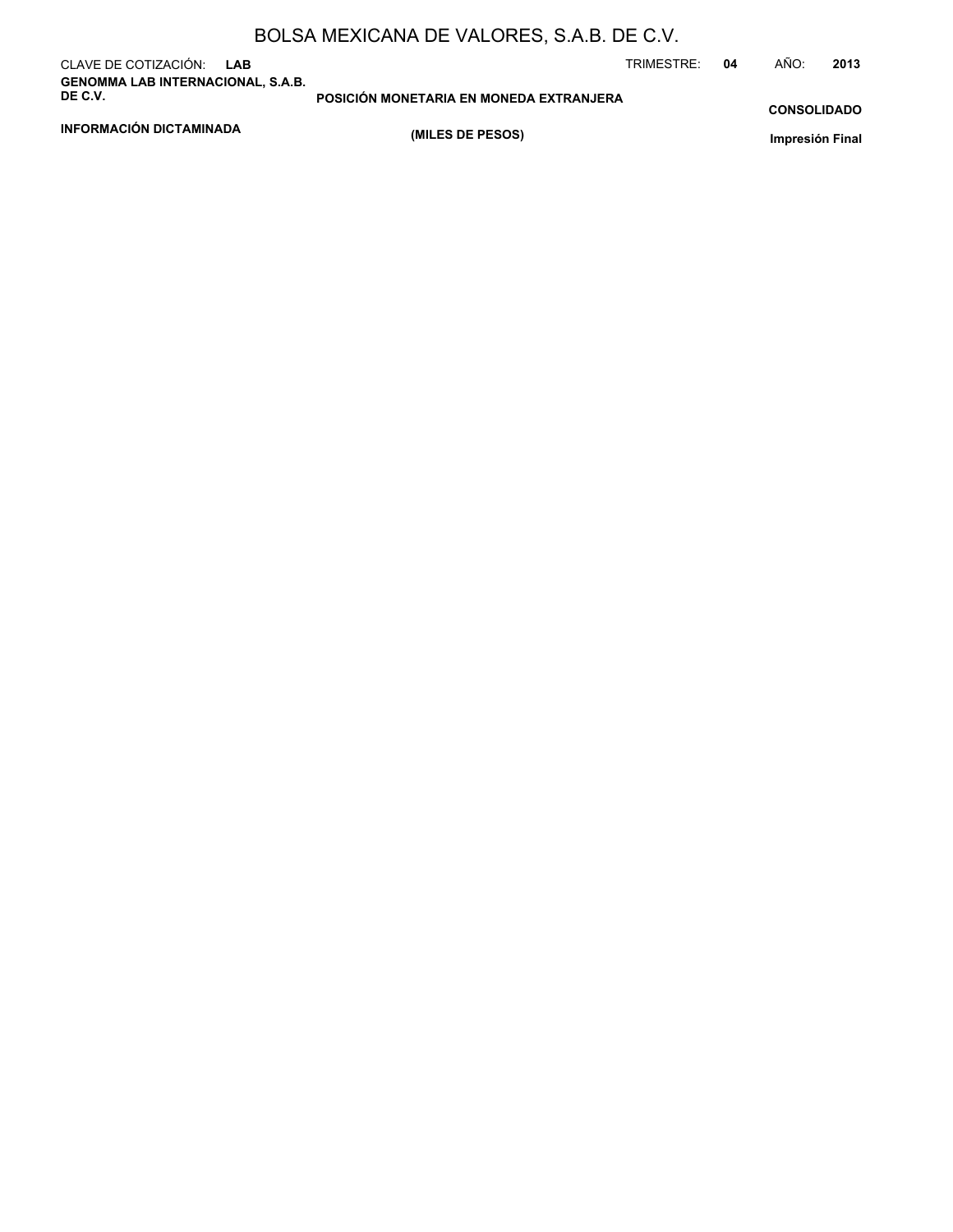| CLAVE DE COTIZACIÓN: LAB<br><b>GENOMMA LAB INTERNACIONAL, S.A.B.</b> |                                         | TRIMESTRE:<br>04 | AÑO:               | 2013 |
|----------------------------------------------------------------------|-----------------------------------------|------------------|--------------------|------|
| DE C.V.                                                              | POSICIÓN MONETARIA EN MONEDA EXTRANJERA |                  | <b>CONSOLIDADO</b> |      |
| INFORMACIÓN DICTAMINADA                                              | (MILES DE PESOS)                        |                  | Impresión Final    |      |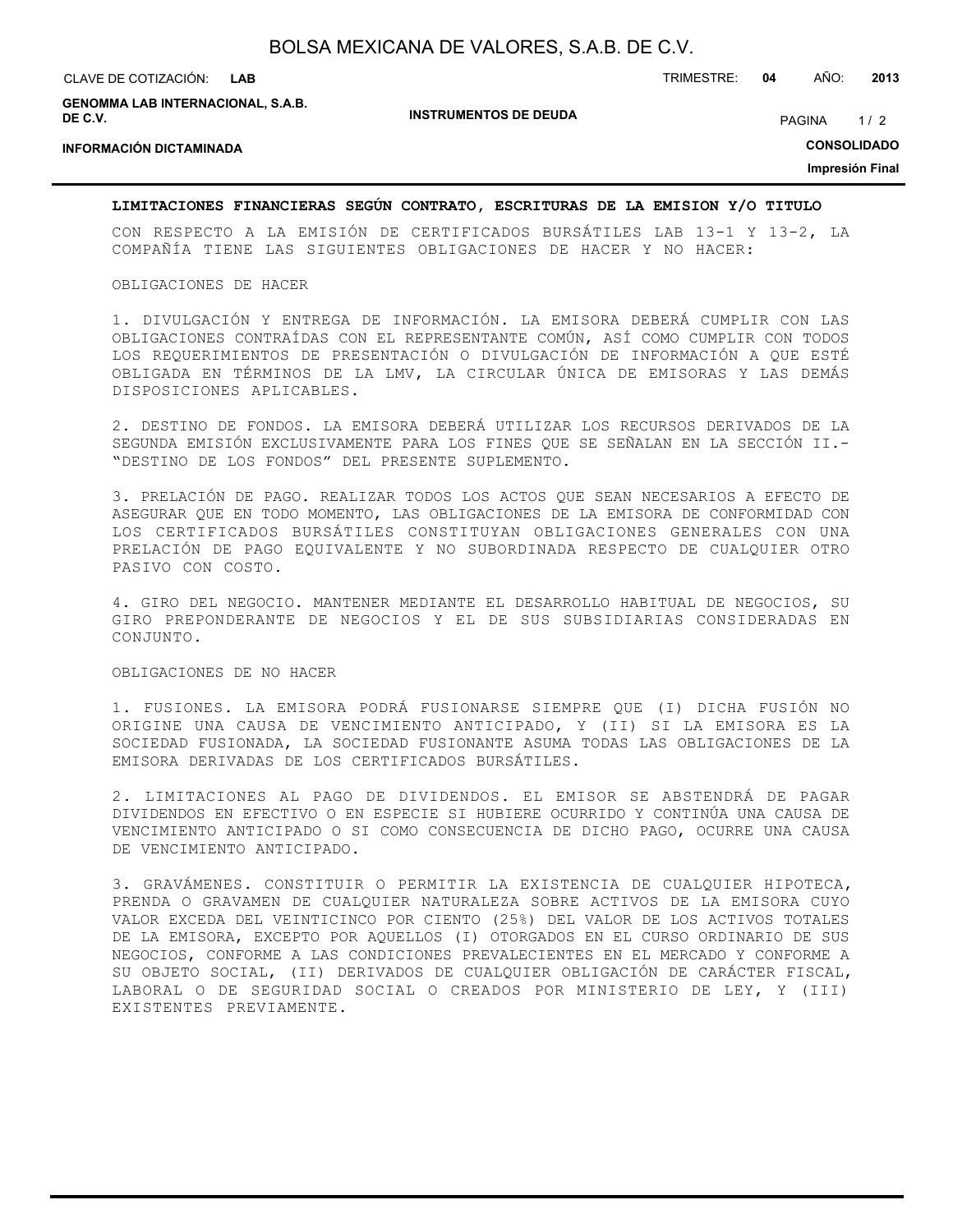| BOLSA MEXICANA DE VALORES, S.A.B. DE C.V. |  |  |  |  |  |
|-------------------------------------------|--|--|--|--|--|
|-------------------------------------------|--|--|--|--|--|

| CLAVE DE COTIZACIÓN:                                | LAB |                              | TRIMESTRE: | 04 | AÑO:          | 2013               |
|-----------------------------------------------------|-----|------------------------------|------------|----|---------------|--------------------|
| <b>GENOMMA LAB INTERNACIONAL, S.A.B.</b><br>DE C.V. |     | <b>INSTRUMENTOS DE DEUDA</b> |            |    | <b>PAGINA</b> | 1/2                |
| <b>INFORMACIÓN DICTAMINADA</b>                      |     |                              |            |    |               | <b>CONSOLIDADO</b> |
|                                                     |     |                              |            |    |               | Impresión Final    |

#### **LIMITACIONES FINANCIERAS SEGÚN CONTRATO, ESCRITURAS DE LA EMISION Y/O TITULO**

CON RESPECTO A LA EMISIÓN DE CERTIFICADOS BURSÁTILES LAB 13-1 Y 13-2, LA COMPAÑÍA TIENE LAS SIGUIENTES OBLIGACIONES DE HACER Y NO HACER:

#### OBLIGACIONES DE HACER

1. DIVULGACIÓN Y ENTREGA DE INFORMACIÓN. LA EMISORA DEBERÁ CUMPLIR CON LAS OBLIGACIONES CONTRAÍDAS CON EL REPRESENTANTE COMÚN, ASÍ COMO CUMPLIR CON TODOS LOS REQUERIMIENTOS DE PRESENTACIÓN O DIVULGACIÓN DE INFORMACIÓN A QUE ESTÉ OBLIGADA EN TÉRMINOS DE LA LMV, LA CIRCULAR ÚNICA DE EMISORAS Y LAS DEMÁS DISPOSICIONES APLICABLES.

2. DESTINO DE FONDOS. LA EMISORA DEBERÁ UTILIZAR LOS RECURSOS DERIVADOS DE LA SEGUNDA EMISIÓN EXCLUSIVAMENTE PARA LOS FINES QUE SE SEÑALAN EN LA SECCIÓN II.- "DESTINO DE LOS FONDOS" DEL PRESENTE SUPLEMENTO.

3. PRELACIÓN DE PAGO. REALIZAR TODOS LOS ACTOS QUE SEAN NECESARIOS A EFECTO DE ASEGURAR QUE EN TODO MOMENTO, LAS OBLIGACIONES DE LA EMISORA DE CONFORMIDAD CON LOS CERTIFICADOS BURSÁTILES CONSTITUYAN OBLIGACIONES GENERALES CON UNA PRELACIÓN DE PAGO EQUIVALENTE Y NO SUBORDINADA RESPECTO DE CUALQUIER OTRO PASIVO CON COSTO.

4. GIRO DEL NEGOCIO. MANTENER MEDIANTE EL DESARROLLO HABITUAL DE NEGOCIOS, SU GIRO PREPONDERANTE DE NEGOCIOS Y EL DE SUS SUBSIDIARIAS CONSIDERADAS EN CONJUNTO.

#### OBLIGACIONES DE NO HACER

1. FUSIONES. LA EMISORA PODRÁ FUSIONARSE SIEMPRE QUE (I) DICHA FUSIÓN NO ORIGINE UNA CAUSA DE VENCIMIENTO ANTICIPADO, Y (II) SI LA EMISORA ES LA SOCIEDAD FUSIONADA, LA SOCIEDAD FUSIONANTE ASUMA TODAS LAS OBLIGACIONES DE LA EMISORA DERIVADAS DE LOS CERTIFICADOS BURSÁTILES.

2. LIMITACIONES AL PAGO DE DIVIDENDOS. EL EMISOR SE ABSTENDRÁ DE PAGAR DIVIDENDOS EN EFECTIVO O EN ESPECIE SI HUBIERE OCURRIDO Y CONTINÚA UNA CAUSA DE VENCIMIENTO ANTICIPADO O SI COMO CONSECUENCIA DE DICHO PAGO, OCURRE UNA CAUSA DE VENCIMIENTO ANTICIPADO.

3. GRAVÁMENES. CONSTITUIR O PERMITIR LA EXISTENCIA DE CUALQUIER HIPOTECA, PRENDA O GRAVAMEN DE CUALQUIER NATURALEZA SOBRE ACTIVOS DE LA EMISORA CUYO VALOR EXCEDA DEL VEINTICINCO POR CIENTO (25%) DEL VALOR DE LOS ACTIVOS TOTALES DE LA EMISORA, EXCEPTO POR AQUELLOS (I) OTORGADOS EN EL CURSO ORDINARIO DE SUS NEGOCIOS, CONFORME A LAS CONDICIONES PREVALECIENTES EN EL MERCADO Y CONFORME A SU OBJETO SOCIAL, (II) DERIVADOS DE CUALQUIER OBLIGACIÓN DE CARÁCTER FISCAL, LABORAL O DE SEGURIDAD SOCIAL O CREADOS POR MINISTERIO DE LEY, Y (III) EXISTENTES PREVIAMENTE.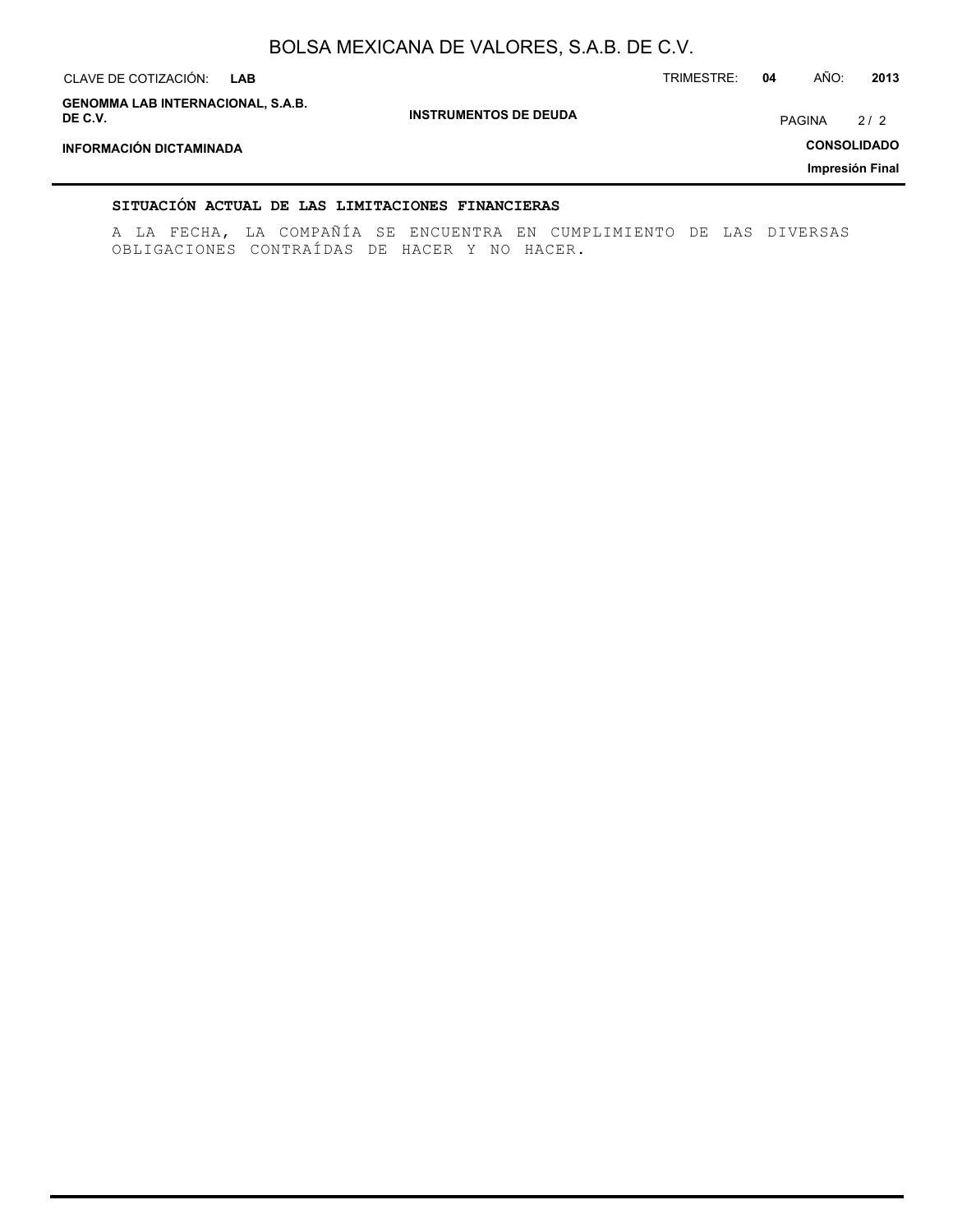| CLAVE DE COTIZACIÓN:<br><b>LAB</b>                  |                              | TRIMESTRE: | 04 | AÑO:          | 2013               |
|-----------------------------------------------------|------------------------------|------------|----|---------------|--------------------|
| <b>GENOMMA LAB INTERNACIONAL, S.A.B.</b><br>DE C.V. | <b>INSTRUMENTOS DE DEUDA</b> |            |    | <b>PAGINA</b> | 2/2                |
| INFORMACIÓN DICTAMINADA                             |                              |            |    |               | <b>CONSOLIDADO</b> |
|                                                     |                              |            |    |               | Impresión Final    |

#### **SITUACIÓN ACTUAL DE LAS LIMITACIONES FINANCIERAS**

A LA FECHA, LA COMPAÑÍA SE ENCUENTRA EN CUMPLIMIENTO DE LAS DIVERSAS OBLIGACIONES CONTRAÍDAS DE HACER Y NO HACER.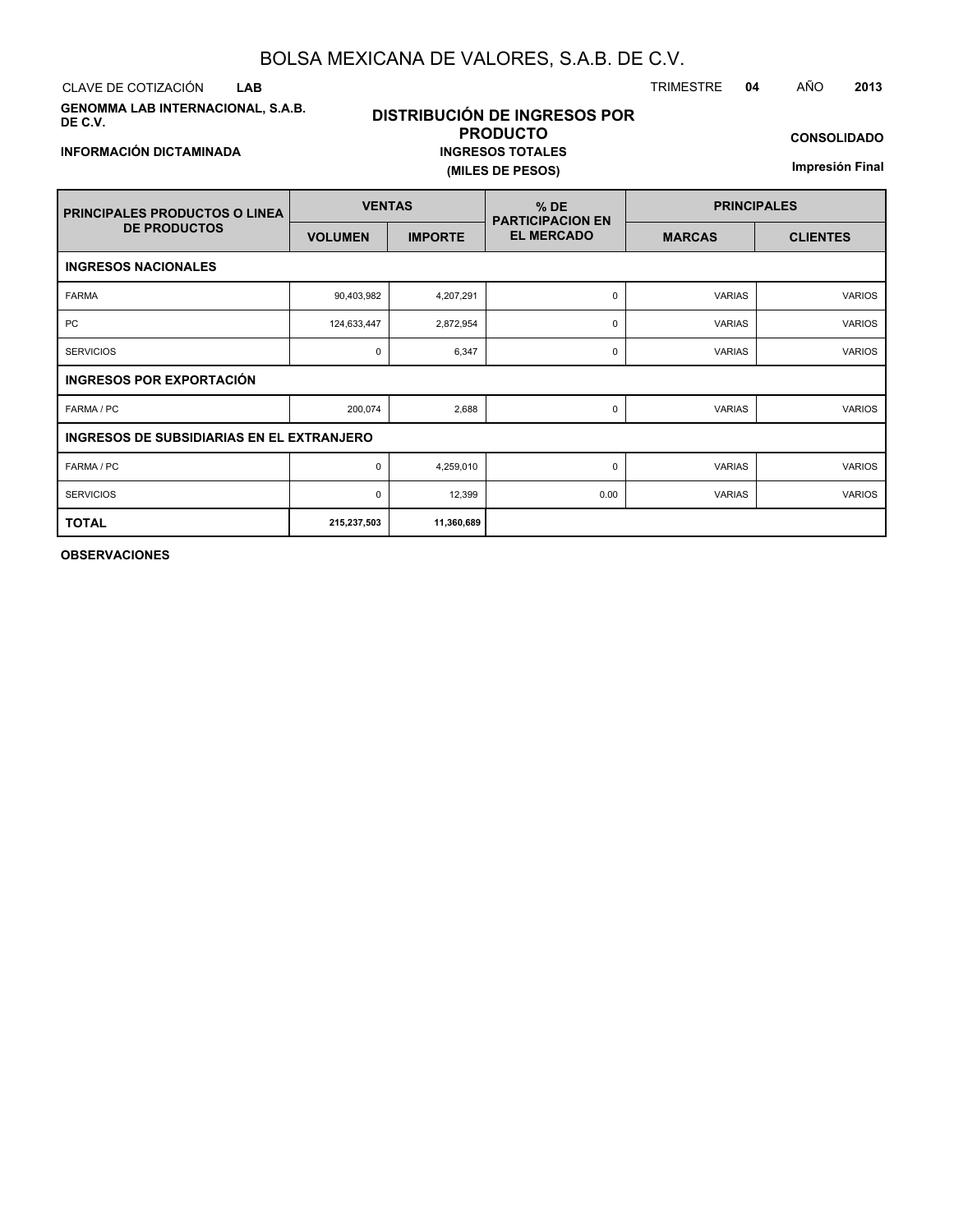CLAVE DE COTIZACIÓN TRIMESTRE **04** AÑO **2013 LAB**

**GENOMMA LAB INTERNACIONAL, S.A.B. DE C.V.**

## **DISTRIBUCIÓN DE INGRESOS POR PRODUCTO INGRESOS TOTALES (MILES DE PESOS)**

**CONSOLIDADO**

**Impresión Final**

| <b>PRINCIPALES PRODUCTOS O LINEA</b>             | <b>VENTAS</b>  |                | $%$ DE<br><b>PARTICIPACION EN</b> | <b>PRINCIPALES</b> |                 |  |  |
|--------------------------------------------------|----------------|----------------|-----------------------------------|--------------------|-----------------|--|--|
| <b>DE PRODUCTOS</b>                              | <b>VOLUMEN</b> | <b>IMPORTE</b> | <b>EL MERCADO</b>                 | <b>MARCAS</b>      | <b>CLIENTES</b> |  |  |
| <b>INGRESOS NACIONALES</b>                       |                |                |                                   |                    |                 |  |  |
| <b>FARMA</b>                                     | 90,403,982     | 4,207,291      | $\mathbf 0$                       | <b>VARIAS</b>      | <b>VARIOS</b>   |  |  |
| <b>PC</b>                                        | 124,633,447    | 2,872,954      | 0                                 | <b>VARIAS</b>      | <b>VARIOS</b>   |  |  |
| <b>SERVICIOS</b>                                 | $\mathbf 0$    | 6,347          | 0                                 | <b>VARIAS</b>      | <b>VARIOS</b>   |  |  |
| <b>INGRESOS POR EXPORTACIÓN</b>                  |                |                |                                   |                    |                 |  |  |
| FARMA / PC                                       | 200,074        | 2,688          | 0                                 | <b>VARIAS</b>      | <b>VARIOS</b>   |  |  |
| <b>INGRESOS DE SUBSIDIARIAS EN EL EXTRANJERO</b> |                |                |                                   |                    |                 |  |  |
| FARMA / PC                                       | 0              | 4,259,010      | 0                                 | <b>VARIAS</b>      | <b>VARIOS</b>   |  |  |
| <b>SERVICIOS</b>                                 | $\mathbf 0$    | 12,399         | 0.00                              | <b>VARIAS</b>      | <b>VARIOS</b>   |  |  |
| <b>TOTAL</b>                                     | 215,237,503    | 11,360,689     |                                   |                    |                 |  |  |

**OBSERVACIONES**

#### **INFORMACIÓN DICTAMINADA**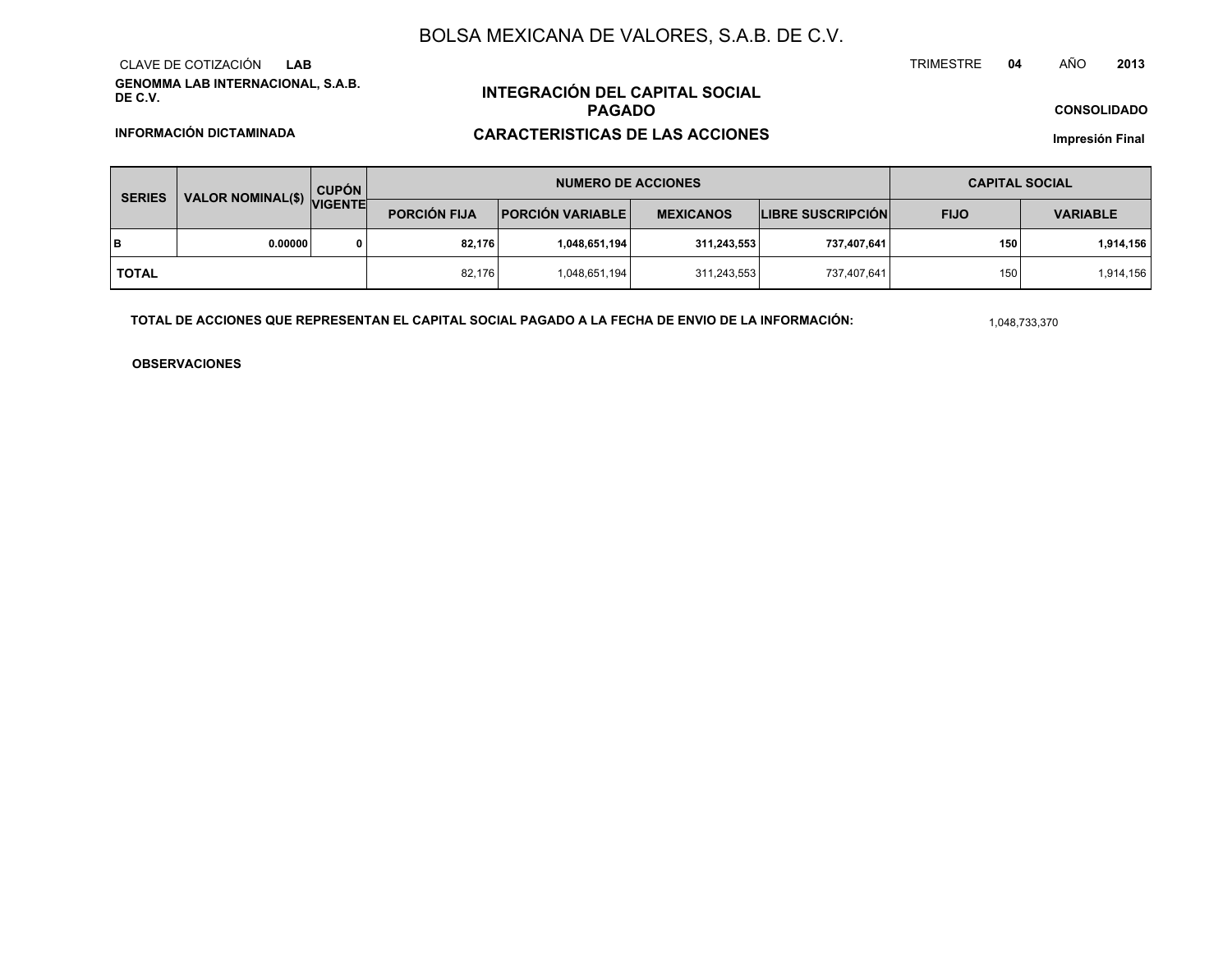**GENOMMA LAB INTERNACIONAL, S.A.B. DE C.V.**CLAVE DE COTIZACIÓN**LAB**

## **INTEGRACIÓN DEL CAPITAL SOCIALPAGADOCARACTERISTICAS DE LAS ACCIONES**

#### **CONSOLIDADO**

**INFORMACIÓN DICTAMINADA**

**Impresión Final**

| <b>SERIES</b>             |         | <b>CUPÓN</b>        |                         | <b>NUMERO DE ACCIONES</b> | <b>CAPITAL SOCIAL</b>    |             |                  |           |
|---------------------------|---------|---------------------|-------------------------|---------------------------|--------------------------|-------------|------------------|-----------|
| VALOR NOMINAL(\$) VIGENTE |         | <b>PORCIÓN FIJA</b> | <b>PORCIÓN VARIABLE</b> | <b>MEXICANOS</b>          | <b>LIBRE SUSCRIPCIÓN</b> | <b>FIJO</b> | <b>VARIABLE</b>  |           |
| lв                        | 0.00000 | 0                   | 82,176                  | 1,048,651,194             | 311,243,553              | 737,407,641 | 150 <sub>1</sub> | 1,914,156 |
| <b>TOTAL</b>              |         |                     | 82.176                  | 1,048,651,194             | 311,243,553              | 737,407,641 | 150              | 1,914,156 |

**TOTAL DE ACCIONES QUE REPRESENTAN EL CAPITAL SOCIAL PAGADO A LA FECHA DE ENVIO DE LA INFORMACIÓN:**

1,048,733,370

TRIMESTRE

**OBSERVACIONES**

 **<sup>04</sup>** AÑO**<sup>2013</sup>**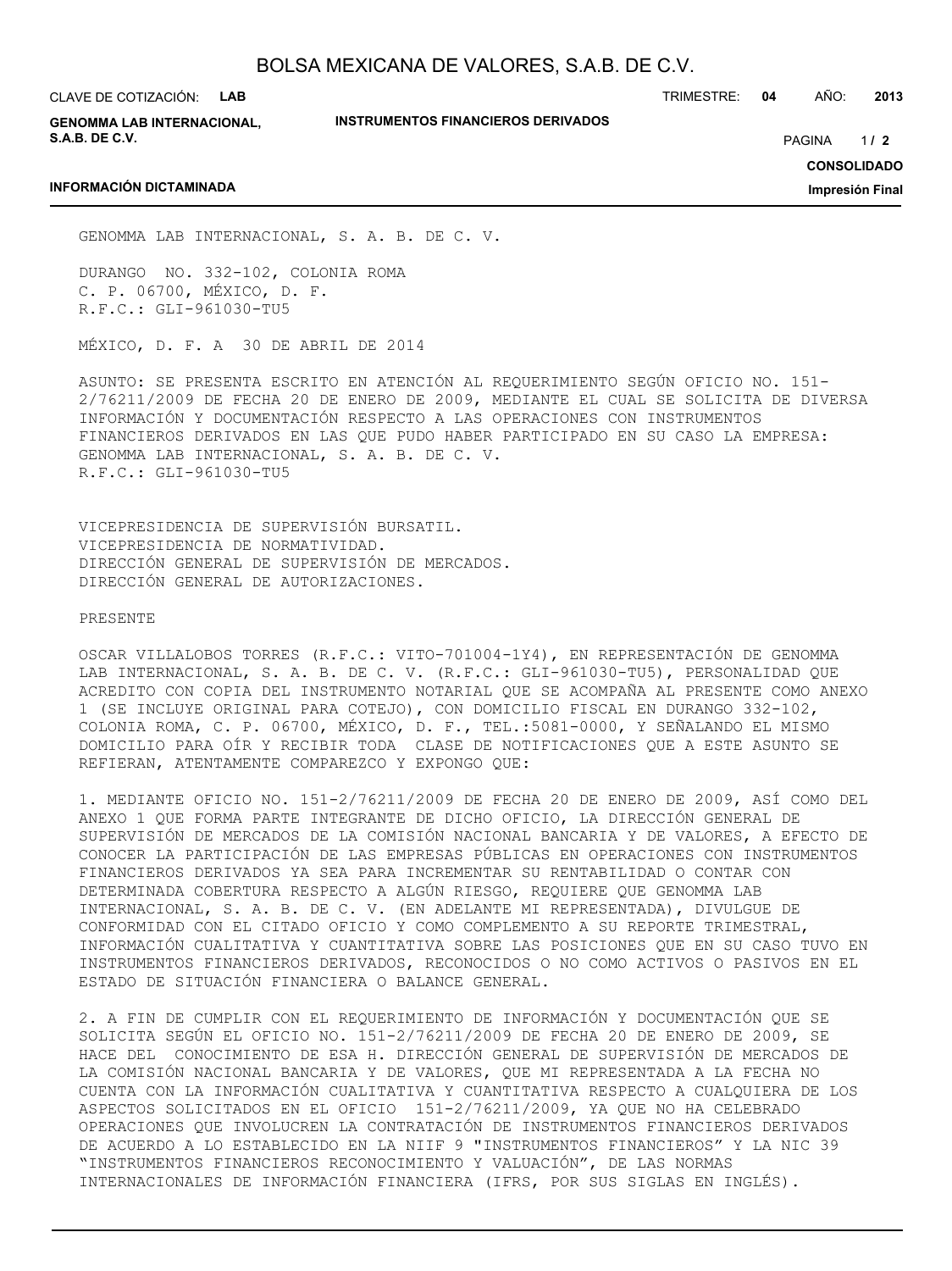CLAVE DE COTIZACIÓN: **LAB**

**INFORMACIÓN DICTAMINADA**

**GENOMMA LAB INTERNACIONAL, S.A.B. DE C.V.**

**INSTRUMENTOS FINANCIEROS DERIVADOS**

TRIMESTRE: **04** AÑO: **2013**

 $1/2$ PAGINA **/ 2**

**CONSOLIDADO**

**Impresión Final**

GENOMMA LAB INTERNACIONAL, S. A. B. DE C. V.

DURANGO NO. 332-102, COLONIA ROMA C. P. 06700, MÉXICO, D. F. R.F.C.: GLI-961030-TU5

MÉXICO, D. F. A 30 DE ABRIL DE 2014

ASUNTO: SE PRESENTA ESCRITO EN ATENCIÓN AL REQUERIMIENTO SEGÚN OFICIO NO. 151- 2/76211/2009 DE FECHA 20 DE ENERO DE 2009, MEDIANTE EL CUAL SE SOLICITA DE DIVERSA INFORMACIÓN Y DOCUMENTACIÓN RESPECTO A LAS OPERACIONES CON INSTRUMENTOS FINANCIEROS DERIVADOS EN LAS QUE PUDO HABER PARTICIPADO EN SU CASO LA EMPRESA: GENOMMA LAB INTERNACIONAL, S. A. B. DE C. V. R.F.C.: GLI-961030-TU5

VICEPRESIDENCIA DE SUPERVISIÓN BURSATIL. VICEPRESIDENCIA DE NORMATIVIDAD. DIRECCIÓN GENERAL DE SUPERVISIÓN DE MERCADOS. DIRECCIÓN GENERAL DE AUTORIZACIONES.

PRESENTE

OSCAR VILLALOBOS TORRES (R.F.C.: VITO-701004-1Y4), EN REPRESENTACIÓN DE GENOMMA LAB INTERNACIONAL, S. A. B. DE C. V. (R.F.C.: GLI-961030-TU5), PERSONALIDAD QUE ACREDITO CON COPIA DEL INSTRUMENTO NOTARIAL QUE SE ACOMPAÑA AL PRESENTE COMO ANEXO 1 (SE INCLUYE ORIGINAL PARA COTEJO), CON DOMICILIO FISCAL EN DURANGO 332-102, COLONIA ROMA, C. P. 06700, MÉXICO, D. F., TEL.:5081-0000, Y SEÑALANDO EL MISMO DOMICILIO PARA OÍR Y RECIBIR TODA CLASE DE NOTIFICACIONES QUE A ESTE ASUNTO SE REFIERAN, ATENTAMENTE COMPAREZCO Y EXPONGO QUE:

1. MEDIANTE OFICIO NO. 151-2/76211/2009 DE FECHA 20 DE ENERO DE 2009, ASÍ COMO DEL ANEXO 1 QUE FORMA PARTE INTEGRANTE DE DICHO OFICIO, LA DIRECCIÓN GENERAL DE SUPERVISIÓN DE MERCADOS DE LA COMISIÓN NACIONAL BANCARIA Y DE VALORES, A EFECTO DE CONOCER LA PARTICIPACIÓN DE LAS EMPRESAS PÚBLICAS EN OPERACIONES CON INSTRUMENTOS FINANCIEROS DERIVADOS YA SEA PARA INCREMENTAR SU RENTABILIDAD O CONTAR CON DETERMINADA COBERTURA RESPECTO A ALGÚN RIESGO, REQUIERE QUE GENOMMA LAB INTERNACIONAL, S. A. B. DE C. V. (EN ADELANTE MI REPRESENTADA), DIVULGUE DE CONFORMIDAD CON EL CITADO OFICIO Y COMO COMPLEMENTO A SU REPORTE TRIMESTRAL, INFORMACIÓN CUALITATIVA Y CUANTITATIVA SOBRE LAS POSICIONES QUE EN SU CASO TUVO EN INSTRUMENTOS FINANCIEROS DERIVADOS, RECONOCIDOS O NO COMO ACTIVOS O PASIVOS EN EL ESTADO DE SITUACIÓN FINANCIERA O BALANCE GENERAL.

2. A FIN DE CUMPLIR CON EL REQUERIMIENTO DE INFORMACIÓN Y DOCUMENTACIÓN QUE SE SOLICITA SEGÚN EL OFICIO NO. 151-2/76211/2009 DE FECHA 20 DE ENERO DE 2009, SE HACE DEL CONOCIMIENTO DE ESA H. DIRECCIÓN GENERAL DE SUPERVISIÓN DE MERCADOS DE LA COMISIÓN NACIONAL BANCARIA Y DE VALORES, QUE MI REPRESENTADA A LA FECHA NO CUENTA CON LA INFORMACIÓN CUALITATIVA Y CUANTITATIVA RESPECTO A CUALQUIERA DE LOS ASPECTOS SOLICITADOS EN EL OFICIO 151-2/76211/2009, YA QUE NO HA CELEBRADO OPERACIONES QUE INVOLUCREN LA CONTRATACIÓN DE INSTRUMENTOS FINANCIEROS DERIVADOS DE ACUERDO A LO ESTABLECIDO EN LA NIIF 9 "INSTRUMENTOS FINANCIEROS" Y LA NIC 39 "INSTRUMENTOS FINANCIEROS RECONOCIMIENTO Y VALUACIÓN", DE LAS NORMAS INTERNACIONALES DE INFORMACIÓN FINANCIERA (IFRS, POR SUS SIGLAS EN INGLÉS).